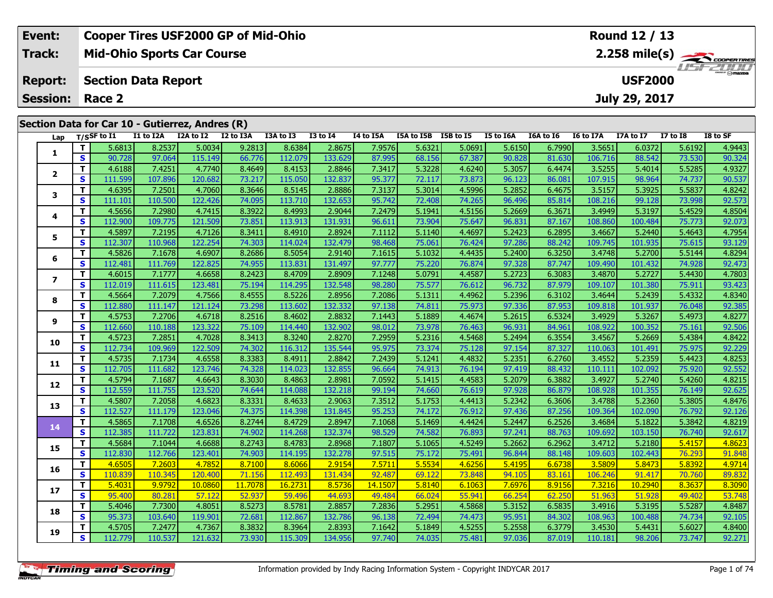| Event:                                          | <b>Cooper Tires USF2000 GP of Mid-Ohio</b> |                                              |           |           |           |              |           |                      | Round 12 / 13 |           |           |           |           |          |          |
|-------------------------------------------------|--------------------------------------------|----------------------------------------------|-----------|-----------|-----------|--------------|-----------|----------------------|---------------|-----------|-----------|-----------|-----------|----------|----------|
| Track:<br><b>Mid-Ohio Sports Car Course</b>     |                                            |                                              |           |           |           |              |           |                      |               |           |           |           |           |          |          |
| <b>Report:</b>                                  |                                            | <b>USF2000</b><br><b>Section Data Report</b> |           |           |           |              |           |                      |               |           |           |           |           |          | USF2000  |
| <b>Session: Race 2</b>                          |                                            |                                              |           |           |           |              |           |                      | July 29, 2017 |           |           |           |           |          |          |
| Section Data for Car 10 - Gutierrez, Andres (R) |                                            |                                              |           |           |           |              |           |                      |               |           |           |           |           |          |          |
| Lap                                             | T/SSF to I1                                | I1 to I2A                                    | I2A to I2 | I2 to I3A | I3A to I3 | $I3$ to $I4$ | I4 to I5A | I5A to I5B I5B to I5 |               | I5 to I6A | I6A to I6 | I6 to I7A | I7A to I7 | I7 to I8 | I8 to SF |

| Lap            |              | 1/55F to 11 | TT TO TYW | LZA LO LZ | <b>IZ WISA</b> | כז חז אכז | 12 M 14 | 14 M TOW | <b>ISA LO ISD</b> | 196 10 19 | TO TO TOM | TOW TO TO | 10 10 17 A | 17A 10 17 | <b>T\ fO TO</b> | LO LU ƏF |
|----------------|--------------|-------------|-----------|-----------|----------------|-----------|---------|----------|-------------------|-----------|-----------|-----------|------------|-----------|-----------------|----------|
|                | T            | 5.6813      | 8.2537    | 5.0034    | 9.2813         | 8.6384    | 2.8675  | 7.9576   | 5.6321            | 5.0691    | 5.6150    | 6.7990    | 3.5651     | 6.0372    | 5.6192          | 4.9443   |
| 1              | S            | 90.728      | 97.064    | 115.149   | 66.776         | 112.079   | 133.629 | 87.995   | 68.156            | 67.387    | 90.828    | 81.630    | 106.716    | 88.542    | 73.530          | 90.324   |
|                | $\mathbf{T}$ | 4.6188      | 7.4251    | 4.7740    | 8.4649         | 8.4153    | 2.8846  | 7.3417   | 5.3228            | 4.6240    | 5.3057    | 6.4474    | 3.5255     | 5.4014    | 5.5285          | 4.9327   |
| $\overline{2}$ | S            | 111.599     | 107.896   | 120.682   | 73.217         | 115.050   | 132.837 | 95.377   | 72.117            | 73.873    | 96.123    | 86.081    | 107.915    | 98.964    | 74.737          | 90.537   |
| 3              | T            | 4.6395      | 7.2501    | 4.7060    | 8.3646         | 8.5145    | 2.8886  | 7.3137   | 5.3014            | 4.5996    | 5.2852    | 6.4675    | 3.5157     | 5.3925    | 5.5837          | 4.8242   |
|                | S            | 111.101     | 110.500   | 122.426   | 74.095         | 113.710   | 132.653 | 95.742   | 72.408            | 74.265    | 96.496    | 85.814    | 108.216    | 99.128    | 73.998          | 92.573   |
| 4              | T            | 4.5656      | 7.2980    | 4.7415    | 8.3922         | 8.4993    | 2.9044  | 7.2479   | 5.1941            | 4.5156    | 5.2669    | 6.3671    | 3.4949     | 5.3197    | 5.4529          | 4.8504   |
|                | S            | 112.900     | 109.775   | 121.509   | 73.851         | 113.913   | 131.931 | 96.611   | 73.904            | 75.647    | 96.831    | 87.167    | 108.860    | 100.484   | 75.773          | 92.073   |
| 5              | T            | 4.5897      | 7.2195    | 4.7126    | 8.3411         | 8.4910    | 2.8924  | 7.1112   | 5.1140            | 4.4697    | 5.2423    | 6.2895    | 3.4667     | 5.2440    | 5.4643          | 4.7954   |
|                | S            | 112.307     | 110.968   | 122.254   | 74.303         | 114.024   | 132.479 | 98.468   | 75.061            | 76.424    | 97.286    | 88.242    | 109.745    | 101.935   | 75.615          | 93.129   |
| 6              | T            | 4.5826      | 7.1678    | 4.6907    | 8.2686         | 8.5054    | 2.9140  | 7.1615   | 5.1032            | 4.4435    | 5.2400    | 6.3250    | 3.4748     | 5.2700    | 5.5144          | 4.8294   |
|                | S            | 112.481     | 111.769   | 122.825   | 74.955         | 113.831   | 131.497 | 97.777   | 75.220            | 76.874    | 97.328    | 87.747    | 109.490    | 101.432   | 74.928          | 92.473   |
| 7              | T            | 4.6015      | 7.1777    | 4.6658    | 8.2423         | 8.4709    | 2.8909  | 7.1248   | 5.0791            | 4.4587    | 5.2723    | 6.3083    | 3.4870     | 5.2727    | 5.4430          | 4.7803   |
|                | S            | 112.019     | 111.615   | 123.481   | 75.194         | 114.295   | 132.548 | 98.280   | 75.577            | 76.612    | 96.732    | 87.979    | 109.107    | 101.380   | 75.911          | 93.423   |
| 8              | T            | 4.5664      | 7.2079    | 4.7566    | 8.4555         | 8.5226    | 2.8956  | 7.2086   | 5.1311            | 4.4962    | 5.2396    | 6.3102    | 3.4644     | 5.2439    | 5.4332          | 4.8340   |
|                | S            | 112.880     | 111.147   | 121.124   | 73.298         | 113.602   | 132.332 | 97.138   | 74.811            | 75.973    | 97.336    | 87.953    | 109.818    | 101.937   | 76.048          | 92.385   |
| 9              | T            | 4.5753      | 7.2706    | 4.6718    | 8.2516         | 8.4602    | 2.8832  | 7.1443   | 5.1889            | 4.4674    | 5.2615    | 6.5324    | 3.4929     | 5.3267    | 5.4973          | 4.8277   |
|                | S            | 112.660     | 110.188   | 123.322   | 75.109         | 114.440   | 132.902 | 98.012   | 73.978            | 76.463    | 96.931    | 84.961    | 108.922    | 100.352   | 75.161          | 92.506   |
| 10             | Т            | 4.5723      | 7.2851    | 4.7028    | 8.3413         | 8.3240    | 2.8270  | 7.2959   | 5.2316            | 4.5468    | 5.2494    | 6.3554    | 3.4567     | 5.2669    | 5.4384          | 4.8422   |
|                | S            | 112.734     | 109.969   | 122.509   | 74.302         | 116.312   | 135.544 | 95.975   | 73.374            | 75.128    | 97.154    | 87.327    | 110.063    | 101.491   | 75.975          | 92.229   |
| 11             | T            | 4.5735      | 7.1734    | 4.6558    | 8.3383         | 8.4911    | 2.8842  | 7.2439   | 5.1241            | 4.4832    | 5.2351    | 6.2760    | 3.4552     | 5.2359    | 5.4423          | 4.8253   |
|                | S            | 112.705     | 111.682   | 123.746   | 74.328         | 114.023   | 132.855 | 96.664   | 74.913            | 76.194    | 97.419    | 88.432    | 110.111    | 102.092   | 75.920          | 92.552   |
| 12             | T            | 4.5794      | 7.1687    | 4.6643    | 8.3030         | 8.4863    | 2.8981  | 7.0592   | 5.1415            | 4.4583    | 5.2079    | 6.3882    | 3.4927     | 5.2740    | 5.4260          | 4.8215   |
|                | S            | 112.559     | 111.755   | 123.520   | 74.644         | 114.088   | 132.218 | 99.194   | 74.660            | 76.619    | 97.928    | 86.879    | 108.928    | 101.355   | 76.149          | 92.625   |
| 13             | T            | 4.5807      | 7.2058    | 4.6823    | 8.3331         | 8.4633    | 2.9063  | 7.3512   | 5.1753            | 4.4413    | 5.2342    | 6.3606    | 3.4788     | 5.2360    | 5.3805          | 4.8476   |
|                | S            | 112.527     | 111.179   | 123.046   | 74.375         | 114.398   | 131.845 | 95.253   | 74.172            | 76.912    | 97.436    | 87.256    | 109.364    | 102.090   | 76.792          | 92.126   |
| 14             | T            | 4.5865      | 7.1708    | 4.6526    | 8.2744         | 8.4729    | 2.8947  | 7.1068   | 5.1469            | 4.4424    | 5.2447    | 6.2526    | 3.4684     | 5.1822    | 5.3842          | 4.8219   |
|                | $\mathbf{s}$ | 112.385     | 111.722   | 123.831   | 74.902         | 114.268   | 132.374 | 98.529   | 74.582            | 76.893    | 97.241    | 88.763    | 109.692    | 103.150   | 76.740          | 92.617   |
| 15             | Т            | 4.5684      | 7.1044    | 4.6688    | 8.2743         | 8.4783    | 2.8968  | 7.1807   | 5.1065            | 4.5249    | 5.2662    | 6.2962    | 3.4712     | 5.2180    | 5.4157          | 4.8623   |
|                | S            | 112.830     | 112.766   | 123.401   | 74.903         | 114.195   | 132.278 | 97.515   | 75.172            | 75.491    | 96.844    | 88.148    | 109.603    | 102.443   | 76.293          | 91.848   |
| 16             | T            | 4.6505      | 7.2603    | 4.7852    | 8.7100         | 8.6066    | 2.9154  | 7.5711   | 5.5534            | 4.6256    | 5.4195    | 6.6738    | 3.5809     | 5.8473    | 5.8392          | 4.9714   |
|                | S            | 110.839     | 110.345   | 120.400   | 71.156         | 112.493   | 131.434 | 92.487   | 69.122            | 73.848    | 94.105    | 83.161    | 106.246    | 91.417    | 70.760          | 89.832   |
| 17             | T            | 5.4031      | 9.9792    | 10.0860   | 11.7078        | 16.2731   | 8.5736  | 14.1507  | 5.8140            | 6.1063    | 7.6976    | 8.9156    | 7.3216     | 10.2940   | 8.3637          | 8.3090   |
|                | $\mathbf{s}$ | 95.400      | 80.281    | 57.122    | 52.937         | 59.496    | 44.693  | 49.484   | 66.024            | 55.941    | 66.254    | 62.250    | 51.963     | 51.928    | 49.402          | 53.748   |
| 18             | T            | 5.4046      | 7.7300    | 4.8051    | 8.5273         | 8.5781    | 2.8857  | 7.2836   | 5.2951            | 4.5868    | 5.3152    | 6.5835    | 3.4916     | 5.3195    | 5.5287          | 4.8487   |
|                | $\mathbf{s}$ | 95.373      | 103.640   | 119.901   | 72.681         | 112.867   | 132.786 | 96.138   | 72.494            | 74.473    | 95.951    | 84.302    | 108.963    | 100.488   | 74.734          | 92.105   |
| 19             | T            | 4.5705      | 7.2477    | 4.7367    | 8.3832         | 8.3964    | 2.8393  | 7.1642   | 5.1849            | 4.5255    | 5.2558    | 6.3779    | 3.4530     | 5.4431    | 5.6027          | 4.8400   |
|                | S            | 112.779     | 110.537   | 121.632   | 73.930         | 115.309   | 134.956 | 97.740   | 74.035            | 75.481    | 97.036    | 87.019    | 110.181    | 98.206    | 73.747          | 92.271   |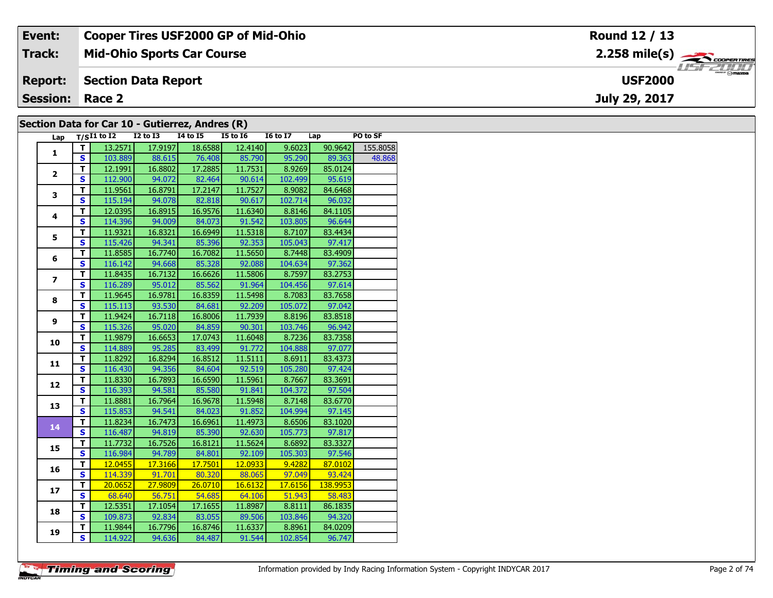| Event:                                          | <b>Cooper Tires USF2000 GP of Mid-Ohio</b> | Round 12 / 13                      |  |  |  |  |  |  |  |  |
|-------------------------------------------------|--------------------------------------------|------------------------------------|--|--|--|--|--|--|--|--|
| Track:                                          | <b>Mid-Ohio Sports Car Course</b>          |                                    |  |  |  |  |  |  |  |  |
| <b>Report:</b>                                  | Section Data Report                        | <b>LISF 2000</b><br><b>USF2000</b> |  |  |  |  |  |  |  |  |
| <b>Session: Race 2</b>                          |                                            | July 29, 2017                      |  |  |  |  |  |  |  |  |
| Section Data for Car 10 - Gutierrez, Andres (R) |                                            |                                    |  |  |  |  |  |  |  |  |

### **Section Data for Car 10 - Gutierrez, Andres (R)**

| Lap                     |                         | $T/SI1$ to I2 I2 to I3 I4 to I5 |                   |                              | $\sim$ $\sim$ $\sim$<br>$I5$ to $I6$ | I6 to I7 Lap                                                                  |                      | PO to SF |
|-------------------------|-------------------------|---------------------------------|-------------------|------------------------------|--------------------------------------|-------------------------------------------------------------------------------|----------------------|----------|
| $\mathbf{1}$            | T I                     | 13.2571                         | 17.9197           | 18.6588                      | 12.4140                              | 9.6023                                                                        | 90.9642              | 155.8058 |
|                         | $\overline{\mathbf{s}}$ |                                 |                   | 103.889 88.615 76.408 85.790 |                                      |                                                                               | 95.290 89.363 48.868 |          |
|                         | T                       |                                 | $12.1991$ 16.8802 | 17.2885                      | 11.7531                              | 8.9269                                                                        | 85.0124              |          |
| $\overline{2}$          | $\overline{\mathbf{s}}$ | 112.900                         | 94.072            | 82.464                       | 90.614                               | 102.499                                                                       | 95.619               |          |
|                         | Ŧ                       | 11.9561                         | 16.8791           | 17.2147                      | 11.7527                              | 8.9082                                                                        | 84.6468              |          |
| $\overline{\mathbf{3}}$ | $\overline{\mathbf{s}}$ | 115.194                         | 94.078            | 82.818                       | 90.617                               | 102.714                                                                       | 96.032               |          |
|                         | $\overline{\mathsf{T}}$ | 12.0395                         | 16.8915           | 16.9576                      | 11.6340                              | 8.8146                                                                        | 84.1105              |          |
| 4                       | $\overline{\mathbf{s}}$ | 114.396                         | 94.009            | 84.073                       | 91.542                               | 103.805                                                                       | 96.644               |          |
|                         | T                       | 11.9321                         | 16.8321           | 16.6949                      | 11.5318                              | 8.7107                                                                        | 83.4434              |          |
| 5                       | $\overline{\mathbf{s}}$ | 115.426                         | 94.341            | 85.396                       | 92.353                               | 105.043                                                                       | 97.417               |          |
|                         | T                       | 11.8585                         | 16.7740           | 16.7082                      | 11.5650                              | 8.7448                                                                        | 83.4909              |          |
| 6                       | $\overline{\mathbf{s}}$ |                                 |                   | 116.142 94.668 85.328 92.088 |                                      | 104.634                                                                       | 97.362               |          |
|                         | T                       | 11.8435                         | 16.7132           | 16.6626                      | 11.5806                              | 8.7597                                                                        | 83.2753              |          |
| $\overline{z}$          | $\mathbf{s}$            | 116.289                         | 95.012            | 85.562                       | 91.964                               | 104.456                                                                       | 97.614               |          |
|                         | $\overline{\mathsf{r}}$ | 11.9645                         | 16.9781           | 16.8359                      | 11.5498                              | 8.7083                                                                        | 83.7658              |          |
| 8                       | $\mathbf{s}$            | 115.113                         | 93.530            | 84.681                       | 92.209                               | 105.072                                                                       | 97.042               |          |
|                         | $\overline{\mathsf{T}}$ | 11.9424                         | 16.7118           | 16.8006                      | 11.7939                              | 8.8196                                                                        | 83.8518              |          |
| 9                       | $\mathbf{s}$            | 115.326                         | 95.020            | 84.859                       | 90.301                               | 103.746                                                                       | 96.942               |          |
|                         | T                       | 11.9879                         | 16.6653           | 17.0743                      | 11.6048                              | 8.7236                                                                        | 83.7358              |          |
| 10                      | $\overline{\mathbf{s}}$ |                                 |                   | 114.889 95.285 83.499        | 91.772                               | 104.888                                                                       | 97.077               |          |
|                         | т                       | 11.8292                         | 16.8294           | 16.8512                      | 11.5111                              | 8.6911                                                                        | 83.4373              |          |
| 11                      | S                       |                                 | 116.430 94.356    | 84.604                       | 92.519                               | 105.280                                                                       | 97.424               |          |
|                         | $\overline{\mathsf{r}}$ | 11.8330                         | 16.7893           | 16.6590                      | 11.5961                              | 8.7667                                                                        | 83.3691              |          |
| 12                      | $\overline{\mathbf{s}}$ | 116.393                         | 94.581            | 85.580                       | 91.841                               | 104.372                                                                       | 97.504               |          |
|                         | $\overline{\mathsf{r}}$ | 11.8881                         | 16.7964           | 16.9678                      | 11.5948                              | 8.7148                                                                        | 83.6770              |          |
| 13                      | $\overline{\mathbf{s}}$ | 115.853                         | 94.541            | 84.023                       | 91.852                               | 104.994                                                                       | 97.145               |          |
|                         | $\mathbf T$             | 11.8234                         | 16.7473           | 16.6961                      | 11.4973                              | 8.6506                                                                        | 83.1020              |          |
| 14                      | $\overline{\mathbf{s}}$ | 116.487                         | 94.819            | 85.390                       | 92.630                               | 105.773                                                                       | 97.817               |          |
|                         | T                       | 11.7732                         | 16.7526           | 16.8121                      | 11.5624                              | 8.6892                                                                        | 83.3327              |          |
| 15                      | $\overline{\mathbf{s}}$ | 116.984                         |                   | 94.789 84.801                | 92.109                               | 105.303                                                                       | 97.546               |          |
|                         | T                       | 12.0455                         | 17.3166           | 17.7501                      |                                      | $\begin{array}{ c c c c c c c c } \hline 12.0933 & 9.4282 \hline \end{array}$ | 87.0102              |          |
| 16                      | $\overline{\mathbf{s}}$ |                                 |                   | 114.339 91.701 80.320 88.065 |                                      | 97.049                                                                        | 93.424               |          |
|                         | T                       | 20.0652                         | 27.9809           | 26.0710                      | 16.6132                              | 17.6156                                                                       | 138.9953             |          |
| 17                      | $\overline{\mathbf{s}}$ | 68.640                          | 56.751            | 54.685                       | 64.106                               | 51.943                                                                        | 58.483               |          |
|                         | $\overline{\mathsf{T}}$ | 12.5351                         | 17.1054           | 17.1655                      | 11.8987                              | 8.8111                                                                        | 86.1835              |          |
| 18                      | $\overline{\mathbf{s}}$ | 109.873                         | 92.834            | 83.055                       | 89.506                               | 103.846                                                                       | 94.320               |          |
|                         | T                       | 11.9844                         | 16.7796           | 16.8746                      | 11.6337                              | 8.8961                                                                        | 84.0209              |          |
| 19                      | $\overline{\mathbf{s}}$ | 114.922                         | 94.636            | 84.487                       | 91.544                               | 102.854                                                                       | 96.747               |          |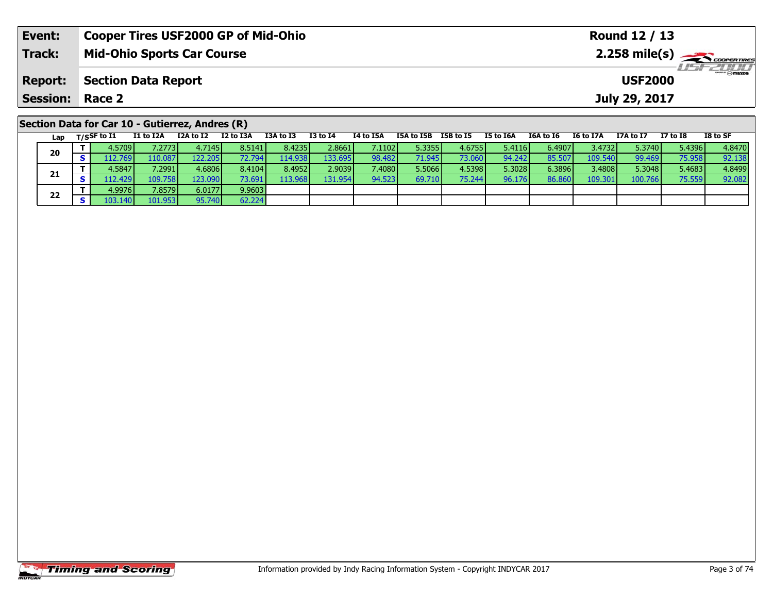| Event:                 | <b>Cooper Tires USF2000 GP of Mid-Ohio</b>      |                                              |           |           |          |           |            |           |               |                                     |           | Round 12 / 13 |          |          |
|------------------------|-------------------------------------------------|----------------------------------------------|-----------|-----------|----------|-----------|------------|-----------|---------------|-------------------------------------|-----------|---------------|----------|----------|
| <b>Track:</b>          | <b>Mid-Ohio Sports Car Course</b>               |                                              |           |           |          |           |            |           |               | $2.258$ mile(s) $\sum$ coorer Times |           |               |          |          |
| <b>Report:</b>         |                                                 | <b>Section Data Report</b><br><b>USF2000</b> |           |           |          |           |            |           |               |                                     |           |               |          |          |
| <b>Session: Race 2</b> |                                                 |                                              |           |           |          |           |            |           | July 29, 2017 |                                     |           |               |          |          |
|                        | Section Data for Car 10 - Gutierrez, Andres (R) |                                              |           |           |          |           |            |           |               |                                     |           |               |          |          |
| Lap                    | I1 to I2A<br>$_{\rm T/SS}$ F to I1              | I2A to I2                                    | I2 to I3A | I3A to I3 | I3 to I4 | I4 to I5A | I5A to I5B | I5B to I5 | I5 to I6A     | I6A to I6                           | I6 to I7A | I7A to I7     | I7 to I8 | I8 to SF |

| Lap | 1133 W 11 |                     |                 | w       |         | .       | .               |        | .      | 23 W 295 |        | $\sim$ $\sim$ $\sim$ $\sim$ | .       | .      |        |
|-----|-----------|---------------------|-----------------|---------|---------|---------|-----------------|--------|--------|----------|--------|-----------------------------|---------|--------|--------|
| 20  | 4.5709 l  | $\left 2773\right $ | 4.71451         | 8.5141  | 8.4235  | 2.8661  | 7.1102 l        | 5.3355 | 4.6755 | 5.4116   | 6.4907 | 3.4732                      | 5.3740  | 5.4396 | 4.8470 |
|     | .12.769   | 110.087             | 122.205         | /2.7941 | 114.938 | 133.695 | 98.482 <b>I</b> | 71.945 | 73.060 | 94.242   | 85.50  | 109.540                     | 99.469  | 75.958 | 92.138 |
|     | 4.5847V   | 7.29911             | 4.6806          | 8.4104  | 8.4952  | 2.9039  | 7.4080          | 5.5066 | 4.5398 | 5.3028   | 6.3896 | 3.4808                      | 5.3048  | 5.4683 | 4.8499 |
| 21  | 12.429    | 109.758             | 123.0901        | 73.691  | 113.968 | 131.954 | 94.523          | 69.710 | 75.244 | 96.176   | 86.860 | 109.301                     | 100.766 | 75.559 | 92.082 |
| 22  | 4.9976 l  | 7.8579              | 6.0177 <b>1</b> | 9.9603  |         |         |                 |        |        |          |        |                             |         |        |        |
|     | 103.1401  | 101.953 l           | 95.740          | 62.224  |         |         |                 |        |        |          |        |                             |         |        |        |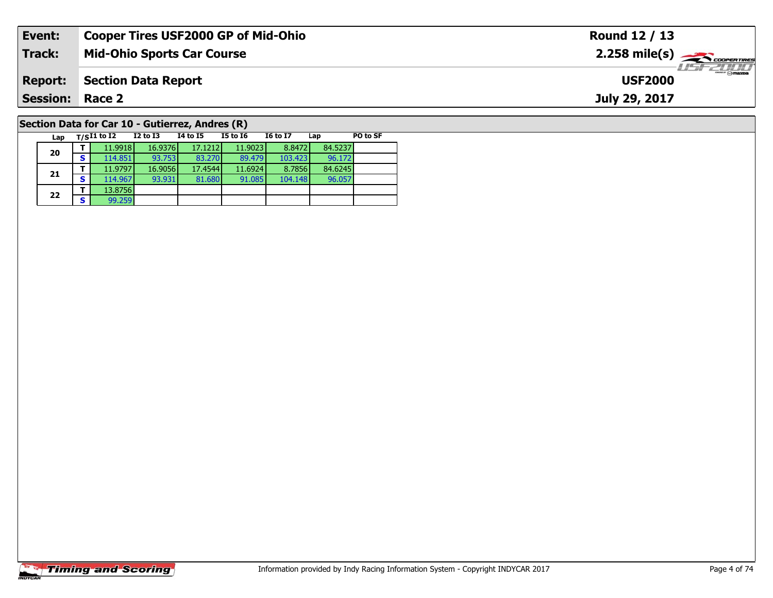| Event:                                          | <b>Cooper Tires USF2000 GP of Mid-Ohio</b> | Round 12 / 13                                           |  |  |  |  |  |  |  |
|-------------------------------------------------|--------------------------------------------|---------------------------------------------------------|--|--|--|--|--|--|--|
| Track:                                          | <b>Mid-Ohio Sports Car Course</b>          | $2.258$ mile(s) $\overbrace{\hspace{2cm}}$ coorer TIRES |  |  |  |  |  |  |  |
| <b>Report:</b>                                  | <b>Section Data Report</b>                 | <b>LISF 2000</b><br><b>USF2000</b>                      |  |  |  |  |  |  |  |
| <b>Session: Race 2</b>                          |                                            | July 29, 2017                                           |  |  |  |  |  |  |  |
| Section Data for Car 10 - Gutierrez, Andres (R) |                                            |                                                         |  |  |  |  |  |  |  |

96.057

**Lap T/SI1 to I2 I2 to I3 I4 to I5 I5 to I6 I6 to I7 Lap PO to SF** 

**<sup>T</sup>** 11.9918 16.9376 17.1212 11.9023 8.8472 84.5237 **<sup>S</sup>** 114.851 93.753 83.270 89.479 103.423 96.172

**<sup>T</sup>** 11.9797 16.9056 17.4544 11.6924 8.7856 84.6245 **<sup>S</sup>** 114.967 93.931 81.680 91.085 104.148 96.057

# **Timing and Scoring**

**20**

**21**

**22**

**a**  $\begin{array}{|c|c|c|}\n\hline\n\textbf{S} & \textbf{99.259}\n\hline\n\end{array}$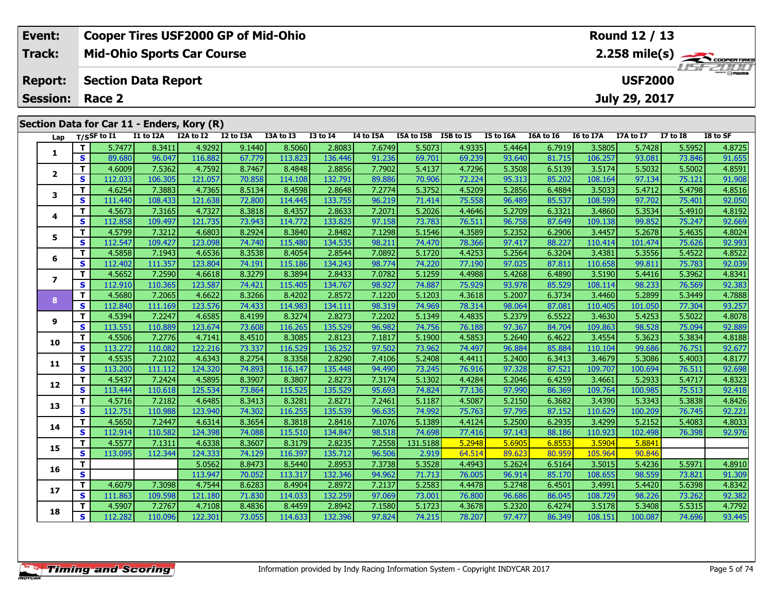| Event:          |    |                | <b>Cooper Tires USF2000 GP of Mid-Ohio</b> |           |           |           |                 |           |            |           |           |           |           | Round 12 / 13  |              |                         |
|-----------------|----|----------------|--------------------------------------------|-----------|-----------|-----------|-----------------|-----------|------------|-----------|-----------|-----------|-----------|----------------|--------------|-------------------------|
| <b>Track:</b>   |    |                | <b>Mid-Ohio Sports Car Course</b>          |           |           |           |                 |           |            |           |           |           |           |                |              | $2.258 \text{ mile(s)}$ |
| <b>Report:</b>  |    |                | <b>Section Data Report</b>                 |           |           |           |                 |           |            |           |           |           |           | <b>USF2000</b> |              | $T = -T/T$              |
| <b>Session:</b> |    | Race 2         |                                            |           |           |           |                 |           |            |           |           |           |           | July 29, 2017  |              |                         |
|                 |    |                | Section Data for Car 11 - Enders, Kory (R) |           |           |           |                 |           |            |           |           |           |           |                |              |                         |
| Lap             |    | $T/S$ SF to I1 | I1 to I2A                                  | I2A to I2 | I2 to I3A | I3A to I3 | <b>I3 to I4</b> | I4 to I5A | I5A to I5B | I5B to I5 | I5 to I6A | I6A to I6 | I6 to I7A | I7A to I7      | $I7$ to $I8$ | I8 to SF                |
|                 |    | 5.7477         | 8.3411                                     | 4.9292    | 9.1440    | 8.5060    | 2.8083          | 7.6749    | 5.5073     | 4.9335    | 5.4464    | 6.7919    | 3.5805    | 5.7428         | 5.5952       | 4.8725                  |
|                 | S  | 89.680         | 96.047                                     | 116.882   | 67.779    | 113.823   | 136.446         | 91.236    | 69.701     | 69.239    | 93.640    | 81.715    | 106.257   | 93.081         | 73.846       | 91.655                  |
|                 |    | 4.6009         | 7.5362                                     | 4.7592    | 8.7467    | 8.4848    | 2.8856          | 7.7902    | 5.4137     | 4.7296    | 5.3508    | 6.5139    | 3.5174    | 5.5032         | 5.5002       | 4.8591                  |
|                 | S. | 112.033        | 106.305                                    | 121.057   | 70.858    | 114.108   | 132.791         | 89.886    | 70.906     | 72.224    | 95.313    | 85.202    | 108.164   | 97.134         | 75.121       | 91.908                  |
|                 |    | 4.6254         | 7.3883                                     | 4.7365    | 8.5134    | 8.4598    | 2.8648          | 7.2774    | 5.3752     | 4.5209    | 5.2856    | 6.4884    | 3.5033    | 5.4712         | 5.4798       | 4.8516                  |
|                 | S  | 111.440        | 108.433                                    | 121.638   | 72.800    | 114.445   | 133.755         | 96.219    | 71.414     | 75.558    | 96.489    | 85.537    | 108.599   | 97.702         | 75.401       | 92.050                  |
|                 |    | 4.5673         | 7.3165                                     | 4.7327    | 8.3818    | 8.4357    | 2.8633          | 7.2071    | 5.2026     | 4.4646    | 5.2709    | 6.3321    | 3.4860    | 5.3534         | 5.4910       | 4.8192                  |
|                 | S. | 112.858        | 109.497                                    | 121.735   | 73.943    | 114.772   | 133.825         | 97.158    | 73.783     | 76.511    | 96.758    | 87.649    | 109.138   | 99.852         | 75.247       | 92.669                  |

5 T | 4.5799| 7.3212| 4.6803| 8.2924| 8.3840| 2.8482| 7.1298| 5.1546| 4.3589| 5.2352| 6.2906| 3.4457| 5.2678| 5.4635| 4.8024<br>| S | 112.547| 109.427| 123.098| 74.740| 115.480| 134.535| 98.211| 74.470| 78.366| 97.417| 88.227

6 | T | 4.5858| 7.1943| 4.6536| 8.3538| 8.4054| 2.8544| 7.0892| 5.1720| 4.4253| 5.2564| 6.3204| 3.4381| 5.3556| 5.4522| 4.8522<br>| S | 112.402| 111.357| 123.804| 74.191| 115.186| 134.243| 98.774| 74.220| 77.190| 97.025| 87.8

7 | T | 4.5652 | 7.2590 | 4.6618 | 8.3279 | 8.3894 | 2.8433 | 7.0782 | 5.1259 | 4.4988 | 5.4268 | 6.4890 | 3.5190 | 5.4416 | 5.3962 | 4.8341<br>7 | S | 112.910 | 110.365 | 123.587 | 74.421 | 115.405 | 134.767 | 98.927 | 74.88

8 T | 4.5680 7.2065 4.6622 8.3266 8.4202 2.8572 7.1220 5.1203 4.3618 5.2007 6.3734 3.4460 5.2899 5.3449 4.7888<br>8 S 112.840 111.169 123.576 74.433 114.983 134.111 98.319 74.969 78.314 98.064 87.081 110.405 101.050 77.304 93

**<sup>T</sup>** 4.5394 7.2247 4.6585 8.4199 8.3274 2.8273 7.2202 5.1349 4.4835 5.2379 6.5522 3.4630 5.4253 5.5022 4.8078 **<sup>S</sup>** 113.551 110.889 123.674 73.608 116.265 135.529 96.982 74.756 76.188 97.367 84.704 109.863 98.528 75.094 92.889

**<sup>T</sup>** 4.5506 7.2776 4.7141 8.4510 8.3085 2.8123 7.1817 5.1900 4.5853 5.2640 6.4622 3.4554 5.3623 5.3834 4.8188 **<sup>S</sup>** 113.272 110.082 122.216 73.337 116.529 136.252 97.502 73.962 74.497 96.884 85.884 110.104 99.686 76.751 92.677

**<sup>T</sup>** 4.5535 7.2102 4.6343 8.2754 8.3358 2.8290 7.4106 5.2408 4.4411 5.2400 6.3413 3.4679 5.3086 5.4003 4.8177 **<sup>S</sup>** 113.200 111.112 124.320 74.893 116.147 135.448 94.490 73.245 76.916 97.328 87.521 109.707 100.694 76.511 92.698

2 T 4.5437 7.2424 4.5895 8.3907 8.3807 2.8273 7.3174 5.1302 4.4284 5.2046 6.4259 3.4661 5.2933 5.4717 4.8323<br>2 S 113.444 110.618 125.534 73.864 115.525 135.529 95.693 74.824 77.136 97.990 86.369 109.764 100.985 75.513 92.4

**<sup>T</sup>** 4.5716 7.2182 4.6485 8.3413 8.3281 2.8271 7.2461 5.1187 4.5087 5.2150 6.3682 3.4390 5.3343 5.3838 4.8426 **<sup>S</sup>** 112.751 110.988 123.940 74.302 116.255 135.539 96.635 74.992 75.763 97.795 87.152 110.629 100.209 76.745 92.221

**<sup>T</sup>** 4.5650 7.2447 4.6314 8.3654 8.3818 2.8416 7.1076 5.1389 4.4124 5.2500 6.2935 3.4299 5.2152 5.4083 4.8033 **<sup>S</sup>** 112.914 110.582 124.398 74.088 115.510 134.847 98.518 74.698 77.416 97.143 88.186 110.923 102.498 76.398 92.976

**<sup>T</sup>** 5.0562 8.8473 8.5440 2.8953 7.3738 5.3528 4.4943 5.2624 6.5164 3.5015 5.4236 5.5971 4.8910 **<sup>S</sup>** 113.947 70.052 113.317 132.346 94.962 71.713 76.005 96.914 85.170 108.655 98.559 73.821 91.309

7 T 4.6079 7.3098 4.7544 8.6283 8.4904 2.8972 7.2137 5.2583 4.4478 5.2748 6.4501 3.4991 5.4420 5.6398 4.8342<br>7 S 111.863 109.598 121.180 71.830 114.033 132.259 97.069 73.001 76.800 96.686 86.045 108.729 98.226 73.262 92.38

8 T 4.5907 7.2767 4.7108 8.4836 8.4459 2.8942 7.1580 5.1723 4.3678 5.2320 6.4274 3.5178 5.3408 5.5315 4.7792 كال 5 112.282 110.096 122.301 73.055 114.633 132.396 97.824 74.215 78.207 97.477 86.349 108.151 100.087 74.696 93

**<sup>T</sup>** 4.5577 7.1311 4.6338 8.3607 8.3179 2.8235 7.2558 131.5188 5.2948 5.6905 6.8553 3.5904 5.8841 **<sup>S</sup>** 113.095 112.344 124.333 74.129 116.397 135.712 96.506 2.919 64.514 89.623 80.959 105.964 90.846

**5**

**6**

**7**

**8**

**9**

**10**

**11**

**12**

**13**

**14**

**15**

**16**

**17**

**18**

92.88

92.976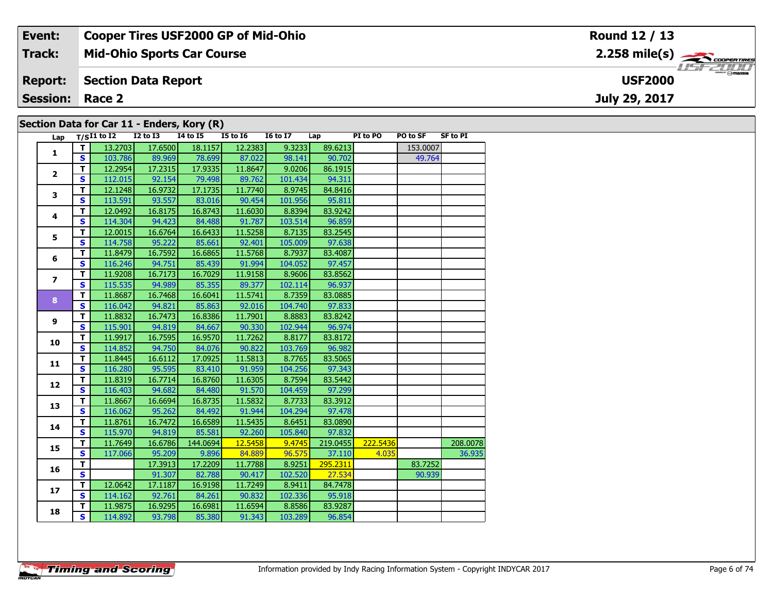#### **Event: Cooper Tires USF2000 GP of Mid-Ohio Round 12 / 13**2.258 mile(s) **2.258 miles Mid-Ohio Sports Car Course Track:** USF 2000 **Section Data Report USF2000Report: July 29, 2017 Session: Race 2 Section Data for Car 11 - Enders, Kory (R)**

| Lap                     |              | $T/SI1$ to $I2$ | <b>I2 to I3</b> | <b>I4 to I5</b> | <b>I5 to 16</b> | <b>I6 to I7</b> | Lap      | PI to PO | PO to SF | <b>SF to PI</b> |
|-------------------------|--------------|-----------------|-----------------|-----------------|-----------------|-----------------|----------|----------|----------|-----------------|
| 1                       | T.           | 13.2703         | 17.6500         | 18.1157         | 12.2383         | 9.3233          | 89.6213  |          | 153.0007 |                 |
|                         | $\mathbf{s}$ | 103.786         | 89.969          | 78.699          | 87.022          | 98.141          | 90.702   |          | 49.764   |                 |
| $\overline{2}$          | $\mathbf T$  | 12.2954         | 17.2315         | 17.9335         | 11.8647         | 9.0206          | 86.1915  |          |          |                 |
|                         | $\mathbf{s}$ | 112.015         | 92.154          | 79.498          | 89.762          | 101.434         | 94.311   |          |          |                 |
| 3                       | T            | 12.1248         | 16.9732         | 17.1735         | 11.7740         | 8.9745          | 84.8416  |          |          |                 |
|                         | $\mathbf{s}$ | 113.591         | 93.557          | 83.016          | 90.454          | 101.956         | 95.811   |          |          |                 |
| 4                       | T            | 12.0492         | 16.8175         | 16.8743         | 11.6030         | 8.8394          | 83.9242  |          |          |                 |
|                         | $\mathbf{s}$ | 114.304         | 94.423          | 84.488          | 91.787          | 103.514         | 96.859   |          |          |                 |
| 5                       | T            | 12.0015         | 16.6764         | 16.6433         | 11.5258         | 8.7135          | 83.2545  |          |          |                 |
|                         | $\mathbf{s}$ | 114.758         | 95.222          | 85.661          | 92.401          | 105.009         | 97.638   |          |          |                 |
| 6                       | T            | 11.8479         | 16.7592         | 16.6865         | 11.5768         | 8.7937          | 83.4087  |          |          |                 |
|                         | $\mathbf s$  | 116.246         | 94.751          | 85.439          | 91.994          | 104.052         | 97.457   |          |          |                 |
| $\overline{\mathbf{z}}$ | T            | 11.9208         | 16.7173         | 16.7029         | 11.9158         | 8.9606          | 83.8562  |          |          |                 |
|                         | $\mathbf{s}$ | 115.535         | 94.989          | 85.355          | 89.377          | 102.114         | 96.937   |          |          |                 |
| 8                       | $\mathbf T$  | 11.8687         | 16.7468         | 16.6041         | 11.5741         | 8.7359          | 83.0885  |          |          |                 |
|                         | $\mathbf{s}$ | 116.042         | 94.821          | 85.863          | 92.016          | 104.740         | 97.833   |          |          |                 |
| $\mathbf{9}$            | $\mathbf T$  | 11.8832         | 16.7473         | 16.8386         | 11.7901         | 8.8883          | 83.8242  |          |          |                 |
|                         | $\mathbf{s}$ | 115.901         | 94.819          | 84.667          | 90.330          | 102.944         | 96.974   |          |          |                 |
| 10                      | T            | 11.9917         | 16.7595         | 16.9570         | 11.7262         | 8.8177          | 83.8172  |          |          |                 |
|                         | $\mathbf{s}$ | 114.852         | 94.750          | 84.076          | 90.822          | 103.769         | 96.982   |          |          |                 |
| 11                      | $\mathbf T$  | 11.8445         | 16.6112         | 17.0925         | 11.5813         | 8.7765          | 83.5065  |          |          |                 |
|                         | $\mathbf{s}$ | 116.280         | 95.595          | 83.410          | 91.959          | 104.256         | 97.343   |          |          |                 |
| 12                      | T.           | 11.8319         | 16.7714         | 16.8760         | 11.6305         | 8.7594          | 83.5442  |          |          |                 |
|                         | $\mathbf{s}$ | 116.403         | 94.682          | 84.480          | 91.570          | 104.459         | 97.299   |          |          |                 |
| 13                      | T            | 11.8667         | 16.6694         | 16.8735         | 11.5832         | 8.7733          | 83.3912  |          |          |                 |
|                         | $\mathbf{s}$ | 116.062         | 95.262          | 84.492          | 91.944          | 104.294         | 97.478   |          |          |                 |
| 14                      | T.           | 11.8761         | 16.7472         | 16.6589         | 11.5435         | 8.6451          | 83.0890  |          |          |                 |
|                         | $\mathbf{s}$ | 115.970         | 94.819          | 85.581          | 92.260          | 105.840         | 97.832   |          |          |                 |
| 15                      | T            | 11.7649         | 16.6786         | 144.0694        | 12.5458         | 9.4745          | 219.0455 | 222.5436 |          | 208.0078        |
|                         | $\mathbf{s}$ | 117.066         | 95.209          | 9.896           | 84.889          | 96.575          | 37.110   | 4.035    |          | 36.935          |
| 16                      | T            |                 | 17.3913         | 17.2209         | 11.7788         | 8.9251          | 295.2311 |          | 83.7252  |                 |
|                         | $\mathbf{s}$ |                 | 91.307          | 82.788          | 90.417          | 102.520         | 27.534   |          | 90.939   |                 |
| 17                      | T            | 12.0642         | 17.1187         | 16.9198         | 11.7249         | 8.9411          | 84.7478  |          |          |                 |
|                         | $\mathbf{s}$ | 114.162         | 92.761          | 84.261          | 90.832          | 102.336         | 95.918   |          |          |                 |
| 18                      | T            | 11.9875         | 16.9295         | 16.6981         | 11.6594         | 8.8586          | 83.9287  |          |          |                 |
|                         | S            | 114.892         | 93.798          | 85.380          | 91.343          | 103.289         | 96.854   |          |          |                 |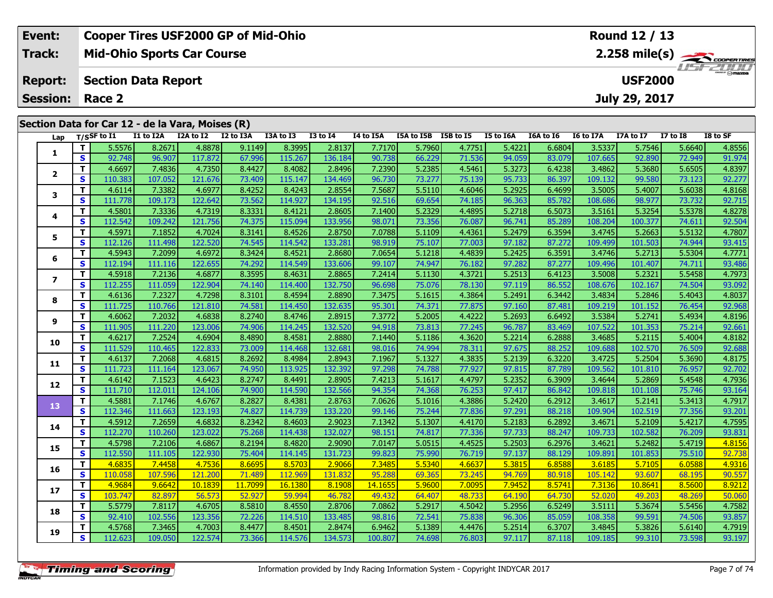| Event:                 | <b>Cooper Tires USF2000 GP of Mid-Ohio</b>       |  |                         |  |           |          |           |                      | <b>Round 12 / 13</b> |           |                  |           |               |                 |          |
|------------------------|--------------------------------------------------|--|-------------------------|--|-----------|----------|-----------|----------------------|----------------------|-----------|------------------|-----------|---------------|-----------------|----------|
| <b>Track:</b>          | <b>Mid-Ohio Sports Car Course</b>                |  |                         |  |           |          |           |                      |                      |           |                  |           |               |                 |          |
| <b>Report:</b>         | <b>Section Data Report</b>                       |  |                         |  |           |          |           |                      | <b>USF2000</b>       |           | <b>LIST CLIP</b> |           |               |                 |          |
| <b>Session: Race 2</b> |                                                  |  |                         |  |           |          |           |                      |                      |           |                  |           | July 29, 2017 |                 |          |
|                        |                                                  |  |                         |  |           |          |           |                      |                      |           |                  |           |               |                 |          |
|                        | Section Data for Car 12 - de la Vara, Moises (R) |  |                         |  |           |          |           |                      |                      |           |                  |           |               |                 |          |
| Lap                    | T/SSF to I1 I1 to I2A                            |  | I 2A to I 2 I 2 to I 3A |  | I3A to I3 | I3 to I4 | I4 to I5A | I5A to I5B I5B to I5 |                      | I5 to I6A | I6A to I6        | I6 to I7A | I7A to I7     | <b>I7 to I8</b> | I8 to SF |

| Lap            |              | T/SSF to $I1$ | I1 to I2A | I2A to I2 | I2 to I3A | I3A to I3 | <b>I3 to 14</b> | I4 to I5A | I5A to I5B | I5B to I5 | <b>I5 to I6A</b> | I6A to I6 | <b>I6 to I7A</b> | <b>I7A to I7</b> | <b>I7 to I8</b> | I8 to SF |
|----------------|--------------|---------------|-----------|-----------|-----------|-----------|-----------------|-----------|------------|-----------|------------------|-----------|------------------|------------------|-----------------|----------|
| 1              | T.           | 5.5576        | 8.2671    | 4.8878    | 9.1149    | 8.3995    | 2.8137          | 7.7170    | 5.7960     | 4.7751    | 5.4221           | 6.6804    | 3.5337           | 5.7546           | 5.6640          | 4.8556   |
|                | S            | 92.748        | 96.907    | 117.872   | 67.996    | 115.267   | 136.184         | 90.738    | 66.229     | 71.536    | 94.059           | 83.079    | 107.665          | 92.890           | 72.949          | 91.974   |
| $\mathbf{2}$   | T.           | 4.6697        | 7.4836    | 4.7350    | 8.4427    | 8.4082    | 2.8496          | 7.2390    | 5.2385     | 4.5461    | 5.3273           | 6.4238    | 3.4862           | 5.3680           | 5.6505          | 4.8397   |
|                | <b>S</b>     | 110.383       | 107.052   | 121.676   | 73.409    | 115.147   | 134.469         | 96.730    | 73.277     | 75.139    | 95.733           | 86.397    | 109.132          | 99.580           | 73.123          | 92.277   |
| 3              | T            | 4.6114        | 7.3382    | 4.6977    | 8.4252    | 8.4243    | 2.8554          | 7.5687    | 5.5110     | 4.6046    | 5.2925           | 6.4699    | 3.5005           | 5.4007           | 5.6038          | 4.8168   |
|                | $\mathbf{s}$ | 111.778       | 109.173   | 122.642   | 73.562    | 114.927   | 134.195         | 92.516    | 69.654     | 74.185    | 96.363           | 85.782    | 108.686          | 98.977           | 73.732          | 92.715   |
| 4              | T            | 4.5801        | 7.3336    | 4.7319    | 8.3331    | 8.4121    | 2.8605          | 7.1400    | 5.2329     | 4.4895    | 5.2718           | 6.5073    | 3.5161           | 5.3254           | 5.5378          | 4.8278   |
|                | S            | 112.542       | 109.242   | 121.756   | 74.375    | 115.094   | 133.956         | 98.071    | 73.356     | 76.087    | 96.741           | 85.289    | 108.204          | 100.377          | 74.611          | 92.504   |
| 5              | T            | 4.5971        | 7.1852    | 4.7024    | 8.3141    | 8.4526    | 2.8750          | 7.0788    | 5.1109     | 4.4361    | 5.2479           | 6.3594    | 3.4745           | 5.2663           | 5.5132          | 4.7807   |
|                | S            | 112.126       | 111.498   | 122.520   | 74.545    | 114.542   | 133.281         | 98.919    | 75.107     | 77.003    | 97.182           | 87.272    | 109.499          | 101.503          | 74.944          | 93.415   |
| 6              | T            | 4.5943        | 7.2099    | 4.6972    | 8.3424    | 8.4521    | 2.8680          | 7.0654    | 5.1218     | 4.4839    | 5.2425           | 6.3591    | 3.4746           | 5.2713           | 5.5304          | 4.7771   |
|                | $\mathbf{s}$ | 112.194       | 111.116   | 122.655   | 74.292    | 114.549   | 133.606         | 99.107    | 74.947     | 76.182    | 97.282           | 87.277    | 109.496          | 101.407          | 74.711          | 93.486   |
| $\overline{ }$ | T.           | 4.5918        | 7.2136    | 4.6877    | 8.3595    | 8.4631    | 2.8865          | 7.2414    | 5.1130     | 4.3721    | 5.2513           | 6.4123    | 3.5008           | 5.2321           | 5.5458          | 4.7973   |
|                | S            | 112.255       | 111.059   | 122.904   | 74.140    | 114.400   | 132.750         | 96.698    | 75.076     | 78.130    | 97.119           | 86.552    | 108.676          | 102.167          | 74.504          | 93.092   |
| 8              | T.           | 4.6136        | 7.2327    | 4.7298    | 8.3101    | 8.4594    | 2.8890          | 7.3475    | 5.1615     | 4.3864    | 5.2491           | 6.3442    | 3.4834           | 5.2846           | 5.4043          | 4.8037   |
|                | <b>S</b>     | 111.725       | 110.766   | 121.810   | 74.581    | 114.450   | 132.635         | 95.301    | 74.371     | 77.875    | 97.160           | 87.481    | 109.219          | 101.152          | 76.454          | 92.968   |
| 9              | T            | 4.6062        | 7.2032    | 4.6838    | 8.2740    | 8.4746    | 2.8915          | 7.3772    | 5.2005     | 4.4222    | 5.2693           | 6.6492    | 3.5384           | 5.2741           | 5.4934          | 4.8196   |
|                | $\mathbf{s}$ | 111.905       | 111.220   | 123.006   | 74.906    | 114.245   | 132.520         | 94.918    | 73.813     | 77.245    | 96.787           | 83.469    | 107.522          | 101.353          | 75.214          | 92.661   |
| 10             | T.           | 4.6217        | 7.2524    | 4.6904    | 8.4890    | 8.4581    | 2.8880          | 7.1440    | 5.1186     | 4.3620    | 5.2214           | 6.2888    | 3.4685           | 5.2115           | 5.4004          | 4.8182   |
|                | S            | 111.529       | 110.465   | 122.833   | 73.009    | 114.468   | 132.681         | 98.016    | 74.994     | 78.311    | 97.675           | 88.252    | 109.688          | 102.570          | 76.509          | 92.688   |
| 11             | T.           | 4.6137        | 7.2068    | 4.6815    | 8.2692    | 8.4984    | 2.8943          | 7.1967    | 5.1327     | 4.3835    | 5.2139           | 6.3220    | 3.4725           | 5.2504           | 5.3690          | 4.8175   |
|                | S            | 111.723       | 111.164   | 123.067   | 74.950    | 113.925   | 132.392         | 97.298    | 74.788     | 77.927    | 97.815           | 87.789    | 109.562          | 101.810          | 76.957          | 92.702   |
| 12             | T.           | 4.6142        | 7.1523    | 4.6423    | 8.2747    | 8.4491    | 2.8905          | 7.4213    | 5.1617     | 4.4797    | 5.2352           | 6.3909    | 3.4644           | 5.2869           | 5.4548          | 4.7936   |
|                | $\mathbf{s}$ | 111.710       | 112.011   | 124.106   | 74.900    | 114.590   | 132.566         | 94.354    | 74.368     | 76.253    | 97.417           | 86.842    | 109.818          | 101.108          | 75.746          | 93.164   |
| 13             | T.           | 4.5881        | 7.1746    | 4.6767    | 8.2827    | 8.4381    | 2.8763          | 7.0626    | 5.1016     | 4.3886    | 5.2420           | 6.2912    | 3.4617           | 5.2141           | 5.3413          | 4.7917   |
|                | S            | 112.346       | 111.663   | 123.193   | 74.827    | 114.739   | 133.220         | 99.146    | 75.244     | 77.836    | 97.291           | 88.218    | 109.904          | 102.519          | 77.356          | 93.201   |
| 14             | T.           | 4.5912        | 7.2659    | 4.6832    | 8.2342    | 8.4603    | 2.9023          | 7.1342    | 5.1307     | 4.4170    | 5.2183           | 6.2892    | 3.4671           | 5.2109           | 5.4217          | 4.7595   |
|                | S            | 112.270       | 110.260   | 123.022   | 75.268    | 114.438   | 132.027         | 98.151    | 74.817     | 77.336    | 97.733           | 88.247    | 109.733          | 102.582          | 76.209          | 93.831   |
| 15             | T            | 4.5798        | 7.2106    | 4.6867    | 8.2194    | 8.4820    | 2.9090          | 7.0147    | 5.0515     | 4.4525    | 5.2503           | 6.2976    | 3.4621           | 5.2482           | 5.4719          | 4.8156   |
|                | $\mathbf{s}$ | 112.550       | 111.105   | 122.930   | 75.404    | 114.145   | 131.723         | 99.823    | 75.990     | 76.719    | 97.137           | 88.129    | 109.891          | 101.853          | 75.510          | 92.738   |
| 16             | T.           | 4.6835        | 7.4458    | 4.7536    | 8.6695    | 8.5703    | 2.9066          | 7.3485    | 5.5340     | 4.6637    | 5.3815           | 6.8588    | 3.6185           | 5.7105           | 6.0588          | 4.9316   |
|                | $\mathbf s$  | 110.058       | 107.596   | 121.200   | 71.489    | 112.969   | 131.832         | 95.288    | 69.365     | 73.245    | 94.769           | 80.918    | 105.142          | 93.607           | 68.195          | 90.557   |
| 17             | T            | 4.9684        | 9.6642    | 10.1839   | 11.7099   | 16.1380   | 8.1908          | 14.1655   | 5.9600     | 7.0095    | 7.9452           | 8.5741    | 7.3136           | 10.8641          | 8.5600          | 8.9212   |
|                | S            | 103.747       | 82.897    | 56.573    | 52.927    | 59.994    | 46.782          | 49.432    | 64.407     | 48.733    | 64.190           | 64.730    | 52.020           | 49.203           | 48.269          | 50.060   |
| 18             | T.           | 5.5779        | 7.8117    | 4.6705    | 8.5810    | 8.4550    | 2.8706          | 7.0862    | 5.2917     | 4.5042    | 5.2956           | 6.5249    | 3.5111           | 5.3674           | 5.5456          | 4.7582   |
|                | S            | 92.410        | 102.556   | 123.356   | 72.226    | 114.510   | 133.485         | 98.816    | 72.541     | 75.838    | 96.306           | 85.059    | 108.358          | 99.591           | 74.506          | 93.857   |
| 19             | T.           | 4.5768        | 7.3465    | 4.7003    | 8.4477    | 8.4501    | 2.8474          | 6.9462    | 5.1389     | 4.4476    | 5.2514           | 6.3707    | 3.4845           | 5.3826           | 5.6140          | 4.7919   |
|                | S            | 112.623       | 109.050   | 122.574   | 73.366    | 114.576   | 134.573         | 100.807   | 74.698     | 76.803    | 97.117           | 87.118    | 109.185          | 99.310           | 73.598          | 93.197   |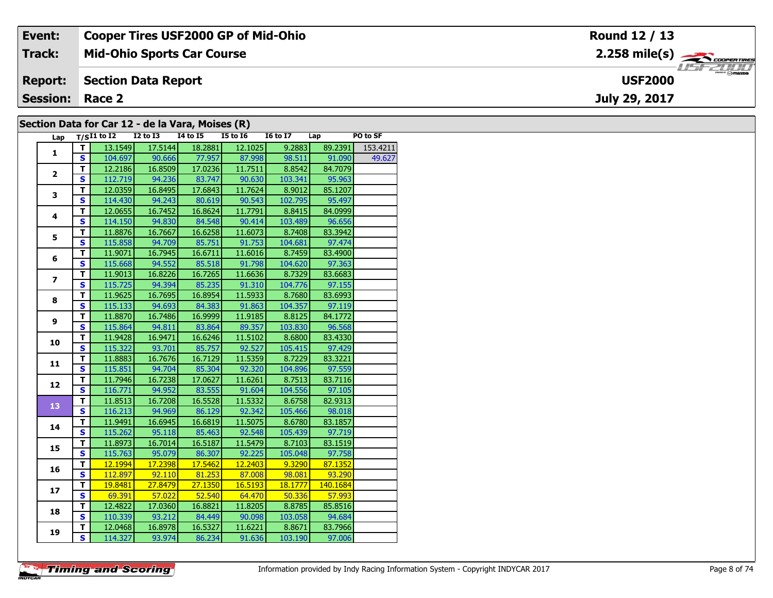| Event:          | <b>Cooper Tires USF2000 GP of Mid-Ohio</b>       | Round 12 / 13            |  |  |  |  |  |  |  |  |  |  |
|-----------------|--------------------------------------------------|--------------------------|--|--|--|--|--|--|--|--|--|--|
| <b>Track:</b>   | <b>Mid-Ohio Sports Car Course</b>                |                          |  |  |  |  |  |  |  |  |  |  |
| <b>Report:</b>  | <b>Section Data Report</b>                       | 114720<br><b>USF2000</b> |  |  |  |  |  |  |  |  |  |  |
| <b>Session:</b> | Race 2                                           | July 29, 2017            |  |  |  |  |  |  |  |  |  |  |
|                 |                                                  |                          |  |  |  |  |  |  |  |  |  |  |
|                 | Section Data for Car 12 - de la Vara, Moises (R) |                          |  |  |  |  |  |  |  |  |  |  |

### **Section Data for Car 12 - de la Vara, Moises (R)**

| Lap            |                                   | $T/SI1$ to $I2$ $I2$ to $I3$ |                              | $\mathbf{r}$<br>$I4$ to $I5$ | $ \sim$ $\sim$ $\sim$<br>$I5$ to $I6$ | $16 \text{ to } 17$ $\qquad$ Lap                       |                | PO to SF |
|----------------|-----------------------------------|------------------------------|------------------------------|------------------------------|---------------------------------------|--------------------------------------------------------|----------------|----------|
| $\mathbf{1}$   | T.                                | 13.1549                      | 17.5144                      | 18.2881                      | 12.1025                               | 9.2883                                                 | 89.2391        | 153.4211 |
|                | S.                                |                              | 104.697 90.666 77.957 87.998 |                              |                                       |                                                        | 98.511 91.090  | 49.627   |
|                | T.                                | 12.2186                      | 16.8509                      |                              | $17.0236$ 11.7511                     | 8.8542                                                 | 84.7079        |          |
| $\overline{2}$ | $\overline{\mathbf{s}}$           |                              | 112.719 94.236               | 83.747                       | 90.630                                | 103.341                                                | 95.963         |          |
|                | $\overline{\mathsf{r}}$           | 12.0359                      | 16.8495                      | 17.6843                      | 11.7624                               | 8.9012                                                 | 85.1207        |          |
| 3              | $\overline{\mathbf{s}}$           | 114.430                      | 94.243                       | 80.619                       | 90.543                                | 102.795                                                | 95.497         |          |
|                | T                                 | 12.0655                      | 16.7452                      | 16.8624                      | 11.7791                               | 8.8415                                                 | 84.0999        |          |
| 4              | $\overline{\mathbf{s}}$           | 114.150                      | 94.830                       | 84.548                       | 90.414                                | 103.489                                                | 96.656         |          |
|                | T                                 | 11.8876                      | 16.7667                      | 16.6258                      | 11.6073                               | 8.7408                                                 | 83.3942        |          |
| 5              | $\overline{\mathbf{s}}$           | 115.858                      | 94.709                       | 85.751                       | 91.753                                | 104.681                                                | 97.474         |          |
|                | $\overline{\mathsf{r}}$           | 11.9071                      | 16.7945                      | 16.6711                      | 11.6016                               | 8.7459                                                 | 83.4900        |          |
| 6              | $\overline{\mathbf{s}}$           |                              | 115.668 94.552 85.518        |                              | 91.798                                | 104.620                                                | 97.363         |          |
|                | T                                 | 11.9013                      | 16.8226                      | 16.7265                      | 11.6636                               | 8.7329                                                 | 83.6683        |          |
| $\overline{z}$ | $\overline{\mathbf{s}}$           |                              | 115.725 94.394 85.235        |                              | 91.310                                | 104.776                                                | 97.155         |          |
|                | $\overline{\mathsf{r}}$           | 11.9625                      | 16.7695                      | 16.8954                      | 11.5933                               | 8.7680                                                 | 83.6993        |          |
| 8              | $\overline{\mathbf{s}}$           | 115.133                      | 94.693                       | 84.383                       | 91.863                                | 104.357                                                | 97.119         |          |
|                | T                                 | 11.8870                      | 16.7486                      | 16.9999                      | 11.9185                               | 8.8125                                                 | 84.1772        |          |
| 9              | S                                 | 115.864                      | 94.811                       | 83.864                       | 89.357                                | 103.830                                                | 96.568         |          |
|                | T                                 | 11.9428                      | 16.9471                      | 16.6246                      | 11.5102                               | 8.6800                                                 | 83.4330        |          |
| 10             | $\overline{\mathbf{s}}$           | 115.322                      | 93.701                       | 85.757                       | 92.527                                | 105.415                                                | 97.429         |          |
|                | T                                 | 11.8883                      | 16.7676                      | 16.7129                      | 11.5359                               | 8.7229                                                 | 83.3221        |          |
| 11             | $\overline{\mathbf{s}}$           |                              | 115.851 94.704               | 85.304                       | 92.320                                |                                                        | 104.896 97.559 |          |
|                | T                                 | 11.7946                      | 16.7238                      | 17.0627                      | 11.6261                               | 8.7513                                                 | 83.7116        |          |
| 12             | $\overline{\mathbf{s}}$           | 116.771                      | 94.952                       | 83.555                       | 91.604                                | 104.556                                                | 97.105         |          |
| 13             | $\overline{\mathsf{T}}$           | 11.8513                      | 16.7208                      | 16.5528                      | 11.5332                               | 8.6758                                                 | 82.9313        |          |
|                | $\overline{\mathbf{s}}$           | 116.213                      | 94.969                       | 86.129                       | 92.342                                | 105.466                                                | 98.018         |          |
| 14             | T                                 | 11.9491                      | 16.6945                      | 16.6819                      | 11.5075                               | 8.6780                                                 | 83.1857        |          |
|                | $\mathbf{s}$                      | 115.262                      | 95.118                       | 85.463                       | 92.548                                | 105.439                                                | 97.719         |          |
| 15             | T                                 | 11.8973                      | 16.7014                      | 16.5187                      | 11.5479                               | 8.7103                                                 | 83.1519        |          |
|                | $\overline{\mathbf{s}}$           | 115.763                      | 95.079                       | 86.307                       | 92.225                                | 105.048                                                | 97.758         |          |
| 16             | т                                 | 12.1994                      | 17.2398                      | 17.5462                      | 12.2403                               | $\begin{array}{ c c c }\n\hline\n&9.3290\n\end{array}$ | 87.1352        |          |
|                | S                                 |                              | 112.897 92.110 81.253        |                              | 87.008                                | 98.081                                                 | 93.290         |          |
| 17             | T                                 | 19.8481                      | 27.8479                      | 27.1350                      | 16.5193                               | 18.1777                                                | 140.1684       |          |
|                | $\overline{\mathbf{s}}$<br>69.391 |                              |                              | $57.022$ 52.540              | 64.470                                | 50.336                                                 | 57.993         |          |
| 18             | T                                 | 12.4822                      | 17.0360                      | 16.8821                      | 11.8205                               | 8.8785                                                 | 85.8516        |          |
|                | $\overline{\mathbf{s}}$           | 110.339                      | 93.212                       | 84.449                       | 90.098                                | 103.058                                                | 94.684         |          |
| 19             | T                                 | 12.0468                      | 16.8978                      | 16.5327                      | 11.6221                               | 8.8671                                                 | 83.7966        |          |
|                | $\overline{\mathbf{s}}$           | 114.327                      | 93.974                       | 86.234                       | 91.636                                | 103.190                                                | 97.006         |          |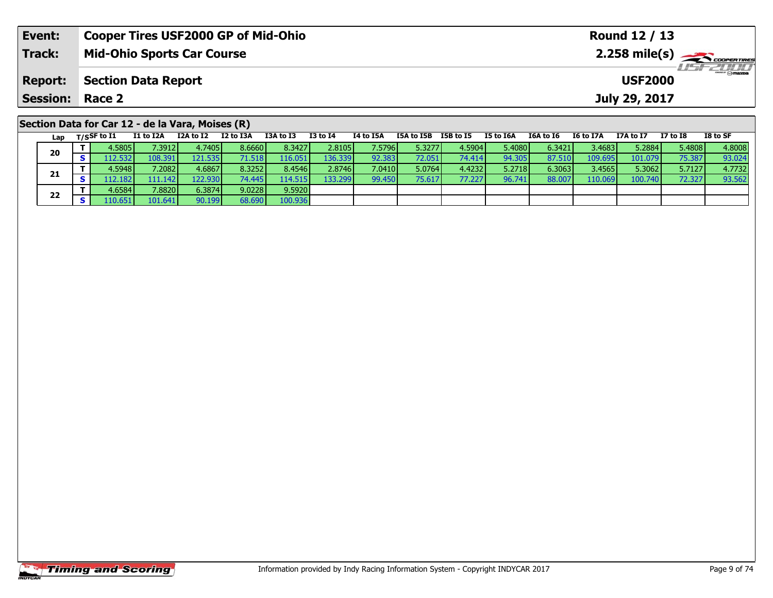| Event:          | <b>Cooper Tires USF2000 GP of Mid-Ohio</b>       | Round 12 / 13                                                                                                                                                                                                                                                                                                                                                                                                                                                             |
|-----------------|--------------------------------------------------|---------------------------------------------------------------------------------------------------------------------------------------------------------------------------------------------------------------------------------------------------------------------------------------------------------------------------------------------------------------------------------------------------------------------------------------------------------------------------|
| <b>Track:</b>   | <b>Mid-Ohio Sports Car Course</b>                | $2.258$ mile(s) $\leftarrow$ $\leftarrow$ $\leftarrow$ $\leftarrow$ $\leftarrow$ $\leftarrow$ $\leftarrow$ $\leftarrow$ $\leftarrow$ $\leftarrow$ $\leftarrow$ $\leftarrow$ $\leftarrow$ $\leftarrow$ $\leftarrow$ $\leftarrow$ $\leftarrow$ $\leftarrow$ $\leftarrow$ $\leftarrow$ $\leftarrow$ $\leftarrow$ $\leftarrow$ $\leftarrow$ $\leftarrow$ $\leftarrow$ $\leftarrow$ $\leftarrow$ $\leftarrow$ $\leftarrow$ $\leftarrow$ $\leftarrow$ $\leftarrow$ $\leftarrow$ |
| <b>Report:</b>  | <b>Section Data Report</b>                       | <b>USF2000</b>                                                                                                                                                                                                                                                                                                                                                                                                                                                            |
| <b>Session:</b> | Race 2                                           | July 29, 2017                                                                                                                                                                                                                                                                                                                                                                                                                                                             |
|                 | Section Data for Car 12 - de la Vara, Moises (R) |                                                                                                                                                                                                                                                                                                                                                                                                                                                                           |

|    | Lap     | T/SSF to I1 | I1 to I2A      | I2A to I2 | I2 to I3A | I3A to I3       | <b>I3 to I4</b> | <b>I4 to I5A</b> | I5A to I5B | I5B to I5 | I5 to I6A | I6A to I6 | <b>I6 to I7A</b> | I7A to I7 | <b>I7 to I8</b> | I8 to SF |
|----|---------|-------------|----------------|-----------|-----------|-----------------|-----------------|------------------|------------|-----------|-----------|-----------|------------------|-----------|-----------------|----------|
|    | 20      | 4.5805      | 7.3912         | 4.7405    | 8.6660    | 8.3427          | 2.8105          | 7.5796           | 5.3277     | 4.5904    | 5.4080    | 6.3421    | 3.4683           | 5.2884    | 5.4808          | 4.8008   |
|    |         | 12.532      | $108.391\vert$ | 121.535   | 1.518     | 16.051          | 136.339         | 92.383           | 72.051     | 74.414    | 94.305    | 87.510    | 109.695          | 101.079   | 75.387          | 93.024   |
|    |         | 4.5948 l    | ا 2082.'       | 4.6867    | 8.32521   | 8.4546          | 2.8746          | 7.0410           | 5.0764     | 4.4232    | 5.2718    | 6.3063    | 3.4565           | 5.3062    | 5.7127          | 4.7732   |
|    | 21      | 12.1821     | 111.1421       | 122.930   | 74.445    | 14.515 <b>I</b> | 133.299         | 99.450           | 75.617     | 77.227    | 96.741    | 88.007    | 110.069          | 100.740   | 72.327          | 93.562   |
|    |         | 4.6584      | 7.8820         | 6.3874    | 9.0228    | 9.5920          |                 |                  |            |           |           |           |                  |           |                 |          |
| 22 | .10.651 | 101.641     | 90.199         | 68.690    | 100.936   |                 |                 |                  |            |           |           |           |                  |           |                 |          |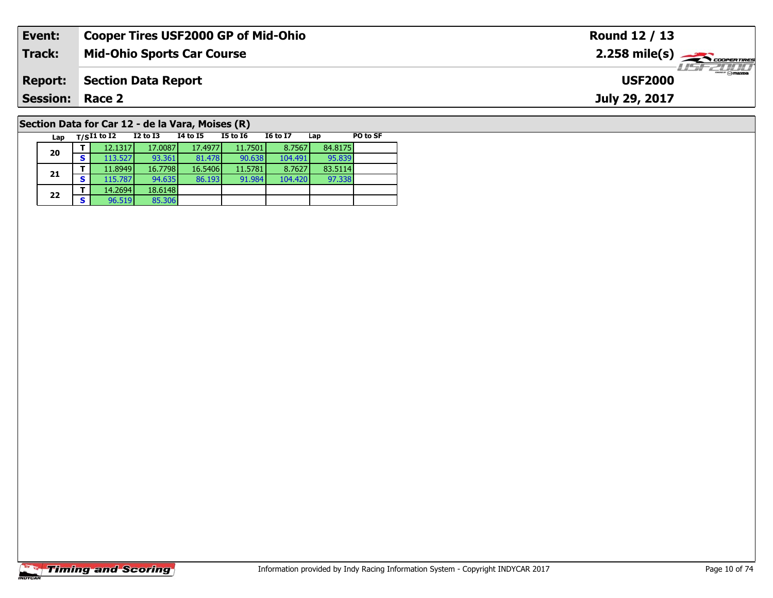| Event:                 | <b>Cooper Tires USF2000 GP of Mid-Ohio</b>       | Round 12 / 13                                           |
|------------------------|--------------------------------------------------|---------------------------------------------------------|
| Track:                 | <b>Mid-Ohio Sports Car Course</b>                | $2.258$ mile(s) $\overbrace{\hspace{2cm}}$ coorer TIRES |
| <b>Report:</b>         | <b>Section Data Report</b>                       | <b>LISF 2000</b><br><b>USF2000</b>                      |
| <b>Session: Race 2</b> |                                                  | July 29, 2017                                           |
|                        | Section Data for Car 12 - de la Vara, Moises (R) |                                                         |

**Lap T/SI1 to I2 I2 to I3 I4 to I5 I5 to I6 I6 to I7 Lap PO to SF** 

**<sup>T</sup>** 12.1317 17.0087 17.4977 11.7501 8.7567 84.8175 **<sup>S</sup>** 113.527 93.361 81.478 90.638 104.491 95.839

**<sup>T</sup>** 11.8949 16.7798 16.5406 11.5781 8.7627 83.5114 **<sup>S</sup>** 115.787 94.635 86.193 91.984 104.420 97.338

# **Timing and Scoring**

**20**

**21**

**22**

**<sup>T</sup>** 14.2694 18.6148 **<sup>S</sup>** 96.519 85.306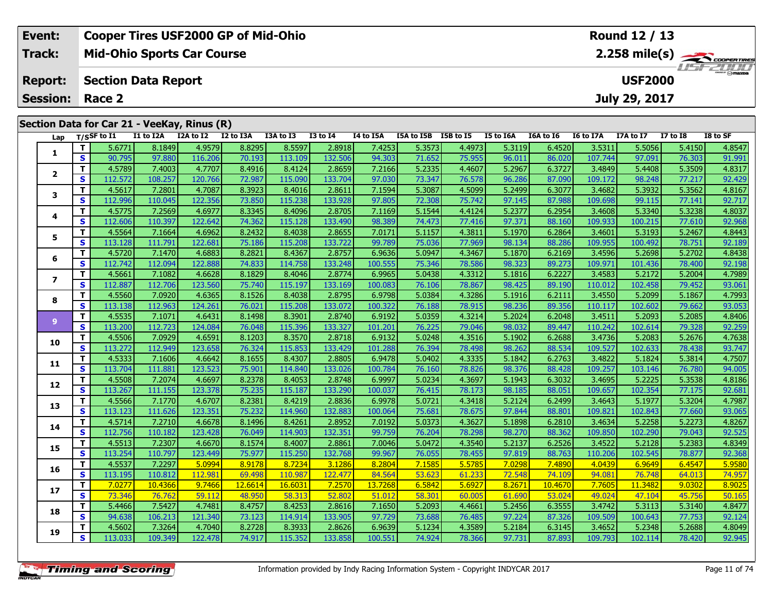| Event:         |                                             | <b>Cooper Tires USF2000 GP of Mid-Ohio</b>   |                           |                           |                           |                       |                     | Round 12 / 13                      |                      |                          |                      |                             |                                    |                                   |                                                        |
|----------------|---------------------------------------------|----------------------------------------------|---------------------------|---------------------------|---------------------------|-----------------------|---------------------|------------------------------------|----------------------|--------------------------|----------------------|-----------------------------|------------------------------------|-----------------------------------|--------------------------------------------------------|
| Track:         |                                             | <b>Mid-Ohio Sports Car Course</b>            |                           |                           |                           |                       |                     |                                    |                      |                          |                      |                             |                                    |                                   | $2.258$ mile(s) $\overbrace{\hspace{2cm}}$ coderatines |
| <b>Report:</b> |                                             | <b>USF2000</b><br><b>Section Data Report</b> |                           |                           |                           |                       |                     |                                    |                      |                          |                      |                             |                                    |                                   |                                                        |
|                | <b>Session: Race 2</b>                      |                                              |                           |                           |                           |                       |                     |                                    |                      |                          |                      |                             | July 29, 2017                      |                                   |                                                        |
|                | Section Data for Car 21 - VeeKay, Rinus (R) |                                              |                           |                           |                           |                       |                     |                                    |                      |                          |                      |                             |                                    |                                   |                                                        |
| Lap            | T/SSF to I1<br>.<br>FCT774                  | I1 to I2A<br>0.1040                          | I2A to I2<br>$\sqrt{100}$ | I2 to I3A<br><b>COOOL</b> | I3A to I3<br><b>OFFOR</b> | $I3$ to $I4$<br>20010 | I4 to I5A<br>7.4251 | I5A to I5B I5B to I5<br>in ontool. | $\sim$ 4.4072 $\sim$ | I5 to I6A<br>$F \sim 10$ | I6A to I6<br>c arool | <b>I6 to I7A</b><br>$20-21$ | <b>I7A to I7</b><br><b>F</b> FOECH | <b>I7 to I8</b><br><b>E</b> ATENL | I8 to SF<br>$A$ OF $A$ $\neg$                          |

| Lap                      | ייכון        | .       | ** W *** | 14.011014 | 14 W 19M | ື                  | <br>w<br>- 7 | 17 W 19M | 198 W 199 | 236 W 23         | 23 W<br>wm | <b>TOM TO TO</b> |                  | ******* | 17 W 10 | ש ש              |
|--------------------------|--------------|---------|----------|-----------|----------|--------------------|--------------|----------|-----------|------------------|------------|------------------|------------------|---------|---------|------------------|
|                          | т            | 5.6771  | 8.1849   | 4.9579    | 8.8295   | 8.5597             | 2.8918       | 7.4253   | 5.3573    | 4.4973           | 5.3119     | 6.4520           | 3.5311           | 5.5056  | 5.4150  | 4.8547           |
| 1                        | S            | 90.795  | 97.880   | 116.206   | 70.193   | 113.109            | 132.506      | 94.303   | 71.652    | 75.955           | 96.011     | 86.020           | 107.744          | 97.091  | 76.303  | 91.991           |
| $\overline{2}$           | т            | 4.5789  | 7.4003   | 4.7707    | 8.4916   | 8.4124             | 2.8659       | 7.2166   | 5.2335    | 4.4607           | 5.2967     | 6.3727           | 3.4849           | 5.4408  | 5.3509  | 4.8317           |
|                          | S            | 112.572 | 108.257  | 120.766   | 72.987   | 115.090            | 133.704      | 97.030   | 73.347    | 76.578           | 96.286     | 87.090           | 109.172          | 98.248  | 77.217  | 92.429           |
| 3                        | т            | 4.5617  | 7.2801   | 4.7087    | 8.3923   | 8.4016             | 2.8611       | 7.1594   | 5.3087    | 4.5099           | 5.2499     | 6.3077           | 3.4682           | 5.3932  | 5.3562  | 4.8167           |
|                          | S            | 112.996 | 110.045  | 122.356   | 73.850   | 115.238            | 133.928      | 97.805   | 72.308    | 75.742           | 97.145     | 87.988           | 109.698          | 99.115  | 77.141  | 92.717           |
| 4                        | т            | 4.5775  | 7.2569   | 4.6977    | 8.3345   | 8.4096             | 2.8705       | 7.1169   | 5.1544    | 4.4124           | 5.2377     | 6.2954           | 3.4608           | 5.3340  | 5.3238  | 4.8037           |
|                          | S            | 112.606 | 110.397  | 122.642   | 74.362   | 115.128            | 133.490      | 98.389   | 74.473    | 77.416           | 97.371     | 88.160           | 109.933          | 100.215 | 77.610  | 92.968           |
| 5                        | т            | 4.5564  | 7.1664   | 4.6962    | 8.2432   | 8.4038             | 2.8655       | 7.0171   | 5.1157    | 4.3811           | 5.1970     | 6.2864           | 3.4601           | 5.3193  | 5.2467  | 4.8443           |
|                          | $\mathbf{s}$ | 113.128 | 111.791  | 122.681   | 75.186   | 115.208            | 133.722      | 99.789   | 75.036    | 77.969           | 98.134     | 88.286           | 109.955          | 100.492 | 78.751  | 92.189           |
| 6                        | т            | 4.5720  | 7.1470   | 4.6883    | 8.2821   | 8.4367             | 2.8757       | 6.9636   | 5.0947    | 4.3467           | 5.1870     | 6.2169           | 3.4596           | 5.2698  | 5.2702  | 4.8438           |
|                          | S            | 112.742 | 112.094  | 122.888   | 74.833   | 114.758            | 133.248      | 100.555  | 75.346    | 78.586           | 98.323     | 89.273           | 109.971          | 101.436 | 78.400  | 92.198           |
| $\overline{\phantom{a}}$ | т            | 4.5661  | 7.1082   | 4.6628    | 8.1829   | 8.4046             | 2.8774       | 6.9965   | 5.0438    | 4.3312           | 5.1816     | 6.2227           | 3.4583           | 5.2172  | 5.2004  | 4.7989           |
|                          | S            | 112.887 | 112.706  | 123.560   | 75.740   | 115.197            | 133.169      | 100.083  | 76.106    | 78.867           | 98.425     | 89.190           | 110.012          | 102.458 | 79.452  | 93.061           |
| 8                        | т            | 4.5560  | 7.0920   | 4.6365    | 8.1526   | 8.4038             | 2.8795       | 6.9798   | 5.0384    | 4.3286           | 5.1916     | 6.2111           | 3.4550           | 5.2099  | 5.1867  | 4.7993           |
|                          | $\mathbf{s}$ | 113.138 | 112.963  | 124.261   | 76.021   | 115.208            | 133.072      | 100.322  | 76.188    | 78.915           | 98.236     | 89.356           | 110.117          | 102.602 | 79.662  | 93.053           |
| 9                        | $\mathbf{T}$ | 4.5535  | 7.1071   | 4.6431    | 8.1498   | 8.3901             | 2.8740       | 6.9192   | 5.0359    | 4.3214           | 5.2024     | 6.2048           | 3.4511           | 5.2093  | 5.2085  | 4.8406           |
|                          | $\mathbf{s}$ | 113.200 | 112.723  | 124.084   | 76.048   | 115.396            | 133.327      | 101.201  | 76.225    | 79.046           | 98.032     | 89.447           | 110.242          | 102.614 | 79.328  | 92.259           |
| 10                       | Т            | 4.5506  | 7.0929   | 4.6591    | 8.1203   | 8.3570             | 2.8718       | 6.9132   | 5.0248    | 4.3516           | 5.1902     | 6.2688           | 3.4736           | 5.2083  | 5.2676  | 4.7638           |
|                          | S            | 113.272 | 112.949  | 123.658   | 76.324   | 115.853            | 133.429      | 101.288  | 76.394    | 78.498           | 98.262     | 88.534           | 109.527          | 102.633 | 78.438  | 93.747           |
| 11                       | т            | 4.5333  | 7.1606   | 4.6642    | 8.1655   | 8.4307             | 2.8805       | 6.9478   | 5.0402    | 4.3335           | 5.1842     | 6.2763           | 3.4822           | 5.1824  | 5.3814  | 4.7507           |
|                          | S            | 113.704 | 111.881  | 123.523   | 75.901   | 114.840            | 133.026      | 100.784  | 76.160    | 78.826           | 98.376     | 88.428           | 109.257          | 103.146 | 76.780  | 94.005           |
| 12                       | т            | 4.5508  | 7.2074   | 4.6697    | 8.2378   | 8.4053             | 2.8748       | 6.9997   | 5.0234    | 4.3697           | 5.1943     | 6.3032           | 3.4695           | 5.2225  | 5.3538  | 4.8186           |
|                          | S            | 113.267 | 111.155  | 123.378   | 75.235   | 115.187            | 133.290      | 100.037  | 76.415    | 78.173           | 98.185     | 88.051           | 109.657          | 102.354 | 77.175  | 92.681           |
| 13                       | т            | 4.5566  | 7.1770   | 4.6707    | 8.2381   | 8.4219             | 2.8836       | 6.9978   | 5.0721    | 4.3418           | 5.2124     | 6.2499           | 3.4643           | 5.1977  | 5.3204  | 4.7987           |
|                          | $\mathbf s$  | 113.123 | 111.626  | 123.351   | 75.232   | 114.960            | 132.883      | 100.064  | 75.681    | 78.675           | 97.844     | 88.801           | 109.821          | 102.843 | 77.660  | 93.065           |
| 14                       | т            | 4.5714  | 7.2710   | 4.6678    | 8.1496   | 8.4261             | 2.8952       | 7.0192   | 5.0373    | 4.3627           | 5.1898     | 6.2810           | 3.4634           | 5.2258  | 5.2273  | 4.8267           |
|                          | S            | 112.756 | 110.182  | 123.428   | 76.049   | 114.903            | 132.351      | 99.759   | 76.204    | 78.298           | 98.270     | 88.362           | 109.850          | 102.290 | 79.043  | 92.525           |
| 15                       | т            | 4.5513  | 7.2307   | 4.6670    | 8.1574   | 8.4007             | 2.8861       | 7.0046   | 5.0472    | 4.3540           | 5.2137     | 6.2526           | 3.4522           | 5.2128  | 5.2383  | 4.8349           |
|                          | S            | 113.254 | 110.797  | 123.449   | 75.977   | 115.250            | 132.768      | 99.967   | 76.055    | 78.455           | 97.819     | 88.763           | 110.206          | 102.545 | 78.877  | 92.368           |
| 16                       | т            | 4.5537  | 7.2297   | 5.0994    | 8.9178   | 8.7234             | 3.1286       | 8.2804   | 7.1585    | 5.5785           | 7.0298     | 7.4890           | 4.0439           | 6.9649  | 6.4547  | 5.9580           |
|                          | $\mathbf{s}$ | 113.195 | 110.812  | 112.981   | 69.498   | 110.987<br>16.6031 | 122.477      | 84.564   | 53.623    | 61.233           | 72.548     | 74.109           | 94.081           | 76.748  | 64.013  | 74.957<br>8.9025 |
| 17                       | т<br>S       | 7.0277  | 10.4366  | 9.7466    | 12.6614  |                    | 7.2570       | 13.7268  | 6.5842    | 5.6927<br>60.005 | 8.2671     | 10.4670          | 7.7605<br>49.024 | 11.3482 | 9.0302  |                  |
|                          | т            | 73.346  | 76.762   | 59.112    | 48.950   | 58.313             | 52.802       | 51.012   | 58.301    |                  | 61.690     | 53.024           |                  | 47.104  | 45.756  | 50.165           |
| 18                       |              | 5.4466  | 7.5427   | 4.7481    | 8.4757   | 8.4253             | 2.8616       | 7.1650   | 5.2093    | 4.4661           | 5.2456     | 6.3555           | 3.4742           | 5.3113  | 5.3140  | 4.8477           |
|                          | S            | 94.638  | 106.213  | 121.340   | 73.123   | 114.914            | 133.905      | 97.729   | 73.688    | 76.485           | 97.224     | 87.326           | 109.509          | 100.643 | 77.753  | 92.124           |
| 19                       | т            | 4.5602  | 7.3264   | 4.7040    | 8.2728   | 8.3933             | 2.8626       | 6.9639   | 5.1234    | 4.3589           | 5.2184     | 6.3145           | 3.4652           | 5.2348  | 5.2688  | 4.8049           |
|                          | $\mathbf{s}$ | 113.033 | 109.349  | 122.478   | 74.917   | 115.352            | 133.858      | 100.551  | 74.924    | 78.366           | 97.731     | 87.893           | 109.793          | 102.114 | 78.420  | 92.945           |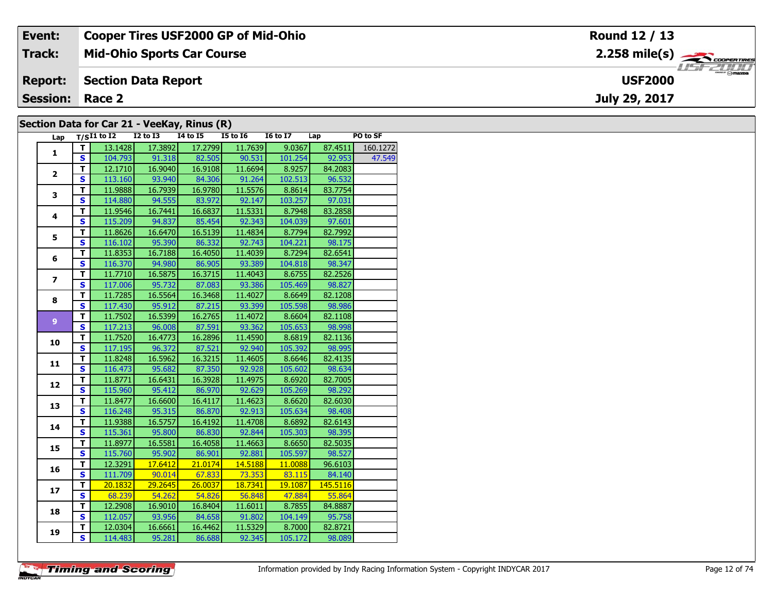| Event:                 | <b>Cooper Tires USF2000 GP of Mid-Ohio</b>  | Round 12 / 13                      |
|------------------------|---------------------------------------------|------------------------------------|
| Track:                 | <b>Mid-Ohio Sports Car Course</b>           |                                    |
| <b>Report:</b>         | Section Data Report                         | <b>LISF 2000</b><br><b>USF2000</b> |
| <b>Session: Race 2</b> |                                             | July 29, 2017                      |
|                        | Section Data for Car 21 - VeeKay, Rinus (R) |                                    |

#### **Section Data for Car 21 - VeeKay, Rinus (R)**

| Lap                     |                         | $T/SI1$ to I2 I2 to I3 I4 to I5 |                     |                              | $15$ to $16$    | I6 to I7 Lap |                | PO to SF         |
|-------------------------|-------------------------|---------------------------------|---------------------|------------------------------|-----------------|--------------|----------------|------------------|
|                         | T.                      | 13.1428                         | 17.3892             | 17.2799                      | 11.7639         | 9.0367       |                | 87.4511 160.1272 |
| $\mathbf{1}$            | S.                      |                                 |                     | 104.793 91.318 82.505 90.531 |                 |              | 101.254 92.953 | 47.549           |
|                         | T.                      |                                 | $12.1710$ $16.9040$ |                              | 16.9108 11.6694 | 8.9257       | 84.2083        |                  |
| $\mathbf{2}$            | $\overline{\mathbf{s}}$ | 113.160                         | 93.940              |                              | 84.306 91.264   | 102.513      | 96.532         |                  |
|                         | T                       | 11.9888                         | 16.7939             | 16.9780                      | 11.5576         | 8.8614       | 83.7754        |                  |
| 3                       | $\overline{\mathbf{s}}$ | 114.880                         | 94.555              | 83.972                       | 92.147          | 103.257      | 97.031         |                  |
|                         | $\mathbf{T}$            | 11.9546                         | 16.7441             | 16.6837                      | 11.5331         | 8.7948       | 83.2858        |                  |
| 4                       | $\overline{\mathbf{s}}$ | 115.209                         | 94.837              | 85.454                       | 92.343          | 104.039      | 97.601         |                  |
|                         | т                       | 11.8626                         | 16.6470             | 16.5139                      | 11.4834         | 8.7794       | 82.7992        |                  |
| 5                       | S                       | 116.102                         |                     | 95.390 86.332                | 92.743          | 104.221      | 98.175         |                  |
|                         | T                       | 11.8353                         | 16.7188             | 16.4050                      | 11.4039         | 8.7294       | 82.6541        |                  |
| 6                       | $\overline{\mathbf{s}}$ |                                 |                     | 116.370 94.980 86.905        | 93.389          | 104.818      | 98.347         |                  |
|                         | т                       | 11.7710                         | 16.5875             | 16.3715                      | 11.4043         | 8.6755       | 82.2526        |                  |
| $\overline{\mathbf{z}}$ | $\overline{\mathbf{s}}$ | 117.006                         | 95.732              | 87.083                       | 93.386          | 105.469      | 98.827         |                  |
|                         | $\overline{\mathsf{r}}$ | 11.7285                         | 16.5564             | 16.3468                      | 11.4027         | 8.6649       | 82.1208        |                  |
| 8                       | $\mathbf{s}$            | 117.430                         | 95.912              | 87.215                       | 93.399          | 105.598      | 98.986         |                  |
|                         | $\mathbf{T}$            | 11.7502                         | 16.5399             | 16.2765                      | 11.4072         | 8.6604       | 82.1108        |                  |
| 9 <sup>°</sup>          | $\mathbf{s}$            | 117.213                         | 96.008              | 87.591                       | 93.362          | 105.653      | 98.998         |                  |
|                         | T                       | 11.7520                         | 16.4773             | 16.2896                      | 11.4590         | 8.6819       | 82.1136        |                  |
| 10                      | $\overline{\mathbf{s}}$ | 117.195                         | 96.372              | 87.521                       | 92.940          | 105.392      | 98.995         |                  |
|                         | T                       | 11.8248                         | 16.5962             | 16.3215                      | 11.4605         | 8.6646       | 82.4135        |                  |
| 11                      | $\overline{\mathbf{s}}$ |                                 |                     | 116.473 95.682 87.350 92.928 |                 | 105.602      | 98.634         |                  |
|                         | $\overline{\mathsf{r}}$ | 11.8771                         | 16.6431             | 16.3928                      | 11.4975         | 8.6920       | 82.7005        |                  |
| 12                      | $\overline{\mathbf{s}}$ | 115.960                         | 95.412              |                              | 86.970 92.629   | 105.269      | 98.292         |                  |
| 13                      | $\overline{\mathsf{r}}$ | 11.8477                         | 16.6600             | 16.4117                      | 11.4623         | 8.6620       | 82.6030        |                  |
|                         | $\overline{\mathbf{s}}$ | 116.248                         | 95.315              | 86.870                       | 92.913          | 105.634      | 98.408         |                  |
|                         | $\mathbf T$             | 11.9388                         | 16.5757             | 16.4192                      | 11.4708         | 8.6892       | 82.6143        |                  |
| 14                      | $\overline{\mathbf{s}}$ | 115.361                         | 95.800              | 86.830                       | 92.844          | 105.303      | 98.395         |                  |
| 15                      | T                       | 11.8977                         | 16.5581             | 16.4058                      | 11.4663         | 8.6650       | 82.5035        |                  |
|                         | $\overline{\mathbf{s}}$ | 115.760                         | 95.902              | 86.901                       | 92.881          | 105.597      | 98.527         |                  |
| 16                      | $\overline{\mathsf{r}}$ | 12.3291                         | 17.6412             | 21.0174                      | 14.5188         | 11.0088      | 96.6103        |                  |
|                         | $\overline{\mathbf{s}}$ |                                 |                     | 111.709 90.014 67.833        | 73.353          | 83.115       | 84.140         |                  |
| 17                      | Ŧ                       | 20.1832                         | 29.2645             | 26.0037                      | 18.7341         | 19.1087      | 145.5116       |                  |
|                         | $\mathbf{s}$            | 68.239                          |                     | 54.262 54.826                | 56.848          | 47.884       | 55.864         |                  |
| 18                      | $\overline{\mathsf{r}}$ | 12.2908                         | 16.9010             | 16.8404                      | 11.6011         | 8.7855       | 84.8887        |                  |
|                         | $\overline{\mathbf{s}}$ | 112.057                         | 93.956              | 84.658                       | 91.802          | 104.149      | 95.758         |                  |
| 19                      | T                       | 12.0304                         | 16.6661             | 16.4462                      | 11.5329         | 8.7000       | 82.8721        |                  |
|                         | $\overline{\mathsf{s}}$ | 114.483                         | 95.281              | 86.688                       | 92.345          | 105.172      | 98.089         |                  |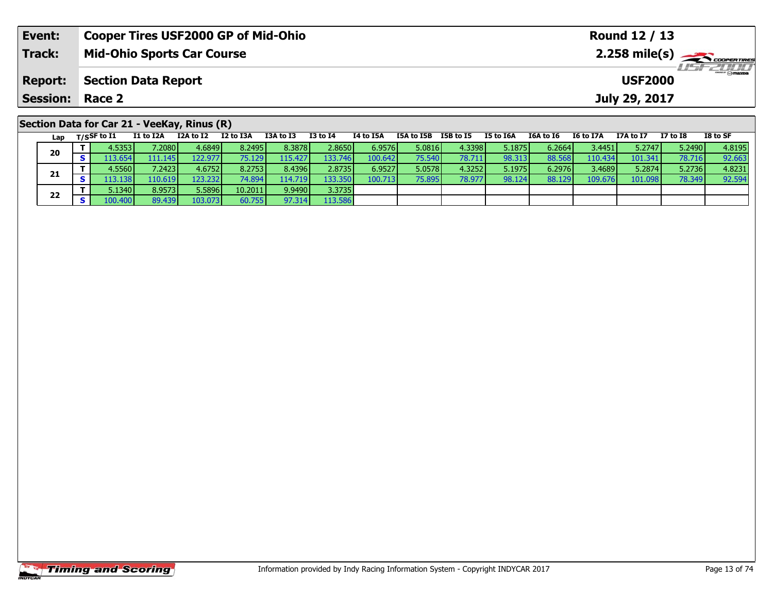| Event:                 | <b>Cooper Tires USF2000 GP of Mid-Ohio</b>                                                                                                                                    | Round 12 / 13                                          |  |  |  |  |  |  |  |  |
|------------------------|-------------------------------------------------------------------------------------------------------------------------------------------------------------------------------|--------------------------------------------------------|--|--|--|--|--|--|--|--|
| Track:                 | <b>Mid-Ohio Sports Car Course</b>                                                                                                                                             |                                                        |  |  |  |  |  |  |  |  |
| <b>Report:</b>         | <b>Section Data Report</b>                                                                                                                                                    | <b>USF2000</b>                                         |  |  |  |  |  |  |  |  |
| <b>Session: Race 2</b> |                                                                                                                                                                               | July 29, 2017                                          |  |  |  |  |  |  |  |  |
|                        | Section Data for Car 21 - VeeKay, Rinus (R)<br>$\mathbf{r} = \mathbf{r} \cdot \mathbf{r}$<br>TEAL TED TED LATE<br>TOA LA TO<br><b>TALATEA</b><br>TE 44 TCA<br><b>TO LA TA</b> | TO LA CE<br>TCA LA TC<br><b>T7 1.4 TO</b><br>TC LA TTA |  |  |  |  |  |  |  |  |

| Lap | $T/S$ SF to $I1$ | I1 to I2A        | I2A to I2 | I2 to I3A | I3A to I3 | <b>I3 to I4</b> | I4 to I5A | I5A to I5B      | I5B to I5 | I5 to I6A | I6A to I6 | I6 to I7A | I7A to I7 | I7 to I8 | I8 to SF |
|-----|------------------|------------------|-----------|-----------|-----------|-----------------|-----------|-----------------|-----------|-----------|-----------|-----------|-----------|----------|----------|
| 20  | 4.53531          | 7.2080 l         | 4.6849    | 8.2495    | 8.3878    | 2.8650          | 6.9576    | 5.0816          | 4.3398    | 5.1875    | 6.2664    | 3.4451    | 5.2747    | 5.2490   | 4.8195   |
|     | 13.654           | 111.145 l        | 122.9771  | 75.129    | 115.427   | 133.746         | 100.642   | 75.540          | 78.711    | 98.313    | 88.568    | 110.434   | 101.341   | 78.716   | 92.663   |
|     | 4.5560 l         | 7.2423           | 4.6752    | 8.2753    | 8.4396    | 2.8735          | 6.9527    | 5.0578 <b>l</b> | 4.3252    | 5.1975    | 6.2976    | 3.4689    | 5.2874    | 5.2736   | 4.8231   |
| 21  | 13.138           | 110.619 <b>l</b> | 123.232   | 74.894    | 114.719   | 133.350         | 100.713   | 75.895          | 78.977    | 98.124    | 88.129    | 109.676   | 101.098   | 78.349   | 92.594   |
| 22  | 5.1340           | 8.9573           | 5.5896    | 10.2011   | 9.9490    | 3.3735          |           |                 |           |           |           |           |           |          |          |
|     | 100.400 <b>1</b> | 89.439           | 103.073   | 60.755    | 97.314    | 113.586         |           |                 |           |           |           |           |           |          |          |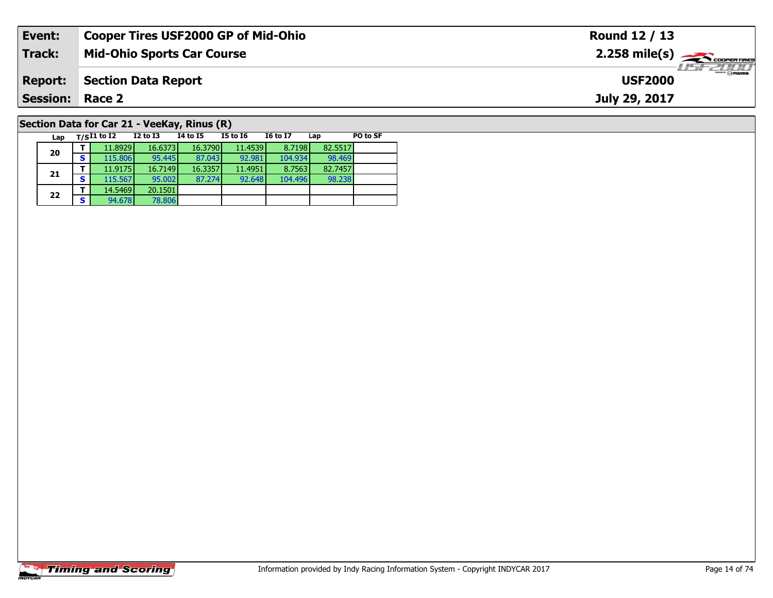| Event:                 | <b>Cooper Tires USF2000 GP of Mid-Ohio</b>  | Round 12 / 13                                           |
|------------------------|---------------------------------------------|---------------------------------------------------------|
| Track:                 | <b>Mid-Ohio Sports Car Course</b>           | $2.258$ mile(s) $\overbrace{\hspace{2cm}}$ coorer TIRES |
| <b>Report:</b>         | <b>Section Data Report</b>                  | <b>LISF 2000</b><br><b>USF2000</b>                      |
| <b>Session: Race 2</b> |                                             | July 29, 2017                                           |
|                        | Section Data for Car 21 - VeeKay, Rinus (R) |                                                         |

98.238

**Lap T/SI1 to I2 I2 to I3 I4 to I5 I5 to I6 I6 to I7 Lap PO to SF** 

**<sup>T</sup>** 11.8929 16.6373 16.3790 11.4539 8.7198 82.5517 **<sup>S</sup>** 115.806 95.445 87.043 92.981 104.934 98.469

**<sup>T</sup>** 11.9175 16.7149 16.3357 11.4951 8.7563 82.7457 **<sup>S</sup>** 115.567 95.002 87.274 92.648 104.496 98.238

# **Timing and Scoring**

**20**

**21**

**22**

**2 T** 14.5469 20.1501<br>**S** 94.678 78.806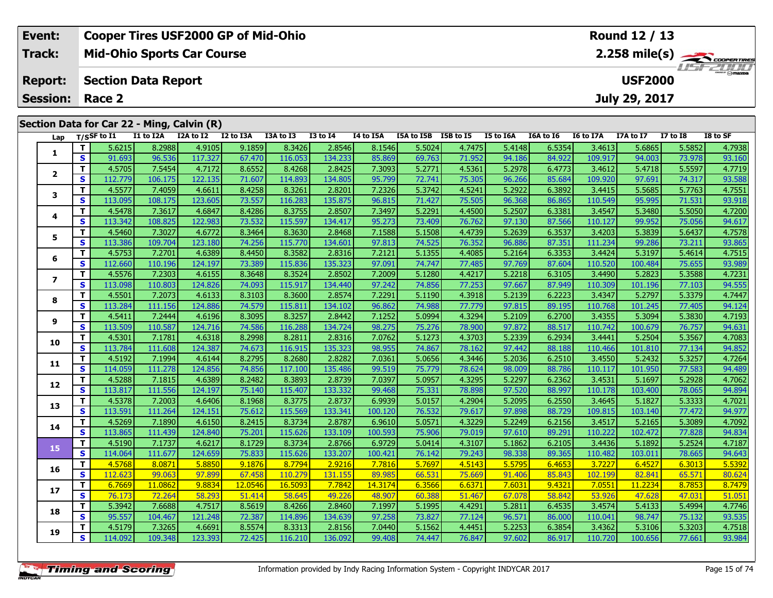| Event:                                     |    |                            |           | <b>Cooper Tires USF2000 GP of Mid-Ohio</b> |           | Round 12 / 13 |                 |           |            |           |           |                                            |           |                |              |                 |  |
|--------------------------------------------|----|----------------------------|-----------|--------------------------------------------|-----------|---------------|-----------------|-----------|------------|-----------|-----------|--------------------------------------------|-----------|----------------|--------------|-----------------|--|
| <b>Track:</b>                              |    |                            |           | <b>Mid-Ohio Sports Car Course</b>          |           |               |                 |           |            |           |           | $2.258$ mile(s) $\rightarrow$ COOPER TIRES |           |                |              |                 |  |
| <b>Report:</b>                             |    | <b>Section Data Report</b> |           |                                            |           |               |                 |           |            |           |           |                                            |           | <b>USF2000</b> |              | <b>LISFZOOD</b> |  |
| <b>Session:</b>                            |    | Race 2                     |           |                                            |           |               | July 29, 2017   |           |            |           |           |                                            |           |                |              |                 |  |
| Section Data for Car 22 - Ming, Calvin (R) |    |                            |           |                                            |           |               |                 |           |            |           |           |                                            |           |                |              |                 |  |
|                                            |    | Lap T/SSF to I1            | I1 to I2A | I2A to I2                                  | I2 to I3A | I3A to I3     | <b>I3 to I4</b> | I4 to I5A | I5A to I5B | I5B to I5 | I5 to I6A | I6A to I6                                  | I6 to I7A | I7A to I7      | $I7$ to $I8$ | I8 to SF        |  |
|                                            |    | 5.6215                     | 8.2988    | 4.9105                                     | 9.1859    | 8.3426        | 2.8546          | 8.1546    | 5.5024     | 4.7475    | 5.4148    | 6.5354                                     | 3.4613    | 5.6865         | 5.5852       | 4.7938          |  |
|                                            | S. | 91.693                     | 96.536    | 117.327                                    | 67.470    | 116.053       | 134.233         | 85.869    | 69.763     | 71.952    | 94.186    | 84.922                                     | 109.917   | 94.003         | 73.978       | 93.160          |  |
|                                            |    | 4.5705                     | 7.5454    | 4.7172                                     | 8.6552    | 8.4268        | 2.8425          | 7.3093    | 5.2771     | 4.5361    | 5.2978    | 6.4773                                     | 3.4612    | 5.4718         | 5.5597       | 4.7719          |  |
|                                            | S. | 112.779                    | 106.175   | 122.135                                    | 71.607    | 114.893       | 134.805         | 95.799    | 72.741     | 75.305    | 96.266    | 85.684                                     | 109.920   | 97.691         | 74.317       | 93.588          |  |
| 3                                          |    | 4.5577                     | 7.4059    | 4.6611                                     | 8.4258    | 8.3261        | 2.8201          | 7.2326    | 5.3742     | 4.5241    | 5.2922    | 6.3892                                     | 3.4415    | 5.5685         | 5.7763       | 4.7551          |  |
|                                            | S. | 113.095                    | 108.175   | 123.605                                    | 73.557    | 116.283       | 135.875         | 96.815    | 71.427     | 75.505    | 96.368    | 86.865                                     | 110.549   | 95.995         | 71.531       | 93.918          |  |
|                                            |    |                            |           |                                            |           |               |                 |           | - --- - 1  | . 1       | - -----   | ------                                     |           | - - - - - 1    | ------       | $\sim$ $   -$   |  |

|                | T.                      | 5.6215  | 8.2988  | 4.9105  | 9.1859  | 8.3426  | 2.8546  | 8.1546  | 5.5024 | 4.7475 | 5.4148 | 6.5354 | 3.4613  | 5.6865  | 5.5852 | 4.7938 |
|----------------|-------------------------|---------|---------|---------|---------|---------|---------|---------|--------|--------|--------|--------|---------|---------|--------|--------|
| 1              | S                       | 91.693  | 96.536  | 117.327 | 67.470  | 116.053 | 134.233 | 85.869  | 69.763 | 71.952 | 94.186 | 84.922 | 109.917 | 94.003  | 73.978 | 93.160 |
|                | т                       | 4.5705  | 7.5454  | 4.7172  | 8.6552  | 8.4268  | 2.8425  | 7.3093  | 5.2771 | 4.5361 | 5.2978 | 6.4773 | 3.4612  | 5.4718  | 5.5597 | 4.7719 |
| 2              | S                       | 112.779 | 106.175 | 122.135 | 71.607  | 114.893 | 134.805 | 95.799  | 72.741 | 75.305 | 96.266 | 85.684 | 109.920 | 97.691  | 74.317 | 93.588 |
|                | T                       | 4.5577  | 7.4059  | 4.6611  | 8.4258  | 8.3261  | 2.8201  | 7.2326  | 5.3742 | 4.5241 | 5.2922 | 6.3892 | 3.4415  | 5.5685  | 5.7763 | 4.7551 |
| 3              | $\mathbf{s}$            | 113.095 | 108.175 | 123.605 | 73.557  | 116.283 | 135.875 | 96.815  | 71.427 | 75.505 | 96.368 | 86.865 | 110.549 | 95.995  | 71.531 | 93.918 |
|                | т                       | 4.5478  | 7.3617  | 4.6847  | 8.4286  | 8.3755  | 2.8507  | 7.3497  | 5.2291 | 4.4500 | 5.2507 | 6.3381 | 3.4547  | 5.3480  | 5.5050 | 4.7200 |
| 4              | $\mathbf{s}$            | 113.342 | 108.825 | 122.983 | 73.532  | 115.597 | 134.417 | 95.273  | 73.409 | 76.762 | 97.130 | 87.566 | 110.127 | 99.952  | 75.056 | 94.617 |
| 5              | T                       | 4.5460  | 7.3027  | 4.6772  | 8.3464  | 8.3630  | 2.8468  | 7.1588  | 5.1508 | 4.4739 | 5.2639 | 6.3537 | 3.4203  | 5.3839  | 5.6437 | 4.7578 |
|                | S                       | 113.386 | 109.704 | 123.180 | 74.256  | 115.770 | 134.601 | 97.813  | 74.525 | 76.352 | 96.886 | 87.351 | 111.234 | 99.286  | 73.211 | 93.865 |
|                | T                       | 4.5753  | 7.2701  | 4.6389  | 8.4450  | 8.3582  | 2.8316  | 7.2121  | 5.1355 | 4.4085 | 5.2164 | 6.3353 | 3.4424  | 5.3197  | 5.4614 | 4.7515 |
| 6              | S                       | 112.660 | 110.196 | 124.197 | 73.389  | 115.836 | 135.323 | 97.091  | 74.747 | 77.485 | 97.769 | 87.604 | 110.520 | 100.484 | 75.655 | 93.989 |
| $\overline{ }$ | T                       | 4.5576  | 7.2303  | 4.6155  | 8.3648  | 8.3524  | 2.8502  | 7.2009  | 5.1280 | 4.4217 | 5.2218 | 6.3105 | 3.4490  | 5.2823  | 5.3588 | 4.7231 |
|                | S                       | 113.098 | 110.803 | 124.826 | 74.093  | 115.917 | 134.440 | 97.242  | 74.856 | 77.253 | 97.667 | 87.949 | 110.309 | 101.196 | 77.103 | 94.555 |
| 8              | т                       | 4.5501  | 7.2073  | 4.6133  | 8.3103  | 8.3600  | 2.8574  | 7.2291  | 5.1190 | 4.3918 | 5.2139 | 6.2223 | 3.4347  | 5.2797  | 5.3379 | 4.7447 |
|                | $\mathbf{s}$            | 113.284 | 111.156 | 124.886 | 74.579  | 115.811 | 134.102 | 96.862  | 74.988 | 77.779 | 97.815 | 89.195 | 110.768 | 101.245 | 77.405 | 94.124 |
| 9              | T                       | 4.5411  | 7.2444  | 4.6196  | 8.3095  | 8.3257  | 2.8442  | 7.1252  | 5.0994 | 4.3294 | 5.2109 | 6.2700 | 3.4355  | 5.3094  | 5.3830 | 4.7193 |
|                | $\mathbf{s}$            | 113.509 | 110.587 | 124.716 | 74.586  | 116.288 | 134.724 | 98.275  | 75.276 | 78.900 | 97.872 | 88.517 | 110.742 | 100.679 | 76.757 | 94.631 |
| 10             | T.                      | 4.5301  | 7.1781  | 4.6318  | 8.2998  | 8.2811  | 2.8316  | 7.0762  | 5.1273 | 4.3703 | 5.2339 | 6.2934 | 3.4441  | 5.2504  | 5.3567 | 4.7083 |
|                | $\mathbf{s}$            | 113.784 | 111.608 | 124.387 | 74.673  | 116.915 | 135.323 | 98.955  | 74.867 | 78.162 | 97.442 | 88.188 | 110.466 | 101.810 | 77.134 | 94.852 |
| 11             | T                       | 4.5192  | 7.1994  | 4.6144  | 8.2795  | 8.2680  | 2.8282  | 7.0361  | 5.0656 | 4.3446 | 5.2036 | 6.2510 | 3.4550  | 5.2432  | 5.3257 | 4.7264 |
|                | S                       | 114.059 | 111.278 | 124.856 | 74.856  | 117.100 | 135.486 | 99.519  | 75.779 | 78.624 | 98.009 | 88.786 | 110.117 | 101.950 | 77.583 | 94.489 |
| 12             | Т                       | 4.5288  | 7.1815  | 4.6389  | 8.2482  | 8.3893  | 2.8739  | 7.0397  | 5.0957 | 4.3295 | 5.2297 | 6.2362 | 3.4531  | 5.1697  | 5.2928 | 4.7062 |
|                | $\mathbf{s}$            | 113.817 | 111.556 | 124.197 | 75.140  | 115.407 | 133.332 | 99.468  | 75.331 | 78.898 | 97.520 | 88.997 | 110.178 | 103.400 | 78.065 | 94.894 |
| 13             | T.                      | 4.5378  | 7.2003  | 4.6406  | 8.1968  | 8.3775  | 2.8737  | 6.9939  | 5.0157 | 4.2904 | 5.2095 | 6.2550 | 3.4645  | 5.1827  | 5.3333 | 4.7021 |
|                | $\mathbf{s}$            | 113.591 | 111.264 | 124.151 | 75.612  | 115.569 | 133.341 | 100.120 | 76.532 | 79.617 | 97.898 | 88.729 | 109.815 | 103.140 | 77.472 | 94.977 |
| 14             | T                       | 4.5269  | 7.1890  | 4.6150  | 8.2415  | 8.3734  | 2.8787  | 6.9610  | 5.0571 | 4.3229 | 5.2249 | 6.2156 | 3.4517  | 5.2165  | 5.3089 | 4.7092 |
|                | $\mathbf{s}$            | 113.865 | 111.439 | 124.840 | 75.201  | 115.626 | 133.109 | 100.593 | 75.906 | 79.019 | 97.610 | 89.291 | 110.222 | 102.472 | 77.828 | 94.834 |
| 15             | T                       | 4.5190  | 7.1737  | 4.6217  | 8.1729  | 8.3734  | 2.8766  | 6.9729  | 5.0414 | 4.3107 | 5.1862 | 6.2105 | 3.4436  | 5.1892  | 5.2524 | 4.7187 |
|                | $\overline{\mathbf{s}}$ | 114.064 | 111.677 | 124.659 | 75.833  | 115.626 | 133.207 | 100.421 | 76.142 | 79.243 | 98.338 | 89.365 | 110.482 | 103.011 | 78.665 | 94.643 |
| 16             | т                       | 4.5768  | 8.0871  | 5.8850  | 9.1876  | 8.7794  | 2.9216  | 7.7816  | 5.7697 | 4.5143 | 5.5795 | 6.4653 | 3.7227  | 6.4527  | 6.3013 | 5.5392 |
|                | $\mathbf{s}$            | 112.623 | 99.063  | 97.899  | 67.458  | 110.279 | 131.155 | 89.985  | 66.531 | 75.669 | 91.406 | 85.843 | 102.199 | 82.841  | 65.571 | 80.624 |
| 17             | т                       | 6.7669  | 11.0862 | 9.8834  | 12.0546 | 16.5093 | 7.7842  | 14.3174 | 6.3566 | 6.6371 | 7.6031 | 9.4321 | 7.0551  | 11.2234 | 8.7853 | 8.7479 |
|                | $\mathbf{s}$            | 76.173  | 72.264  | 58.293  | 51.414  | 58.645  | 49.226  | 48.907  | 60.388 | 51.467 | 67.078 | 58.842 | 53.926  | 47.628  | 47.031 | 51.051 |
| 18             | T                       | 5.3942  | 7.6688  | 4.7517  | 8.5619  | 8.4266  | 2.8460  | 7.1997  | 5.1995 | 4.4291 | 5.2811 | 6.4535 | 3.4574  | 5.4133  | 5.4994 | 4.7746 |
|                | $\mathbf{s}$            | 95.557  | 104.467 | 121.248 | 72.387  | 114.896 | 134.639 | 97.258  | 73.827 | 77.124 | 96.571 | 86.000 | 110.041 | 98.747  | 75.132 | 93.535 |

**19**

1.5188 | 10.656 | 114.092 | 109.348 | 123.393 | 12.425 | 116.210 | 136.092 | 136.092 | 14.447 | 14.447 | 16.847 |<br>S | 114.092 | 109.348 | 123.393 | 72.425 | 116.210 | 136.092 | 99.408 | 74.447 | 76.847 | 97.602 | 86.917 |

 $\frac{51.051}{4.7746}$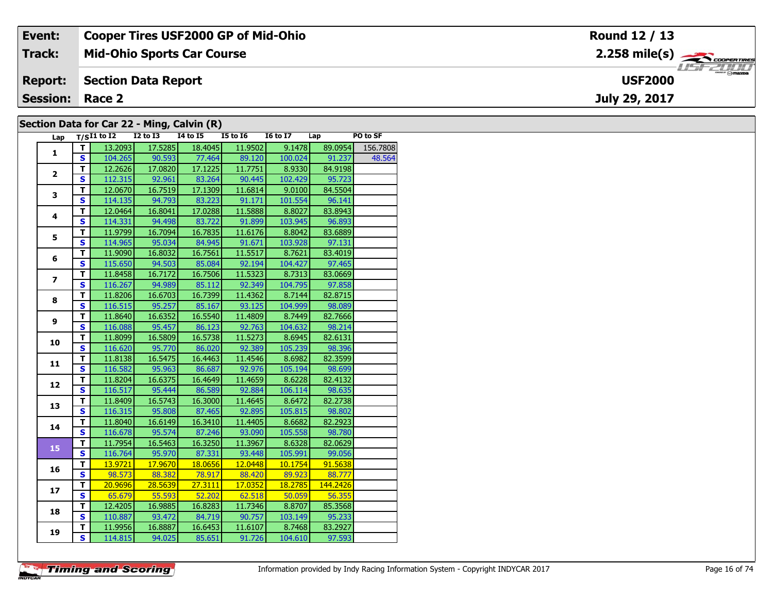| Event:                                     | <b>Cooper Tires USF2000 GP of Mid-Ohio</b> | Round 12 / 13                                         |  |  |  |  |  |  |  |  |  |  |
|--------------------------------------------|--------------------------------------------|-------------------------------------------------------|--|--|--|--|--|--|--|--|--|--|
| Track:                                     | <b>Mid-Ohio Sports Car Course</b>          | $2.258$ mile(s) $\overbrace{\hspace{2cm}}$ codenaires |  |  |  |  |  |  |  |  |  |  |
| <b>Report:</b>                             | Section Data Report                        | $\frac{1}{\sqrt{2}}$<br><b>USF2000</b>                |  |  |  |  |  |  |  |  |  |  |
| <b>Session: Race 2</b>                     |                                            | July 29, 2017                                         |  |  |  |  |  |  |  |  |  |  |
| Section Data for Car 22 - Ming, Calvin (R) |                                            |                                                       |  |  |  |  |  |  |  |  |  |  |

|  | [Section Data for Car 22 - Ming, Calvin (R)] |  |  |
|--|----------------------------------------------|--|--|
|  | ________                                     |  |  |

| Lap                     |                         | $T/SI1$ to $I2$ | $I2$ to $I3$ | <b>I4 to I5</b> | <b>I5 to 16</b> | <b>I6 to I7</b> | Lap      | PO to SF |
|-------------------------|-------------------------|-----------------|--------------|-----------------|-----------------|-----------------|----------|----------|
| $\mathbf{1}$            | T.                      | 13.2093         | 17.5285      | 18.4045         | 11.9502         | 9.1478          | 89.0954  | 156.7808 |
|                         | S.                      | 104.265         | 90.593       | 77.464          | 89.120          | 100.024         | 91.237   | 48.564   |
|                         | $\overline{\mathsf{r}}$ | 12.2626         | 17.0820      | 17.1225         | 11.7751         | 8.9330          | 84.9198  |          |
| $\overline{2}$          | $\overline{\mathbf{s}}$ | 112.315         | 92.961       | 83.264          | 90.445          | 102.429         | 95.723   |          |
| 3                       | $\overline{\mathsf{r}}$ | 12.0670         | 16.7519      | 17.1309         | 11.6814         | 9.0100          | 84.5504  |          |
|                         | $\overline{\mathbf{s}}$ | 114.135         | 94.793       | 83.223          | 91.171          | 101.554         | 96.141   |          |
|                         | Ŧ                       | 12.0464         | 16.8041      | 17.0288         | 11.5888         | 8.8027          | 83.8943  |          |
| 4                       | $\overline{\mathbf{s}}$ | 114.331         | 94.498       | 83.722          | 91.899          | 103.945         | 96.893   |          |
|                         | т                       | 11.9799         | 16.7094      | 16.7835         | 11.6176         | 8.8042          | 83.6889  |          |
| 5                       | $\overline{\mathbf{s}}$ | 114.965         | 95.034       | 84.945          | 91.671          | 103.928         | 97.131   |          |
|                         | $\overline{\mathsf{r}}$ | 11.9090         | 16.8032      | 16.7561         | 11.5517         | 8.7621          | 83.4019  |          |
| 6                       | $\overline{\mathbf{s}}$ | 115.650         | 94.503       | 85.084          | 92.194          | 104.427         | 97.465   |          |
|                         | $\overline{\mathsf{r}}$ | 11.8458         | 16.7172      | 16.7506         | 11.5323         | 8.7313          | 83.0669  |          |
| $\overline{\mathbf{z}}$ | $\overline{\mathbf{s}}$ | 116.267         | 94.989       | 85.112          | 92.349          | 104.795         | 97.858   |          |
|                         | T.                      | 11.8206         | 16.6703      | 16.7399         | 11.4362         | 8.7144          | 82.8715  |          |
| 8                       | $\mathbf{s}$            | 116.515         | 95.257       | 85.167          | 93.125          | 104.999         | 98.089   |          |
|                         | $\overline{\mathsf{r}}$ | 11.8640         | 16.6352      | 16.5540         | 11.4809         | 8.7449          | 82.7666  |          |
| 9                       | $\overline{\mathbf{s}}$ | 116.088         | 95.457       | 86.123          | 92.763          | 104.632         | 98.214   |          |
|                         | T                       | 11.8099         | 16.5809      | 16.5738         | 11.5273         | 8.6945          | 82.6131  |          |
| 10                      | $\overline{\mathbf{s}}$ | 116.620         | 95.770       | 86.020          | 92.389          | 105.239         | 98.396   |          |
|                         | T                       | 11.8138         | 16.5475      | 16.4463         | 11.4546         | 8.6982          | 82.3599  |          |
| 11                      | $\mathbf{s}$            | 116.582         | 95.963       | 86.687          | 92.976          | 105.194         | 98.699   |          |
|                         | $\overline{\mathsf{r}}$ | 11.8204         | 16.6375      | 16.4649         | 11.4659         | 8.6228          | 82.4132  |          |
| 12                      | $\overline{\mathbf{s}}$ | 116.517         | 95.444       | 86.589          | 92.884          | 106.114         | 98.635   |          |
| 13                      | Ŧ                       | 11.8409         | 16.5743      | 16.3000         | 11.4645         | 8.6472          | 82.2738  |          |
|                         | $\mathbf{s}$            | 116.315         | 95.808       | 87.465          | 92.895          | 105.815         | 98.802   |          |
| 14                      | $\overline{\mathsf{r}}$ | 11.8040         | 16.6149      | 16.3410         | 11.4405         | 8.6682          | 82.2923  |          |
|                         | $\overline{\mathbf{s}}$ | 116.678         | 95.574       | 87.246          | 93.090          | 105.558         | 98.780   |          |
| 15                      | T                       | 11.7954         | 16.5463      | 16.3250         | 11.3967         | 8.6328          | 82.0629  |          |
|                         | $\overline{\mathbf{s}}$ | 116.764         | 95.970       | 87.331          | 93.448          | 105.991         | 99.056   |          |
| 16                      | T.                      | 13.9721         | 17.9670      | 18.0656         | 12.0448         | 10.1754         | 91.5638  |          |
|                         | $\overline{\mathbf{s}}$ | 98.573          | 88.382       | 78.917          | 88.420          | 89.923          | 88.777   |          |
| 17                      | T                       | 20.9696         | 28.5639      | 27.3111         | 17.0352         | 18.2785         | 144.2426 |          |
|                         | $\overline{\mathbf{s}}$ | 65.679          | 55.593       | 52.202          | 62.518          | 50.059          | 56.355   |          |
| 18                      | $\overline{\mathsf{r}}$ | 12.4205         | 16.9885      | 16.8283         | 11.7346         | 8.8707          | 85.3568  |          |
|                         | $\mathbf{s}$            | 110.887         | 93.472       | 84.719          | 90.757          | 103.149         | 95.233   |          |
| 19                      | T                       | 11.9956         | 16.8887      | 16.6453         | 11.6107         | 8.7468          | 83.2927  |          |
|                         | $\overline{\mathbf{s}}$ | 114.815         | 94.025       | 85.651          | 91.726          | 104.610         | 97.593   |          |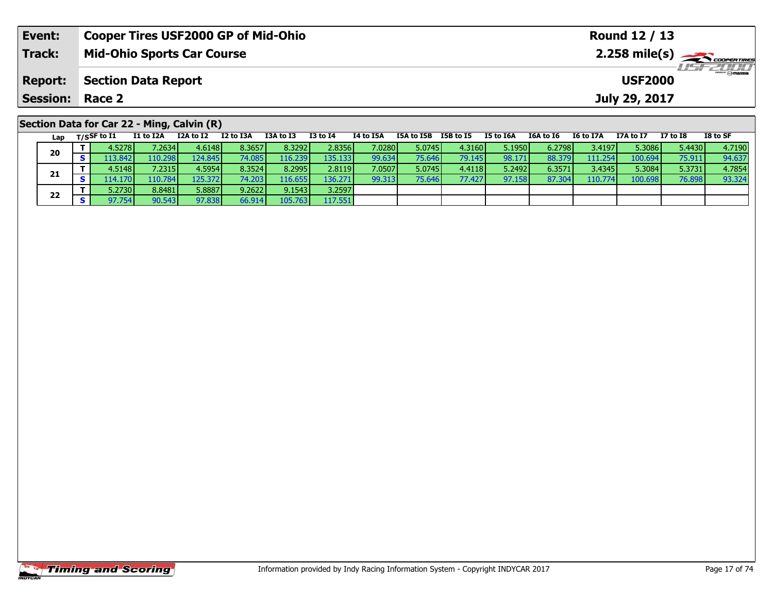| Event:                 | <b>Cooper Tires USF2000 GP of Mid-Ohio</b>                                                                                    | Round 12 / 13                                                            |  |  |  |  |  |  |  |  |  |  |  |  |
|------------------------|-------------------------------------------------------------------------------------------------------------------------------|--------------------------------------------------------------------------|--|--|--|--|--|--|--|--|--|--|--|--|
| <b>Track:</b>          | <b>Mid-Ohio Sports Car Course</b>                                                                                             | $2.258$ mile(s) $\sum$ coorer Times                                      |  |  |  |  |  |  |  |  |  |  |  |  |
| <b>Report:</b>         | <b>Section Data Report</b><br><b>USF2000</b>                                                                                  |                                                                          |  |  |  |  |  |  |  |  |  |  |  |  |
| <b>Session: Race 2</b> |                                                                                                                               | July 29, 2017                                                            |  |  |  |  |  |  |  |  |  |  |  |  |
|                        | Section Data for Car 22 - Ming, Calvin (R)                                                                                    |                                                                          |  |  |  |  |  |  |  |  |  |  |  |  |
| Lap                    | I2 to I3A<br>I3A to I3<br>I1 to I2A<br>I2A to I2<br>I3 to I4<br>I4 to I5A<br>I5A to I5B<br>I5B to I5<br>$_{\rm T/SS}$ F to I1 | I8 to SF<br>I5 to I6A<br>I7 to I8<br>I6A to I6<br>I6 to I7A<br>I7A to I7 |  |  |  |  |  |  |  |  |  |  |  |  |

| --- | . |         |         |         |          |         |         |                 |        |        |        |         |                 |         |        |        |
|-----|---|---------|---------|---------|----------|---------|---------|-----------------|--------|--------|--------|---------|-----------------|---------|--------|--------|
| 20  |   | 4.5278  | 7.2634  | 4.6148  | 8.3657   | 8.32921 | 2.8356  | 7.0280 <b>I</b> | 5.0745 | 4.3160 | 5.1950 | 6.27981 | 3.4197 <b>'</b> | 5.3086  | 5.4430 | 4.7190 |
|     |   | 13.842  | 110.298 | 124.845 |          | 116.239 | 135.133 | 99.634          | 75.646 | 79.145 | 98.171 | 88.379  | 111.254         | 100.694 | 75.911 | 94.637 |
|     |   | 4.5148  | 7.2315  | 4.5954  | 8.3524   | 8.2995  | 2.8119  | 7.0507          | 5.0745 | 4.4118 | 5.2492 | 6.3571  | 3.4345          | 5.3084  | 5.3731 | 4.7854 |
| 21  |   | 14.170V | 110.784 | 125.372 | 74.203 I | 116.655 | 136.271 | 99.313          | 75.646 | 77.427 | 97.158 | 87.304  | 110.774         | 100.698 | 76.898 | 93.324 |
| 22  |   | 5.2730  | 8.8481  | 5.8887  | 9.2622   | 9.1543  | 3.2597  |                 |        |        |        |         |                 |         |        |        |
|     |   | 97.7541 | 90.543  | 97.838  | 66.914   | 105.763 | 117.551 |                 |        |        |        |         |                 |         |        |        |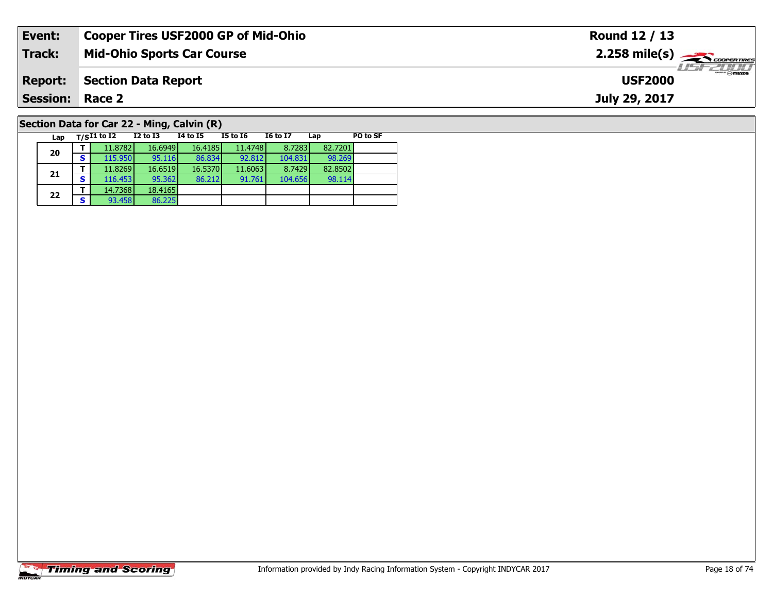| Event:                                     | <b>Cooper Tires USF2000 GP of Mid-Ohio</b> |          |          |                 |                 |     |                                | Round 12 / 13                                           |
|--------------------------------------------|--------------------------------------------|----------|----------|-----------------|-----------------|-----|--------------------------------|---------------------------------------------------------|
| <b>Track:</b>                              | <b>Mid-Ohio Sports Car Course</b>          |          |          |                 |                 |     |                                | $2.258$ mile(s) $\overbrace{\hspace{2cm}}$ coorer TIRES |
| <b>Report:</b>                             | <b>Section Data Report</b>                 |          |          |                 |                 |     | $H = -H H T$<br><b>USF2000</b> |                                                         |
| <b>Session:</b>                            | Race 2                                     |          |          |                 |                 |     |                                | July 29, 2017                                           |
| Section Data for Car 22 - Ming, Calvin (R) |                                            |          |          |                 |                 |     |                                |                                                         |
| Lap                                        | T/SI1 to I2                                | I2 to I3 | 14 to 15 | <b>I5 to 16</b> | <b>I6 to I7</b> | Lap | PO to SF                       |                                                         |

# **Timing and Scoring**

**20**

**21**

**22**

**T** 14.7368 18.4165<br>**S** 93.458 86.225

**<sup>T</sup>** 11.8782 16.6949 16.4185 11.4748 8.7283 82.7201 **<sup>S</sup>** 115.950 95.116 86.834 92.812 104.831 98.269

**<sup>T</sup>** 11.8269 16.6519 16.5370 11.6063 8.7429 82.8502 **<sup>S</sup>** 116.453 95.362 86.212 91.761 104.656 98.114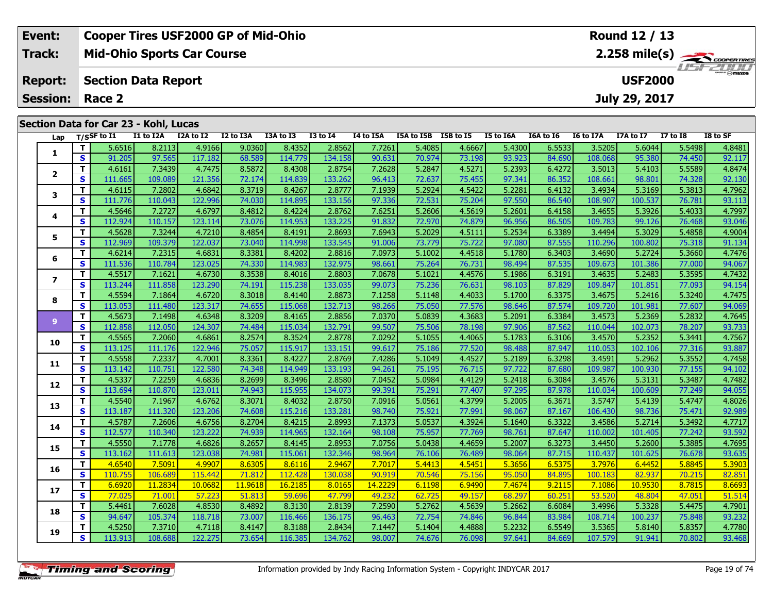| Event:                 | <b>Cooper Tires USF2000 GP of Mid-Ohio</b> |                     |                  | Round 12 / 13             |                                                                           |                                            |  |  |           |                  |                |          |          |
|------------------------|--------------------------------------------|---------------------|------------------|---------------------------|---------------------------------------------------------------------------|--------------------------------------------|--|--|-----------|------------------|----------------|----------|----------|
| Track:                 | <b>Mid-Ohio Sports Car Course</b>          |                     |                  |                           | $2.258$ mile(s) $\frac{1}{2.258}$ coorer TIRES<br><i><b>LISF 2000</b></i> |                                            |  |  |           |                  |                |          |          |
| <b>Report:</b>         | <b>Section Data Report</b>                 |                     |                  |                           |                                                                           |                                            |  |  |           |                  | <b>USF2000</b> |          |          |
| <b>Session: Race 2</b> |                                            |                     |                  |                           |                                                                           |                                            |  |  |           |                  | July 29, 2017  |          |          |
|                        |                                            |                     |                  |                           |                                                                           |                                            |  |  |           |                  |                |          |          |
|                        | Section Data for Car 23 - Kohl, Lucas      |                     |                  |                           |                                                                           |                                            |  |  |           |                  |                |          |          |
|                        | $1 - r$ $T/c$ CF to T1                     | T1 to T2A T2A to T2 | <b>T2 to T3A</b> | <b>T3A to T3</b> T3 to T4 |                                                                           | TA to T5A  T5A to T5R  T5R to T5 T5 to T6A |  |  | T6A to T6 | <b>IG to 17A</b> | 178 to 17      | 17 to 18 | TR to SE |

| Lap            |              | $T/S$ SF to I1 | I1 to I2A | I2A to I2 | I2 to I3A | I3A to I3 | <b>I3 to I4</b> | I4 to I5A | I5A to I5B I5B to I5 |        | <b>I5 to I6A</b> | I6A to I6 | I6 to I7A | I7A to I7 | <b>I7 to I8</b> | I8 to SF |
|----------------|--------------|----------------|-----------|-----------|-----------|-----------|-----------------|-----------|----------------------|--------|------------------|-----------|-----------|-----------|-----------------|----------|
| 1              | T.           | 5.6516         | 8.2113    | 4.9166    | 9.0360    | 8.4352    | 2.8562          | 7.7261    | 5.4085               | 4.6667 | 5.4300           | 6.5533    | 3.5205    | 5.6044    | 5.5498          | 4.8481   |
|                | S            | 91.205         | 97.565    | 117.182   | 68.589    | 114.779   | 134.158         | 90.631    | 70.974               | 73.198 | 93.923           | 84.690    | 108.068   | 95.380    | 74.450          | 92.117   |
| $\overline{2}$ | T.           | 4.6161         | 7.3439    | 4.7475    | 8.5872    | 8.4308    | 2.8754          | 7.2628    | 5.2847               | 4.5271 | 5.2393           | 6.4272    | 3.5013    | 5.4103    | 5.5589          | 4.8474   |
|                | S            | 111.665        | 109.089   | 121.356   | 72.174    | 114.839   | 133.262         | 96.413    | 72.637               | 75.455 | 97.341           | 86.352    | 108.661   | 98.801    | 74.328          | 92.130   |
| 3              | T.           | 4.6115         | 7.2802    | 4.6842    | 8.3719    | 8.4267    | 2.8777          | 7.1939    | 5.2924               | 4.5422 | 5.2281           | 6.4132    | 3.4934    | 5.3169    | 5.3813          | 4.7962   |
|                | <b>S</b>     | 111.776        | 110.043   | 122.996   | 74.030    | 114.895   | 133.156         | 97.336    | 72.531               | 75.204 | 97.550           | 86.540    | 108.907   | 100.537   | 76.781          | 93.113   |
| 4              | T            | 4.5646         | 7.2727    | 4.6797    | 8.4812    | 8.4224    | 2.8762          | 7.6251    | 5.2606               | 4.5619 | 5.2601           | 6.4158    | 3.4655    | 5.3926    | 5.4033          | 4.7997   |
|                | S            | 112.924        | 110.157   | 123.114   | 73.076    | 114.953   | 133.225         | 91.832    | 72.970               | 74.879 | 96.956           | 86.505    | 109.783   | 99.126    | 76.468          | 93.046   |
| 5              | T            | 4.5628         | 7.3244    | 4.7210    | 8.4854    | 8.4191    | 2.8693          | 7.6943    | 5.2029               | 4.5111 | 5.2534           | 6.3389    | 3.4494    | 5.3029    | 5.4858          | 4.9004   |
|                | $\mathbf{s}$ | 112.969        | 109.379   | 122.037   | 73.040    | 114.998   | 133.545         | 91.006    | 73.779               | 75.722 | 97.080           | 87.555    | 110.296   | 100.802   | 75.318          | 91.134   |
| 6              | T.           | 4.6214         | 7.2315    | 4.6831    | 8.3381    | 8.4202    | 2.8816          | 7.0973    | 5.1002               | 4.4518 | 5.1780           | 6.3403    | 3.4690    | 5.2724    | 5.3660          | 4.7476   |
|                | <b>S</b>     | 111.536        | 110.784   | 123.025   | 74.330    | 114.983   | 132.975         | 98.661    | 75.264               | 76.731 | 98.494           | 87.535    | 109.673   | 101.386   | 77.000          | 94.067   |
| 7              | T            | 4.5517         | 7.1621    | 4.6730    | 8.3538    | 8.4016    | 2.8803          | 7.0678    | 5.1021               | 4.4576 | 5.1986           | 6.3191    | 3.4635    | 5.2483    | 5.3595          | 4.7432   |
|                | S            | 113.244        | 111.858   | 123.290   | 74.191    | 115.238   | 133.035         | 99.073    | 75.236               | 76.631 | 98.103           | 87.829    | 109.847   | 101.851   | 77.093          | 94.154   |
| 8              | T            | 4.5594         | 7.1864    | 4.6720    | 8.3018    | 8.4140    | 2.8873          | 7.1258    | 5.1148               | 4.4033 | 5.1700           | 6.3375    | 3.4675    | 5.2416    | 5.3240          | 4.7475   |
|                | S            | 113.053        | 111.480   | 123.317   | 74.655    | 115.068   | 132.713         | 98.266    | 75.050               | 77.576 | 98.646           | 87.574    | 109.720   | 101.981   | 77.607          | 94.069   |
| 9              | T            | 4.5673         | 7.1498    | 4.6348    | 8.3209    | 8.4165    | 2.8856          | 7.0370    | 5.0839               | 4.3683 | 5.2091           | 6.3384    | 3.4573    | 5.2369    | 5.2832          | 4.7645   |
|                | <b>S</b>     | 112.858        | 112.050   | 124.307   | 74.484    | 115.034   | 132.791         | 99.507    | 75.506               | 78.198 | 97.906           | 87.562    | 110.044   | 102.073   | 78.207          | 93.733   |
| 10             | T.           | 4.5565         | 7.2060    | 4.6861    | 8.2574    | 8.3524    | 2.8778          | 7.0292    | 5.1055               | 4.4065 | 5.1783           | 6.3106    | 3.4570    | 5.2352    | 5.3441          | 4.7567   |
|                | S            | 113.125        | 111.176   | 122.946   | 75.057    | 115.917   | 133.151         | 99.617    | 75.186               | 77.520 | 98.488           | 87.947    | 110.053   | 102.106   | 77.316          | 93.887   |
| 11             | T            | 4.5558         | 7.2337    | 4.7001    | 8.3361    | 8.4227    | 2.8769          | 7.4286    | 5.1049               | 4.4527 | 5.2189           | 6.3298    | 3.4591    | 5.2962    | 5.3552          | 4.7458   |
|                | S            | 113.142        | 110.751   | 122.580   | 74.348    | 114.949   | 133.193         | 94.261    | 75.195               | 76.715 | 97.722           | 87.680    | 109.987   | 100.930   | 77.155          | 94.102   |
| 12             | T            | 4.5337         | 7.2259    | 4.6836    | 8.2699    | 8.3496    | 2.8580          | 7.0452    | 5.0984               | 4.4129 | 5.2418           | 6.3084    | 3.4576    | 5.3131    | 5.3487          | 4.7482   |
|                | <b>S</b>     | 113.694        | 110.870   | 123.011   | 74.943    | 115.955   | 134.073         | 99.391    | 75.291               | 77.407 | 97.295           | 87.978    | 110.034   | 100.609   | 77.249          | 94.055   |
| 13             | T            | 4.5540         | 7.1967    | 4.6762    | 8.3071    | 8.4032    | 2.8750          | 7.0916    | 5.0561               | 4.3799 | 5.2005           | 6.3671    | 3.5747    | 5.4139    | 5.4747          | 4.8026   |
|                | S            | 113.187        | 111.320   | 123.206   | 74.608    | 115.216   | 133.281         | 98.740    | 75.921               | 77.991 | 98.067           | 87.167    | 106.430   | 98.736    | 75.471          | 92.989   |
| 14             | T            | 4.5787         | 7.2606    | 4.6756    | 8.2704    | 8.4215    | 2.8993          | 7.1373    | 5.0537               | 4.3924 | 5.1640           | 6.3322    | 3.4586    | 5.2714    | 5.3492          | 4.7717   |
|                | $\mathbf{s}$ | 112.577        | 110.340   | 123.222   | 74.939    | 114.965   | 132.164         | 98.108    | 75.957               | 77.769 | 98.761           | 87.647    | 110.002   | 101.405   | 77.242          | 93.592   |
| 15             | T.           | 4.5550         | 7.1778    | 4.6826    | 8.2657    | 8.4145    | 2.8953          | 7.0756    | 5.0438               | 4.4659 | 5.2007           | 6.3273    | 3.4450    | 5.2600    | 5.3885          | 4.7695   |
|                | <b>S</b>     | 113.162        | 111.613   | 123.038   | 74.981    | 115.061   | 132.346         | 98.964    | 76.106               | 76.489 | 98.064           | 87.715    | 110.437   | 101.625   | 76.678          | 93.635   |
| 16             | T.           | 4.6540         | 7.5091    | 4.9907    | 8.6305    | 8.6116    | 2.9467          | 7.7017    | 5.4413               | 4.5451 | 5.3656           | 6.5375    | 3.7976    | 6.4452    | 5.8845          | 5.3903   |
|                | $\mathbf{s}$ | 110.755        | 106.689   | 115.442   | 71.812    | 112.428   | 130.038         | 90.919    | 70.546               | 75.156 | 95.050           | 84.895    | 100.183   | 82.937    | 70.215          | 82.851   |
| 17             | T            | 6.6920         | 11.2834   | 10.0682   | 11.9618   | 16.2185   | 8.0165          | 14.2229   | 6.1198               | 6.9490 | 7.4674           | 9.2115    | 7.1086    | 10.9530   | 8.7815          | 8.6693   |
|                | $\mathbf{s}$ | 77.025         | 71.001    | 57.223    | 51.813    | 59.696    | 47.799          | 49.232    | 62.725               | 49.157 | 68.297           | 60.251    | 53.520    | 48.804    | 47.051          | 51.514   |
| 18             | T.           | 5.4461         | 7.6028    | 4.8530    | 8.4892    | 8.3130    | 2.8139          | 7.2590    | 5.2762               | 4.5639 | 5.2662           | 6.6084    | 3.4996    | 5.3328    | 5.4475          | 4.7901   |
|                | S            | 94.647         | 105.374   | 118.718   | 73.007    | 116.466   | 136.175         | 96.463    | 72.754               | 74.846 | 96.844           | 83.984    | 108.714   | 100.237   | 75.848          | 93.232   |
| 19             | T.           | 4.5250         | 7.3710    | 4.7118    | 8.4147    | 8.3188    | 2.8434          | 7.1447    | 5.1404               | 4.4888 | 5.2232           | 6.5549    | 3.5365    | 5.8140    | 5.8357          | 4.7780   |
|                | $\mathbf{s}$ | 113.913        | 108.688   | 122.275   | 73.654    | 116.385   | 134.762         | 98.007    | 74.676               | 76.098 | 97.641           | 84.669    | 107.579   | 91.941    | 70.802          | 93.468   |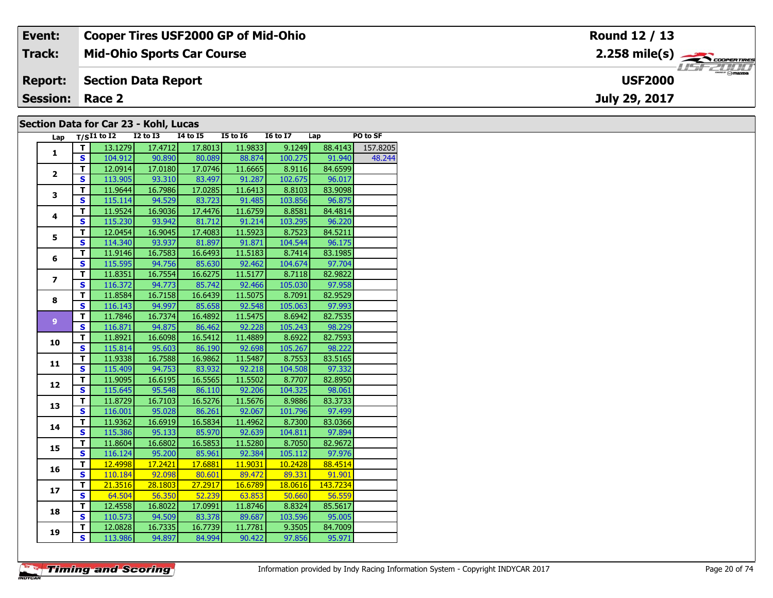| Event:                 | <b>Cooper Tires USF2000 GP of Mid-Ohio</b> | Round 12 / 13                                               |
|------------------------|--------------------------------------------|-------------------------------------------------------------|
| Track:                 | <b>Mid-Ohio Sports Car Course</b>          | $2.258$ mile(s) $\overbrace{\hspace{2.5cm}}^{3}$ convenimes |
| <b>Report:</b>         | Section Data Report                        | <b>HSFZUID</b><br><b>USF2000</b>                            |
| <b>Session: Race 2</b> |                                            | July 29, 2017                                               |
|                        | Section Data for Car 23 - Kohl, Lucas      |                                                             |

### **Section Data for Car 23 - Kohl, Lucas**

| Lap            |                         | $T/SI1$ to I2 I2 to I3 I4 to I5 I5 to I6 |         |               |               | $I6$ to $I7$ Lap |          | PO to SF |
|----------------|-------------------------|------------------------------------------|---------|---------------|---------------|------------------|----------|----------|
| $\mathbf{1}$   | T I                     | 13.1279                                  | 17.4712 | 17.8013       | 11.9833       | 9.1249           | 88.4143  | 157.8205 |
|                | S                       | 104.912                                  | 90.890  |               | 80.089 88.874 | 100.275          | 91.940   | 48.244   |
|                | T                       | 12.0914                                  | 17.0180 | 17.0746       | 11.6665       | 8.9116           | 84.6599  |          |
| $\mathbf{2}$   | S                       | 113.905                                  | 93.310  | 83.497        | 91.287        | 102.675          | 96.017   |          |
|                | $\overline{\mathsf{r}}$ | 11.9644                                  | 16.7986 | 17.0285       | 11.6413       | 8.8103           | 83.9098  |          |
| 3              | $\mathbf{s}$            | 115.114                                  | 94.529  | 83.723        | 91.485        | 103.856          | 96.875   |          |
|                | T                       | 11.9524                                  | 16.9036 | 17.4476       | 11.6759       | 8.8581           | 84.4814  |          |
| 4              | $\mathbf{s}$            | 115.230                                  | 93.942  | 81.712        | 91.214        | 103.295          | 96.220   |          |
|                | T                       | 12.0454                                  | 16.9045 | 17.4083       | 11.5923       | 8.7523           | 84.5211  |          |
| 5              | $\mathbf{s}$            | 114.340                                  | 93.937  | 81.897        | 91.871        | 104.544          | 96.175   |          |
|                | т                       | 11.9146                                  | 16.7583 | 16.6493       | 11.5183       | 8.7414           | 83.1985  |          |
| 6              | S                       | 115.595                                  | 94.756  | 85.630        | 92.462        | 104.674          | 97.704   |          |
|                | T                       | 11.8351                                  | 16.7554 | 16.6275       | 11.5177       | 8.7118           | 82.9822  |          |
| $\overline{ }$ | $\mathbf{s}$            | 116.372                                  | 94.773  | 85.742        | 92.466        | 105.030          | 97.958   |          |
|                | т                       | 11.8584                                  | 16.7158 | 16.6439       | 11.5075       | 8.7091           | 82.9529  |          |
| 8              | $\mathbf{s}$            | 116.143                                  | 94.997  | 85.658        | 92.548        | 105.063          | 97.993   |          |
|                | T                       | 11.7846                                  | 16.7374 | 16.4892       | 11.5475       | 8.6942           | 82.7535  |          |
| 9 <sup>°</sup> | $\mathbf{s}$            | 116.871                                  | 94.875  | 86.462        | 92.228        | 105.243          | 98.229   |          |
| 10             | T                       | 11.8921                                  | 16.6098 | 16.5412       | 11.4889       | 8.6922           | 82.7593  |          |
|                | S                       | 115.814                                  | 95.603  | 86.190        | 92.698        | 105.267          | 98.222   |          |
| 11             | T                       | 11.9338                                  | 16.7588 | 16.9862       | 11.5487       | 8.7553           | 83.5165  |          |
|                | S                       | 115.409                                  | 94.753  | 83.932        | 92.218        | 104.508          | 97.332   |          |
| 12             | T                       | 11.9095                                  | 16.6195 | 16.5565       | 11.5502       | 8.7707           | 82.8950  |          |
|                | $\mathbf s$             | 115.645                                  | 95.548  | 86.110        | 92.206        | 104.325          | 98.061   |          |
| 13             | $\overline{\mathsf{r}}$ | 11.8729                                  | 16.7103 | 16.5276       | 11.5676       | 8.9886           | 83.3733  |          |
|                | $\mathbf{s}$            | 116.001                                  | 95.028  | 86.261        | 92.067        | 101.796          | 97.499   |          |
| 14             | т                       | 11.9362                                  | 16.6919 | 16.5834       | 11.4962       | 8.7300           | 83.0366  |          |
|                | $\overline{\mathbf{s}}$ | 115.386                                  | 95.133  | 85.970        | 92.639        | 104.811          | 97.894   |          |
| 15             | T                       | 11.8604                                  | 16.6802 | 16.5853       | 11.5280       | 8.7050           | 82.9672  |          |
|                | S                       | 116.124                                  | 95.200  | 85.961        | 92.384        | 105.112          | 97.976   |          |
| 16             | T                       | 12.4998                                  | 17.2421 | 17.6881       | 11.9031       | 10.2428          | 88.4514  |          |
|                | S                       | 110.184                                  |         | 92.098 80.601 | 89.472        | 89.331           | 91.901   |          |
| 17             | T.                      | 21.3516                                  | 28.1803 | 27.2917       | 16.6789       | 18.0616          | 143.7234 |          |
|                | $\overline{\mathbf{s}}$ | 64.504                                   | 56.350  | 52.239        | 63.853        | 50.660           | 56.559   |          |
| 18             | T                       | 12.4558                                  | 16.8022 | 17.0991       | 11.8746       | 8.8324           | 85.5617  |          |
|                | S                       | 110.573                                  | 94.509  | 83.378        | 89.687        | 103.596          | 95.005   |          |
| 19             | т                       | 12.0828                                  | 16.7335 | 16.7739       | 11.7781       | 9.3505           | 84.7009  |          |
|                | $\overline{\mathbf{s}}$ | 113.986                                  | 94.897  | 84.994        | 90.422        | 97.856           | 95.971   |          |

**Timing and Scoring**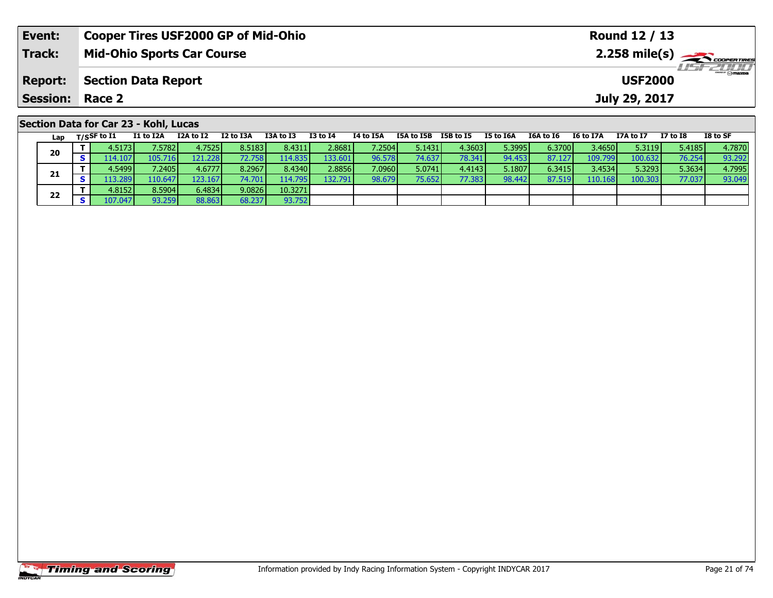| Event:          |                                       | <b>Cooper Tires USF2000 GP of Mid-Ohio</b><br>Round 12 / 13 |           |           |           |                 |                  |            |                  |                  |           |           |               |              |                                                                           |
|-----------------|---------------------------------------|-------------------------------------------------------------|-----------|-----------|-----------|-----------------|------------------|------------|------------------|------------------|-----------|-----------|---------------|--------------|---------------------------------------------------------------------------|
| <b>Track:</b>   |                                       | <b>Mid-Ohio Sports Car Course</b>                           |           |           |           |                 |                  |            |                  |                  |           |           |               |              | $2.258$ mile(s) $\overbrace{\hspace{2cm}}$ coorentmen<br><b>HEIFELINI</b> |
| <b>Report:</b>  |                                       | <b>Section Data Report</b><br><b>USF2000</b>                |           |           |           |                 |                  |            |                  |                  |           |           |               |              |                                                                           |
| <b>Session:</b> | Race 2                                |                                                             |           |           |           |                 |                  |            |                  |                  |           |           | July 29, 2017 |              |                                                                           |
|                 | Section Data for Car 23 - Kohl, Lucas |                                                             |           |           |           |                 |                  |            |                  |                  |           |           |               |              |                                                                           |
| Lap             | T/SSF to I1                           | <b>I1 to I2A</b>                                            | I2A to I2 | I2 to I3A | I3A to I3 | <b>I3 to I4</b> | <b>I4 to I5A</b> | I5A to I5B | <b>I5B to I5</b> | <b>I5 to I6A</b> | I6A to I6 | I6 to I7A | I7A to I7     | $I7$ to $I8$ | I8 to SF                                                                  |

| 20 | 4.5173 l        | 7.5782         | 4.7525           | 8.5183 | 8.4311           | 2.8681  | 7.2504 | 5.1431 | 4.3603   | 5.3995 | 6.3700 | 3.4650  | 5.3119  | 5.4185 | 4.7870 |
|----|-----------------|----------------|------------------|--------|------------------|---------|--------|--------|----------|--------|--------|---------|---------|--------|--------|
|    | 14.1071 د       | 105.7<br>716 I | 121.228 <b>l</b> | '2.758 | 114.835 <b>I</b> | 133.601 | 96.578 | 74.637 | 78.341   | 94.453 | 87.127 | 109.799 | 100.632 | 76.254 | 93.292 |
| 21 | 4.5499 <b>l</b> | 7.2405         | 4.6777           | 8.2967 | 8.4340           | 2.8856  | 7.0960 | 5.0741 | 4.4143 l | 5.1807 | 6.3415 | 3.4534  | 5.3293  | 5.3634 | 4.7995 |
|    | 13.289          | 110.647        | 123.167          | 74.701 | 114.795          | 132.791 | 98.679 | 75.652 | 77.383   | 98.442 | 87.519 | 110.168 | 100.303 | 77.037 | 93.049 |
| 22 | 4.8152 l        | 8.5904         | 6.4834           | 9.0826 | 10.3271          |         |        |        |          |        |        |         |         |        |        |
|    | 107.047         | 93.259         | 88.863           | 68.237 | 93.752           |         |        |        |          |        |        |         |         |        |        |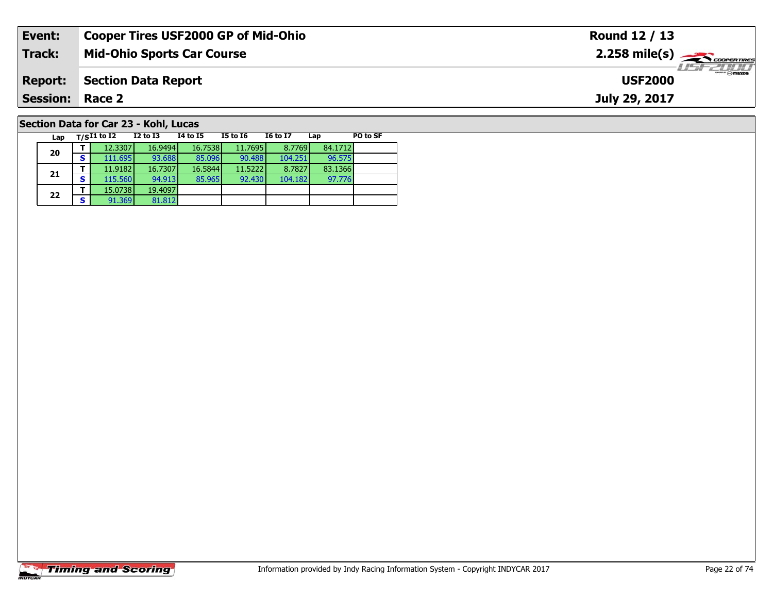| Event:                 | <b>Cooper Tires USF2000 GP of Mid-Ohio</b> | Round 12 / 13                                           |
|------------------------|--------------------------------------------|---------------------------------------------------------|
| Track:                 | <b>Mid-Ohio Sports Car Course</b>          | $2.258$ mile(s) $\overbrace{\hspace{2cm}}$ coorer TIRES |
| <b>Report:</b>         | <b>Section Data Report</b>                 | $\epsilon$ $\sim$ mazoa<br><b>USF2000</b>               |
| <b>Session: Race 2</b> |                                            | July 29, 2017                                           |
|                        | Section Data for Car 23 - Kohl, Lucas      |                                                         |

| Lap |   | T/SI1 to I2 | $I2$ to $I3$ | 14 to 15 | <b>I5 to I6</b> | <b>I6 to I7</b> | Lap     | PO to SF |
|-----|---|-------------|--------------|----------|-----------------|-----------------|---------|----------|
| 20  |   | 12.3307     | 16.9494      | 16.7538  | 11.7695         | 8.7769          | 84.1712 |          |
|     | s | 111.695     | 93.688       | 85.096   | 90.488          | 104.251         | 96.575  |          |
| 21  |   | 11.9182     | 16.7307      | 16.5844  | 11.5222         | 8.7827          | 83.1366 |          |
|     | s | 115.560     | 94.913       | 85.965   | 92,430          | 104.182         | 97.776  |          |
| 22  |   | 15.0738     | 19.4097      |          |                 |                 |         |          |
|     | s | 91.369      | 81.812       |          |                 |                 |         |          |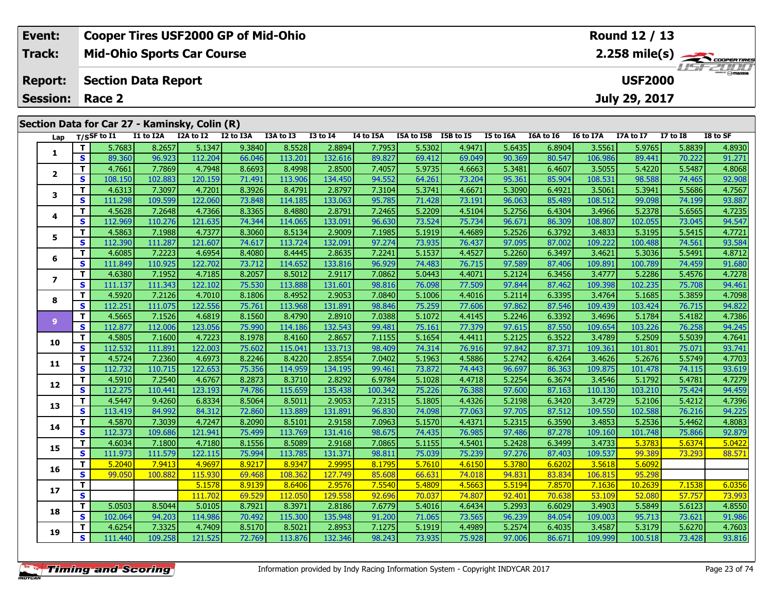|        | Event:          |   |             |                            |                                               | <b>Cooper Tires USF2000 GP of Mid-Ohio</b> |           |          |           |            |           |               |           |           | Round 12 / 13  |                 |                 |
|--------|-----------------|---|-------------|----------------------------|-----------------------------------------------|--------------------------------------------|-----------|----------|-----------|------------|-----------|---------------|-----------|-----------|----------------|-----------------|-----------------|
| Track: |                 |   |             |                            | <b>Mid-Ohio Sports Car Course</b>             |                                            |           |          |           |            |           |               |           |           |                |                 |                 |
|        | <b>Report:</b>  |   |             | <b>Section Data Report</b> |                                               |                                            |           |          |           |            |           |               |           |           | <b>USF2000</b> |                 | <b>HSFELINI</b> |
|        | <b>Session:</b> |   | Race 2      |                            |                                               |                                            |           |          |           |            |           | July 29, 2017 |           |           |                |                 |                 |
|        |                 |   |             |                            | Section Data for Car 27 - Kaminsky, Colin (R) |                                            |           |          |           |            |           |               |           |           |                |                 |                 |
|        | Lap             |   | T/SSF to I1 | I1 to I2A                  | I2A to I2                                     | I2 to I3A                                  | I3A to I3 | I3 to I4 | I4 to I5A | I5A to I5B | I5B to I5 | I5 to I6A     | I6A to I6 | I6 to I7A | I7A to I7      | <b>I7 to I8</b> | I8 to SF        |
|        |                 |   | 5.7683      | 8.2657                     | 5.1347                                        | 9.3840                                     | 8.5528    | 2.8894   | 7.7953    | 5.5302     | 4.9471    | 5.6435        | 6.8904    | 3.5561    | 5.9765         | 5.8839          | 4.8930          |
|        |                 | S | 89.360      | 96.923                     | 112.204                                       | 66.046                                     | 113.201   | 132.616  | 89.827    | 69.412     | 69.049    | 90.369        | 80.547    | 106.986   | 89.441         | 70.222          | 91.271          |

2 | T | 4.7661 | 7.7869 | 4.7948 | 8.6693 | 8.4998 | 2.8500 | 7.4057 | 5.9735 | 4.6663 | 5.3481 | 6.4607 | 3.5055 | 5.4220 | 5.5487 | 4.8068<br>2 | S | 108.150 | 102.883 | 120.159 | 71.491 | 113.906 | 134.450 | 94.552 | 64.26

3 T 4.6313 7.3097 4.7201 8.3926 8.4791 2.8797 7.3104 5.3741 4.6671 5.3090 6.4921 3.5061 5.3941 5.5686 4.7567<br>S S 111.298 109.599 122.060 73.848 114.185 133.063 95.785 71.428 73.191 96.063 85.489 108.512 99.098 74.199 93.88

**<sup>T</sup>** 4.5628 7.2648 4.7366 8.3365 8.4880 2.8791 7.2465 5.2209 4.5104 5.2756 6.4304 3.4966 5.2378 5.6565 4.7235 **<sup>S</sup>** 112.969 110.276 121.635 74.344 114.065 133.091 96.630 73.524 75.734 96.671 86.309 108.807 102.055 73.045 94.547

**<sup>T</sup>** 4.5863 7.1988 4.7377 8.3060 8.5134 2.9009 7.1985 5.1919 4.4689 5.2526 6.3792 3.4833 5.3195 5.5415 4.7721 **<sup>S</sup>** 112.390 111.287 121.607 74.617 113.724 132.091 97.274 73.935 76.437 97.095 87.002 109.222 100.488 74.561 93.584

**<sup>T</sup>** 4.6085 7.2223 4.6954 8.4080 8.4445 2.8635 7.2241 5.1537 4.4527 5.2260 6.3497 3.4621 5.3036 5.5491 4.8712 **<sup>S</sup>** 111.849 110.925 122.702 73.712 114.652 133.816 96.929 74.483 76.715 97.589 87.406 109.891 100.789 74.459 91.680

7 | T | 4.6380 | 7.1952 | 4.7185 | 8.2057 | 8.5012 | 2.9117 | 7.0862 | 5.0443 | 4.4071 | 5.2124 | 6.3456 | 3.4777 | 5.2286 | 5.4576 | 4.7278<br>7 | S | 111.137 |111.343 | 122.102 | 75.530 | 113.888 | 131.601 | 98.816 | 76.098

8 T | 4.5920 7.2126 4.7010 8.1806 8.4952 2.9053 7.0840 5.1006 4.4016 5.2114 6.3395 3.4764 5.1685 5.3859 4.7098<br>8 S 112.251 111.075 122.556 75.761 113.968 131.891 98.846 75.259 77.606 97.862 87.546 109.439 103.424 76.715 94

**<sup>T</sup>** 4.5665 7.1526 4.6819 8.1560 8.4790 2.8910 7.0388 5.1072 4.4145 5.2246 6.3392 3.4696 5.1784 5.4182 4.7386 **<sup>S</sup>** 112.877 112.006 123.056 75.990 114.186 132.543 99.481 75.161 77.379 97.615 87.550 109.654 103.226 76.258 94.245

0 | **T** | 4.5805| 7.1600| 4.7223| 8.1978| 8.4160| 2.8657| 7.1155| 5.1654| 4.4411| 5.2125| 6.3522| 3.4789| 5.2509| 5.5039| 4.7641<br>| S | 112.532| 111.891| 122.003| 75.602| 115.041| 133.713| 98.409| 74.314| 76.916| 97.842| 87

**<sup>T</sup>** 4.5724 7.2360 4.6973 8.2246 8.4220 2.8554 7.0402 5.1963 4.5886 5.2742 6.4264 3.4626 5.2676 5.5749 4.7703 **<sup>S</sup>** 112.732 110.715 122.653 75.356 114.959 134.195 99.461 73.872 74.443 96.697 86.363 109.875 101.478 74.115 93.619

**<sup>T</sup>** 4.5910 7.2540 4.6767 8.2873 8.3710 2.8292 6.9784 5.1028 4.4718 5.2254 6.3674 3.4546 5.1792 5.4781 4.7279 **<sup>S</sup>** 112.275 110.441 123.193 74.786 115.659 135.438 100.342 75.226 76.388 97.600 87.163 110.130 103.210 75.424 94.459

**<sup>T</sup>** 4.5447 9.4260 6.8334 8.5064 8.5011 2.9053 7.2315 5.1805 4.4326 5.2198 6.3420 3.4729 5.2106 5.4212 4.7396 **<sup>S</sup>** 113.419 84.992 84.312 72.860 113.889 131.891 96.830 74.098 77.063 97.705 87.512 109.550 102.588 76.216 94.225

4 T 4.5870 7.3039 4.7247 8.2090 8.5101 2.9158 7.0963 5.1570 4.4371 5.2315 6.3590 3.4853 5.2536 5.4462 4.8083<br>S 112.373 109.686 121.941 75.499 113.769 131.416 98.675 74.435 76.985 97.486 87.278 109.160 101.748 75.866 92.879

5 T 4.6034 7.1800 4.7180 8.1556 8.5089 2.9168 7.0865 5.1155 4.5401 5.2428 6.3499 3.4733 5.3783 5.6374 5.0422<br>5 S 111.973 111.579 122.115 75.994 113.785 131.371 98.811 75.039 75.239 97.276 87.403 109.537 99.389 73.293 88.57

**<sup>T</sup>** 5.1578 8.9139 8.6406 2.9576 7.5540 5.4809 4.5663 5.5194 7.8570 7.1636 10.2639 7.1538 6.0356 **<sup>S</sup>** 111.702 69.529 112.050 129.558 92.696 70.037 74.807 92.401 70.638 53.109 52.080 57.757 73.993

8 T 5.0503 8.5044 5.0105 8.7921 8.3971 2.8186 7.6779 5.4016 4.6434 5.2993 6.6029 3.4903 5.5849 5.6123 4.8550<br>S 102.064 94.203 114.986 70.492 115.300 135.948 91.200 71.065 73.565 96.239 84.054 109.003 95.713 73.621 91.986

**<sup>T</sup>** 4.6254 7.3325 4.7409 8.5170 8.5021 2.8953 7.1275 5.1919 4.4989 5.2574 6.4035 3.4587 5.3179 5.6270 4.7603 **<sup>S</sup>** 111.440 109.258 121.525 72.769 113.876 132.346 98.243 73.935 75.928 97.006 86.671 109.999 100.518 73.428 93.816

**<sup>T</sup>** 5.2040 7.9413 4.9697 8.9217 8.9347 2.9995 8.1795 5.7610 4.6150 5.3780 6.6202 3.5618 5.6092 **<sup>S</sup>** 99.050 100.882 115.930 69.468 108.362 127.749 85.608 66.631 74.018 94.831 83.834 106.815 95.298

|  | <b>Timing and Scoring</b> |
|--|---------------------------|
|  |                           |

**2**

**3**

**4**

**5**

**6**

**7**

**8**

**9**

**10**

**11**

**12**

**13**

**14**

**15**

**16**

**17**

**18**

**19**

91.98

94.547

94.461

94.245

94.459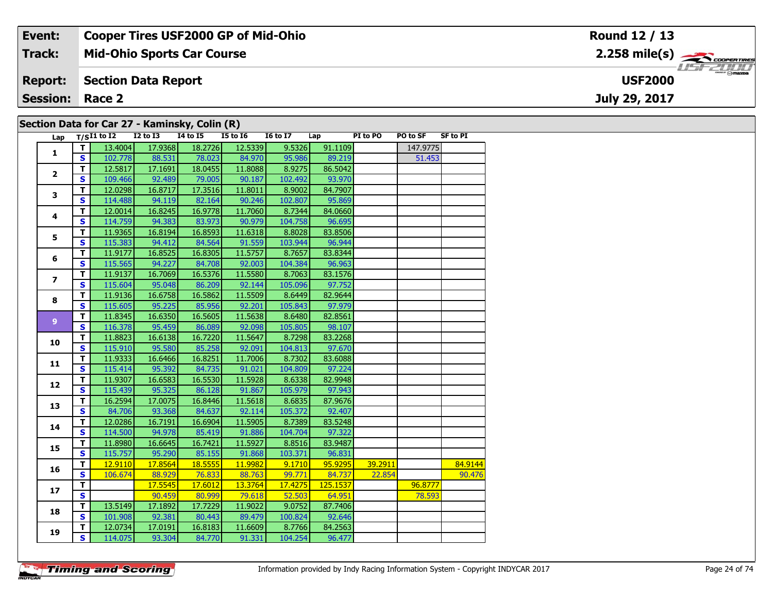#### **Event: Cooper Tires USF2000 GP of Mid-Ohio Round 12 / 13**2.258 mile(s) **2.258 miles Mid-Ohio Sports Car Course Track:** USF 2000 **Section Data Report Report: USF2000July 29, 2017 Session: Race 2 Section Data for Car 27 - Kaminsky, Colin (R)**

| Lap            |                         | $T/SI1$ to $I2$ | <b>I2 to I3</b> | 14 to 15 | I5 to I6 | $\overline{16}$ to $\overline{17}$ | Lap      | PI to PO | PO to SF | <b>SF to PI</b> |
|----------------|-------------------------|-----------------|-----------------|----------|----------|------------------------------------|----------|----------|----------|-----------------|
| $\mathbf{1}$   | T.                      | 13.4004         | 17.9368         | 18.2726  | 12.5339  | 9.5326                             | 91.1109  |          | 147.9775 |                 |
|                | $\mathbf{s}$            | 102.778         | 88.531          | 78.023   | 84.970   | 95.986                             | 89.219   |          | 51.453   |                 |
|                | $\mathbf{T}$            | 12.5817         | 17.1691         | 18.0455  | 11.8088  | 8.9275                             | 86.5042  |          |          |                 |
| $\overline{2}$ | $\mathbf{s}$            | 109.466         | 92.489          | 79.005   | 90.187   | 102.492                            | 93.970   |          |          |                 |
| 3              | $\mathbf{T}$            | 12.0298         | 16.8717         | 17.3516  | 11.8011  | 8.9002                             | 84.7907  |          |          |                 |
|                | $\mathbf{s}$            | 114.488         | 94.119          | 82.164   | 90.246   | 102.807                            | 95.869   |          |          |                 |
|                | T                       | 12.0014         | 16.8245         | 16.9778  | 11.7060  | 8.7344                             | 84.0660  |          |          |                 |
| 4              | $\mathbf{s}$            | 114.759         | 94.383          | 83.973   | 90.979   | 104.758                            | 96.695   |          |          |                 |
|                | T                       | 11.9365         | 16.8194         | 16.8593  | 11.6318  | 8.8028                             | 83.8506  |          |          |                 |
| 5              | S.                      | 115.383         | 94.412          | 84.564   | 91.559   | 103.944                            | 96.944   |          |          |                 |
|                | T.                      | 11.9177         | 16.8525         | 16.8305  | 11.5757  | 8.7657                             | 83.8344  |          |          |                 |
| 6              | S                       | 115.565         | 94.227          | 84.708   | 92.003   | 104.384                            | 96.963   |          |          |                 |
|                | $\mathbf{T}$            | 11.9137         | 16.7069         | 16.5376  | 11.5580  | 8.7063                             | 83.1576  |          |          |                 |
| $\overline{ }$ | S.                      | 115.604         | 95.048          | 86.209   | 92.144   | 105.096                            | 97.752   |          |          |                 |
|                | $\overline{\mathsf{r}}$ | 11.9136         | 16.6758         | 16.5862  | 11.5509  | 8.6449                             | 82.9644  |          |          |                 |
| 8              | S                       | 115.605         | 95.225          | 85.956   | 92.201   | 105.843                            | 97.979   |          |          |                 |
|                | T.                      | 11.8345         | 16.6350         | 16.5605  | 11.5638  | 8.6480                             | 82.8561  |          |          |                 |
| $\overline{9}$ | $\mathbf{s}$            | 116.378         | 95.459          | 86.089   | 92.098   | 105.805                            | 98.107   |          |          |                 |
|                | $\mathbf T$             | 11.8823         | 16.6138         | 16.7220  | 11.5647  | 8.7298                             | 83.2268  |          |          |                 |
| 10             | S.                      | 115.910         | 95.580          | 85.258   | 92.091   | 104.813                            | 97.670   |          |          |                 |
|                | T.                      | 11.9333         | 16.6466         | 16.8251  | 11.7006  | 8.7302                             | 83.6088  |          |          |                 |
| 11             | S                       | 115.414         | 95.392          | 84.735   | 91.021   | 104.809                            | 97.224   |          |          |                 |
|                | $\mathbf{T}$            | 11.9307         | 16.6583         | 16.5530  | 11.5928  | 8.6338                             | 82.9948  |          |          |                 |
| 12             | $\mathbf{s}$            | 115.439         | 95.325          | 86.128   | 91.867   | 105.979                            | 97.943   |          |          |                 |
| 13             | T.                      | 16.2594         | 17.0075         | 16.8446  | 11.5618  | 8.6835                             | 87.9676  |          |          |                 |
|                | $\overline{\mathbf{s}}$ | 84.706          | 93.368          | 84.637   | 92.114   | 105.372                            | 92.407   |          |          |                 |
|                | T.                      | 12.0286         | 16.7191         | 16.6904  | 11.5905  | 8.7389                             | 83.5248  |          |          |                 |
| 14             | $\overline{\mathbf{s}}$ | 114.500         | 94.978          | 85.419   | 91.886   | 104.704                            | 97.322   |          |          |                 |
|                | $\mathbf{T}$            | 11.8980         | 16.6645         | 16.7421  | 11.5927  | 8.8516                             | 83.9487  |          |          |                 |
| 15             | $\mathbf{s}$            | 115.757         | 95.290          | 85.155   | 91.868   | 103.371                            | 96.831   |          |          |                 |
|                | T                       | 12.9110         | 17.8564         | 18.5555  | 11.9982  | 9.1710                             | 95.9295  | 39.2911  |          | 84.9144         |
| 16             | S                       | 106.674         | 88.929          | 76.833   | 88.763   | 99.771                             | 84.737   | 22.854   |          | 90.476          |
|                | T.                      |                 | 17.5545         | 17.6012  | 13.3764  | 17.4275                            | 125.1537 |          | 96.8777  |                 |
| 17             | $\overline{\mathbf{s}}$ |                 | 90.459          | 80.999   | 79.618   | 52.503                             | 64.951   |          | 78.593   |                 |
| 18             | $\overline{\mathbf{T}}$ | 13.5149         | 17.1892         | 17.7229  | 11.9022  | 9.0752                             | 87.7406  |          |          |                 |
|                | S                       | 101.908         | 92.381          | 80.443   | 89.479   | 100.824                            | 92.646   |          |          |                 |
| 19             | T                       | 12.0734         | 17.0191         | 16.8183  | 11.6609  | 8.7766                             | 84.2563  |          |          |                 |
|                | <b>S</b>                | 114.075         | 93.304          | 84.770   | 91.331   | 104.254                            | 96.477   |          |          |                 |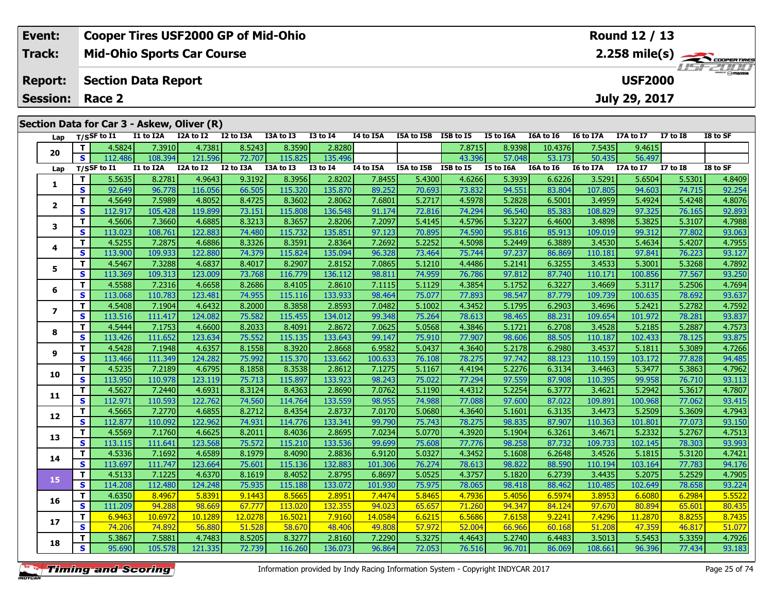| Event:                 | <b>Cooper Tires USF2000 GP of Mid-Ohio</b> | Round 12 / 13   |
|------------------------|--------------------------------------------|-----------------|
| Track:                 | <b>Mid-Ohio Sports Car Course</b>          | <b>LISFZDDD</b> |
| <b>Report:</b>         | Section Data Report                        | <b>USF2000</b>  |
| <b>Session: Race 2</b> |                                            | July 29, 2017   |
|                        |                                            |                 |
|                        | Section Data for Car 3 - Askew, Oliver (R) |                 |
|                        |                                            |                 |

| Lap            |              | T/SSF to $I1$    | I1 to I2A | I2A to I2 | I2 to I3A | I3A to I3 | I3 to I4        | I4 to I5A | I5A to I5B | I5B to I5 | I5 to I6A | I6A to I6 | I6 to I7A | I7A to I7 | $I7$ to $I8$    | I8 to SF |
|----------------|--------------|------------------|-----------|-----------|-----------|-----------|-----------------|-----------|------------|-----------|-----------|-----------|-----------|-----------|-----------------|----------|
| 20             | T.           | 4.5824           | 7.3910    | 4.7381    | 8.5243    | 8.3590    | 2.8280          |           |            | 7.8715    | 8.9398    | 10.4376   | 7.5435    | 9.4615    |                 |          |
|                | S            | 112.486          | 108.394   | 121.596   | 72.707    | 115.825   | 135.496         |           |            | 43.396    | 57.048    | 53.173    | 50.435    | 56.497    |                 |          |
| Lap            |              | $T/S$ SF to $I1$ | I1 to I2A | I2A to I2 | I2 to I3A | I3A to I3 | <b>I3 to 14</b> | I4 to I5A | I5A to I5B | I5B to I5 | I5 to I6A | I6A to I6 | I6 to I7A | I7A to I7 | <b>I7 to I8</b> | I8 to SF |
| 1              | T.           | 5.5635           | 8.2781    | 4.9643    | 9.3192    | 8.3956    | 2.8202          | 7.8455    | 5.4300     | 4.6266    | 5.3939    | 6.6226    | 3.5291    | 5.6504    | 5.5301          | 4.8409   |
|                | $\mathbf{s}$ | 92.649           | 96.778    | 116.056   | 66.505    | 115.320   | 135.870         | 89.252    | 70.693     | 73.832    | 94.551    | 83.804    | 107.805   | 94.603    | 74.715          | 92.254   |
| $\mathbf{2}$   | T.           | 4.5649           | 7.5989    | 4.8052    | 8.4725    | 8.3602    | 2.8062          | 7.6801    | 5.2717     | 4.5978    | 5.2828    | 6.5001    | 3.4959    | 5.4924    | 5.4248          | 4.8076   |
|                | S.           | 112.917          | 105.428   | 119.899   | 73.151    | 115.808   | 136.548         | 91.174    | 72.816     | 74.294    | 96.540    | 85.383    | 108.829   | 97.325    | 76.165          | 92.893   |
| 3              | T            | 4.5606           | 7.3660    | 4.6885    | 8.3213    | 8.3657    | 2.8206          | 7.2097    | 5.4145     | 4.5796    | 5.3227    | 6.4600    | 3.4898    | 5.3825    | 5.3107          | 4.7988   |
|                | $\mathbf{s}$ | 113.023          | 108.761   | 122.883   | 74.480    | 115.732   | 135.851         | 97.123    | 70.895     | 74.590    | 95.816    | 85.913    | 109.019   | 99.312    | 77.802          | 93.063   |
| 4              | T.           | 4.5255           | 7.2875    | 4.6886    | 8.3326    | 8.3591    | 2.8364          | 7.2692    | 5.2252     | 4.5098    | 5.2449    | 6.3889    | 3.4530    | 5.4634    | 5.4207          | 4.7955   |
|                | S            | 113.900          | 109.933   | 122.880   | 74.379    | 115.824   | 135.094         | 96.328    | 73.464     | 75.744    | 97.237    | 86.869    | 110.181   | 97.841    | 76.223          | 93.127   |
| 5              | T.           | 4.5467           | 7.3288    | 4.6837    | 8.4017    | 8.2907    | 2.8152          | 7.0865    | 5.1210     | 4.4486    | 5.2141    | 6.3255    | 3.4533    | 5.3001    | 5.3268          | 4.7892   |
|                | S            | 113.369          | 109.313   | 123.009   | 73.768    | 116.779   | 136.112         | 98.811    | 74.959     | 76.786    | 97.812    | 87.740    | 110.171   | 100.856   | 77.567          | 93.250   |
| 6              | T.           | 4.5588           | 7.2316    | 4.6658    | 8.2686    | 8.4105    | 2.8610          | 7.1115    | 5.1129     | 4.3854    | 5.1752    | 6.3227    | 3.4669    | 5.3117    | 5.2506          | 4.7694   |
|                | S            | 113.068          | 110.783   | 123.481   | 74.955    | 115.116   | 133.933         | 98.464    | 75.077     | 77.893    | 98.547    | 87.779    | 109.739   | 100.635   | 78.692          | 93.637   |
| $\overline{ }$ | T.           | 4.5408           | 7.1904    | 4.6432    | 8.2000    | 8.3858    | 2.8593          | 7.0482    | 5.1002     | 4.3452    | 5.1795    | 6.2903    | 3.4696    | 5.2421    | 5.2782          | 4.7592   |
|                | S            | 113.516          | 111.417   | 124.082   | 75.582    | 115.455   | 134.012         | 99.348    | 75.264     | 78.613    | 98.465    | 88.231    | 109.654   | 101.972   | 78.281          | 93.837   |
| 8              | T.           | 4.5444           | 7.1753    | 4.6600    | 8.2033    | 8.4091    | 2.8672          | 7.0625    | 5.0568     | 4.3846    | 5.1721    | 6.2708    | 3.4528    | 5.2185    | 5.2887          | 4.7573   |
|                | S            | 113.426          | 111.652   | 123.634   | 75.552    | 115.135   | 133.643         | 99.147    | 75.910     | 77.907    | 98.606    | 88.505    | 110.187   | 102.433   | 78.125          | 93.875   |
| 9              | T.           | 4.5428           | 7.1948    | 4.6357    | 8.1558    | 8.3920    | 2.8668          | 6.9582    | 5.0437     | 4.3640    | 5.2178    | 6.2980    | 3.4537    | 5.1811    | 5.3089          | 4.7266   |
|                | S            | 113.466          | 111.349   | 124.282   | 75.992    | 115.370   | 133.662         | 100.633   | 76.108     | 78.275    | 97.742    | 88.123    | 110.159   | 103.172   | 77.828          | 94.485   |
| 10             | T.           | 4.5235           | 7.2189    | 4.6795    | 8.1858    | 8.3538    | 2.8612          | 7.1275    | 5.1167     | 4.4194    | 5.2276    | 6.3134    | 3.4463    | 5.3477    | 5.3863          | 4.7962   |
|                | S            | 113.950          | 110.978   | 123.119   | 75.713    | 115.897   | 133.923         | 98.243    | 75.022     | 77.294    | 97.559    | 87.908    | 110.395   | 99.958    | 76.710          | 93.113   |
| 11             | T.           | 4.5627           | 7.2440    | 4.6931    | 8.3124    | 8.4363    | 2.8690          | 7.0762    | 5.1190     | 4.4312    | 5.2254    | 6.3777    | 3.4621    | 5.2942    | 5.3617          | 4.7807   |
|                | S            | 112.971          | 110.593   | 122.762   | 74.560    | 114.764   | 133.559         | 98.955    | 74.988     | 77.088    | 97.600    | 87.022    | 109.891   | 100.968   | 77.062          | 93.415   |
| 12             | T.           | 4.5665           | 7.2770    | 4.6855    | 8.2712    | 8.4354    | 2.8737          | 7.0170    | 5.0680     | 4.3640    | 5.1601    | 6.3135    | 3.4473    | 5.2509    | 5.3609          | 4.7943   |
|                | S            | 112.877          | 110.092   | 122.962   | 74.931    | 114.776   | 133.341         | 99.790    | 75.743     | 78.275    | 98.835    | 87.907    | 110.363   | 101.801   | 77.073          | 93.150   |
| 13             | T.           | 4.5569           | 7.1760    | 4.6625    | 8.2011    | 8.4036    | 2.8695          | 7.0234    | 5.0770     | 4.3920    | 5.1904    | 6.3261    | 3.4671    | 5.2332    | 5.2767          | 4.7513   |
|                | S            | 113.115          | 111.641   | 123.568   | 75.572    | 115.210   | 133.536         | 99.699    | 75.608     | 77.776    | 98.258    | 87.732    | 109.733   | 102.145   | 78.303          | 93.993   |
| 14             | T            | 4.5336           | 7.1692    | 4.6589    | 8.1979    | 8.4090    | 2.8836          | 6.9120    | 5.0327     | 4.3452    | 5.1608    | 6.2648    | 3.4526    | 5.1815    | 5.3120          | 4.7421   |
|                | S            | 113.697          | 111.747   | 123.664   | 75.601    | 115.136   | 132.883         | 101.306   | 76.274     | 78.613    | 98.822    | 88.590    | 110.194   | 103.164   | 77.783          | 94.176   |
| 15             | T.           | 4.5133           | 7.1225    | 4.6370    | 8.1619    | 8.4052    | 2.8795          | 6.8697    | 5.0525     | 4.3757    | 5.1820    | 6.2739    | 3.4435    | 5.2075    | 5.2529          | 4.7905   |
|                | S            | 114.208          | 112.480   | 124.248   | 75.935    | 115.188   | 133.072         | 101.930   | 75.975     | 78.065    | 98.418    | 88.462    | 110.485   | 102.649   | 78.658          | 93.224   |
| 16             | T.           | 4.6350           | 8.4967    | 5.8391    | 9.1443    | 8.5665    | 2.8951          | 7.4474    | 5.8465     | 4.7936    | 5.4056    | 6.5974    | 3.8953    | 6.6080    | 6.2984          | 5.5522   |
|                | S            | 111.209          | 94.288    | 98.669    | 67.777    | 113.020   | 132.355         | 94.023    | 65.657     | 71.260    | 94.347    | 84.124    | 97.670    | 80.894    | 65.601          | 80.435   |
| 17             | T.           | 6.9463           | 10.6972   | 10.1289   | 12.0278   | 16.5021   | 7.9160          | 14.0584   | 6.6215     | 6.5686    | 7.6158    | 9.2241    | 7.4296    | 11.2870   | 8.8255          | 8.7435   |
|                | S            | 74.206           | 74.892    | 56.880    | 51.528    | 58.670    | 48.406          | 49.808    | 57.972     | 52.004    | 66.966    | 60.168    | 51.208    | 47.359    | 46.817          | 51.077   |
| 18             | T.           | 5.3867           | 7.5881    | 4.7483    | 8.5205    | 8.3277    | 2.8160          | 7.2290    | 5.3275     | 4.4643    | 5.2740    | 6.4483    | 3.5013    | 5.5453    | 5.3359          | 4.7926   |
|                | S            | 95.690           | 105.578   | 121.335   | 72.739    | 116.260   | 136.073         | 96.864    | 72.053     | 76.516    | 96.701    | 86.069    | 108.661   | 96.396    | 77.434          | 93.183   |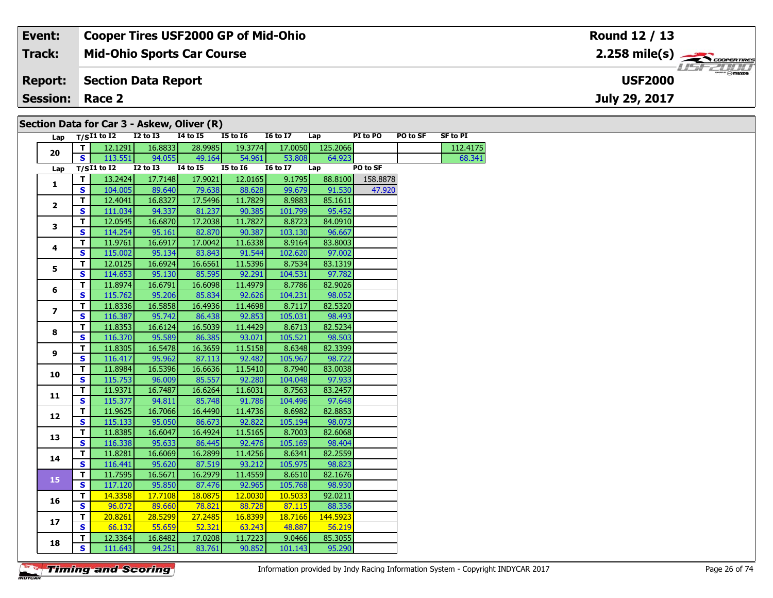#### **Event: Cooper Tires USF2000 GP of Mid-Ohio Round 12 / 13Mid-Ohio Sports Car Course 2.258 mile(s) Track:** COOPERTIRES USFZUHD **Section Data Report Report: USF2000July 29, 2017 Session: Race 2 Section Data for Car 3 - Askew, Oliver (R)**

| Lap                      |    | $T/SI1$ to I2   | $I2$ to $I3$    | 14 to 15        | <b>I5 to 16</b> | <b>16 to 17</b> | Lap      | PI to PO | PO to SF | SF to PI |
|--------------------------|----|-----------------|-----------------|-----------------|-----------------|-----------------|----------|----------|----------|----------|
| 20                       | T. | 12.1291         | 16.8833         | 28.9985         | 19.3774         | 17.0050         | 125.2066 |          |          | 112.4175 |
|                          | S. | 113.551         | 94.055          | 49.164          | 54.961          | 53.808          | 64.923   |          |          | 68.341   |
| Lap                      |    | $T/SI1$ to $I2$ | <b>I2 to I3</b> | <b>14 to 15</b> | <b>I5 to 16</b> | <b>16 to 17</b> | Lap      | PO to SF |          |          |
| 1                        | Т. | 13.2424         | 17.7148         | 17.9021         | 12.0165         | 9.1795          | 88.8100  | 158.8878 |          |          |
|                          | S  | 104.005         | 89.640          | 79.638          | 88.628          | 99.679          | 91.530   | 47,920   |          |          |
| $\mathbf{2}$             | т  | 12.4041         | 16.8327         | 17.5496         | 11.7829         | 8.9883          | 85.1611  |          |          |          |
|                          | S  | 111.034         | 94.337          | 81.237          | 90.385          | 101.799         | 95.452   |          |          |          |
| 3                        | T. | 12.0545         | 16.6870         | 17.2038         | 11.7827         | 8.8723          | 84.0910  |          |          |          |
|                          | S  | 114.254         | 95.161          | 82.870          | 90.387          | 103.130         | 96.667   |          |          |          |
| 4                        | T. | 11.9761         | 16.6917         | 17.0042         | 11.6338         | 8.9164          | 83.8003  |          |          |          |
|                          | S  | 115.002         | 95.134          | 83.843          | 91.544          | 102.620         | 97.002   |          |          |          |
| 5                        | T. | 12.0125         | 16.6924         | 16.6561         | 11.5396         | 8.7534          | 83.1319  |          |          |          |
|                          | S  | 114.653         | 95.130          | 85.595          | 92.291          | 104.531         | 97.782   |          |          |          |
| 6                        | T. | 11.8974         | 16.6791         | 16.6098         | 11.4979         | 8.7786          | 82.9026  |          |          |          |
|                          | S  | 115.762         | 95.206          | 85.834          | 92.626          | 104.231         | 98.052   |          |          |          |
| $\overline{\phantom{a}}$ | T. | 11.8336         | 16.5858         | 16.4936         | 11.4698         | 8.7117          | 82.5320  |          |          |          |
|                          | S  | 116.387         | 95.742          | 86.438          | 92.853          | 105.031         | 98.493   |          |          |          |
| 8                        | T. | 11.8353         | 16.6124         | 16.5039         | 11.4429         | 8.6713          | 82.5234  |          |          |          |
|                          | S  | 116.370         | 95.589          | 86.385          | 93.071          | 105.521         | 98.503   |          |          |          |
| 9                        | T. | 11.8305         | 16.5478         | 16.3659         | 11.5158         | 8.6348          | 82.3399  |          |          |          |
|                          | S  | 116.417         | 95.962          | 87.113          | 92.482          | 105.967         | 98.722   |          |          |          |
| 10                       | T. | 11.8984         | 16.5396         | 16.6636         | 11.5410         | 8.7940          | 83.0038  |          |          |          |
|                          | S  | 115.753         | 96.009          | 85.557          | 92.280          | 104.048         | 97.933   |          |          |          |
| 11                       | T. | 11.9371         | 16.7487         | 16.6264         | 11.6031         | 8.7563          | 83.2457  |          |          |          |
|                          | S  | 115.377         | 94.811          | 85.748          | 91.786          | 104.496         | 97.648   |          |          |          |
| 12                       | T. | 11.9625         | 16.7066         | 16.4490         | 11.4736         | 8.6982          | 82.8853  |          |          |          |
|                          | S  | 115.133         | 95.050          | 86.673          | 92.822          | 105.194         | 98.073   |          |          |          |
| 13                       | T. | 11.8385         | 16.6047         | 16.4924         | 11.5165         | 8.7003          | 82.6068  |          |          |          |
|                          | S  | 116.338         | 95.633          | 86.445          | 92.476          | 105.169         | 98.404   |          |          |          |
| 14                       | T. | 11.8281         | 16.6069         | 16.2899         | 11.4256         | 8.6341          | 82.2559  |          |          |          |
|                          | S  | 116.441         | 95.620          | 87.519          | 93.212          | 105.975         | 98.823   |          |          |          |
| 15                       | T. | 11.7595         | 16.5671         | 16.2979         | 11.4559         | 8.6510          | 82.1676  |          |          |          |
|                          | S  | 117.120         | 95.850          | 87.476          | 92.965          | 105.768         | 98.930   |          |          |          |
| 16                       | T. | 14.3358         | 17.7108         | 18.0875         | 12.0030         | 10.5033         | 92.0211  |          |          |          |
|                          | S  | 96.072          | 89.660          | 78.821          | 88.728          | 87.115          | 88.336   |          |          |          |
| 17                       | T. | 20.8261         | 28.5299         | 27.2485         | 16.8399         | 18.7166         | 144.5923 |          |          |          |
|                          | S  | 66.132          | 55.659          | 52.321          | 63.243          | 48.887          | 56.219   |          |          |          |
| 18                       | T. | 12.3364         | 16.8482         | 17.0208         | 11.7223         | 9.0466          | 85.3055  |          |          |          |
|                          | S  | 111.643         | 94.251          | 83.761          | 90.852          | 101.143         | 95.290   |          |          |          |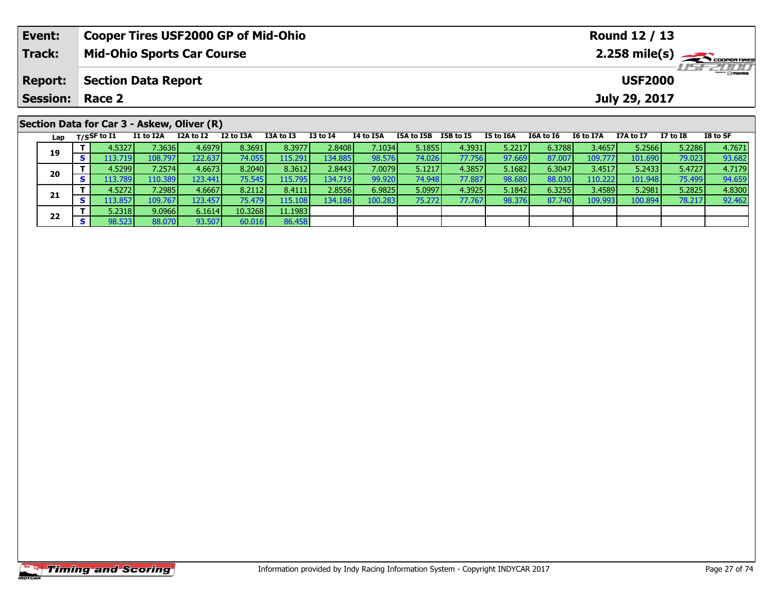| Event:          |    |                   | <b>Cooper Tires USF2000 GP of Mid-Ohio</b> |           |           |           |                 |           |            |               |           |                |                  | Round 12 / 13   |          |          |
|-----------------|----|-------------------|--------------------------------------------|-----------|-----------|-----------|-----------------|-----------|------------|---------------|-----------|----------------|------------------|-----------------|----------|----------|
| Track:          |    |                   | <b>Mid-Ohio Sports Car Course</b>          |           |           |           |                 |           |            |               |           |                |                  |                 |          |          |
| <b>Report:</b>  |    |                   | <b>Section Data Report</b>                 |           |           |           |                 |           |            |               |           | <b>USF2000</b> |                  | <b>USF 2000</b> |          |          |
| <b>Session:</b> |    | Race 2            |                                            |           |           |           |                 |           |            | July 29, 2017 |           |                |                  |                 |          |          |
|                 |    |                   | Section Data for Car 3 - Askew, Oliver (R) |           |           |           |                 |           |            |               |           |                |                  |                 |          |          |
|                 |    | Lap $T/SSF$ to I1 | I1 to I2A                                  | I2A to I2 | I2 to I3A | I3A to I3 | <b>I3 to I4</b> | I4 to I5A | I5A to I5B | I5B to I5     | I5 to I6A | I6A to I6      | <b>I6 to I7A</b> | I7A to I7       | I7 to I8 | I8 to SF |
| 19              |    | 4.5327            | 7.3636 <b>L</b>                            | 4.6979    | 8.3691    | 8.3977    | 2.8408          | 7.1034    | 5.1855     | 4.3931        | 5.2217    | 6.3788         | 3.4657           | 5.2566          | 5.2286   | 4.7671   |
|                 | s. | 113.7191          | 108.7971                                   | 122.637   | 74.055    | 115.291   | 134.885         | 98.576    | 74.026     | 77.756        | 97.669    | 87.0071        | 109.7771         | 101.690         | 79.023   | 93.682   |

0 | **T** | 4.5299| 7.2574| 4.6673| 8.2040| 8.3612| 2.8443| 7.0079| 5.1217| 4.3857| 5.1682| 6.3047| 3.4517| 5.2433| 5.4727| 4.7179<br>| S | 113.789| 110.389| 123.441| 75.545| 115.795| 134.719| 99.920| 74.948| 77.887| 98.680| 88

**<sup>T</sup>** 4.5272 7.2985 4.6667 8.2112 8.4111 2.8556 6.9825 5.0997 4.3925 5.1842 6.3255 3.4589 5.2981 5.2825 4.8300 **<sup>S</sup>** 113.857 109.767 123.457 75.479 115.108 134.186 100.283 75.272 77.767 98.376 87.740 109.993 100.894 78.217 92.462

86.458

**20**

**21**

**22**

**<sup>T</sup>** 5.2318 9.0966 6.1614 10.3268 11.1983 **<sup>S</sup>** 98.523 88.070 93.507 60.016 86.458

94.659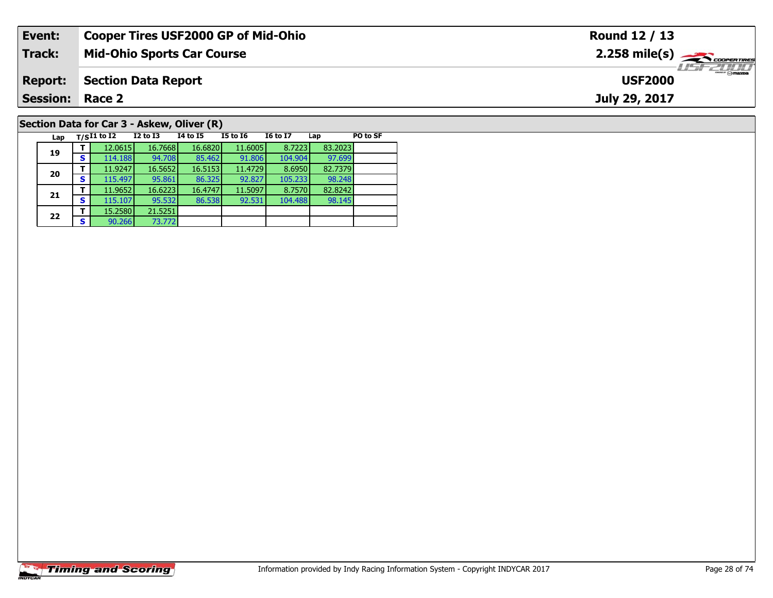| Event:                 | <b>Cooper Tires USF2000 GP of Mid-Ohio</b>                                                             | Round 12 / 13                 |
|------------------------|--------------------------------------------------------------------------------------------------------|-------------------------------|
| <b>Track:</b>          | <b>Mid-Ohio Sports Car Course</b>                                                                      | $2.258$ mile(s) $\rightarrow$ |
| <b>Report:</b>         | <b>Section Data Report</b>                                                                             | <b>USF2000</b>                |
| <b>Session: Race 2</b> |                                                                                                        | July 29, 2017                 |
|                        |                                                                                                        |                               |
|                        | Section Data for Car 3 - Askew, Oliver (R)                                                             |                               |
| Lap                    | <b>16 to 17</b><br><b>I4 to I5</b><br>PO to SF<br>I5 to I6<br>$_{\rm T/S}$ I1 to I2<br>I2 to I3<br>Lap |                               |

98.248<br>82.8242

98.145

**19**

**20**

**21**

**22**

**<sup>T</sup>** 15.2580 21.5251 **<sup>S</sup>** 90.266 73.772

73.772

**<sup>T</sup>** 12.0615 16.7668 16.6820 11.6005 8.7223 83.2023 **<sup>S</sup>** 114.188 94.708 85.462 91.806 104.904 97.699

**d T** 11.9247 16.5652 16.5153 11.4729 8.6950 82.7379<br>S 115.497 95.861 86.325 92.827 105.233 98.248

**<sup>T</sup>** 11.9652 16.6223 16.4747 11.5097 8.7570 82.8242 **<sup>S</sup>** 115.107 95.532 86.538 92.531 104.488 98.145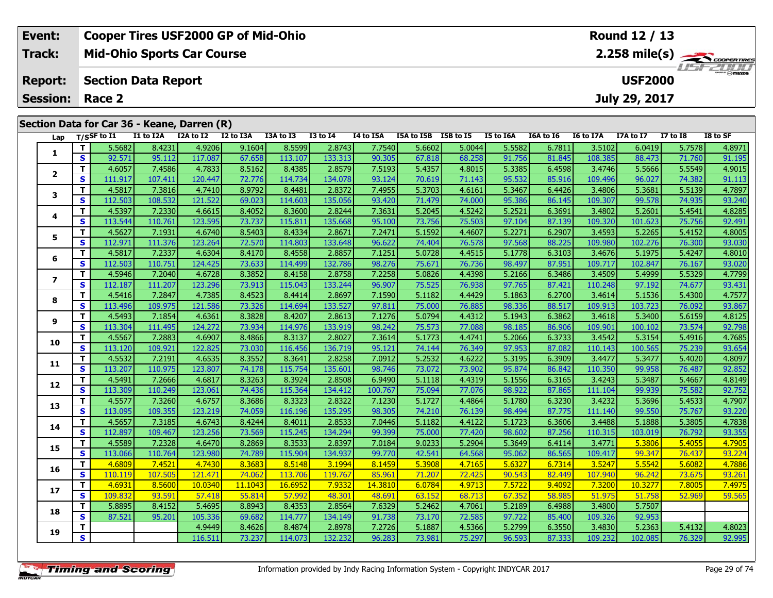| Event:         |     | <b>Cooper Tires USF2000 GP of Mid-Ohio</b>  |           |           |                                                         |           |                                 |                             |                                       |                                                  |                       |                                                                      |                              | Round 12 / 13               |                          |                                        |
|----------------|-----|---------------------------------------------|-----------|-----------|---------------------------------------------------------|-----------|---------------------------------|-----------------------------|---------------------------------------|--------------------------------------------------|-----------------------|----------------------------------------------------------------------|------------------------------|-----------------------------|--------------------------|----------------------------------------|
| Track:         |     | <b>Mid-Ohio Sports Car Course</b>           |           |           |                                                         |           |                                 |                             |                                       |                                                  |                       |                                                                      |                              |                             |                          | $2.258$ mile(s) $\frac{1}{2}$<br>20000 |
| <b>Report:</b> |     | <b>Section Data Report</b>                  |           |           |                                                         |           | <b>Omazoa</b><br><b>USF2000</b> |                             |                                       |                                                  |                       |                                                                      |                              |                             |                          |                                        |
|                |     | <b>Session: Race 2</b>                      |           |           |                                                         |           |                                 |                             |                                       |                                                  |                       |                                                                      |                              | July 29, 2017               |                          |                                        |
|                |     |                                             |           |           |                                                         |           |                                 |                             |                                       |                                                  |                       |                                                                      |                              |                             |                          |                                        |
|                |     | Section Data for Car 36 - Keane, Darren (R) |           |           |                                                         |           |                                 |                             |                                       |                                                  |                       |                                                                      |                              |                             |                          |                                        |
|                | Lap | T/SSF to I1<br>- 11                         | I1 to I2A | I2A to I2 | I2 to I3A<br>r resol a social seguito de legal de resol | I3A to I3 | I3 to I4                        | <b>I4 to I5A</b><br>0.07401 | ISA to ISB ISB to IS<br>aartol recool | $\sim$ $\sim$ $\sim$ $\sim$ $\sim$ $\sim$ $\sim$ | I5 to I6A<br>r rroot. | <b>I6A to I6</b><br>$\sim$ $\sim$ $\sim$ $\sim$ $\sim$ $\sim$ $\sim$ | <b>I6 to I7A</b><br>$2 - 22$ | I7A to I7<br><u>a casal</u> | <b>I7 to I8</b><br>$  -$ | I8 to SF<br>$\sqrt{2}$                 |

| Lap            |              | T/S>r to 11 | <b>IT TO TYV</b> | 12A TO 12 | <b>IZ TO ISA</b> | <b>13A TO 13</b> | 13 TO 14 | 14 TO 15A | <b>15A TO 15B</b> | 12R 10 12 | <b>15 TO 10A</b> | <b>108 10 10</b> | <b>10 TO 1/A</b> | 1/A to 1/ | <b>17 10 18</b> | 18 10 SF |
|----------------|--------------|-------------|------------------|-----------|------------------|------------------|----------|-----------|-------------------|-----------|------------------|------------------|------------------|-----------|-----------------|----------|
|                | T.           | 5.5682      | 8.4231           | 4.9206    | 9.1604           | 8.5599           | 2.8743   | 7.7540    | 5.6602            | 5.0044    | 5.5582           | 6.7811           | 3.5102           | 6.0419    | 5.7578          | 4.8971   |
| 1              | S            | 92.571      | 95.112           | 117.087   | 67.658           | 113.107          | 133.313  | 90.305    | 67.818            | 68.258    | 91.756           | 81.845           | 108.385          | 88.473    | 71.760          | 91.195   |
| $\overline{2}$ | T            | 4.6057      | 7.4586           | 4.7833    | 8.5162           | 8.4385           | 2.8579   | 7.5193    | 5.4357            | 4.8015    | 5.3385           | 6.4598           | 3.4746           | 5.5666    | 5.5549          | 4.9015   |
|                | S            | 111.917     | 107.411          | 120.447   | 72.776           | 114.734          | 134.078  | 93.124    | 70.619            | 71.143    | 95.532           | 85.916           | 109.496          | 96.027    | 74.382          | 91.113   |
| 3              | T            | 4.5817      | 7.3816           | 4.7410    | 8.9792           | 8.4481           | 2.8372   | 7.4955    | 5.3703            | 4.6161    | 5.3467           | 6.4426           | 3.4806           | 5.3681    | 5.5139          | 4.7897   |
|                | S            | 112.503     | 108.532          | 121.522   | 69.023           | 114.603          | 135.056  | 93.420    | 71.479            | 74.000    | 95.386           | 86.145           | 109.307          | 99.578    | 74.935          | 93.240   |
| 4              | т            | 4.5397      | 7.2330           | 4.6615    | 8.4052           | 8.3600           | 2.8244   | 7.3631    | 5.2045            | 4.5242    | 5.2521           | 6.3691           | 3.4802           | 5.2601    | 5.4541          | 4.8285   |
|                | S            | 113.544     | 110.761          | 123.595   | 73.737           | 115.811          | 135.668  | 95.100    | 73.756            | 75.503    | 97.104           | 87.139           | 109.320          | 101.623   | 75.756          | 92.491   |
| 5              | т            | 4.5627      | 7.1931           | 4.6740    | 8.5403           | 8.4334           | 2.8671   | 7.2471    | 5.1592            | 4.4607    | 5.2271           | 6.2907           | 3.4593           | 5.2265    | 5.4152          | 4.8005   |
|                | S            | 112.971     | 111.376          | 123.264   | 72.570           | 114.803          | 133.648  | 96.622    | 74.404            | 76.578    | 97.568           | 88.225           | 109.980          | 102.276   | 76.300          | 93.030   |
| 6              | T            | 4.5817      | 7.2337           | 4.6304    | 8.4170           | 8.4558           | 2.8857   | 7.1251    | 5.0728            | 4.4515    | 5.1778           | 6.3103           | 3.4676           | 5.1975    | 5.4247          | 4.8010   |
|                | $\mathbf{s}$ | 112.503     | 110.751          | 124.425   | 73.633           | 114.499          | 132.786  | 98.276    | 75.671            | 76.736    | 98.497           | 87.951           | 109.717          | 102.847   | 76.167          | 93.020   |
| $\overline{ }$ | T            | 4.5946      | 7.2040           | 4.6728    | 8.3852           | 8.4158           | 2.8758   | 7.2258    | 5.0826            | 4.4398    | 5.2166           | 6.3486           | 3.4509           | 5.4999    | 5.5329          | 4.7799   |
|                | $\mathbf s$  | 112.187     | 111.207          | 123.296   | 73.913           | 115.043          | 133.244  | 96.907    | 75.525            | 76.938    | 97.765           | 87.421           | 110.248          | 97.192    | 74.677          | 93.431   |
| 8              | т            | 4.5416      | 7.2847           | 4.7385    | 8.4523           | 8.4414           | 2.8697   | 7.1590    | 5.1182            | 4.4429    | 5.1863           | 6.2700           | 3.4614           | 5.1536    | 5.4300          | 4.7577   |
|                | S            | 113.496     | 109.975          | 121.586   | 73.326           | 114.694          | 133.527  | 97.811    | 75.000            | 76.885    | 98.336           | 88.517           | 109.913          | 103.723   | 76.092          | 93.867   |
| 9              | т            | 4.5493      | 7.1854           | 4.6361    | 8.3828           | 8.4207           | 2.8613   | 7.1276    | 5.0794            | 4.4312    | 5.1943           | 6.3862           | 3.4618           | 5.3400    | 5.6159          | 4.8125   |
|                | S            | 113.304     | 111.495          | 124.272   | 73.934           | 114.976          | 133.919  | 98.242    | 75.573            | 77.088    | 98.185           | 86.906           | 109.901          | 100.102   | 73.574          | 92.798   |
| 10             | т            | 4.5567      | 7.2883           | 4.6907    | 8.4866           | 8.3137           | 2.8027   | 7.3614    | 5.1773            | 4.4741    | 5.2066           | 6.3733           | 3.4542           | 5.3154    | 5.4916          | 4.7685   |
|                | S            | 113.120     | 109.921          | 122.825   | 73.030           | 116.456          | 136.719  | 95.121    | 74.144            | 76.349    | 97.953           | 87.082           | 110.143          | 100.565   | 75.239          | 93.654   |
| 11             | т            | 4.5532      | 7.2191           | 4.6535    | 8.3552           | 8.3641           | 2.8258   | 7.0912    | 5.2532            | 4.6222    | 5.3195           | 6.3909           | 3.4477           | 5.3477    | 5.4020          | 4.8097   |
|                | $\mathbf{s}$ | 113.207     | 110.975          | 123.807   | 74.178           | 115.754          | 135.601  | 98.746    | 73.072            | 73.902    | 95.874           | 86.842           | 110.350          | 99.958    | 76.487          | 92.852   |
| 12             | T.           | 4.5491      | 7.2666           | 4.6817    | 8.3263           | 8.3924           | 2.8508   | 6.9490    | 5.1118            | 4.4319    | 5.1556           | 6.3165           | 3.4243           | 5.3487    | 5.4667          | 4.8149   |
|                | S            | 113.309     | 110.249          | 123.061   | 74.436           | 115.364          | 134.412  | 100.767   | 75.094            | 77.076    | 98.922           | 87.865           | 111.104          | 99.939    | 75.582          | 92.752   |
| 13             | T            | 4.5577      | 7.3260           | 4.6757    | 8.3686           | 8.3323           | 2.8322   | 7.1230    | 5.1727            | 4.4864    | 5.1780           | 6.3230           | 3.4232           | 5.3696    | 5.4533          | 4.7907   |
|                | S            | 113.095     | 109.355          | 123.219   | 74.059           | 116.196          | 135.295  | 98.305    | 74.210            | 76.139    | 98.494           | 87.775           | 111.140          | 99.550    | 75.767          | 93.220   |
| 14             | т            | 4.5657      | 7.3185           | 4.6743    | 8.4244           | 8.4011           | 2.8533   | 7.0446    | 5.1182            | 4.4122    | 5.1723           | 6.3606           | 3.4488           | 5.1888    | 5.3805          | 4.7838   |
|                | S            | 112.897     | 109.467          | 123.256   | 73.569           | 115.245          | 134.294  | 99.399    | 75.000            | 77.420    | 98.602           | 87.256           | 110.315          | 103.019   | 76.792          | 93.355   |
| 15             | T.           | 4.5589      | 7.2328           | 4.6470    | 8.2869           | 8.3533           | 2.8397   | 7.0184    | 9.0233            | 5.2904    | 5.3649           | 6.4114           | 3.4771           | 5.3806    | 5.4055          | 4.7905   |
|                | $\mathbf{s}$ | 113.066     | 110.764          | 123.980   | 74.789           | 115.904          | 134.937  | 99.770    | 42.541            | 64.568    | 95.062           | 86.565           | 109.417          | 99.347    | 76.437          | 93.224   |
| 16             | T.           | 4.6809      | 7.4521           | 4.7430    | 8.3683           | 8.5148           | 3.1994   | 8.1459    | 5.3908            | 4.7165    | 5.6327           | 6.7314           | 3.5247           | 5.5542    | 5.6082          | 4.7886   |
|                | $\mathbf{s}$ | 110.119     | 107.505          | 121.471   | 74.062           | 113.706          | 119.767  | 85.961    | 71.207            | 72.425    | 90.543           | 82.449           | 107.940          | 96.242    | 73.675          | 93.261   |
| 17             | т            | 4.6931      | 8.5600           | 10.0340   | 11.1043          | 16.6952          | 7.9332   | 14.3810   | 6.0784            | 4.9713    | 7.5722           | 9.4092           | 7.3200           | 10.3277   | 7.8005          | 7.4975   |
|                | $\mathbf{s}$ | 109.832     | 93.591           | 57.418    | 55.814           | 57.992           | 48.301   | 48.691    | 63.152            | 68.713    | 67.352           | 58.985           | 51.975           | 51.758    | 52.969          | 59.565   |
| 18             | т            | 5.8895      | 8.4152           | 5.4695    | 8.8943           | 8.4353           | 2.8564   | 7.6329    | 5.2462            | 4.7061    | 5.2189           | 6.4988           | 3.4800           | 5.7507    |                 |          |
|                | $\mathbf{s}$ | 87.521      | 95.201           | 105.336   | 69.682           | 114.777          | 134.149  | 91.738    | 73.170            | 72.585    | 97.722           | 85.400           | 109.326          | 92.953    |                 |          |
| 19             | T.           |             |                  | 4.9449    | 8.4626           | 8.4874           | 2.8978   | 7.2726    | 5.1887            | 4.5366    | 5.2799           | 6.3550           | 3.4830           | 5.2363    | 5.4132          | 4.8023   |
|                | S            |             |                  | 116.511   | 73.237           | 114.073          | 132.232  | 96.283    | 73.981            | 75.297    | 96.593           | 87.333           | 109.232          | 102.085   | 76.329          | 92.995   |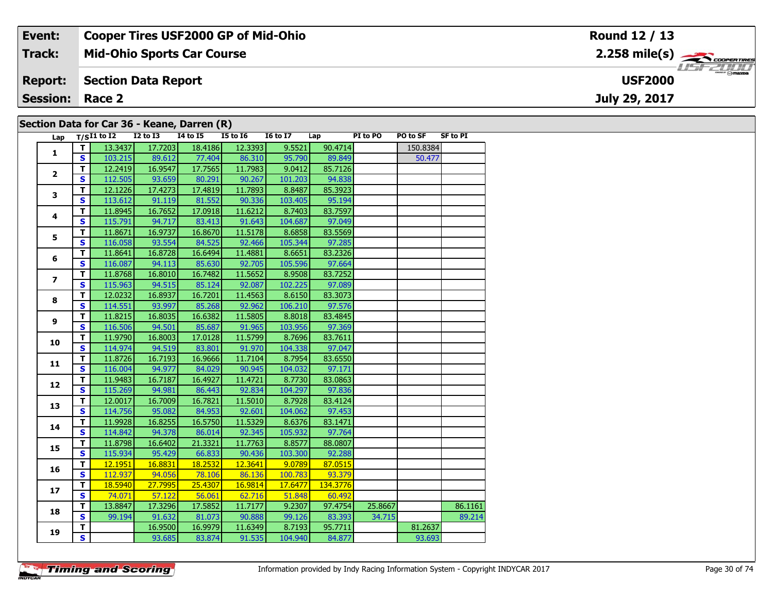| Event:          | <b>Cooper Tires USF2000 GP of Mid-Ohio</b>  | Round 12 / 13                                          |
|-----------------|---------------------------------------------|--------------------------------------------------------|
| Track:          | <b>Mid-Ohio Sports Car Course</b>           | $2.258$ mile(s) $\overbrace{\hspace{2cm}}$ coorentment |
| <b>Report:</b>  | Section Data Report                         | <b>USF2000</b>                                         |
| <b>Session:</b> | Race 2                                      | July 29, 2017                                          |
|                 | Section Data for Car 36 - Keane, Darren (R) |                                                        |

| Lap                      |              | $T/SI1$ to $I2$ | I2 to I3 | I4 to I5 | <b>I5 to 16</b> | <b>16 to 17</b> | Lap      | PI to PO | PO to SF | <b>SF to PI</b> |
|--------------------------|--------------|-----------------|----------|----------|-----------------|-----------------|----------|----------|----------|-----------------|
| $\mathbf{1}$             | т            | 13.3437         | 17.7203  | 18.4186  | 12.3393         | 9.5521          | 90.4714  |          | 150.8384 |                 |
|                          | $\mathbf{s}$ | 103.215         | 89.612   | 77.404   | 86.310          | 95.790          | 89.849   |          | 50.477   |                 |
|                          | T            | 12.2419         | 16.9547  | 17.7565  | 11.7983         | 9.0412          | 85.7126  |          |          |                 |
| $\overline{2}$           | S            | 112.505         | 93.659   | 80.291   | 90.267          | 101.203         | 94.838   |          |          |                 |
|                          | T            | 12.1226         | 17.4273  | 17.4819  | 11.7893         | 8.8487          | 85.3923  |          |          |                 |
| 3                        | $\mathbf{s}$ | 113.612         | 91.119   | 81.552   | 90.336          | 103.405         | 95.194   |          |          |                 |
|                          | T            | 11.8945         | 16.7652  | 17.0918  | 11.6212         | 8.7403          | 83.7597  |          |          |                 |
| 4                        | $\mathbf{s}$ | 115.791         | 94.717   | 83.413   | 91.643          | 104.687         | 97.049   |          |          |                 |
|                          | T            | 11.8671         | 16.9737  | 16.8670  | 11.5178         | 8.6858          | 83.5569  |          |          |                 |
| 5                        | S            | 116.058         | 93.554   | 84.525   | 92.466          | 105.344         | 97.285   |          |          |                 |
|                          | T            | 11.8641         | 16.8728  | 16.6494  | 11.4881         | 8.6651          | 83.2326  |          |          |                 |
| 6                        | $\mathbf{s}$ | 116.087         | 94.113   | 85.630   | 92.705          | 105.596         | 97.664   |          |          |                 |
|                          | т            | 11.8768         | 16.8010  | 16.7482  | 11.5652         | 8.9508          | 83.7252  |          |          |                 |
| $\overline{\phantom{a}}$ | $\mathbf s$  | 115.963         | 94.515   | 85.124   | 92.087          | 102.225         | 97.089   |          |          |                 |
|                          | T            | 12.0232         | 16.8937  | 16.7201  | 11.4563         | 8.6150          | 83.3073  |          |          |                 |
| 8                        | S            | 114.551         | 93.997   | 85.268   | 92.962          | 106.210         | 97.576   |          |          |                 |
|                          | T            | 11.8215         | 16.8035  | 16.6382  | 11.5805         | 8.8018          | 83.4845  |          |          |                 |
| 9                        | $\mathbf{s}$ | 116.506         | 94.501   | 85.687   | 91.965          | 103.956         | 97.369   |          |          |                 |
|                          | T            | 11.9790         | 16.8003  | 17.0128  | 11.5799         | 8.7696          | 83.7611  |          |          |                 |
| 10                       | $\mathbf{s}$ | 114.974         | 94.519   | 83.801   | 91.970          | 104.338         | 97.047   |          |          |                 |
|                          | T            | 11.8726         | 16.7193  | 16.9666  | 11.7104         | 8.7954          | 83.6550  |          |          |                 |
| 11                       | S            | 116.004         | 94.977   | 84.029   | 90.945          | 104.032         | 97.171   |          |          |                 |
|                          | T            | 11.9483         | 16.7187  | 16.4927  | 11.4721         | 8.7730          | 83.0863  |          |          |                 |
| 12                       | $\mathbf{s}$ | 115.269         | 94.981   | 86.443   | 92.834          | 104.297         | 97.836   |          |          |                 |
| 13                       | T            | 12.0017         | 16.7009  | 16.7821  | 11.5010         | 8.7928          | 83.4124  |          |          |                 |
|                          | $\mathbf{s}$ | 114.756         | 95.082   | 84.953   | 92.601          | 104.062         | 97.453   |          |          |                 |
|                          | T            | 11.9928         | 16.8255  | 16.5750  | 11.5329         | 8.6376          | 83.1471  |          |          |                 |
| 14                       | $\mathbf{s}$ | 114.842         | 94.378   | 86.014   | 92.345          | 105.932         | 97.764   |          |          |                 |
| 15                       | T            | 11.8798         | 16.6402  | 21.3321  | 11.7763         | 8.8577          | 88.0807  |          |          |                 |
|                          | $\mathbf{s}$ | 115.934         | 95.429   | 66.833   | 90.436          | 103.300         | 92.288   |          |          |                 |
| 16                       | $\mathbf T$  | 12.1951         | 16.8831  | 18.2532  | 12.3641         | 9.0789          | 87.0515  |          |          |                 |
|                          | S            | 112.937         | 94.056   | 78.106   | 86.136          | 100.783         | 93.379   |          |          |                 |
| 17                       | T            | 18.5940         | 27.7995  | 25.4307  | 16.9814         | 17.6477         | 134.3776 |          |          |                 |
|                          | $\mathbf{s}$ | 74.071          | 57.122   | 56.061   | 62.716          | 51.848          | 60.492   |          |          |                 |
| 18                       | T            | 13.8847         | 17.3296  | 17.5852  | 11.7177         | 9.2307          | 97.4754  | 25.8667  |          | 86.1161         |
|                          | $\mathbf{s}$ | 99.194          | 91.632   | 81.073   | 90.888          | 99.126          | 83.393   | 34.715   |          | 89.214          |
|                          | т            |                 | 16.9500  | 16.9979  | 11.6349         | 8.7193          | 95.7711  |          | 81.2637  |                 |
| 19                       | S.           |                 | 93.685   | 83.874   | 91.535          | 104.940         | 84.877   |          | 93.693   |                 |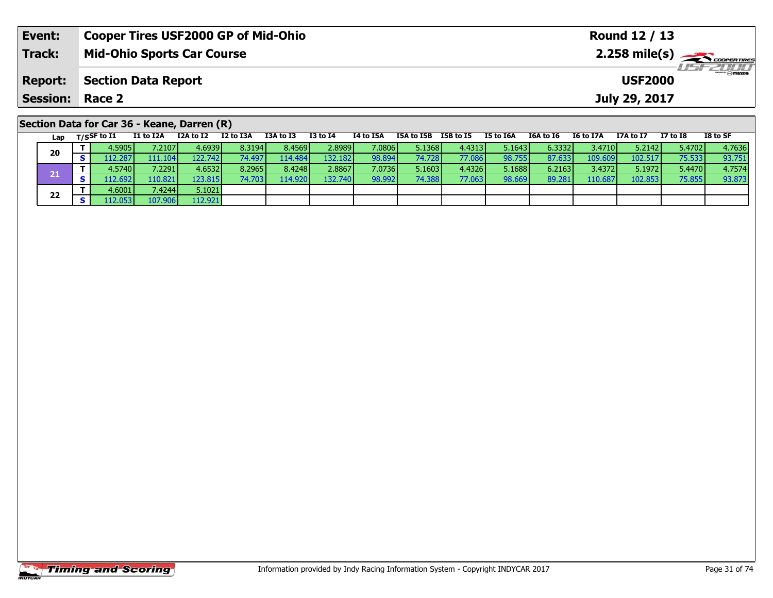| Event:          | <b>Cooper Tires USF2000 GP of Mid-Ohio</b>                                                                          | Round 12 / 13                                                                   |  |  |  |  |  |  |  |  |  |  |  |  |
|-----------------|---------------------------------------------------------------------------------------------------------------------|---------------------------------------------------------------------------------|--|--|--|--|--|--|--|--|--|--|--|--|
| <b>Track:</b>   | <b>Mid-Ohio Sports Car Course</b>                                                                                   | $2.258$ mile(s) $\sum$ coorer Times<br>$H = -2000$                              |  |  |  |  |  |  |  |  |  |  |  |  |
| <b>Report:</b>  | <b>Section Data Report</b><br><b>USF2000</b>                                                                        |                                                                                 |  |  |  |  |  |  |  |  |  |  |  |  |
| <b>Session:</b> | Race 2                                                                                                              | July 29, 2017                                                                   |  |  |  |  |  |  |  |  |  |  |  |  |
|                 | Section Data for Car 36 - Keane, Darren (R)                                                                         |                                                                                 |  |  |  |  |  |  |  |  |  |  |  |  |
| Lap             | I2 to I3A<br>I3A to I3<br>I3 to I4<br>I1 to I2A<br>I2A to I2<br>I4 to I5A<br>I5B to I5<br>T/SSF to I1<br>I5A to I5B | I8 to SF<br>I5 to I6A<br>I6A to I6<br><b>I6 to I7A</b><br>I7 to I8<br>I7A to I7 |  |  |  |  |  |  |  |  |  |  |  |  |

| Luv |         |         |         |          |         |         |        |        |        |        |        |          | ------- |        | ------ |
|-----|---------|---------|---------|----------|---------|---------|--------|--------|--------|--------|--------|----------|---------|--------|--------|
| 20  | 4.5905  | 7.2107  | 4.6939  | 8.3194   | 8.4569  | 2.8989  | 7.0806 | 5.1368 | 4.4313 | 5.1643 | 6.3332 | 3.4710 V | 5.2142  | 5.4702 | 4.7636 |
|     | .12.287 | 111.104 | 122.742 |          | 114.484 | 132.182 | 98.894 | 74.728 | 77.086 | 98.755 | 87.633 | 109.609  | 102.517 | 75.533 | 93.751 |
|     | 4.5740  | 7.2291  | 4.6532  | 8.2965   | 8.4248  | 2.8867  | 7.0736 | 5.1603 | 4.4326 | 5.1688 | 6.2163 | 3.4372   | 5.1972  | 5.4470 | 4.7574 |
|     | 12.692  | 110.821 | 123.815 | 74.703 l | 114.920 | 132.740 | 98.992 | 74.388 | 77.063 | 98.669 | 89.281 | 110.687  | 102.853 | 75.855 | 93.873 |
| 22  | 4.6001  | 7.4244  | 5.1021  |          |         |         |        |        |        |        |        |          |         |        |        |
|     |         | 107.906 | 112.921 |          |         |         |        |        |        |        |        |          |         |        |        |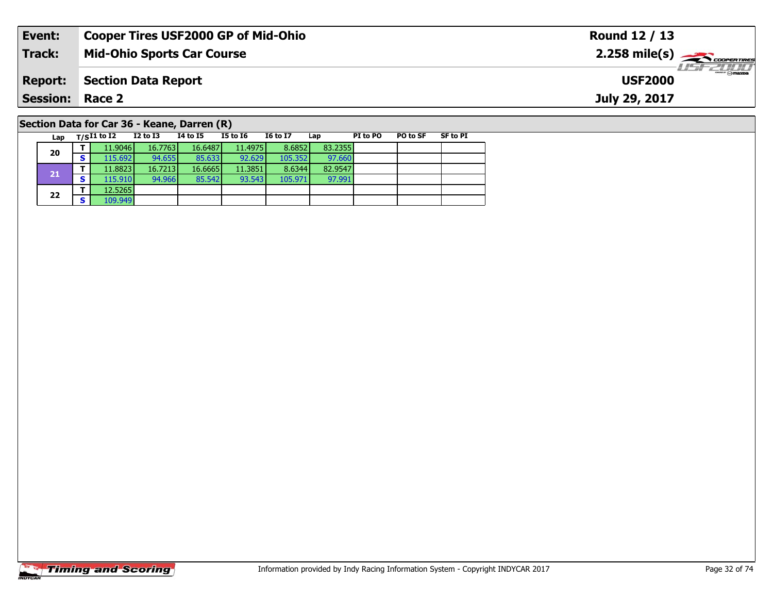| Event:                                      |               | <b>Cooper Tires USF2000 GP of Mid-Ohio</b> |          |          |                 |     |          |                 |          | Round 12 / 13                                           |
|---------------------------------------------|---------------|--------------------------------------------|----------|----------|-----------------|-----|----------|-----------------|----------|---------------------------------------------------------|
| Track:                                      |               | <b>Mid-Ohio Sports Car Course</b>          |          |          |                 |     |          |                 |          | $2.258$ mile(s) $\overbrace{\hspace{2cm}}$ cooper Times |
| <b>Report:</b>                              |               | <b>Section Data Report</b>                 |          |          |                 |     |          |                 |          | $H = FZHH$<br><b>USF2000</b>                            |
| <b>Session: Race 2</b>                      |               |                                            |          |          |                 |     |          |                 |          | July 29, 2017                                           |
| Section Data for Car 36 - Keane, Darren (R) |               |                                            |          |          |                 |     |          |                 |          |                                                         |
| Lap                                         | $T/SI1$ to I2 | I2 to I3                                   | 14 to 15 | I5 to I6 | <b>I6 to I7</b> | Lap | PI to PO | <b>PO to SF</b> | SF to PI |                                                         |

97.991

# **Timing and Scoring**

**20**

**21**

**22**

**<sup>T</sup>** 12.5265 **<sup>S</sup>** 109.949

**<sup>T</sup>** 11.9046 16.7763 16.6487 11.4975 8.6852 83.2355 **<sup>S</sup>** 115.692 94.655 85.633 92.629 105.352 97.660

**<sup>T</sup>** 11.8823 16.7213 16.6665 11.3851 8.6344 82.9547 **<sup>S</sup>** 115.910 94.966 85.542 93.543 105.971 97.991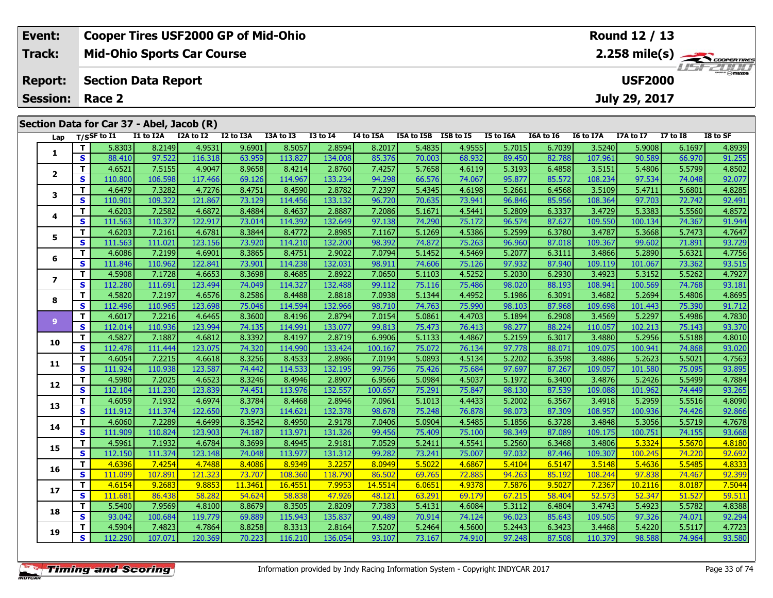| Event:                 |          |                    |                                           | <b>Cooper Tires USF2000 GP of Mid-Ohio</b> |           |           |                 |           |            |           |           |           |           | <b>Round 12 / 13</b> |                 |                |
|------------------------|----------|--------------------|-------------------------------------------|--------------------------------------------|-----------|-----------|-----------------|-----------|------------|-----------|-----------|-----------|-----------|----------------------|-----------------|----------------|
| Track:                 |          |                    |                                           | <b>Mid-Ohio Sports Car Course</b>          |           |           |                 |           |            |           |           |           |           |                      |                 |                |
| <b>Report:</b>         |          |                    | <b>Section Data Report</b>                |                                            |           |           |                 |           |            |           |           |           |           | <b>USF2000</b>       |                 | <b>HSFZDDD</b> |
| <b>Session: Race 2</b> |          |                    |                                           |                                            |           |           |                 |           |            |           |           |           |           | July 29, 2017        |                 |                |
|                        |          |                    | Section Data for Car 37 - Abel, Jacob (R) |                                            |           |           |                 |           |            |           |           |           |           |                      |                 |                |
|                        |          | Lap $T/S$ SF to I1 | I1 to I2A                                 | I2A to I2                                  | I2 to I3A | I3A to I3 | <b>I3 to I4</b> | I4 to I5A | I5A to I5B | I5B to I5 | I5 to I6A | I6A to I6 | I6 to I7A | I7A to I7            | <b>I7 to I8</b> | I8 to SF       |
|                        |          | 5.8303             | 8.2149                                    | 4.9531                                     | 9.6901    | 8.5057    | 2.8594          | 8.2017    | 5.4835     | 4.9555    | 5.7015    | 6.7039    | 3.5240    | 5.9008               | 6.1697          | 4.8939         |
|                        | <b>S</b> | 88.410             | 97.522                                    | 116.318                                    | 63.959    | 113.827   | 134.008         | 85.376    | 70.003     | 68.932    | 89.450    | 82.788    | 107.961   | 90.589               | 66.970          | 91.255         |
|                        |          | 4.6521             | 7.5155                                    | 4.9047                                     | 8.9658    | 8.4214    | 2.8760          | 7.4257    | 5.7658     | 4.6119    | 5.3193    | 6.4858    | 3.5151    | 5.4806               | 5.5799          | 4.8502         |

|                | - | <b>00.TIU</b> | <b>JI.JLL</b> | <b>TTO'OTO</b> | ບວ.ວວວ  | 119.0Z7 | טטט.דכב | 07.710  | 70.003 | <u>00.JJZ</u> | טטד.כט | 02.700 | <b>TOV.20T</b> | כטנ.טכ  | <u>00.J/U</u> | כראידב |
|----------------|---|---------------|---------------|----------------|---------|---------|---------|---------|--------|---------------|--------|--------|----------------|---------|---------------|--------|
| $\overline{2}$ | T | 4.6521        | 7.5155        | 4.9047         | 8.9658  | 8.4214  | 2.8760  | 7.4257  | 5.7658 | 4.6119        | 5.3193 | 6.4858 | 3.5151         | 5.4806  | 5.5799        | 4.8502 |
|                | S | 110,800       | 106.598       | 117.466        | 69.126  | 114.967 | 133.234 | 94.298  | 66.576 | 74.067        | 95.877 | 85.572 | 108.234        | 97.534  | 74.048        | 92.077 |
| 3              | т | 4.6479        | 7.3282        | 4.7276         | 8.4751  | 8.4590  | 2.8782  | 7.2397  | 5.4345 | 4.6198        | 5.2661 | 6.4568 | 3.5109         | 5.4711  | 5.6801        | 4.8285 |
|                | S | 110.901       | 109.322       | 121.867        | 73.129  | 114.456 | 133.132 | 96.720  | 70.635 | 73.941        | 96.846 | 85.956 | 108.364        | 97.703  | 72.742        | 92.491 |
| 4              | т | 4.6203        | 7.2582        | 4.6872         | 8.4884  | 8.4637  | 2.8887  | 7.2086  | 5.1671 | 4.5441        | 5.2809 | 6.3337 | 3.4729         | 5.3383  | 5.5560        | 4.8572 |
|                | S | 111.563       | 110.377       | 122.917        | 73.014  | 114.392 | 132.649 | 97.138  | 74.290 | 75.172        | 96.574 | 87.627 | 109.550        | 100.134 | 74.367        | 91.944 |
| 5              | т | 4.6203        | 7.2161        | 4.6781         | 8.3844  | 8.4772  | 2.8985  | 7.1167  | 5.1269 | 4.5386        | 5.2599 | 6.3780 | 3.4787         | 5.3668  | 5.7473        | 4.7647 |
|                | S | 111.563       | 111.021       | 123.156        | 73.920  | 114.210 | 132.200 | 98.392  | 74.872 | 75.263        | 96.960 | 87.018 | 109.367        | 99.602  | 71.891        | 93.729 |
| 6              | т | 4.6086        | 7.2199        | 4.6901         | 8.3865  | 8.4751  | 2.9022  | 7.0794  | 5.1452 | 4.5469        | 5.2077 | 6.3111 | 3.4866         | 5.2890  | 5.6321        | 4.7756 |
|                | S | 111.846       | 110.962       | 122.841        | 73.901  | 114.238 | 132.031 | 98.911  | 74.606 | 75.126        | 97.932 | 87.940 | 109.119        | 101.067 | 73.362        | 93.515 |
| $\overline{ }$ | т | 4.5908        | 7.1728        | 4.6653         | 8.3698  | 8.4685  | 2.8922  | 7.0650  | 5.1103 | 4.5252        | 5.2030 | 6.2930 | 3.4923         | 5.3152  | 5.5262        | 4.7927 |
|                | S | 112.280       | 111.691       | 123.494        | 74.049  | 114.327 | 132.488 | 99.112  | 75.116 | 75.486        | 98.020 | 88.193 | 108.941        | 100.569 | 74.768        | 93.181 |
| 8              | т | 4.5820        | 7.2197        | 4.6576         | 8.2586  | 8.4488  | 2.8818  | 7.0938  | 5.1344 | 4.4952        | 5.1986 | 6.3091 | 3.4682         | 5.2694  | 5.4806        | 4.8695 |
|                | S | 112.496       | 110.965       | 123.698        | 75.046  | 114.594 | 132.966 | 98.710  | 74.763 | 75.990        | 98.103 | 87.968 | 109.698        | 101.443 | 75.390        | 91.712 |
| 9              | т | 4.6017        | 7.2216        | 4.6465         | 8.3600  | 8.4196  | 2.8794  | 7.0154  | 5.0861 | 4.4703        | 5.1894 | 6.2908 | 3.4569         | 5.2297  | 5.4986        | 4.7830 |
|                | S | 112.014       | 110.936       | 123.994        | 74.135  | 114.991 | 133.077 | 99.813  | 75.473 | 76.413        | 98.277 | 88.224 | 110.057        | 102.213 | 75.143        | 93.370 |
| 10             | т | 4.5827        | 7.1887        | 4.6812         | 8.3392  | 8.4197  | 2.8719  | 6.9906  | 5.1133 | 4.4867        | 5.2159 | 6.3017 | 3.4880         | 5.2956  | 5.5188        | 4.8010 |
|                | S | 112.478       | 111.444       | 123.075        | 74.320  | 114.990 | 133.424 | 100.167 | 75.072 | 76.134        | 97.778 | 88.071 | 109.075        | 100.941 | 74.868        | 93.020 |
| 11             | т | 4.6054        | 7.2215        | 4.6618         | 8.3256  | 8.4533  | 2.8986  | 7.0194  | 5.0893 | 4.5134        | 5.2202 | 6.3598 | 3.4886         | 5.2623  | 5.5021        | 4.7563 |
|                | S | 111.924       | 110.938       | 123.587        | 74.442  | 114.533 | 132.195 | 99.756  | 75.426 | 75.684        | 97.697 | 87.267 | 109.057        | 101.580 | 75.095        | 93.895 |
| 12             | т | 4.5980        | 7.2025        | 4.6523         | 8.3246  | 8.4946  | 2.8907  | 6.9566  | 5.0984 | 4.5037        | 5.1972 | 6.3400 | 3.4876         | 5.2426  | 5.5499        | 4.7884 |
|                | S | 112.104       | 111.230       | 123.839        | 74.451  | 113.976 | 132.557 | 100.657 | 75.291 | 75.847        | 98.130 | 87.539 | 109.088        | 101.962 | 74.449        | 93.265 |
| 13             | т | 4.6059        | 7.1932        | 4.6974         | 8.3784  | 8.4468  | 2.8946  | 7.0961  | 5.1013 | 4.4433        | 5.2002 | 6.3567 | 3.4918         | 5.2959  | 5.5516        | 4.8090 |
|                | S | 111.912       | 111.374       | 122.650        | 73.973  | 114.621 | 132.378 | 98.678  | 75.248 | 76.878        | 98.073 | 87.309 | 108.957        | 100.936 | 74.426        | 92.866 |
| 14             | т | 4.6060        | 7.2289        | 4.6499         | 8.3542  | 8.4950  | 2.9178  | 7.0406  | 5.0904 | 4.5485        | 5.1856 | 6.3728 | 3.4848         | 5.3056  | 5.5719        | 4.7678 |
|                | S | 111.909       | 110.824       | 123.903        | 74.187  | 113.971 | 131.326 | 99.456  | 75.409 | 75.100        | 98.349 | 87.089 | 109.175        | 100.751 | 74.155        | 93.668 |
| 15             | т | 4.5961        | 7.1932        | 4.6784         | 8.3699  | 8.4945  | 2.9181  | 7.0529  | 5.2411 | 4.5541        | 5.2560 | 6.3468 | 3.4806         | 5.3324  | 5.5670        | 4.8180 |
|                | S | 112.150       | 111.374       | 123.148        | 74.048  | 113.977 | 131.312 | 99.282  | 73.241 | 75.007        | 97.032 | 87.446 | 109.307        | 100.245 | 74.220        | 92.692 |
| 16             | т | 4.6396        | 7.4254        | 4.7488         | 8.4086  | 8.9349  | 3.2257  | 8.0949  | 5.5022 | 4.6867        | 5.4104 | 6.5147 | 3.5148         | 5.4636  | 5.5485        | 4.8333 |
|                | S | 111.099       | 107.891       | 121.323        | 73.707  | 108.360 | 118.790 | 86.502  | 69.765 | 72.885        | 94.263 | 85.192 | 108.244        | 97.838  | 74.467        | 92.399 |
| 17             | T | 4.6154        | 9.2683        | 9.885          | 11.3461 | 16.4551 | 7.9953  | 14.5514 | 6.0651 | 4.9378        | 7.5876 | 9.5027 | 7.2367         | 10.2116 | 8.0187        | 7.5044 |
|                | S | 111.681       | 86.438        | 58.282         | 54.624  | 58.838  | 47.926  | 48.121  | 63.291 | 69.179        | 67.215 | 58.404 | 52.573         | 52.347  | 51.527        | 59.511 |
| 18             | т | 5.5400        | 7.9569        | 4.8100         | 8.8679  | 8.3505  | 2.8209  | 7.7383  | 5.4131 | 4.6084        | 5.3112 | 6.4804 | 3.4743         | 5.4923  | 5.5782        | 4.8388 |
|                | S | 93.042        | 100.684       | 119.779        | 69.889  | 115.943 | 135.837 | 90.489  | 70.914 | 74.124        | 96.023 | 85.643 | 109.505        | 97.326  | 74.071        | 92.294 |
| 19             | т | 4.5904        | 7.4823        | 4.7864         | 8.8258  | 8.3313  | 2.8164  | 7.5207  | 5.2464 | 4.5600        | 5.2443 | 6.3423 | 3.4468         | 5.4220  | 5.5117        | 4.7723 |
|                | S | 112.290       | 107.071       | 120.369        | 70.223  | 116.210 | 136.054 | 93.107  | 73.167 | 74.910        | 97.248 | 87.508 | 110.379        | 98.588  | 74.964        | 93.580 |
|                |   |               |               |                |         |         |         |         |        |               |        |        |                |         |               |        |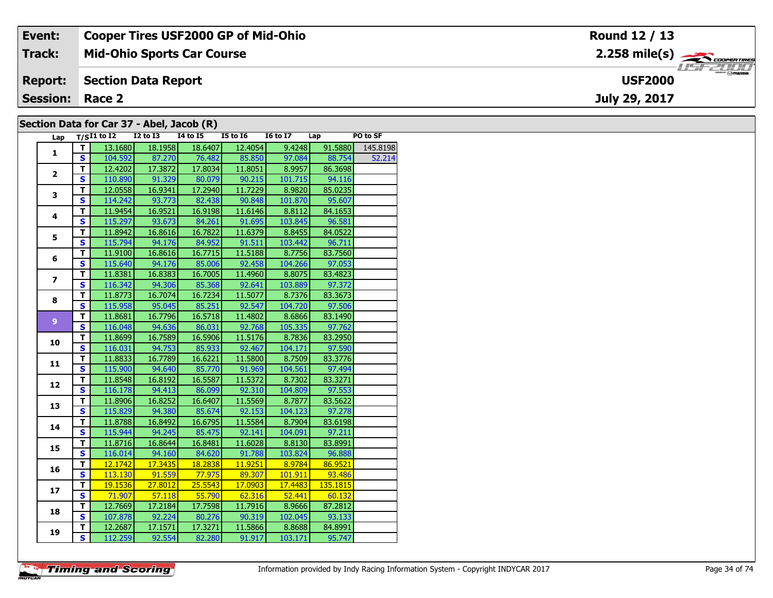| Event:                 | <b>Cooper Tires USF2000 GP of Mid-Ohio</b> | Round 12 / 13                                         |
|------------------------|--------------------------------------------|-------------------------------------------------------|
| Track:                 | <b>Mid-Ohio Sports Car Course</b>          | $2.258$ mile(s) $\overbrace{\hspace{2cm}}$ codenaires |
| <b>Report:</b>         | Section Data Report                        | <b>LISE CLIP</b><br><b>USF2000</b>                    |
| <b>Session: Race 2</b> |                                            | July 29, 2017                                         |
|                        | Section Data for Car 37 - Abel, Jacob (R)  |                                                       |

| Section Data for Car 37 - Abel, Jacob (R) |  |  |  |  |  |  |  |  |  |
|-------------------------------------------|--|--|--|--|--|--|--|--|--|
|-------------------------------------------|--|--|--|--|--|--|--|--|--|

| Lap            |                         | $T/SI1$ to $\overline{I2}$ | <b>I2 to I3</b> | <br><b>I4 to I5</b> | <b>I5 to 16</b> | <b>16 to 17</b> | Lap      | PO to SF |
|----------------|-------------------------|----------------------------|-----------------|---------------------|-----------------|-----------------|----------|----------|
| $\mathbf{1}$   | т                       | 13.1680                    | 18.1958         | 18.6407             | 12.4054         | 9.4248          | 91.5880  | 145.8198 |
|                | S                       | 104.592                    | 87.270          | 76.482              | 85.850          | 97.084          | 88.754   | 52.214   |
|                | т                       | 12.4202                    | 17.3872         | 17.8034             | 11.8051         | 8.9957          | 86.3698  |          |
| $\overline{2}$ | S                       | 110.890                    | 91.329          | 80.079              | 90.215          | 101.715         | 94.116   |          |
|                | T                       | 12.0558                    | 16.9341         | 17.2940             | 11.7229         | 8.9820          | 85.0235  |          |
| 3              | $\overline{\mathbf{s}}$ | 114.242                    | 93.773          | 82.438              | 90.848          | 101.870         | 95.607   |          |
|                | T                       | 11.9454                    | 16.9521         | 16.9198             | 11.6146         | 8.8112          | 84.1653  |          |
| 4              | S                       | 115.297                    | 93.673          | 84.261              | 91.695          | 103.845         | 96.581   |          |
|                | $\overline{\mathsf{r}}$ | 11.8942                    | 16.8616         | 16.7822             | 11.6379         | 8.8455          | 84.0522  |          |
| 5              | $\overline{\mathbf{s}}$ | 115.794                    | 94.176          | 84.952              | 91.511          | 103.442         | 96.711   |          |
|                | T                       | 11.9100                    | 16.8616         | 16.7715             | 11.5188         | 8.7756          | 83.7560  |          |
| 6              | $\overline{\mathbf{s}}$ | 115.640                    | 94.176          | 85.006              | 92.458          | 104.266         | 97.053   |          |
|                | T                       | 11.8381                    | 16.8383         | 16.7005             | 11.4960         | 8.8075          | 83.4823  |          |
| $\overline{ }$ | S                       | 116.342                    | 94.306          | 85.368              | 92.641          | 103.889         | 97.372   |          |
|                | T                       | 11.8773                    | 16.7074         | 16.7234             | 11.5077         | 8.7376          | 83.3673  |          |
| 8              | $\overline{\mathbf{s}}$ | 115.958                    | 95.045          | 85.251              | 92.547          | 104.720         | 97.506   |          |
|                | T                       | 11.8681                    | 16.7796         | 16.5718             | 11.4802         | 8.6866          | 83.1490  |          |
| 9 <sup>°</sup> | S                       | 116.048                    | 94.636          | 86.031              | 92.768          | 105.335         | 97.762   |          |
| 10             | T                       | 11.8699                    | 16.7589         | 16.5906             | 11.5176         | 8.7836          | 83.2950  |          |
|                | $\overline{\mathbf{s}}$ | 116.031                    | 94.753          | 85.933              | 92.467          | 104.171         | 97.590   |          |
| 11             | T                       | 11.8833                    | 16.7789         | 16.6221             | 11.5800         | 8.7509          | 83.3776  |          |
|                | S                       | 115.900                    | 94.640          | 85.770              | 91.969          | 104.561         | 97.494   |          |
| 12             | T                       | 11.8548                    | 16.8192         | 16.5587             | 11.5372         | 8.7302          | 83.3271  |          |
|                | S                       | 116.178                    | 94.413          | 86.099              | 92.310          | 104.809         | 97.553   |          |
| 13             | T                       | 11.8906                    | 16.8252         | 16.6407             | 11.5569         | 8.7877          | 83.5622  |          |
|                | $\overline{\mathbf{s}}$ | 115.829                    | 94.380          | 85.674              | 92.153          | 104.123         | 97.278   |          |
| 14             | T                       | 11.8788                    | 16.8492         | 16.6795             | 11.5584         | 8.7904          | 83.6198  |          |
|                | S                       | 115.944                    | 94.245          | 85.475              | 92.141          | 104.091         | 97.211   |          |
| 15             | $\overline{\mathsf{r}}$ | 11.8716                    | 16.8644         | 16.8481             | 11.6028         | 8.8130          | 83.8991  |          |
|                | $\overline{\mathbf{s}}$ | 116.014                    | 94.160          | 84.620              | 91.788          | 103.824         | 96.888   |          |
| 16             | $\overline{\mathsf{r}}$ | 12.1742                    | 17.3435         | 18.2838             | 11.9251         | 8.9784          | 86.9521  |          |
|                | $\overline{\mathbf{s}}$ | 113.130                    | 91.559          | 77.975              | 89.307          | 101.911         | 93.486   |          |
| 17             | т                       | 19.1536                    | 27.8012         | 25.5543             | 17.0903         | 17.4483         | 135.1815 |          |
|                | S                       | 71.907                     | 57.118          | 55.790              | 62.316          | 52.441          | 60.132   |          |
| 18             | T                       | 12.7669                    | 17.2184         | 17.7598             | 11.7916         | 8.9666          | 87.2812  |          |
|                | $\overline{\mathbf{s}}$ | 107.878                    | 92.224          | 80.276              | 90.319          | 102.045         | 93.133   |          |
| 19             | T                       | 12.2687                    | 17.1571         | 17.3271             | 11.5866         | 8.8688          | 84.8991  |          |
|                | $\overline{\mathbf{s}}$ | 112.259                    | 92.554          | 82.280              | 91.917          | 103.171         | 95.747   |          |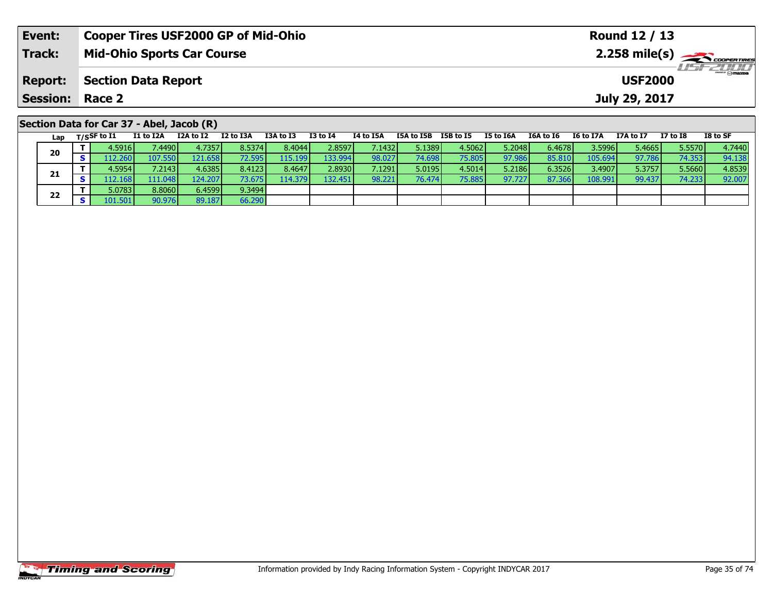| Event:                 | <b>Cooper Tires USF2000 GP of Mid-Ohio</b> |                                              |           |           |          |           |            |           |           |           |                  | Round 12 / 13 |          |          |  |
|------------------------|--------------------------------------------|----------------------------------------------|-----------|-----------|----------|-----------|------------|-----------|-----------|-----------|------------------|---------------|----------|----------|--|
| <b>Track:</b>          | <b>Mid-Ohio Sports Car Course</b>          |                                              |           |           |          |           |            |           |           |           |                  |               |          |          |  |
| <b>Report:</b>         |                                            | <b>Section Data Report</b><br><b>USF2000</b> |           |           |          |           |            |           |           |           |                  |               |          |          |  |
| <b>Session: Race 2</b> |                                            |                                              |           |           |          |           |            |           |           |           |                  | July 29, 2017 |          |          |  |
|                        | Section Data for Car 37 - Abel, Jacob (R)  |                                              |           |           |          |           |            |           |           |           |                  |               |          |          |  |
| Lap                    | T/SSF to I1<br>I1 to I2A                   | I2A to I2                                    | I2 to I3A | I3A to I3 | I3 to I4 | I4 to I5A | I5A to I5B | I5B to I5 | I5 to I6A | I6A to I6 | <b>I6 to I7A</b> | I7A to I7     | I7 to I8 | I8 to SF |  |

| 20 | 4.5916 l | 4490    | 4.7357  | 8.5374 | 8.4044   | 2.8597    | 7.1432 <b>I</b> | 5.1389 | 4.5062 | 5.2048 | 6.4678 | 3.59961 | 5.4665 | 5.5570          | 4.7440 |
|----|----------|---------|---------|--------|----------|-----------|-----------------|--------|--------|--------|--------|---------|--------|-----------------|--------|
|    | 112.260  | 107.550 | 121.658 | 72.595 | 115.1991 | 133.994 l | 98.027          | 74.698 | 75.805 | 97.986 | 85.810 | 105.694 | 97.786 | 74.353 <b>I</b> | 94.138 |
| 21 | 4.5954 l | 7.2143  | 4.6385  | 8.4123 | 8.4647   | 2.8930    | 7.1291          | 5.0195 | 4.5014 | 5.2186 | 6.3526 | 3.4907  | 5.3757 | 5.5660          | 4.8539 |
|    | 112.1687 | 111.048 | 124.207 | 73.675 | 114.3791 | 132.451   | 98.221          | 76.474 | 75.885 | 97.727 | 87.366 |         | 99.437 | 74.233          | 92.007 |
| 22 | 5.0783   | 8.8060  | 6.4599  | 9.3494 |          |           |                 |        |        |        |        |         |        |                 |        |
|    | 101.501  | 90.976  | 89.187  | 66.290 |          |           |                 |        |        |        |        |         |        |                 |        |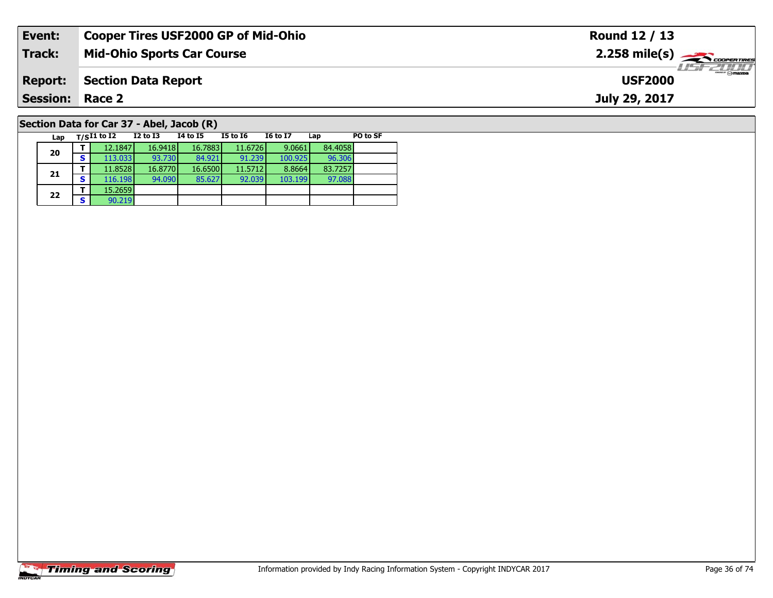| Event:                                    | <b>Cooper Tires USF2000 GP of Mid-Ohio</b> |          |          |          |                 | Round 12 / 13                                           |          |  |  |
|-------------------------------------------|--------------------------------------------|----------|----------|----------|-----------------|---------------------------------------------------------|----------|--|--|
| <b>Track:</b>                             | <b>Mid-Ohio Sports Car Course</b>          |          |          |          |                 | $2.258$ mile(s) $\overbrace{\hspace{2cm}}$ coorer TIRES |          |  |  |
| <b>Report:</b>                            | <b>Section Data Report</b>                 |          |          |          |                 | $\frac{1}{2}$<br><b>USF2000</b>                         |          |  |  |
| <b>Session: Race 2</b>                    |                                            |          |          |          |                 | July 29, 2017                                           |          |  |  |
| Section Data for Car 37 - Abel, Jacob (R) |                                            |          |          |          |                 |                                                         |          |  |  |
| Lap                                       | $_{\rm T/S}$ I1 to I2                      | I2 to I3 | 14 to 15 | I5 to 16 | <b>I6 to I7</b> | Lap                                                     | PO to SF |  |  |

97.088

# **Timing and Scoring**

**20**

**21**

**22**

**2 S**  $\frac{15.2659}{90.219}$ 

**<sup>T</sup>** 12.1847 16.9418 16.7883 11.6726 9.0661 84.4058 **<sup>S</sup>** 113.033 93.730 84.921 91.239 100.925 96.306

**<sup>T</sup>** 11.8528 16.8770 16.6500 11.5712 8.8664 83.7257 **<sup>S</sup>** 116.198 94.090 85.627 92.039 103.199 97.088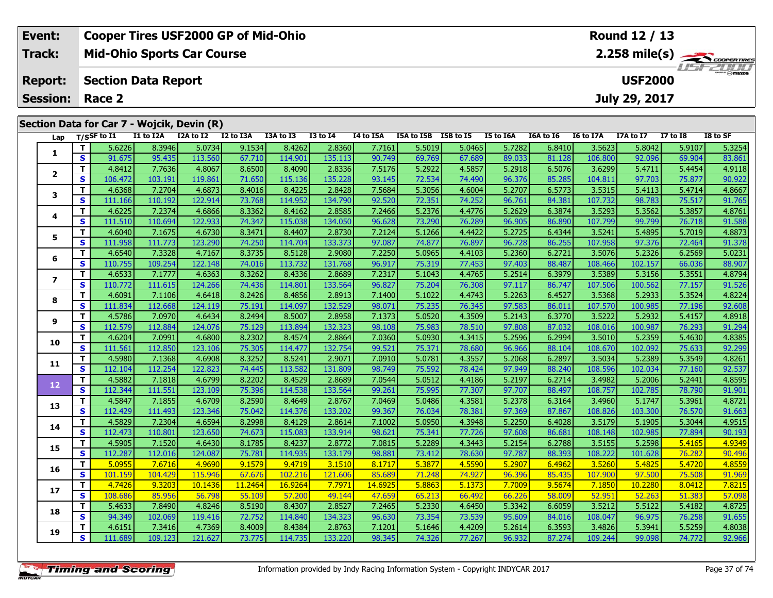|                        | Event:         |    | <b>Cooper Tires USF2000 GP of Mid-Ohio</b> |                            |                                            |           |           |              |           |            |           |           |               |                  | Round 12 / 13  |                 |          |  |
|------------------------|----------------|----|--------------------------------------------|----------------------------|--------------------------------------------|-----------|-----------|--------------|-----------|------------|-----------|-----------|---------------|------------------|----------------|-----------------|----------|--|
|                        | Track:         |    |                                            |                            | <b>Mid-Ohio Sports Car Course</b>          |           |           |              |           |            |           |           |               | LISF 2010        |                |                 |          |  |
|                        | <b>Report:</b> |    |                                            | <b>Section Data Report</b> |                                            |           |           |              |           |            |           |           |               |                  | <b>USF2000</b> |                 |          |  |
| <b>Session: Race 2</b> |                |    |                                            |                            |                                            |           |           |              |           |            |           |           | July 29, 2017 |                  |                |                 |          |  |
|                        |                |    |                                            |                            | Section Data for Car 7 - Wojcik, Devin (R) |           |           |              |           |            |           |           |               |                  |                |                 |          |  |
|                        | Lap            |    | $_{\rm T/SS}$ F to I1                      | I1 to I2A                  | I2A to I2                                  | I2 to I3A | I3A to I3 | $I3$ to $I4$ | I4 to I5A | I5A to I5B | I5B to I5 | I5 to I6A | I6A to I6     | <b>I6 to I7A</b> | I7A to I7      | <b>I7 to I8</b> | I8 to SF |  |
|                        |                |    | 5.6226                                     | 8.3946                     | 5.0734                                     | 9.1534    | 8.4262    | 2.8360       | 7.7161    | 5.5019     | 5.0465    | 5.7282    | 6.8410        | 3.5623           | 5.8042         | 5.9107          | 5.3254   |  |
|                        | л.             | S. | 91.675                                     | 95.435                     | 113.560                                    | 67.710    | 114.901   | 135.113      | 90.749    | 69.769     | 67.689    | 89.033    | 81.128        | 106.800          | 92.096         | 69.904          | 83.861   |  |
|                        |                |    | 4.8412                                     | 7.7636                     | 4.8067                                     | 8.6500    | 8.4090    | 2.8336       | 7.5176    | 5.2922     | 4.5857    | 5.2918    | 6.5076        | 3.6299           | 5.4711         | 5.4454          | 4.9118   |  |

| ection Data for Car 7 - Wojcik, Devin (R) |              |             |           |                     |         |           |                 |                  |            |                  |                  |           |                  |           |              |          |
|-------------------------------------------|--------------|-------------|-----------|---------------------|---------|-----------|-----------------|------------------|------------|------------------|------------------|-----------|------------------|-----------|--------------|----------|
| Lap                                       |              | T/SSF to 11 | I1 to I2A | I2A to I2 I2 to I3A |         | I3A to I3 | <b>I3 to I4</b> | <b>I4 to I5A</b> | I5A to I5B | <b>I5B</b> to I5 | <b>I5 to I6A</b> | I6A to I6 | <b>I6 to I7A</b> | I7A to I7 | $I7$ to $I8$ | I8 to SF |
| $\mathbf{1}$                              | T.           | 5.6226      | 8.3946    | 5.0734              | 9.1534  | 8.4262    | 2.8360          | 7.7161           | 5.5019     | 5.0465           | 5.7282           | 6.8410    | 3.5623           | 5.8042    | 5.9107       | 5.3254   |
|                                           | $\mathbf{s}$ | 91.675      | 95.435    | 113.560             | 67.710  | 114.901   | 135.113         | 90.749           | 69.769     | 67.689           | 89.033           | 81.128    | 106.800          | 92.096    | 69.904       | 83.861   |
| $\overline{\mathbf{2}}$                   | T            | 4.8412      | 7.7636    | 4.8067              | 8.6500  | 8.4090    | 2.8336          | 7.5176           | 5.2922     | 4.5857           | 5.2918           | 6.5076    | 3.6299           | 5.4711    | 5.4454       | 4.9118   |
|                                           | S            | 106.472     | 103.191   | 119.861             | 71.650  | 115.136   | 135.228         | 93.145           | 72.534     | 74.490           | 96.376           | 85.285    | 104.811          | 97.703    | 75.877       | 90.922   |
| 3                                         | т            | 4.6368      | 7.2704    | 4.6873              | 8.4016  | 8.4225    | 2.8428          | 7.5684           | 5.3056     | 4.6004           | 5.2707           | 6.5773    | 3.5315           | 5.4113    | 5.4714       | 4.8667   |
|                                           | S            | 111.166     | 110.192   | 122.914             | 73.768  | 114.952   | 134.790         | 92.520           | 72.351     | 74.252           | 96.761           | 84.381    | 107.732          | 98.783    | 75.517       | 91.765   |
|                                           | T            | 4.6225      | 7.2374    | 4.6866              | 8.3362  | 8.4162    | 2.8585          | 7.2466           | 5.2376     | 4.4776           | 5.2629           | 6.3874    | 3.5293           | 5.3562    | 5.3857       | 4.8761   |
| 4                                         | $\mathbf{s}$ | 111.510     | 110.694   | 122.933             | 74.347  | 115.038   | 134.050         | 96.628           | 73.290     | 76.289           | 96.905           | 86.890    | 107.799          | 99.799    | 76.718       | 91.588   |
| 5                                         | T.           | 4.6040      | 7.1675    | 4.6730              | 8.3471  | 8.4407    | 2.8730          | 7.2124           | 5.1266     | 4.4422           | 5.2725           | 6.4344    | 3.5241           | 5.4895    | 5.7019       | 4.8873   |
|                                           | S            | 111.958     | 111.773   | 123.290             | 74.250  | 114.704   | 133.373         | 97.087           | 74.877     | 76.897           | 96.728           | 86.255    | 107.958          | 97.376    | 72.464       | 91.378   |
|                                           | T.           | 4.6540      | 7.3328    | 4.7167              | 8.3735  | 8.5128    | 2.9080          | 7.2250           | 5.0965     | 4.4103           | 5.2360           | 6.2721    | 3.5076           | 5.2326    | 6.2569       | 5.0231   |
| 6                                         | S            | 110.755     | 109.254   | 122.148             | 74.016  | 113.732   | 131.768         | 96.917           | 75.319     | 77.453           | 97.403           | 88.487    | 108.466          | 102.157   | 66.036       | 88.907   |
|                                           | T            | 4.6533      | 7.1777    | 4.6363              | 8.3262  | 8.4336    | 2.8689          | 7.2317           | 5.1043     | 4.4765           | 5.2514           | 6.3979    | 3.5389           | 5.3156    | 5.3551       | 4.8794   |
| $\overline{\mathbf{z}}$                   | $\mathbf{s}$ | 110.772     | 111.615   | 124.266             | 74.436  | 114.801   | 133.564         | 96.827           | 75.204     | 76.308           | 97.117           | 86.747    | 107.506          | 100.562   | 77.157       | 91.526   |
|                                           | T.           | 4.6091      | 7.1106    | 4.6418              | 8.2426  | 8.4856    | 2.8913          | 7.1400           | 5.1022     | 4.4743           | 5.2263           | 6.4527    | 3.5368           | 5.2933    | 5.3524       | 4.8224   |
| 8                                         | S            | 111.834     | 112.668   | 124.119             | 75.191  | 114.097   | 132.529         | 98.071           | 75.235     | 76.345           | 97.583           | 86.011    | 107.570          | 100.985   | 77.196       | 92.608   |
|                                           | т            | 4.5786      | 7.0970    | 4.6434              | 8.2494  | 8.5007    | 2.8958          | 7.1373           | 5.0520     | 4.3509           | 5.2143           | 6.3770    | 3.5222           | 5.2932    | 5.4157       | 4.8918   |
| 9                                         | S            | 112.579     | 112.884   | 124.076             | 75.129  | 113.894   | 132.323         | 98.108           | 75.983     | 78.510           | 97.808           | 87.032    | 108.016          | 100.987   | 76.293       | 91.294   |
|                                           | т            | 4.6204      | 7.0991    | 4.6800              | 8.2302  | 8.4574    | 2.8864          | 7.0360           | 5.0930     | 4.3415           | 5.2596           | 6.2994    | 3.5010           | 5.2359    | 5.4630       | 4.8385   |
| 10                                        | S            | 111.561     | 112.850   | 123.106             | 75.305  | 114.477   | 132.754         | 99.521           | 75.371     | 78.680           | 96.966           | 88.104    | 108.670          | 102.092   | 75.633       | 92.299   |
|                                           | T            | 4.5980      | 7.1368    | 4.6908              | 8.3252  | 8.5241    | 2.9071          | 7.0910           | 5.0781     | 4.3557           | 5.2068           | 6.2897    | 3.5034           | 5.2389    | 5.3549       | 4.8261   |
| 11                                        | S            | 112.104     | 112.254   | 122.823             | 74.445  | 113.582   | 131.809         | 98.749           | 75.592     | 78.424           | 97.949           | 88.240    | 108.596          | 102.034   | 77.160       | 92.537   |
|                                           | т            | 4.5882      | 7.1818    | 4.6799              | 8.2202  | 8.4529    | 2.8689          | 7.0544           | 5.0512     | 4.4186           | 5.2197           | 6.2714    | 3.4982           | 5.2006    | 5.2441       | 4.8595   |
| 12                                        | $\mathbf{s}$ | 112.344     | 111.551   | 123.109             | 75.396  | 114.538   | 133.564         | 99.261           | 75.995     | 77.307           | 97.707           | 88.497    | 108.757          | 102.785   | 78.790       | 91.901   |
|                                           | т            | 4.5847      | 7.1855    | 4.6709              | 8.2590  | 8.4649    | 2.8767          | 7.0469           | 5.0486     | 4.3581           | 5.2378           | 6.3164    | 3.4960           | 5.1747    | 5.3961       | 4.8721   |
| 13                                        | S            | 112.429     | 111.493   | 123.346             | 75.042  | 114.376   | 133.202         | 99.367           | 76.034     | 78.381           | 97.369           | 87.867    | 108.826          | 103.300   | 76.570       | 91.663   |
|                                           | T.           | 4.5829      | 7.2304    | 4.6594              | 8.2998  | 8.4129    | 2.8614          | 7.1002           | 5.0950     | 4.3948           | 5.2250           | 6.4028    | 3.5179           | 5.1905    | 5.3044       | 4.9515   |
| 14                                        | $\mathbf{s}$ | 112.473     | 110.801   | 123.650             | 74.673  | 115.083   | 133.914         | 98.621           | 75.341     | 77.726           | 97.608           | 86.681    | 108.148          | 102.985   | 77.894       | 90.193   |
|                                           | т            | 4.5905      | 7.1520    | 4.6430              | 8.1785  | 8.4237    | 2.8772          | 7.0815           | 5.2289     | 4.3443           | 5.2154           | 6.2788    | 3.5155           | 5.2598    | 5.4165       | 4.9349   |
| 15                                        | S            | 112.287     | 112.016   | 124.087             | 75.781  | 114.935   | 133.179         | 98.881           | 73.412     | 78.630           | 97.787           | 88.393    | 108.222          | 101.628   | 76.282       | 90.496   |
|                                           | T.           | 5.0955      | 7.6716    | 4.9690              | 9.1579  | 9.4719    | 3.1510          | 8.1717           | 5.3877     | 4.5590           | 5.2907           | 6.4962    | 3.5260           | 5.4825    | 5.4720       | 4.8559   |
| 16                                        | $\mathbf{s}$ | 101.159     | 104.429   | 115.946             | 67.676  | 102.216   | 121.606         | 85.689           | 71.248     | 74.927           | 96.396           | 85.435    | 107.900          | 97.500    | 75.508       | 91.969   |
|                                           | т            | 4.7426      | 9.3203    | 10.1436             | 11.2464 | 16.9264   | 7.7971          | 14.6925          | 5.8863     | 5.1373           | 7.7009           | 9.5674    | 7.1850           | 10.2280   | 8.0412       | 7.8215   |
| 17                                        | S            | 108.686     | 85.956    | 56.798              | 55.109  | 57.200    | 49.144          | 47.659           | 65.213     | 66.492           | 66.226           | 58.009    | 52.951           | 52.263    | 51.383       | 57.098   |
|                                           | T.           | 5.4633      | 7.8490    | 4.8246              | 8.5190  | 8.4307    | 2.8527          | 7.2465           | 5.2330     | 4.6450           | 5.3342           | 6.6059    | 3.5212           | 5.5122    | 5.4182       | 4.8725   |
| 18                                        | $\mathbf{s}$ | 94.349      | 102.069   | 119.416             | 72.752  | 114.840   | 134.323         | 96.630           | 73.354     | 73.539           | 95.609           | 84.016    | 108.047          | 96.975    | 76.258       | 91.655   |
|                                           | T.           | 4.6151      | 7.3416    | 4.7369              | 8.4009  | 8.4384    | 2.8763          | 7.1201           | 5.1646     | 4.4209           | 5.2614           | 6.3593    | 3.4826           | 5.3941    | 5.5259       | 4.8038   |
| 19                                        | S            | 111.689     | 109.123   | 121.627             | 73.775  | 114.735   | 133.220         | 98.345           | 74.326     | 77.267           | 96.932           | 87.274    | 109.244          | 99.098    | 74.772       | 92.966   |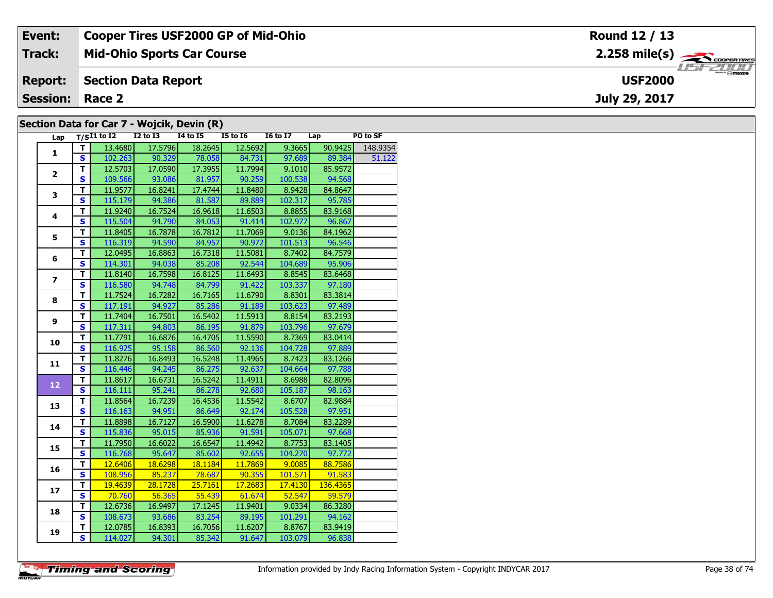| Event:                 | <b>Cooper Tires USF2000 GP of Mid-Ohio</b> | Round 12 / 13                            |
|------------------------|--------------------------------------------|------------------------------------------|
| Track:                 | <b>Mid-Ohio Sports Car Course</b>          | $2.258$ mile(s) $\rightarrow$ Coorerries |
| <b>Report:</b>         | Section Data Report                        | <b>USF2000</b>                           |
| <b>Session: Race 2</b> |                                            | July 29, 2017                            |
|                        | Section Data for Car 7 - Wojcik, Devin (R) |                                          |

## **Section Data for Car 7 - Wojcik, Devin (R)**

| Lap             |                         | $T/SI1$ to $I2$ $I2$ to $I3$ | $\mathbf{r}$ | I4 to I5 I5 to I6            |                                                          | $16 \text{ to } 17$ $\Box$ $\Box$ |                      | PO to SF |
|-----------------|-------------------------|------------------------------|--------------|------------------------------|----------------------------------------------------------|-----------------------------------|----------------------|----------|
|                 | T                       | 13.4680                      | 17.5796      | 18.2645                      | 12.5692                                                  |                                   | $9.3665$ $90.9425$   | 148.9354 |
| $\mathbf{1}$    | S                       |                              |              | 102.263 90.329 78.058 84.731 |                                                          |                                   | 97.689 89.384 51.122 |          |
|                 | $\overline{\mathsf{r}}$ | 12.5703                      | 17.0590      | 17.3955                      | 11.7994                                                  | 9.1010                            | 85.9572              |          |
| $\mathbf{2}$    | $\overline{\mathbf{s}}$ | 109.566                      | 93.086       |                              | 81.957 90.259                                            | 100.538                           | 94.568               |          |
|                 | $\overline{\mathsf{r}}$ | 11.9577                      | 16.8241      | 17.4744                      | 11.8480                                                  | 8.9428                            | 84.8647              |          |
| 3               | S                       | 115.179                      | 94.386       | 81.587                       | 89.889                                                   | 102.317                           | 95.785               |          |
|                 | T                       | 11.9240                      | 16.7524      | 16.9618                      | 11.6503                                                  | 8.8855                            | 83.9168              |          |
| 4               | $\overline{\mathbf{s}}$ | 115.504                      | 94.790       | 84.053                       | 91.414                                                   | 102.977                           | 96.867               |          |
|                 | T                       | 11.8405                      | 16.7878      | 16.7812                      | 11.7069                                                  | 9.0136                            | 84.1962              |          |
| 5               | $\mathbf{s}$            | 116.319                      | 94.590       | 84.957                       | 90.972                                                   | 101.513                           | 96.546               |          |
|                 | $\overline{\mathbf{T}}$ | 12.0495                      | 16.8863      | 16.7318                      | 11.5081                                                  | 8.7402                            | 84.7579              |          |
| 6               | $\overline{\mathbf{s}}$ | 114.301                      | 94.038       |                              | 85.208 92.544                                            | 104.689                           | 95.906               |          |
|                 | т                       | 11.8140                      | 16.7598      | 16.8125                      | 11.6493                                                  | 8.8545                            | 83.6468              |          |
| $\overline{ }$  | S                       | 116.580                      | 94.748       |                              | $84.799$ 91.422                                          | 103.337                           | 97.180               |          |
|                 | $\overline{\mathsf{r}}$ | 11.7524                      | 16.7282      | 16.7165                      | 11.6790                                                  | 8.8301                            | 83.3814              |          |
| 8               | $\mathbf{s}$            | 117.191                      | 94.927       | 85.286                       | 91.189                                                   | 103.623                           | 97.489               |          |
|                 | T                       | 11.7404                      | 16.7501      | 16.5402                      | 11.5913                                                  | 8.8154                            | 83.2193              |          |
| 9               | $\mathbf{s}$            | 117.311                      | 94.803       |                              | 86.195 91.879                                            | 103.796                           | 97.679               |          |
|                 | T                       | 11.7791                      | 16.6876      | 16.4705                      | 11.5590                                                  | 8.7369                            | 83.0414              |          |
| 10              | $\overline{\mathbf{s}}$ | 116.925                      |              | 95.158 86.560 92.136         |                                                          | 104.728                           | 97.889               |          |
| 11              | T.                      | 11.8276                      | 16.8493      | 16.5248                      | 11.4965                                                  | 8.7423                            | 83.1266              |          |
|                 | S                       | 116.446                      | 94.245       | 86.275                       | 92.637                                                   | 104.664                           | 97.788               |          |
|                 | T                       | 11.8617                      | 16.6731      | 16.5242                      | 11.4911                                                  | 8.6988                            | 82.8096              |          |
| 12 <sub>2</sub> | S                       | 116.111                      | 95.241       | 86.278                       | 92.680                                                   | 105.187                           | 98.163               |          |
| 13              | $\overline{\mathsf{r}}$ | 11.8564                      | 16.7239      | 16.4536                      | 11.5542                                                  | 8.6707                            | 82.9884              |          |
|                 | $\mathbf{s}$            | 116.163                      | 94.951       | 86.649                       | 92.174                                                   | 105.528                           | 97.951               |          |
| 14              | T                       | 11.8898                      | 16.7127      | 16.5900                      | 11.6278                                                  | 8.7084                            | 83.2289              |          |
|                 | $\overline{\mathbf{s}}$ | 115.836                      | 95.015       | 85.936                       | 91.591                                                   | 105.071                           | 97.668               |          |
| 15              | T                       | 11.7950                      | 16.6022      | 16.6547                      | 11.4942                                                  | 8.7753                            | 83.1405              |          |
|                 | $\overline{\mathbf{s}}$ | 116.768                      | 95.647       | 85.602                       | 92.655                                                   | 104.270                           | 97.772               |          |
| 16              | T.                      | 12.6406                      | 18.6298      | 18.1184                      |                                                          | $11.7869$ 9.0085                  | 88.7586              |          |
|                 | $\overline{\mathbf{s}}$ | 108.956                      |              | 85.237 78.687                | $\begin{array}{ c c c c }\n\hline\n&90.355\n\end{array}$ | 101.571                           | 91.583               |          |
| 17              | T                       | 19.4639                      | 28.1728      | 25.7161                      | 17.2683                                                  | 17.4130                           | 136.4365             |          |
|                 | S                       | 70.760                       | 56.365       | 55.439                       | 61.674                                                   | 52.547                            | 59.579               |          |
| 18              | т                       | 12.6736                      | 16.9497      | 17.1245                      | 11.9401                                                  | 9.0334                            | 86.3280              |          |
|                 | $\overline{\mathbf{s}}$ | 108.673                      | 93.686       | 83.254                       | 89.195                                                   | 101.291                           | 94.162               |          |
| 19              | т                       | 12.0785                      | 16.8393      | 16.7056                      | 11.6207                                                  | 8.8767                            | 83.9419              |          |
|                 | $\overline{\mathbf{s}}$ | 114.027                      | 94.301       | 85.342                       | 91.647                                                   | 103.079                           | 96.838               |          |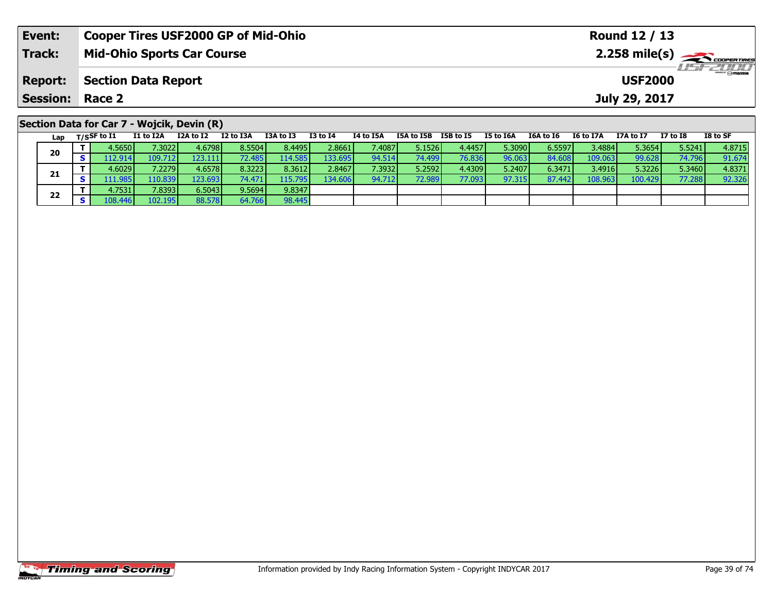| Event:          | <b>Cooper Tires USF2000 GP of Mid-Ohio</b>                                                                                   | Round 12 / 13                                                            |  |  |  |  |  |  |  |  |  |  |  |
|-----------------|------------------------------------------------------------------------------------------------------------------------------|--------------------------------------------------------------------------|--|--|--|--|--|--|--|--|--|--|--|
| <b>Track:</b>   | <b>Mid-Ohio Sports Car Course</b>                                                                                            | $2.258$ mile(s) $\overbrace{\hspace{2cm}}$ coorganges                    |  |  |  |  |  |  |  |  |  |  |  |
| <b>Report:</b>  | <b>Section Data Report</b><br><b>USF2000</b>                                                                                 |                                                                          |  |  |  |  |  |  |  |  |  |  |  |
| <b>Session:</b> | Race 2                                                                                                                       | July 29, 2017                                                            |  |  |  |  |  |  |  |  |  |  |  |
|                 | Section Data for Car 7 - Wojcik, Devin (R)                                                                                   |                                                                          |  |  |  |  |  |  |  |  |  |  |  |
| Lap             | I2 to I3A<br>I1 to I2A<br>I3A to I3<br>I3 to I4<br>I4 to I5A<br>I5B to I5<br>I2A to I2<br>I5A to I5B<br>$_{\rm T/SSF}$ to I1 | I8 to SF<br>I5 to I6A<br>I6A to I6<br>I7A to I7<br>I7 to I8<br>I6 to I7A |  |  |  |  |  |  |  |  |  |  |  |

| --- | . |          |          |         |          |                 |         |                 |                 |        |        |        |         |         |        |        |
|-----|---|----------|----------|---------|----------|-----------------|---------|-----------------|-----------------|--------|--------|--------|---------|---------|--------|--------|
| 20  |   | 4.5650 l | .3022    | 4.6798  | 8.5504   | 8.4495 <b>I</b> | 2.8661  | 7.4087 <b>I</b> | 5.1526          | 4.4457 | 5.3090 | 6.5597 | 3.4884  | 5.3654  | 5.5241 | 4.8715 |
|     |   | .12.914  | 109.7121 | 123.111 | 72.485 I | 114.585         | 133.695 | 94.514          | 74.499 <b>1</b> | 76.836 | 96.063 | 84.60  | 109.063 | 99.628  | 74.796 | 91.674 |
|     |   | 4.6029V  | 7.2279   | 4.6578  | 8.3223   | 8.3612          | 2.8467  | 7.3932 <b>l</b> | 5.2592          | 4.4309 | 5.2407 | 6.3471 | 3.4916  | 5.3226  | 5.3460 | 4.8371 |
| 21  |   | 11.985   | 110.839  | 123.693 | 74.471   | 115.795         | 134.606 | 94.712          | 72.989          | 77.093 | 97.315 | 87.442 | 108.963 | 100.429 | 77.288 | 92.326 |
|     |   | 4.7531   | 7.8393   | 6.5043  | 9.5694   | 9.8347          |         |                 |                 |        |        |        |         |         |        |        |
| 22  |   | 3.446    | 102.195  | 88.578  | 64.766   | 98.445          |         |                 |                 |        |        |        |         |         |        |        |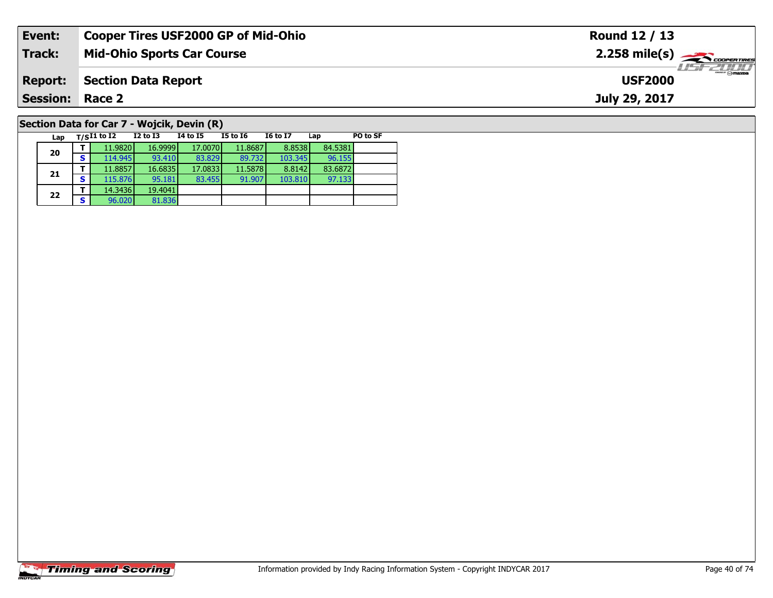| Event:                 | <b>Cooper Tires USF2000 GP of Mid-Ohio</b> | Round 12 / 13                             |
|------------------------|--------------------------------------------|-------------------------------------------|
| <b>Track:</b>          | <b>Mid-Ohio Sports Car Course</b>          | $2.258$ mile(s) $\rightarrow$ coorentines |
| <b>Report:</b>         | <b>Section Data Report</b>                 | $H = -H$<br><b>USF2000</b>                |
| <b>Session: Race 2</b> |                                            | July 29, 2017                             |
|                        | Section Data for Car 7 - Wojcik, Devin (R) |                                           |

#### **Lap T/SI1 to I2 I2 to I3 I4 to I5 I5 to I6 I6 to I7 Lap PO to SF 20 <sup>T</sup>** 11.9820 16.9999 17.0070 11.8687 8.8538 84.5381 **<sup>S</sup>** 114.945 93.410 83.829 89.732 103.345 96.15596.155 **21 <sup>T</sup>** 11.8857 16.6835 17.0833 11.5878 8.8142 83.6872 **<sup>S</sup>** 115.876 95.181 83.455 91.907 103.810 97.13397.133 **22 <sup>T</sup>** 14.3436 19.4041 **<sup>S</sup>** 96.020 81.83681.836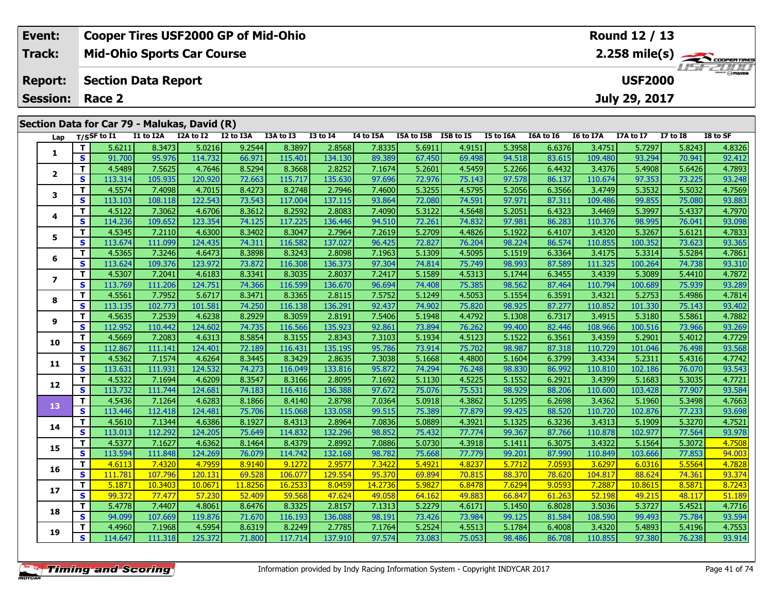| Event:                 | <b>Cooper Tires USF2000 GP of Mid-Ohio</b>                                                                                                                                                                                                           | Round 12 / 13                                                                                                                                                          |  |  |  |  |  |  |  |  |  |  |
|------------------------|------------------------------------------------------------------------------------------------------------------------------------------------------------------------------------------------------------------------------------------------------|------------------------------------------------------------------------------------------------------------------------------------------------------------------------|--|--|--|--|--|--|--|--|--|--|
| Track:                 | <b>Mid-Ohio Sports Car Course</b>                                                                                                                                                                                                                    | $2.258$ mile(s) $\overbrace{\hspace{2cm}}$ coderating<br>20000                                                                                                         |  |  |  |  |  |  |  |  |  |  |
| <b>Report:</b>         | <b>USF2000</b><br><b>Section Data Report</b>                                                                                                                                                                                                         |                                                                                                                                                                        |  |  |  |  |  |  |  |  |  |  |
| <b>Session: Race 2</b> |                                                                                                                                                                                                                                                      | July 29, 2017                                                                                                                                                          |  |  |  |  |  |  |  |  |  |  |
|                        |                                                                                                                                                                                                                                                      |                                                                                                                                                                        |  |  |  |  |  |  |  |  |  |  |
|                        | Section Data for Car 79 - Malukas, David (R)                                                                                                                                                                                                         |                                                                                                                                                                        |  |  |  |  |  |  |  |  |  |  |
| Lap                    | I3A to I3<br>I1 to I2A<br>I2A to I2<br>I2 to I3A<br>I4 to I5A<br>T/SSF to I1<br>$I3$ to $I4$<br>ISA to ISB ISB to IS<br>I5 to I6A<br>المحتمد التدمير<br>- 11<br>$\mathbf{r}$ and a semi-case $\mathbf{r}$<br>والمستمد المتممس<br>$20 - 20$<br>$   -$ | I8 to SF<br><b>I6A to I6</b><br>I6 to I7A<br>I7A to I7<br><b>I7 to I8</b><br>roccol conclu<br>$   -$<br>$\sim$ $\sim$ $\sim$ $\sim$ $\sim$<br>$   -$<br>$\overline{a}$ |  |  |  |  |  |  |  |  |  |  |

| Lap                     |              | T/SSF to 11 | TT TO TYV | <b>IZA TO IZ</b> | TS TO TRU | 13A TO 13 | 13 TO 14 | 14 LO 15A | <b>LSA TO 15B</b> | כז 10 מכז | TO TO TOY | TOY TO TO | TO TO TAM | 17A TO 17 | <b>11 10 19</b> | 18 10 SF |
|-------------------------|--------------|-------------|-----------|------------------|-----------|-----------|----------|-----------|-------------------|-----------|-----------|-----------|-----------|-----------|-----------------|----------|
|                         | т            | 5.6211      | 8.3473    | 5.0216           | 9.2544    | 8.3897    | 2.8568   | 7.8335    | 5.6911            | 4.9151    | 5.3958    | 6.6376    | 3.4751    | 5.7297    | 5.8243          | 4.8326   |
| 1                       | S            | 91.700      | 95.976    | 114.732          | 66.971    | 115.401   | 134.130  | 89.389    | 67.450            | 69.498    | 94.518    | 83.615    | 109.480   | 93.294    | 70.941          | 92.412   |
| $\overline{2}$          | т            | 4.5489      | 7.5625    | 4.7646           | 8.5294    | 8.3668    | 2.8252   | 7.1674    | 5.2601            | 4.5459    | 5.2266    | 6.4432    | 3.4376    | 5.4908    | 5.6426          | 4.7893   |
|                         | S            | 113.314     | 105.935   | 120.920          | 72.663    | 115.717   | 135.630  | 97.696    | 72.976            | 75.143    | 97.578    | 86.137    | 110.674   | 97.353    | 73.225          | 93.248   |
| 3                       | т            | 4.5574      | 7.4098    | 4.7015           | 8.4273    | 8.2748    | 2.7946   | 7.4600    | 5.3255            | 4.5795    | 5.2056    | 6.3566    | 3.4749    | 5.3532    | 5.5032          | 4.7569   |
|                         | S            | 113.103     | 108.118   | 122.543          | 73.543    | 117.004   | 137.115  | 93.864    | 72.080            | 74.591    | 97.971    | 87.311    | 109.486   | 99.855    | 75.080          | 93.883   |
| 4                       | т            | 4.5122      | 7.3062    | 4.6706           | 8.3612    | 8.2592    | 2.8083   | 7.4090    | 5.3122            | 4.5648    | 5.2051    | 6.4323    | 3.4469    | 5.3997    | 5.4337          | 4.7970   |
|                         | S            | 114.236     | 109.652   | 123.354          | 74.125    | 117.225   | 136.446  | 94.510    | 72.261            | 74.832    | 97.981    | 86.283    | 110.376   | 98.995    | 76.041          | 93.098   |
| 5                       | т            | 4.5345      | 7.2110    | 4.6300           | 8.3402    | 8.3047    | 2.7964   | 7.2619    | 5.2709            | 4.4826    | 5.1922    | 6.4107    | 3.4320    | 5.3267    | 5.6121          | 4.7833   |
|                         | S            | 113.674     | 111.099   | 124.435          | 74.311    | 116.582   | 137.027  | 96.425    | 72.827            | 76.204    | 98.224    | 86.574    | 110.855   | 100.352   | 73.623          | 93.365   |
| 6                       | т            | 4.5365      | 7.3246    | 4.6473           | 8.3898    | 8.3243    | 2.8098   | 7.1963    | 5.1309            | 4.5095    | 5.1519    | 6.3364    | 3.4175    | 5.3314    | 5.5284          | 4.7861   |
|                         | S            | 113.624     | 109.376   | 123.972          | 73.872    | 116.308   | 136.373  | 97.304    | 74.814            | 75.749    | 98.993    | 87.589    | 111.325   | 100.264   | 74.738          | 93.310   |
| $\overline{\mathbf{z}}$ | т            | 4.5307      | 7.2041    | 4.6183           | 8.3341    | 8.3035    | 2.8037   | 7.2417    | 5.1589            | 4.5313    | 5.1744    | 6.3455    | 3.4339    | 5.3089    | 5.4410          | 4.7872   |
|                         | S            | 113.769     | 111.206   | 124.751          | 74.366    | 116.599   | 136.670  | 96.694    | 74.408            | 75.385    | 98.562    | 87.464    | 110.794   | 100.689   | 75.939          | 93.289   |
| 8                       | т            | 4.5561      | 7.7952    | 5.6717           | 8.3471    | 8.3365    | 2.8115   | 7.5752    | 5.1249            | 4.5053    | 5.1554    | 6.3591    | 3.4321    | 5.2753    | 5.4986          | 4.7814   |
|                         | S            | 113.135     | 102.773   | 101.581          | 74.250    | 116.138   | 136.291  | 92.437    | 74.902            | 75.820    | 98.925    | 87.277    | 110.852   | 101.330   | 75.143          | 93.402   |
| 9                       | т            | 4.5635      | 7.2539    | 4.6238           | 8.2929    | 8.3059    | 2.8191   | 7.5406    | 5.1948            | 4.4792    | 5.1308    | 6.7317    | 3.4915    | 5.3180    | 5.5861          | 4.7882   |
|                         | $\mathbf{s}$ | 112.952     | 110.442   | 124.602          | 74.735    | 116.566   | 135.923  | 92.861    | 73.894            | 76.262    | 99.400    | 82.446    | 108.966   | 100.516   | 73.966          | 93.269   |
| 10                      | т            | 4.5669      | 7.2083    | 4.6313           | 8.5854    | 8.3155    | 2.8343   | 7.3103    | 5.1934            | 4.5123    | 5.1522    | 6.3561    | 3.4359    | 5.2901    | 5.4012          | 4.7729   |
|                         | S            | 112.867     | 111.141   | 124.401          | 72.189    | 116.431   | 135.195  | 95.786    | 73.914            | 75.702    | 98.987    | 87.318    | 110.729   | 101.046   | 76.498          | 93.568   |
| 11                      | т            | 4.5362      | 7.1574    | 4.6264           | 8.3445    | 8.3429    | 2.8635   | 7.3038    | 5.1668            | 4.4800    | 5.1604    | 6.3799    | 3.4334    | 5.2311    | 5.4316          | 4.7742   |
|                         | S            | 113.631     | 111.931   | 124.532          | 74.273    | 116.049   | 133.816  | 95.872    | 74.294            | 76.248    | 98.830    | 86.992    | 110.810   | 102.186   | 76.070          | 93.543   |
| 12                      | т            | 4.5322      | 7.1694    | 4.6209           | 8.3547    | 8.3166    | 2.8095   | 7.1692    | 5.1130            | 4.5225    | 5.1552    | 6.2921    | 3.4399    | 5.1683    | 5.3035          | 4.7721   |
|                         | S            | 113.732     | 111.744   | 124.681          | 74.183    | 116.416   | 136.388  | 97.672    | 75.076            | 75.531    | 98.929    | 88.206    | 110.600   | 103.428   | 77.907          | 93.584   |
| 13                      | т            | 4.5436      | 7.1264    | 4.6283           | 8.1866    | 8.4140    | 2.8798   | 7.0364    | 5.0918            | 4.3862    | 5.1295    | 6.2698    | 3.4362    | 5.1960    | 5.3498          | 4.7663   |
|                         | S            | 113.446     | 112.418   | 124.481          | 75.706    | 115.068   | 133.058  | 99.515    | 75.389            | 77.879    | 99.425    | 88.520    | 110.720   | 102.876   | 77.233          | 93.698   |
| 14                      | т            | 4.5610      | 7.1344    | 4.6386           | 8.1927    | 8.4313    | 2.8964   | 7.0836    | 5.0889            | 4.3921    | 5.1325    | 6.3236    | 3.4313    | 5.1909    | 5.3270          | 4.7521   |
|                         | S            | 113.013     | 112.292   | 124.205          | 75.649    | 114.832   | 132.296  | 98.852    | 75.432            | 77.774    | 99.367    | 87.766    | 110.878   | 102.977   | 77.564          | 93.978   |
| 15                      | т            | 4.5377      | 7.1627    | 4.6362           | 8.1464    | 8.4379    | 2.8992   | 7.0886    | 5.0730            | 4.3918    | 5.1411    | 6.3075    | 3.4322    | 5.1564    | 5.3072          | 4.7508   |
|                         | S            | 113.594     | 111.848   | 124.269          | 76.079    | 114.742   | 132.168  | 98.782    | 75.668            | 77.779    | 99.201    | 87.990    | 110.849   | 103.666   | 77.853          | 94.003   |
| 16                      | т            | 4.6113      | 7.4320    | 4.7959           | 8.9140    | 9.1272    | 2.9577   | 7.3422    | 5.4921            | 4.8237    | 5.7712    | 7.0593    | 3.6297    | 6.0316    | 5.5564          | 4.7828   |
|                         | $\mathbf{s}$ | 111.781     | 107.796   | 120.131          | 69.528    | 106.077   | 129.554  | 95.370    | 69.894            | 70.815    | 88.370    | 78.620    | 104.817   | 88.624    | 74.361          | 93.374   |
| 17                      | T.           | 5.1871      | 10.3403   | 10.0671          | 11.8256   | 16.2533   | 8.0459   | 14.2736   | 5.9827            | 6.8478    | 7.6294    | 9.0593    | 7.2887    | 10.8615   | 8.5871          | 8.7243   |
|                         | S            | 99.372      | 77.477    | 57.230           | 52.409    | 59.568    | 47.624   | 49.058    | 64.162            | 49.883    | 66.847    | 61.263    | 52.198    | 49.215    | 48.117          | 51.189   |
| 18                      | T.           | 5.4778      | 7.4407    | 4.8061           | 8.6476    | 8.3325    | 2.8157   | 7.1313    | 5.2279            | 4.6171    | 5.1450    | 6.8028    | 3.5036    | 5.3727    | 5.4521          | 4.7716   |
|                         | S            | 94.099      | 107.669   | 119.876          | 71.670    | 116.193   | 136.088  | 98.191    | 73.426            | 73.984    | 99.125    | 81.584    | 108.590   | 99.493    | 75.784          | 93.594   |
| 19                      | т            | 4.4960      | 7.1968    | 4.5954           | 8.6319    | 8.2249    | 2.7785   | 7.1764    | 5.2524            | 4.5513    | 5.1784    | 6.4008    | 3.4320    | 5.4893    | 5.4196          | 4.7553   |
|                         | S            | 114.647     | 111.318   | 125.372          | 71.800    | 117.714   | 137.910  | 97.574    | 73.083            | 75.053    | 98.486    | 86.708    | 110.855   | 97.380    | 76.238          | 93.914   |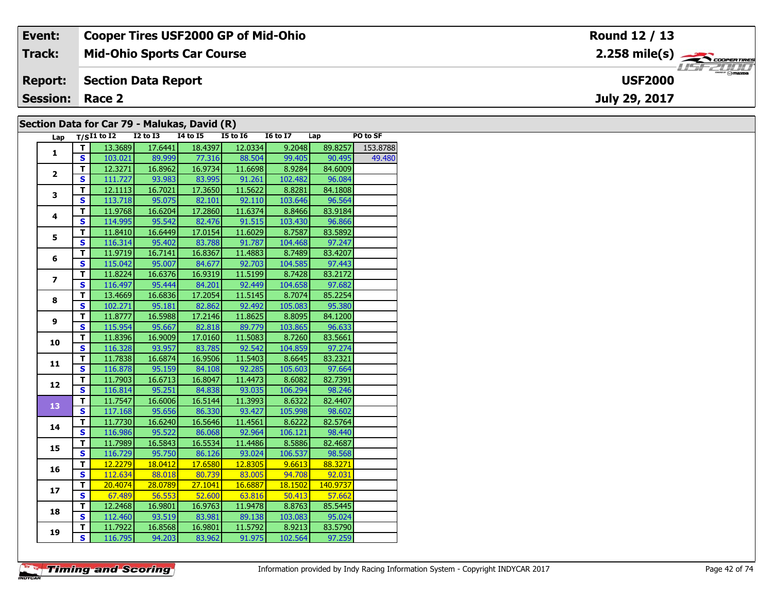| Event:                 | <b>Cooper Tires USF2000 GP of Mid-Ohio</b>   | Round 12 / 13                                         |
|------------------------|----------------------------------------------|-------------------------------------------------------|
| Track:                 | <b>Mid-Ohio Sports Car Course</b>            | $2.258$ mile(s) $\overbrace{\hspace{2cm}}$ coorganges |
| <b>Report:</b>         | Section Data Report                          | <b>USF2000</b>                                        |
| <b>Session: Race 2</b> |                                              | July 29, 2017                                         |
|                        | Section Data for Car 79 - Malukas, David (R) |                                                       |

### **Section Data for Car 79 - Malukas, David (R)**

| Lap            |                         | $T/SI1$ to I2 I2 to I3 I4 to I5 I5 to I6 |         |               |         | <b>16 to 17</b> | Lap      | PO to SF |
|----------------|-------------------------|------------------------------------------|---------|---------------|---------|-----------------|----------|----------|
| $\mathbf{1}$   | T.                      | 13.3689                                  | 17.6441 | 18.4397       | 12.0334 | 9.2048          | 89.8257  | 153.8788 |
|                | $\mathbf{s}$            | 103.021                                  | 89.999  | 77.316        | 88.504  | 99.405          | 90.495   | 49.480   |
| $\overline{2}$ | T                       | 12.3271                                  | 16.8962 | 16.9734       | 11.6698 | 8.9284          | 84.6009  |          |
|                | $\overline{\mathbf{s}}$ | 111.727                                  | 93.983  | 83.995        | 91.261  | 102.482         | 96.084   |          |
| 3              | T                       | 12.1113                                  | 16.7021 | 17.3650       | 11.5622 | 8.8281          | 84.1808  |          |
|                | $\mathbf{s}$            | 113.718                                  | 95.075  | 82.101        | 92.110  | 103.646         | 96.564   |          |
| 4              | $\mathbf T$             | 11.9768                                  | 16.6204 | 17.2860       | 11.6374 | 8.8466          | 83.9184  |          |
|                | $\overline{\mathbf{s}}$ | 114.995                                  | 95.542  | 82.476        | 91.515  | 103.430         | 96.866   |          |
| 5              | T                       | 11.8410                                  | 16.6449 | 17.0154       | 11.6029 | 8.7587          | 83.5892  |          |
|                | $\overline{\mathbf{s}}$ | 116.314                                  | 95.402  | 83.788        | 91.787  | 104.468         | 97.247   |          |
|                | т                       | 11.9719                                  | 16.7141 | 16.8367       | 11.4883 | 8.7489          | 83.4207  |          |
| 6              | $\overline{\mathbf{s}}$ | 115.042                                  | 95.007  | 84.677        | 92.703  | 104.585         | 97.443   |          |
|                | T                       | 11.8224                                  | 16.6376 | 16.9319       | 11.5199 | 8.7428          | 83.2172  |          |
| $\overline{ }$ | $\overline{\mathbf{s}}$ | 116.497                                  | 95.444  | 84.201        | 92.449  | 104.658         | 97.682   |          |
| 8              | $\overline{\mathsf{r}}$ | 13.4669                                  | 16.6836 | 17.2054       | 11.5145 | 8.7074          | 85.2254  |          |
|                | $\mathbf{s}$            | 102.271                                  | 95.181  | 82.862        | 92.492  | 105.083         | 95.380   |          |
| 9              | $\mathbf T$             | 11.8777                                  | 16.5988 | 17.2146       | 11.8625 | 8.8095          | 84.1200  |          |
|                | $\mathbf{s}$            | 115.954                                  | 95.667  | 82.818        | 89.779  | 103.865         | 96.633   |          |
| 10             | $\mathbf T$             | 11.8396                                  | 16.9009 | 17.0160       | 11.5083 | 8.7260          | 83.5661  |          |
|                | S                       | 116.328                                  | 93.957  | 83.785        | 92.542  | 104.859         | 97.274   |          |
| 11             | T                       | 11.7838                                  | 16.6874 | 16.9506       | 11.5403 | 8.6645          | 83.2321  |          |
|                | $\overline{\mathbf{s}}$ | 116.878                                  | 95.159  | 84.108        | 92.285  | 105.603         | 97.664   |          |
| 12             | $\mathbf T$             | 11.7903                                  | 16.6713 | 16.8047       | 11.4473 | 8.6082          | 82.7391  |          |
|                | $\overline{\mathbf{s}}$ | 116.814                                  | 95.251  | 84.838        | 93.035  | 106.294         | 98.246   |          |
| 13             | $\overline{\mathsf{r}}$ | 11.7547                                  | 16.6006 | 16.5144       | 11.3993 | 8.6322          | 82.4407  |          |
|                | $\overline{\mathbf{s}}$ | 117.168                                  | 95.656  | 86.330        | 93.427  | 105.998         | 98.602   |          |
| 14             | $\mathbf T$             | 11.7730                                  | 16.6240 | 16.5646       | 11.4561 | 8.6222          | 82.5764  |          |
|                | $\overline{\mathbf{s}}$ | 116.986                                  | 95.522  | 86.068        | 92.964  | 106.121         | 98.440   |          |
| 15             | T                       | 11.7989                                  | 16.5843 | 16.5534       | 11.4486 | 8.5886          | 82.4687  |          |
|                | $\overline{\mathbf{s}}$ | 116.729                                  | 95.750  | 86.126        | 93.024  | 106.537         | 98.568   |          |
| 16             | T                       | 12.2279                                  | 18.0412 | 17.6580       | 12.8305 | 9.6613          | 88.3271  |          |
|                | $\overline{\mathbf{s}}$ | 112.634                                  |         | 88.018 80.739 | 83.005  | 94.708          | 92.031   |          |
| 17             | T.                      | 20.4074                                  | 28.0789 | 27.1041       | 16.6887 | 18.1502         | 140.9737 |          |
|                | $\overline{\mathbf{s}}$ | 67.489                                   | 56.553  | 52.600        | 63.816  | 50.413          | 57.662   |          |
| 18             | T                       | 12.2468                                  | 16.9801 | 16.9763       | 11.9478 | 8.8763          | 85.5445  |          |
|                | S                       | 112.460                                  | 93.519  | 83.981        | 89.138  | 103.083         | 95.024   |          |
| 19             | T                       | 11.7922                                  | 16.8568 | 16.9801       | 11.5792 | 8.9213          | 83.5790  |          |
|                | $\overline{\mathsf{s}}$ | 116.795                                  | 94.203  | 83.962        | 91.975  | 102.564         | 97.259   |          |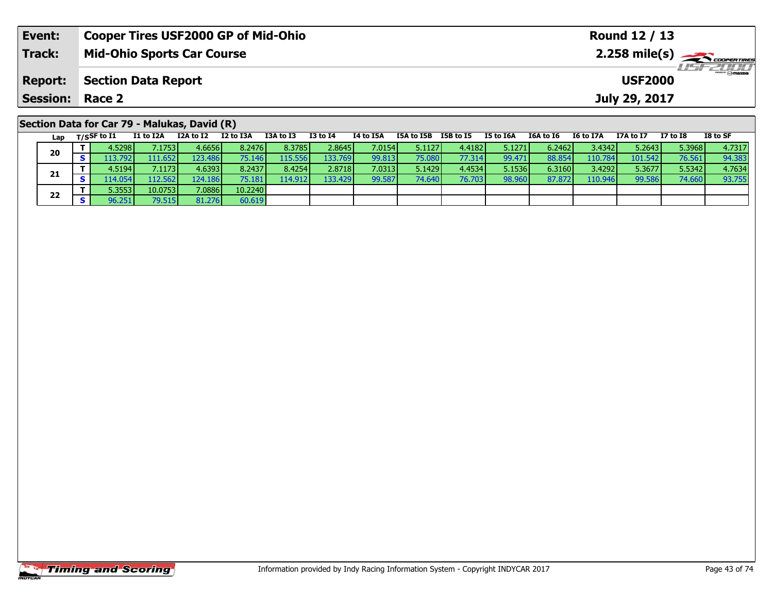| Event:                                       |             | <b>Cooper Tires USF2000 GP of Mid-Ohio</b><br>Round 12 / 13 |           |           |           |          |           |            |           |           |           |           |               |                 |          |
|----------------------------------------------|-------------|-------------------------------------------------------------|-----------|-----------|-----------|----------|-----------|------------|-----------|-----------|-----------|-----------|---------------|-----------------|----------|
| <b>Track:</b>                                |             | <b>Mid-Ohio Sports Car Course</b>                           |           |           |           |          |           |            |           |           |           |           |               |                 |          |
| <b>Report:</b>                               |             | <b>Section Data Report</b><br><b>USF2000</b>                |           |           |           |          |           |            |           |           |           |           |               |                 |          |
| <b>Session:</b>                              | Race 2      |                                                             |           |           |           |          |           |            |           |           |           |           | July 29, 2017 |                 |          |
| Section Data for Car 79 - Malukas, David (R) |             |                                                             |           |           |           |          |           |            |           |           |           |           |               |                 |          |
| Lap                                          | T/SSF to I1 | I1 to I2A                                                   | I2A to I2 | I2 to I3A | I3A to I3 | I3 to I4 | I4 to I5A | I5A to I5B | I5B to I5 | I5 to I6A | I6A to I6 | I6 to I7A | I7A to I7     | <b>I7 to I8</b> | I8 to SF |

| Luv | $\sim$ $\sim$ $\sim$ $\sim$ | -- -- --                 |          |                 |          |                  |        |         |        |        |        |         |         |        | ------ |
|-----|-----------------------------|--------------------------|----------|-----------------|----------|------------------|--------|---------|--------|--------|--------|---------|---------|--------|--------|
| 20  | 4.52981                     | $^{\prime}.1753$ $\vert$ | 4.6656   | 8.2476          | 8.3785   | 2.8645           | 7.0154 | 5.11271 | 4.4182 | 5.1271 | 6.2462 | 3.4342  | 5.2643  | 5.3968 | 4.7317 |
|     | .7921                       | 111.652                  | 123.486  | 75.146 <b>I</b> | 115.5561 | 133.769          | 99.813 | 75.080  | 77.314 | 99.471 | 88.854 | 110.784 | 101.542 | 76.561 | 94.383 |
|     | 4.5194                      | '.1173]                  | 4.6393   | 8.2437          | 8.4254   | 2.8718           | 7.0313 | 5.1429  | 4.4534 | 5.1536 | 6.3160 | 3.4292  | 5.3677  | 5.5342 | 4.7634 |
| 21  | .14.054                     | 112.562 <b>I</b>         | 124.1861 | 75.181 <b>I</b> | 114.912  | 133.429 <b>I</b> | 99.587 | 74.640  | 76.703 | 98.960 | 87.872 | 110.946 | 99.586  | 74.660 | 93.755 |
| 22  | ا3553.                      | 10.0753                  | 7.0886   | 10.2240         |          |                  |        |         |        |        |        |         |         |        |        |
|     |                             | 79.515                   | 81.276   | 60.619          |          |                  |        |         |        |        |        |         |         |        |        |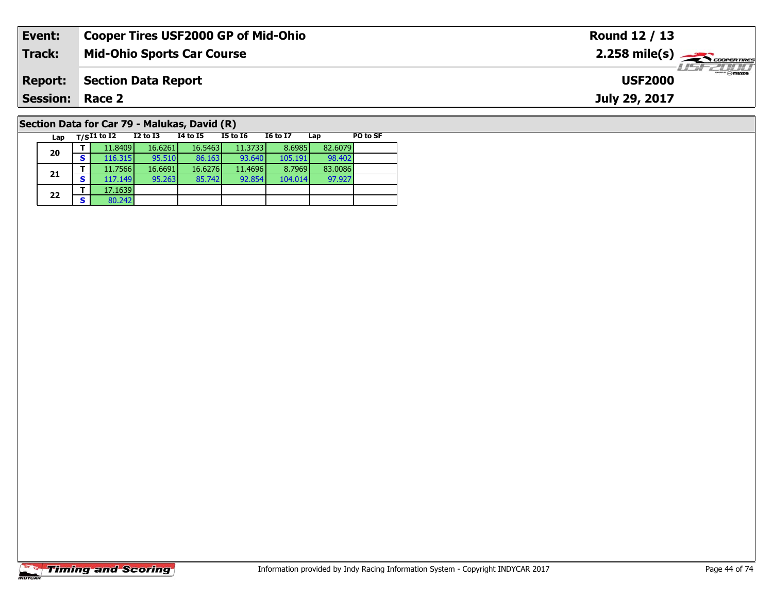| Event:                                       |                                   | <b>Cooper Tires USF2000 GP of Mid-Ohio</b> |          |          |                 |     |          | Round 12 / 13                                             |
|----------------------------------------------|-----------------------------------|--------------------------------------------|----------|----------|-----------------|-----|----------|-----------------------------------------------------------|
| <b>Track:</b>                                | <b>Mid-Ohio Sports Car Course</b> |                                            |          |          |                 |     |          | $2.258$ mile(s) $\overbrace{\hspace{2.5cm}}$ coorer TIRES |
| <b>Report:</b>                               | <b>Section Data Report</b>        |                                            |          |          |                 |     |          | $H = -2011$<br><b>USF2000</b>                             |
| <b>Session: Race 2</b>                       |                                   |                                            |          |          |                 |     |          | July 29, 2017                                             |
| Section Data for Car 79 - Malukas, David (R) |                                   |                                            |          |          |                 |     |          |                                                           |
| Lap                                          | $T/SI1$ to I2                     | I2 to I3                                   | 14 to 15 | I5 to I6 | <b>I6 to I7</b> | Lap | PO to SF |                                                           |

97.927

# **Timing and Scoring**

**20**

**21**

**22**

**2 S**  $\begin{array}{|c|c|c|c|} \hline \textbf{5} & \textbf{17.1639} \\ \hline \textbf{S} & \textbf{80.242} \end{array}$ 

**<sup>T</sup>** 11.8409 16.6261 16.5463 11.3733 8.6985 82.6079 **<sup>S</sup>** 116.315 95.510 86.163 93.640 105.191 98.402

**<sup>T</sup>** 11.7566 16.6691 16.6276 11.4696 8.7969 83.0086 **<sup>S</sup>** 117.149 95.263 85.742 92.854 104.014 97.927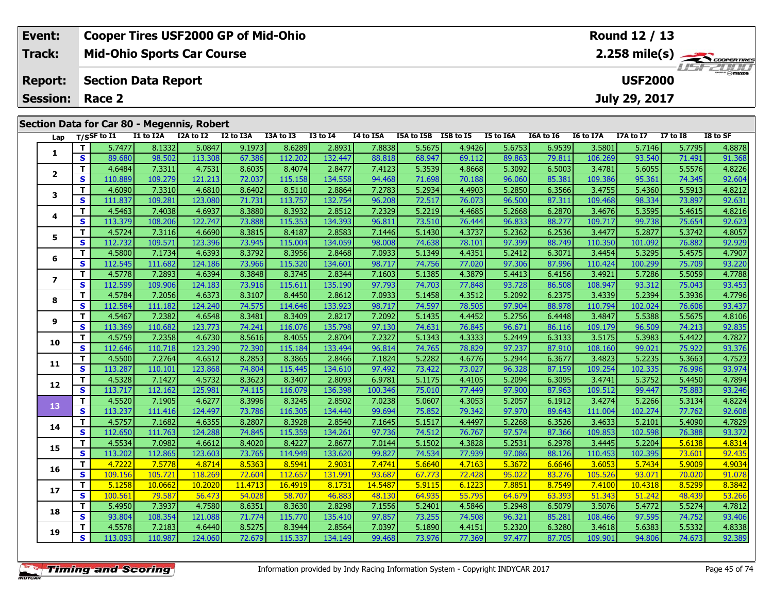| Event:                 | <b>Cooper Tires USF2000 GP of Mid-Ohio</b> | Round 12 / 13                      |
|------------------------|--------------------------------------------|------------------------------------|
| Track:                 | <b>Mid-Ohio Sports Car Course</b>          |                                    |
| <b>Report:</b>         | Section Data Report                        | <b>LISF 2000</b><br><b>USF2000</b> |
| <b>Session: Race 2</b> |                                            | July 29, 2017                      |
|                        | Section Data for Car 80 - Megennis, Robert |                                    |

|                | Lap |                         | $T/S$ SF to I1 | I1 to I2A | I2A to I2 | I2 to I3A | I3A to I3 | <b>I3 to I4</b> | I4 to I5A | I5A to I5B I5B to I5 |        | I5 to I6A | I6A to I6 | I6 to I7A | I7A to I7 | <b>I7 to I8</b> | I8 to SF |
|----------------|-----|-------------------------|----------------|-----------|-----------|-----------|-----------|-----------------|-----------|----------------------|--------|-----------|-----------|-----------|-----------|-----------------|----------|
| 1              |     | T.                      | 5.7477         | 8.1332    | 5.0847    | 9.1973    | 8.6289    | 2.8931          | 7.8838    | 5.5675               | 4.9426 | 5.6753    | 6.9539    | 3.5801    | 5.7146    | 5.7795          | 4.8878   |
|                |     | S                       | 89.680         | 98.502    | 113.308   | 67.386    | 112.202   | 132.447         | 88.818    | 68.947               | 69.112 | 89.863    | 79.811    | 106.269   | 93.540    | 71.491          | 91.368   |
|                |     | T.                      | 4.6484         | 7.3311    | 4.7531    | 8.6035    | 8.4074    | 2.8477          | 7.4123    | 5.3539               | 4.8668 | 5.3092    | 6.5003    | 3.4781    | 5.6055    | 5.5576          | 4.8226   |
| $\mathbf{2}$   |     | S                       | 110.889        | 109.279   | 121.213   | 72.037    | 115.158   | 134.558         | 94.468    | 71.698               | 70.188 | 96.060    | 85.381    | 109.386   | 95.361    | 74.345          | 92.604   |
| 3              |     | T.                      | 4.6090         | 7.3310    | 4.6810    | 8.6402    | 8.5110    | 2.8864          | 7.2783    | 5.2934               | 4.4903 | 5.2850    | 6.3566    | 3.4755    | 5.4360    | 5.5913          | 4.8212   |
|                |     | S                       | 111.837        | 109.281   | 123.080   | 71.731    | 113.757   | 132.754         | 96.208    | 72.517               | 76.073 | 96.500    | 87.311    | 109.468   | 98.334    | 73.897          | 92.631   |
| 4              |     | T.                      | 4.5463         | 7.4038    | 4.6937    | 8.3880    | 8.3932    | 2.8512          | 7.2329    | 5.2219               | 4.4685 | 5.2668    | 6.2870    | 3.4676    | 5.3595    | 5.4615          | 4.8216   |
|                |     | $\mathbf{s}$            | 113.379        | 108.206   | 122.747   | 73.888    | 115.353   | 134.393         | 96.811    | 73.510               | 76.444 | 96.833    | 88.277    | 109.717   | 99.738    | 75.654          | 92.623   |
| 5              |     | T.                      | 4.5724         | 7.3116    | 4.6690    | 8.3815    | 8.4187    | 2.8583          | 7.1446    | 5.1430               | 4.3737 | 5.2362    | 6.2536    | 3.4477    | 5.2877    | 5.3742          | 4.8057   |
|                |     | <b>S</b>                | 112.732        | 109.571   | 123.396   | 73.945    | 115.004   | 134.059         | 98.008    | 74.638               | 78.101 | 97.399    | 88.749    | 110.350   | 101.092   | 76.882          | 92.929   |
|                |     | T.                      | 4.5800         | 7.1734    | 4.6393    | 8.3792    | 8.3956    | 2.8468          | 7.0933    | 5.1349               | 4.4351 | 5.2412    | 6.3071    | 3.4454    | 5.3295    | 5.4575          | 4.7907   |
| 6              |     | S                       | 112.545        | 111.682   | 124.186   | 73.966    | 115.320   | 134.601         | 98.717    | 74.756               | 77.020 | 97.306    | 87.996    | 110.424   | 100.299   | 75.709          | 93.220   |
| $\overline{ }$ |     | T.                      | 4.5778         | 7.2893    | 4.6394    | 8.3848    | 8.3745    | 2.8344          | 7.1603    | 5.1385               | 4.3879 | 5.4413    | 6.4156    | 3.4921    | 5.7286    | 5.5059          | 4.7788   |
|                |     | S                       | 112.599        | 109.906   | 124.183   | 73.916    | 115.611   | 135.190         | 97.793    | 74.703               | 77.848 | 93.728    | 86.508    | 108.947   | 93.312    | 75.043          | 93.453   |
| 8              |     | T.                      | 4.5784         | 7.2056    | 4.6373    | 8.3107    | 8.4450    | 2.8612          | 7.0933    | 5.1458               | 4.3512 | 5.2092    | 6.2375    | 3.4339    | 5.2394    | 5.3936          | 4.7796   |
|                |     | S                       | 112.584        | 111.182   | 124.240   | 74.575    | 114.646   | 133.923         | 98.717    | 74.597               | 78.505 | 97.904    | 88.978    | 110.794   | 102.024   | 76.606          | 93.437   |
|                |     | T.                      | 4.5467         | 7.2382    | 4.6548    | 8.3481    | 8.3409    | 2.8217          | 7.2092    | 5.1435               | 4.4452 | 5.2756    | 6.4448    | 3.4847    | 5.5388    | 5.5675          | 4.8106   |
| 9              |     | S                       | 113.369        | 110.682   | 123.773   | 74.241    | 116.076   | 135.798         | 97.130    | 74.631               | 76.845 | 96.671    | 86.116    | 109.179   | 96.509    | 74.213          | 92.835   |
| 10             |     | T.                      | 4.5759         | 7.2358    | 4.6730    | 8.5616    | 8.4055    | 2.8704          | 7.2327    | 5.1343               | 4.3333 | 5.2449    | 6.3133    | 3.5175    | 5.3983    | 5.4422          | 4.7827   |
|                |     | <b>S</b>                | 112.646        | 110.718   | 123.290   | 72.390    | 115.184   | 133.494         | 96.814    | 74.765               | 78.829 | 97.237    | 87.910    | 108.160   | 99.021    | 75.922          | 93.376   |
| 11             |     | T.                      | 4.5500         | 7.2764    | 4.6512    | 8.2853    | 8.3865    | 2.8466          | 7.1824    | 5.2282               | 4.6776 | 5.2944    | 6.3677    | 3.4823    | 5.2235    | 5.3663          | 4.7523   |
|                |     | S                       | 113.287        | 110.101   | 123.868   | 74.804    | 115.445   | 134.610         | 97.492    | 73.422               | 73.027 | 96.328    | 87.159    | 109.254   | 102.335   | 76.996          | 93.974   |
| 12             |     | T.                      | 4.5328         | 7.1427    | 4.5732    | 8.3623    | 8.3407    | 2.8093          | 6.9781    | 5.1175               | 4.4105 | 5.2094    | 6.3095    | 3.4741    | 5.3752    | 5.4450          | 4.7894   |
|                |     | S                       | 113.717        | 112.162   | 125.981   | 74.115    | 116.079   | 136.398         | 100.346   | 75.010               | 77.449 | 97.900    | 87.963    | 109.512   | 99.447    | 75.883          | 93.246   |
| 13             |     | T.                      | 4.5520         | 7.1905    | 4.6277    | 8.3996    | 8.3245    | 2.8502          | 7.0238    | 5.0607               | 4.3053 | 5.2057    | 6.1912    | 3.4274    | 5.2266    | 5.3134          | 4.8224   |
|                |     | S                       | 113.237        | 111.416   | 124.497   | 73.786    | 116.305   | 134.440         | 99.694    | 75.852               | 79.342 | 97.970    | 89.643    | 111.004   | 102.274   | 77.762          | 92.608   |
| 14             |     | T.                      | 4.5757         | 7.1682    | 4.6355    | 8.2807    | 8.3928    | 2.8540          | 7.1645    | 5.1517               | 4.4497 | 5.2268    | 6.3526    | 3.4633    | 5.2101    | 5.4090          | 4.7829   |
|                |     | S                       | 112.650        | 111.763   | 124.288   | 74.845    | 115.359   | 134.261         | 97.736    | 74.512               | 76.767 | 97.574    | 87.366    | 109.853   | 102.598   | 76.388          | 93.372   |
| 15             |     | T.                      | 4.5534         | 7.0982    | 4.6612    | 8.4020    | 8.4227    | 2.8677          | 7.0144    | 5.1502               | 4.3828 | 5.2531    | 6.2978    | 3.4445    | 5.2204    | 5.6138          | 4.8314   |
|                |     | $\overline{\mathbf{s}}$ | 113.202        | 112.865   | 123.603   | 73.765    | 114.949   | 133.620         | 99.827    | 74.534               | 77.939 | 97.086    | 88.126    | 110.453   | 102.395   | 73.601          | 92.435   |
| 16             |     | T.                      | 4.7222         | 7.5778    | 4.8714    | 8.5363    | 8.5941    | 2.9031          | 7.4741    | 5.6640               | 4.7163 | 5.3672    | 6.6646    | 3.6053    | 5.7434    | 5.9009          | 4.9034   |
|                |     | S                       | 109.156        | 105.721   | 118.269   | 72.604    | 112.657   | 131.991         | 93.687    | 67.773               | 72.428 | 95.022    | 83.276    | 105.526   | 93.071    | 70.020          | 91.078   |
| 17             |     | T.                      | 5.1258         | 10.0662   | 10.2020   | 11.4713   | 16.4919   | 8.1731          | 14.5487   | 5.9115               | 6.1223 | 7.8851    | 8.7549    | 7.4100    | 10.4318   | 8.5299          | 8.3842   |
|                |     | $\overline{\mathbf{s}}$ | 100.561        | 79.587    | 56.473    | 54.028    | 58.707    | 46.883          | 48.130    | 64.935               | 55.795 | 64.679    | 63.393    | 51.343    | 51.242    | 48.439          | 53.266   |
| 18             |     | T.                      | 5.4950         | 7.3937    | 4.7580    | 8.6351    | 8.3630    | 2.8298          | 7.1556    | 5.2401               | 4.5846 | 5.2948    | 6.5079    | 3.5076    | 5.4772    | 5.5274          | 4.7812   |
|                |     | S                       | 93.804         | 108.354   | 121.088   | 71.774    | 115.770   | 135.410         | 97.857    | 73.255               | 74.508 | 96.321    | 85.281    | 108.466   | 97.595    | 74.752          | 93.406   |
| 19             |     | T.                      | 4.5578         | 7.2183    | 4.6440    | 8.5275    | 8.3944    | 2.8564          | 7.0397    | 5.1890               | 4.4151 | 5.2320    | 6.3280    | 3.4618    | 5.6383    | 5.5332          | 4.8338   |
|                |     | S.                      | 113.093        | 110.987   | 124.060   | 72.679    | 115.337   | 134.149         | 99.468    | 73.976               | 77.369 | 97.477    | 87.705    | 109.901   | 94.806    | 74.673          | 92.389   |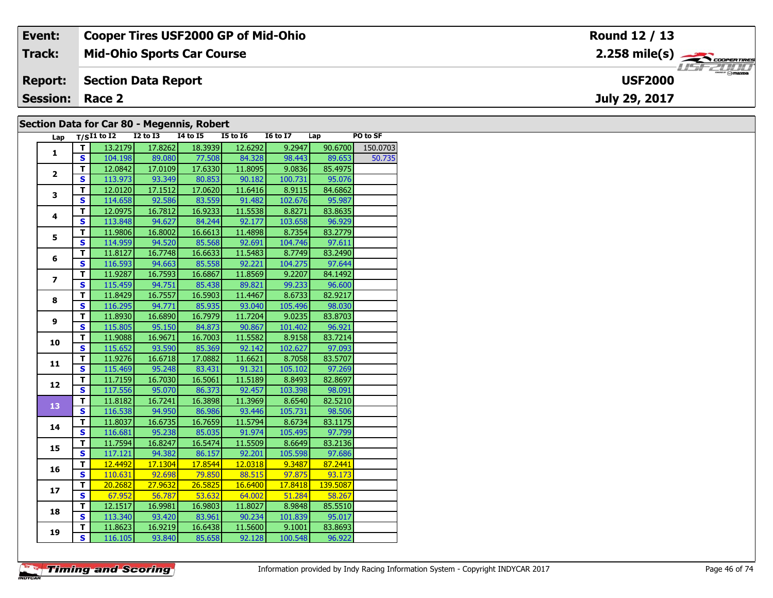| Event:                 | <b>Cooper Tires USF2000 GP of Mid-Ohio</b> | Round 12 / 13                                            |
|------------------------|--------------------------------------------|----------------------------------------------------------|
| Track:                 | <b>Mid-Ohio Sports Car Course</b>          | $2.258$ mile(s) $\overbrace{\hspace{2.5cm}}$ coorenances |
| <b>Report:</b>         | Section Data Report                        | <b>LISE 2000</b><br><b>USF2000</b>                       |
| <b>Session: Race 2</b> |                                            | July 29, 2017                                            |
|                        | Section Data for Car 80 - Megennic Pobert  |                                                          |

#### **Section Data for Car 80 - Megennis, Robert**

| Lap                     |                         | $T/SI1$ to $\overline{I2}$ | $I2$ to $I3$ | $I4$ to $I5$                 | <b>I5 to 16</b> | I6 to I7 Lap |          | PO to SF |
|-------------------------|-------------------------|----------------------------|--------------|------------------------------|-----------------|--------------|----------|----------|
|                         | T.                      | 13.2179                    | 17.8262      | 18.3939                      | 12.6292         | 9.2947       | 90.6700  | 150.0703 |
| $\mathbf{1}$            | <b>S</b>                |                            |              | 104.198 89.080 77.508 84.328 |                 | 98.443       | 89.653   | 50.735   |
|                         | $\overline{\mathsf{r}}$ | 12.0842                    | 17.0109      | 17.6330                      | 11.8095         | 9.0836       | 85.4975  |          |
| $\overline{2}$          | $\overline{\mathbf{s}}$ | 113.973                    | 93.349       | 80.853                       | 90.182          | 100.731      | 95.076   |          |
|                         | T.                      | 12.0120                    | 17.1512      | 17.0620                      | 11.6416         | 8.9115       | 84.6862  |          |
| 3                       | $\mathbf{s}$            | 114.658                    | 92.586       | 83.559                       | 91.482          | 102.676      | 95.987   |          |
|                         | $\mathbf T$             | 12.0975                    | 16.7812      | 16.9233                      | 11.5538         | 8.8271       | 83.8635  |          |
| $\overline{\mathbf{4}}$ | $\overline{\mathbf{s}}$ | 113.848                    | 94.627       | 84.244                       | 92.177          | 103.658      | 96.929   |          |
|                         | T                       | 11.9806                    | 16.8002      | 16.6613                      | 11.4898         | 8.7354       | 83.2779  |          |
| 5                       | $\mathbf{s}$            | 114.959                    | 94.520       | 85.568                       | 92.691          | 104.746      | 97.611   |          |
|                         | T                       | 11.8127                    | 16.7748      | 16.6633                      | 11.5483         | 8.7749       | 83.2490  |          |
| 6                       | $\overline{\mathbf{s}}$ | 116.593                    | 94.663       | 85.558                       | 92.221          | 104.275      | 97.644   |          |
|                         | T                       | 11.9287                    | 16.7593      | 16.6867                      | 11.8569         | 9.2207       | 84.1492  |          |
| $\overline{\mathbf{z}}$ | $\overline{\mathbf{s}}$ | 115.459                    | 94.751       | 85.438                       | 89.821          | 99.233       | 96.600   |          |
|                         | $\mathbf T$             | 11.8429                    | 16.7557      | 16.5903                      | 11.4467         | 8.6733       | 82.9217  |          |
| 8                       | $\mathbf{s}$            | 116.295                    | 94.771       | 85.935                       | 93.040          | 105.496      | 98.030   |          |
|                         | $\mathbf T$             | 11.8930                    | 16.6890      | 16.7979                      | 11.7204         | 9.0235       | 83.8703  |          |
| 9                       | $\mathbf{s}$            | 115.805                    | 95.150       | 84.873                       | 90.867          | 101.402      | 96.921   |          |
|                         | $\mathbf T$             | 11.9088                    | 16.9671      | 16.7003                      | 11.5582         | 8.9158       | 83.7214  |          |
| 10                      | $\mathbf{s}$            | 115.652                    | 93.590       | 85.369                       | 92.142          | 102.627      | 97.093   |          |
|                         | T                       | 11.9276                    | 16.6718      | 17.0882                      | 11.6621         | 8.7058       | 83.5707  |          |
| 11                      | $\overline{\mathbf{s}}$ | 115.469                    | 95.248       | 83.431                       | 91.321          | 105.102      | 97.269   |          |
|                         | T.                      | 11.7159                    | 16.7030      | 16.5061                      | 11.5189         | 8.8493       | 82.8697  |          |
| 12                      | $\overline{\mathbf{s}}$ | 117.556                    | 95.070       | 86.373                       | 92.457          | 103.398      | 98.091   |          |
| 13                      | $\mathbf T$             | 11.8182                    | 16.7241      | 16.3898                      | 11.3969         | 8.6540       | 82.5210  |          |
|                         | S                       | 116.538                    | 94.950       | 86.986                       | 93.446          | 105.731      | 98.506   |          |
| 14                      | T                       | 11.8037                    | 16.6735      | 16.7659                      | 11.5794         | 8.6734       | 83.1175  |          |
|                         | $\overline{\mathbf{s}}$ | 116.681                    | 95.238       | 85.035                       | 91.974          | 105.495      | 97.799   |          |
| 15                      | T                       | 11.7594                    | 16.8247      | 16.5474                      | 11.5509         | 8.6649       | 83.2136  |          |
|                         | $\overline{\mathbf{s}}$ | 117.121                    | 94.382       | 86.157                       | 92.201          | 105.598      | 97.686   |          |
|                         | T                       | 12.4492                    | 17.1304      | 17.8544                      | 12.0318         | 9.3487       | 87.2441  |          |
| 16                      | $\overline{\mathbf{s}}$ | 110.631                    |              | 92.698 79.850                | 88.515          | 97.875       | 93.173   |          |
| 17                      | T                       | 20.2682                    | 27.9632      | 26.5825                      | 16.6400         | 17.8418      | 139.5087 |          |
|                         | $\overline{\mathbf{s}}$ | 67.952                     |              | 56.787 53.632                | 64.002          | 51.284       | 58.267   |          |
| 18                      | T                       | 12.1517                    | 16.9981      | 16.9803                      | 11.8027         | 8.9848       | 85.5510  |          |
|                         | $\overline{\mathbf{s}}$ | 113.340                    | 93.420       | 83.961                       | 90.234          | 101.839      | 95.017   |          |
| 19                      | т                       | 11.8623                    | 16.9219      | 16.6438                      | 11.5600         | 9.1001       | 83.8693  |          |
|                         | $\overline{\mathbf{s}}$ | 116.105                    | 93.840       | 85.658                       | 92.128          | 100.548      | 96.922   |          |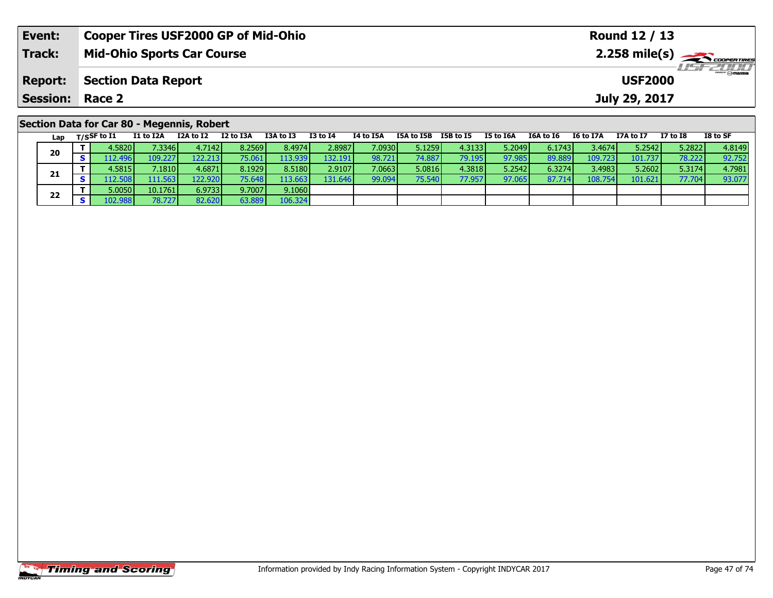| Event:          | <b>Cooper Tires USF2000 GP of Mid-Ohio</b> |                                              |           |           |          |           |            |           |           |           |                  | Round 12 / 13                                      |          |          |  |  |  |  |
|-----------------|--------------------------------------------|----------------------------------------------|-----------|-----------|----------|-----------|------------|-----------|-----------|-----------|------------------|----------------------------------------------------|----------|----------|--|--|--|--|
| <b>Track:</b>   |                                            | <b>Mid-Ohio Sports Car Course</b>            |           |           |          |           |            |           |           |           |                  | $2.258$ mile(s) $\sum$ coorer Times<br>$H = -2000$ |          |          |  |  |  |  |
| <b>Report:</b>  |                                            | <b>Section Data Report</b><br><b>USF2000</b> |           |           |          |           |            |           |           |           |                  |                                                    |          |          |  |  |  |  |
| <b>Session:</b> | Race 2                                     |                                              |           |           |          |           |            |           |           |           |                  | July 29, 2017                                      |          |          |  |  |  |  |
|                 | Section Data for Car 80 - Megennis, Robert |                                              |           |           |          |           |            |           |           |           |                  |                                                    |          |          |  |  |  |  |
| Lap             | I1 to I2A<br>T/SSF to I1                   | I2A to I2                                    | I2 to I3A | I3A to I3 | I3 to I4 | I4 to I5A | I5A to I5B | I5B to I5 | I5 to I6A | I6A to I6 | <b>I6 to I7A</b> | I7A to I7                                          | I7 to I8 | I8 to SF |  |  |  |  |

0 | T | 4.5820| 7.3346| 4.7142| 8.2569| 8.4974| 2.8987| 7.0930| 5.1259| 4.3133| 5.2049| 6.1743| 3.4674| 5.2542| 5.2822| 4.8149<br>| S | 112.496| 109.227| 122.213| 75.061| 113.939| 132.191| 98.721| 74.887| 79.195| 97.985| 89.8

**<sup>T</sup>** 4.5815 7.1810 4.6871 8.1929 8.5180 2.9107 7.0663 5.0816 4.3818 5.2542 6.3274 3.4983 5.2602 5.3174 4.7981 **<sup>S</sup>** 112.508 111.563 122.920 75.648 113.663 131.646 99.094 75.540 77.957 97.065 87.714 108.754 101.621 77.704 93.077

106.324

**20**

**21**

**22**

**<sup>T</sup>** 5.0050 10.1761 6.9733 9.7007 9.1060 **<sup>S</sup>** 102.988 78.727 82.620 63.889 106.324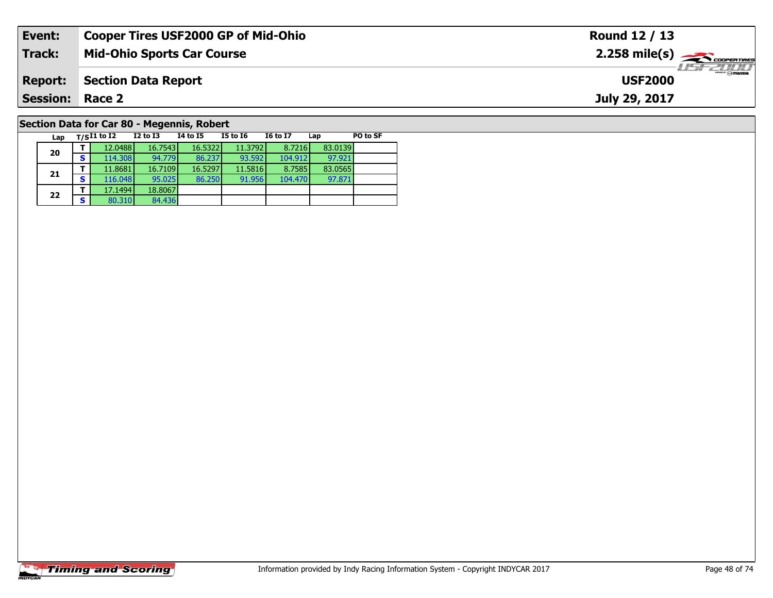| Event:                                     | <b>Cooper Tires USF2000 GP of Mid-Ohio</b> |          |          |          |                 |     |          | Round 12 / 13                                         |
|--------------------------------------------|--------------------------------------------|----------|----------|----------|-----------------|-----|----------|-------------------------------------------------------|
| <b>Track:</b>                              | <b>Mid-Ohio Sports Car Course</b>          |          |          |          |                 |     |          | $2.258$ mile(s) $\overbrace{\hspace{2cm}}$ codenaries |
| <b>Report:</b>                             | <b>Section Data Report</b>                 |          |          |          |                 |     |          | $\frac{2}{\sqrt{2}}$ omazoa<br><b>USF2000</b>         |
| <b>Session:</b>                            | Race 2                                     |          |          |          |                 |     |          | July 29, 2017                                         |
| Section Data for Car 80 - Megennis, Robert |                                            |          |          |          |                 |     |          |                                                       |
| Lap                                        | $T/SI1$ to I2                              | I2 to I3 | 14 to 15 | I5 to I6 | <b>I6 to I7</b> | Lap | PO to SF |                                                       |

# **Timing and Scoring**

**20**

**21**

**22**

**<sup>T</sup>** 17.1494 18.8067 **<sup>S</sup>** 80.310 84.436

84.436

**<sup>T</sup>** 12.0488 16.7543 16.5322 11.3792 8.7216 83.0139 **<sup>S</sup>** 114.308 94.779 86.237 93.592 104.912 97.921

**<sup>T</sup>** 11.8681 16.7109 16.5297 11.5816 8.7585 83.0565 **<sup>S</sup>** 116.048 95.025 86.250 91.956 104.470 97.871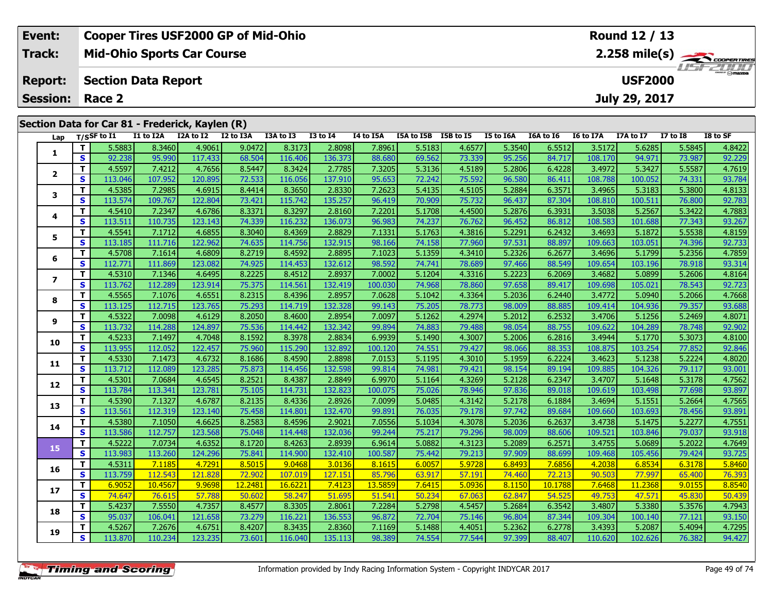| Event:                 | <b>Cooper Tires USF2000 GP of Mid-Ohio</b>      |  |           |          |           |  |                           |                       | Round 12 / 13    |                 |           |
|------------------------|-------------------------------------------------|--|-----------|----------|-----------|--|---------------------------|-----------------------|------------------|-----------------|-----------|
| Track:                 | <b>Mid-Ohio Sports Car Course</b>               |  |           |          |           |  |                           |                       |                  |                 | LIST CLIP |
| <b>Report:</b>         | Section Data Report                             |  |           |          |           |  |                           |                       | <b>USF2000</b>   |                 |           |
| <b>Session: Race 2</b> |                                                 |  |           |          |           |  |                           |                       | July 29, 2017    |                 |           |
|                        |                                                 |  |           |          |           |  |                           |                       |                  |                 |           |
|                        | Section Data for Car 81 - Frederick, Kaylen (R) |  |           |          |           |  |                           |                       |                  |                 |           |
|                        | $\blacksquare$                                  |  | TOA AA TO | TO LA TA | TA LA TEA |  | TEAL TED TED LATE TELATER | TCA LA TC . TC LA TTA | <b>TTA 44 TT</b> | <b>TT 14 TO</b> | TO LA CE  |

| Lap                      |              | $T/S$ SF to I1 | I1 to I2A | I2A to I2 | I2 to I3A | I3A to I3 | <b>I3 to I4</b> | I4 to I5A | I5A to I5B | I5B to I5 | I5 to I6A | I6A to I6 | I6 to I7A | I7A to I7 | <b>I7 to I8</b> | I8 to SF |
|--------------------------|--------------|----------------|-----------|-----------|-----------|-----------|-----------------|-----------|------------|-----------|-----------|-----------|-----------|-----------|-----------------|----------|
| 1                        | T.           | 5.5883         | 8.3460    | 4.9061    | 9.0472    | 8.3173    | 2.8098          | 7.8961    | 5.5183     | 4.6577    | 5.3540    | 6.5512    | 3.5172    | 5.6285    | 5.5845          | 4.8422   |
|                          | S            | 92.238         | 95.990    | 117.433   | 68.504    | 116.406   | 136.373         | 88.680    | 69.562     | 73.339    | 95.256    | 84.717    | 108.170   | 94.971    | 73.987          | 92.229   |
| $\overline{2}$           | T            | 4.5597         | 7.4212    | 4.7656    | 8.5447    | 8.3424    | 2.7785          | 7.3205    | 5.3136     | 4.5189    | 5.2806    | 6.4228    | 3.4972    | 5.3427    | 5.5587          | 4.7619   |
|                          | $\mathbf{s}$ | 113.046        | 107.952   | 120.895   | 72.533    | 116.056   | 137.910         | 95.653    | 72.242     | 75.592    | 96.580    | 86.411    | 108.788   | 100.052   | 74.331          | 93.784   |
| 3                        | T            | 4.5385         | 7.2985    | 4.6915    | 8.4414    | 8.3650    | 2.8330          | 7.2623    | 5.4135     | 4.5105    | 5.2884    | 6.3571    | 3.4965    | 5.3183    | 5.3800          | 4.8133   |
|                          | $\mathbf{s}$ | 113.574        | 109.767   | 122.804   | 73.421    | 115.742   | 135.257         | 96.419    | 70.909     | 75.732    | 96.437    | 87.304    | 108.810   | 100.511   | 76.800          | 92.783   |
| 4                        | T.           | 4.5410         | 7.2347    | 4.6786    | 8.3371    | 8.3297    | 2.8160          | 7.2201    | 5.1708     | 4.4500    | 5.2876    | 6.3931    | 3.5038    | 5.2567    | 5.3422          | 4.7883   |
|                          | S            | 113.511        | 110.735   | 123.143   | 74.339    | 116.232   | 136.073         | 96.983    | 74.237     | 76.762    | 96.452    | 86.812    | 108.583   | 101.688   | 77.343          | 93.267   |
| 5                        | T            | 4.5541         | 7.1712    | 4.6855    | 8.3040    | 8.4369    | 2.8829          | 7.1331    | 5.1763     | 4.3816    | 5.2291    | 6.2432    | 3.4693    | 5.1872    | 5.5538          | 4.8159   |
|                          | $\mathbf{s}$ | 113.185        | 111.716   | 122.962   | 74.635    | 114.756   | 132.915         | 98.166    | 74.158     | 77.960    | 97.531    | 88.897    | 109.663   | 103.051   | 74.396          | 92.733   |
| 6                        | T            | 4.5708         | 7.1614    | 4.6809    | 8.2719    | 8.4592    | 2.8895          | 7.1023    | 5.1359     | 4.3410    | 5.2326    | 6.2677    | 3.4696    | 5.1799    | 5.2356          | 4.7859   |
|                          | S            | 112.771        | 111.869   | 123.082   | 74.925    | 114.453   | 132.612         | 98.592    | 74.741     | 78.689    | 97.466    | 88.549    | 109.654   | 103.196   | 78.918          | 93.314   |
| $\overline{\phantom{a}}$ | $\mathbf{T}$ | 4.5310         | 7.1346    | 4.6495    | 8.2225    | 8.4512    | 2.8937          | 7.0002    | 5.1204     | 4.3316    | 5.2223    | 6.2069    | 3.4682    | 5.0899    | 5.2606          | 4.8164   |
|                          | S            | 113.762        | 112.289   | 123.914   | 75.375    | 114.561   | 132.419         | 100.030   | 74.968     | 78.860    | 97.658    | 89.417    | 109.698   | 105.021   | 78.543          | 92.723   |
| 8                        | T.           | 4.5565         | 7.1076    | 4.6551    | 8.2315    | 8.4396    | 2.8957          | 7.0628    | 5.1042     | 4.3364    | 5.2036    | 6.2440    | 3.4772    | 5.0940    | 5.2066          | 4.7668   |
|                          | S.           | 113.125        | 112.715   | 123.765   | 75.293    | 114.719   | 132.328         | 99.143    | 75.205     | 78.773    | 98.009    | 88.885    | 109.414   | 104.936   | 79.357          | 93.688   |
| 9                        | Т            | 4.5322         | 7.0098    | 4.6129    | 8.2050    | 8.4600    | 2.8954          | 7.0097    | 5.1262     | 4.2974    | 5.2012    | 6.2532    | 3.4706    | 5.1256    | 5.2469          | 4.8071   |
|                          | S            | 113.732        | 114.288   | 124.897   | 75.536    | 114.442   | 132.342         | 99.894    | 74.883     | 79.488    | 98.054    | 88.755    | 109.622   | 104.289   | 78.748          | 92.902   |
| 10                       | T            | 4.5233         | 7.1497    | 4.7048    | 8.1592    | 8.3978    | 2.8834          | 6.9939    | 5.1490     | 4.3007    | 5.2006    | 6.2816    | 3.4944    | 5.1770    | 5.3073          | 4.8100   |
|                          | $\mathbf{s}$ | 113.955        | 112.052   | 122.457   | 75.960    | 115.290   | 132.892         | 100.120   | 74.551     | 79.427    | 98.066    | 88.353    | 108.875   | 103.254   | 77.852          | 92.846   |
| 11                       | $\mathbf{T}$ | 4.5330         | 7.1473    | 4.6732    | 8.1686    | 8.4590    | 2.8898          | 7.0153    | 5.1195     | 4.3010    | 5.1959    | 6.2224    | 3.4623    | 5.1238    | 5.2224          | 4.8020   |
|                          | S            | 113.712        | 112.089   | 123.285   | 75.873    | 114.456   | 132.598         | 99.814    | 74.981     | 79.421    | 98.154    | 89.194    | 109.885   | 104.326   | 79.117          | 93.001   |
| 12                       | T.           | 4.5301         | 7.0684    | 4.6545    | 8.2521    | 8.4387    | 2.8849          | 6.9970    | 5.1164     | 4.3269    | 5.2128    | 6.2347    | 3.4707    | 5.1648    | 5.3178          | 4.7562   |
|                          | $\mathbf{s}$ | 113.784        | 113.341   | 123.781   | 75.105    | 114.731   | 132.823         | 100.075   | 75.026     | 78.946    | 97.836    | 89.018    | 109.619   | 103.498   | 77.698          | 93.897   |
| 13                       | T.           | 4.5390         | 7.1327    | 4.6787    | 8.2135    | 8.4336    | 2.8926          | 7.0099    | 5.0485     | 4.3142    | 5.2178    | 6.1884    | 3.4694    | 5.1551    | 5.2664          | 4.7565   |
|                          | <b>S</b>     | 113.561        | 112.319   | 123.140   | 75.458    | 114.801   | 132.470         | 99.891    | 76.035     | 79.178    | 97.742    | 89.684    | 109.660   | 103.693   | 78.456          | 93.891   |
| 14                       | T            | 4.5380         | 7.1050    | 4.6625    | 8.2583    | 8.4596    | 2.9021          | 7.0556    | 5.1034     | 4.3078    | 5.2036    | 6.2637    | 3.4738    | 5.1475    | 5.2277          | 4.7551   |
|                          | $\mathbf{s}$ | 113.586        | 112.757   | 123.568   | 75.048    | 114.448   | 132.036         | 99.244    | 75.217     | 79.296    | 98.009    | 88.606    | 109.521   | 103.846   | 79.037          | 93.918   |
| 15                       | T.           | 4.5222         | 7.0734    | 4.6352    | 8.1720    | 8.4263    | 2.8939          | 6.9614    | 5.0882     | 4.3123    | 5.2089    | 6.2571    | 3.4755    | 5.0689    | 5.2022          | 4.7649   |
|                          | S            | 113.983        | 113.260   | 124.296   | 75.841    | 114.900   | 132.410         | 100.587   | 75.442     | 79.213    | 97.909    | 88.699    | 109.468   | 105.456   | 79.424          | 93.725   |
| 16                       | $\mathbf{T}$ | 4.5311         | 7.1185    | 4.7291    | 8.5015    | 9.0468    | 3.0136          | 8.1615    | 6.0057     | 5.9728    | 6.8493    | 7.6856    | 4.2038    | 6.8534    | 6.3178          | 5.8460   |
|                          | S            | 113.759        | 112.543   | 121.828   | 72.902    | 107.019   | 127.151         | 85.796    | 63.917     | 57.191    | 74.460    | 72.213    | 90.503    | 77.997    | 65.400          | 76.393   |
| 17                       | т            | 6.9052         | 10.4567   | 9.9698    | 12.2481   | 16.6221   | 7.4123          | 13.5859   | 7.6415     | 5.0936    | 8.1150    | 10.1788   | 7.6468    | 11.2368   | 9.0155          | 8.8540   |
|                          | S            | 74.647         | 76.615    | 57.788    | 50.602    | 58.247    | 51.695          | 51.541    | 50.234     | 67.063    | 62.847    | 54.525    | 49.753    | 47.571    | 45.830          | 50.439   |
| 18                       | T.           | 5.4237         | 7.5550    | 4.7357    | 8.4577    | 8.3305    | 2.8061          | 7.2284    | 5.2798     | 4.5457    | 5.2684    | 6.3542    | 3.4807    | 5.3380    | 5.3576          | 4.7943   |
|                          | <b>S</b>     | 95.037         | 106.041   | 121.658   | 73.279    | 116.221   | 136.553         | 96.872    | 72.704     | 75.146    | 96.804    | 87.344    | 109.304   | 100.140   | 77.121          | 93.150   |
| 19                       | T.           | 4.5267         | 7.2676    | 4.6751    | 8.4207    | 8.3435    | 2.8360          | 7.1169    | 5.1488     | 4.4051    | 5.2362    | 6.2778    | 3.4393    | 5.2087    | 5.4094          | 4.7295   |
|                          | S            | 113.870        | 110.234   | 123.235   | 73.601    | 116.040   | 135.113         | 98.389    | 74.554     | 77.544    | 97.399    | 88.407    | 110.620   | 102.626   | 76.382          | 94.427   |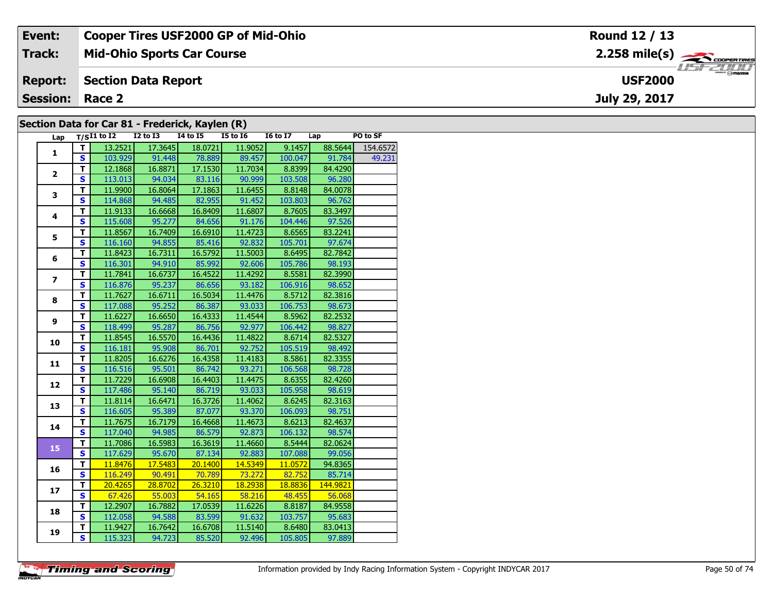| Event:                 | <b>Cooper Tires USF2000 GP of Mid-Ohio</b>      | Round 12 / 13                                          |
|------------------------|-------------------------------------------------|--------------------------------------------------------|
| <b>Track:</b>          | <b>Mid-Ohio Sports Car Course</b>               | $2.258$ mile(s) $\overbrace{\hspace{2cm}}$ coderatings |
| <b>Report:</b>         | Section Data Report                             | <b>USF2000</b>                                         |
| <b>Session: Race 2</b> |                                                 | July 29, 2017                                          |
|                        | Section Data for Car 81 - Frederick, Kavlen (R) |                                                        |

#### **Section Data for Car 81 - Frederick, Kaylen (R)**

| Lap            |                         | $T/SI1$ to I2 I2 to I3 I4 to I5 I5 to I6 |         |         |               | I6 to I7 Lap |          | PO to SF |
|----------------|-------------------------|------------------------------------------|---------|---------|---------------|--------------|----------|----------|
| $\mathbf{1}$   | T                       | 13.2521                                  | 17.3645 | 18.0721 | 11.9052       | 9.1457       | 88.5644  | 154.6572 |
|                | S                       | 103.929                                  | 91.448  |         | 78.889 89.457 | 100.047      | 91.784   | 49.231   |
|                | $\overline{\mathsf{T}}$ | 12.1868                                  | 16.8871 | 17.1530 | 11.7034       | 8.8399       | 84.4290  |          |
| $\overline{2}$ | S                       | 113.013                                  | 94.034  | 83.116  | 90.999        | 103.508      | 96.280   |          |
| 3              | $\overline{\mathsf{r}}$ | 11.9900                                  | 16.8064 | 17.1863 | 11.6455       | 8.8148       | 84.0078  |          |
|                | $\overline{\mathbf{s}}$ | 114.868                                  | 94.485  | 82.955  | 91.452        | 103.803      | 96.762   |          |
|                | T                       | 11.9133                                  | 16.6668 | 16.8409 | 11.6807       | 8.7605       | 83.3497  |          |
| 4              | $\overline{\mathbf{s}}$ | 115.608                                  | 95.277  | 84.656  | 91.176        | 104.446      | 97.526   |          |
|                | T                       | 11.8567                                  | 16.7409 | 16.6910 | 11.4723       | 8.6565       | 83.2241  |          |
| 5              | $\mathbf{s}$            | 116.160                                  | 94.855  | 85.416  | 92.832        | 105.701      | 97.674   |          |
|                | T.                      | 11.8423                                  | 16.7311 | 16.5792 | 11.5003       | 8.6495       | 82.7842  |          |
| 6              | $\overline{\mathbf{s}}$ | 116.301                                  | 94.910  | 85.992  | 92.606        | 105.786      | 98.193   |          |
|                | T                       | 11.7841                                  | 16.6737 | 16.4522 | 11.4292       | 8.5581       | 82.3990  |          |
| $\overline{ }$ | $\overline{\mathbf{s}}$ | 116.876                                  | 95.237  | 86.656  | 93.182        | 106.916      | 98.652   |          |
|                | T                       | 11.7627                                  | 16.6711 | 16.5034 | 11.4476       | 8.5712       | 82.3816  |          |
| 8              | $\overline{\mathbf{s}}$ | 117.088                                  | 95.252  | 86.387  | 93.033        | 106.753      | 98.673   |          |
|                | T                       | 11.6227                                  | 16.6650 | 16.4333 | 11.4544       | 8.5962       | 82.2532  |          |
| 9              | S                       | 118.499                                  | 95.287  | 86.756  | 92.977        | 106.442      | 98.827   |          |
|                | T                       | 11.8545                                  | 16.5570 | 16.4436 | 11.4822       | 8.6714       | 82.5327  |          |
| 10             | $\mathbf{s}$            | 116.181                                  | 95.908  | 86.701  | 92.752        | 105.519      | 98.492   |          |
|                | T.                      | 11.8205                                  | 16.6276 | 16.4358 | 11.4183       | 8.5861       | 82.3355  |          |
| 11             | $\overline{\mathbf{s}}$ | 116.516                                  | 95.501  | 86.742  | 93.271        | 106.568      | 98.728   |          |
|                | $\mathbf T$             | 11.7229                                  | 16.6908 | 16.4403 | 11.4475       | 8.6355       | 82.4260  |          |
| 12             | $\overline{\mathbf{s}}$ | 117.486                                  | 95.140  | 86.719  | 93.033        | 105.958      | 98.619   |          |
|                | T                       | 11.8114                                  | 16.6471 | 16.3726 | 11.4062       | 8.6245       | 82.3163  |          |
| 13             | $\overline{\mathbf{s}}$ | 116.605                                  | 95.389  | 87.077  | 93.370        | 106.093      | 98.751   |          |
| 14             | $\mathbf T$             | 11.7675                                  | 16.7179 | 16.4668 | 11.4673       | 8.6213       | 82.4637  |          |
|                | $\overline{\mathbf{s}}$ | 117.040                                  | 94.985  | 86.579  | 92.873        | 106.132      | 98.574   |          |
| 15             | T                       | 11.7086                                  | 16.5983 | 16.3619 | 11.4660       | 8.5444       | 82.0624  |          |
|                | $\overline{\mathbf{s}}$ | 117.629                                  | 95.670  | 87.134  | 92.883        | 107.088      | 99.056   |          |
| 16             | т                       | 11.8476                                  | 17.5483 | 20.1400 | 14.5349       | 11.0572      | 94.8365  |          |
|                | $\mathbf s$             | 116.249                                  | 90.491  | 70.789  | 73.272        | 82.752       | 85.714   |          |
| 17             | $\overline{\mathsf{r}}$ | 20.4265                                  | 28.8702 | 26.3210 | 18.2938       | 18.8836      | 144.9821 |          |
|                | S                       | 67.426                                   | 55.003  | 54.165  | $-58.216$     | 48.455       | 56.068   |          |
| 18             | T.                      | 12.2907                                  | 16.7882 | 17.0539 | 11.6226       | 8.8187       | 84.9558  |          |
|                | $\overline{\mathbf{s}}$ | 112.058                                  | 94.588  | 83.599  | 91.632        | 103.757      | 95.683   |          |
| 19             | т                       | 11.9427                                  | 16.7642 | 16.6708 | 11.5140       | 8.6480       | 83.0413  |          |
|                | $\overline{\mathbf{s}}$ | 115.323                                  | 94.723  | 85.520  | 92.496        | 105.805      | 97.889   |          |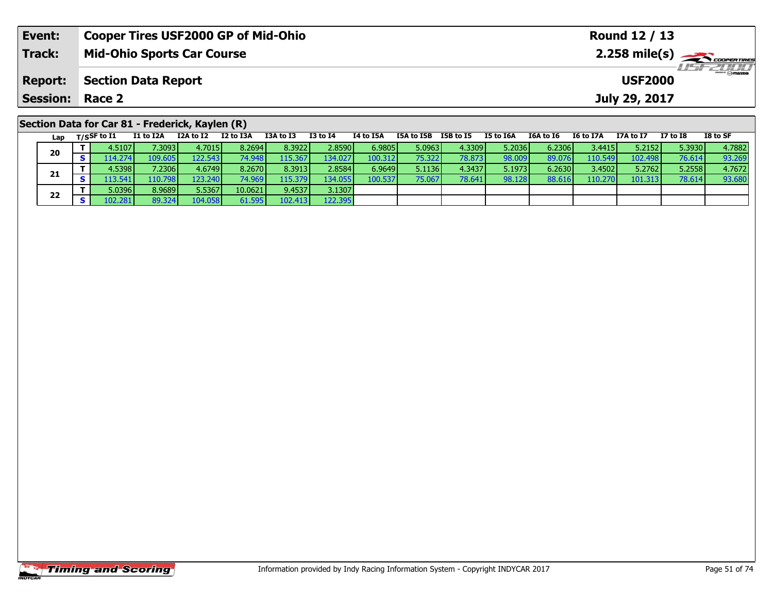| Event:          | <b>Cooper Tires USF2000 GP of Mid-Ohio</b>                                                                                                                                                                                                                                                                                                                                                                                                                                      |                  |                  |           |  |                      |           |                     |  | Round 12 / 13  |                 |          |
|-----------------|---------------------------------------------------------------------------------------------------------------------------------------------------------------------------------------------------------------------------------------------------------------------------------------------------------------------------------------------------------------------------------------------------------------------------------------------------------------------------------|------------------|------------------|-----------|--|----------------------|-----------|---------------------|--|----------------|-----------------|----------|
| Track:          | <b>Mid-Ohio Sports Car Course</b>                                                                                                                                                                                                                                                                                                                                                                                                                                               |                  | <b>LISF 2000</b> |           |  |                      |           |                     |  |                |                 |          |
| <b>Report:</b>  | <b>Section Data Report</b>                                                                                                                                                                                                                                                                                                                                                                                                                                                      |                  |                  |           |  |                      |           |                     |  | <b>USF2000</b> |                 |          |
| Session: Race 2 |                                                                                                                                                                                                                                                                                                                                                                                                                                                                                 |                  |                  |           |  |                      |           |                     |  | July 29, 2017  |                 |          |
|                 | Section Data for Car 81 - Frederick, Kaylen (R)<br>$1 - u$ $\overline{ }$ $\overline{ }$ $\overline{ }$ $\overline{ }$ $\overline{ }$ $\overline{ }$ $\overline{ }$ $\overline{ }$ $\overline{ }$ $\overline{ }$ $\overline{ }$ $\overline{ }$ $\overline{ }$ $\overline{ }$ $\overline{ }$ $\overline{ }$ $\overline{ }$ $\overline{ }$ $\overline{ }$ $\overline{ }$ $\overline{ }$ $\overline{ }$ $\overline{ }$ $\overline{ }$ $\overline{ }$ $\overline{ }$ $\overline{ }$ | <b>T2A to T2</b> | T2 to T4         | TA to TEA |  | TEA to TER TER to TE | TE to TEA | TGA to TG TG to T7A |  | T7A to T7      | <b>T7 to TQ</b> | TO to CE |

| Lap | $T/S$ SF to I1  | I1 to I2A | I2A to I2 | I2 to I3A       | I3A to I3 | <b>I3 to I4</b> | 14 to 15A | I5A to I5B | I5B to I5 | I5 to I6A | I6A to I6 | I6 to I7A | I7A to I7 | I7 to I8 | I8 to SF |
|-----|-----------------|-----------|-----------|-----------------|-----------|-----------------|-----------|------------|-----------|-----------|-----------|-----------|-----------|----------|----------|
| 20  | 4.5107 <b>1</b> | 7.30931   | 4.7015    | 8.2694          | 8.3922    | 2.8590          | 6.9805    | 5.0963     | 4.3309    | 5.2036    | 6.2306    | 3.4415    | 5.2152    | 5.3930   | 4.7882   |
|     | 14.274          | 109.605   | 122.543   | 74.948 <b>I</b> | 115.367   | 134.027         | 100.312   | 75.3221    | 78.873    | 98.009    | 89.076    | 110.549   | 102.498   | 76.614   | 93.269   |
|     | 4.5398          | 7.2306    | 4.6749    | 8.2670 <b>1</b> | 8.3913    | 2.8584          | 6.9649    | 5.1136     | 4.3437    | 5.1973    | 6.2630    | 3.4502    | 5.2762    | 5.2558   | 4.7672   |
| 21  | .13.541V        | 110.798   | 123.240   | 74.969          | 115.379   | 134.055         | 100.537   | 75.067     | 78.641    | 98.128    | 88.616    | 110.270   | 101.313   | 78.614   | 93.680   |
| 22  | 5.0396          | 8.9689    | 5.5367    | 10.0621         | 9.4537    | 3.1307          |           |            |           |           |           |           |           |          |          |
|     |                 | 89.324    | 104.058   | 61.595          | 102.413   | 122.395         |           |            |           |           |           |           |           |          |          |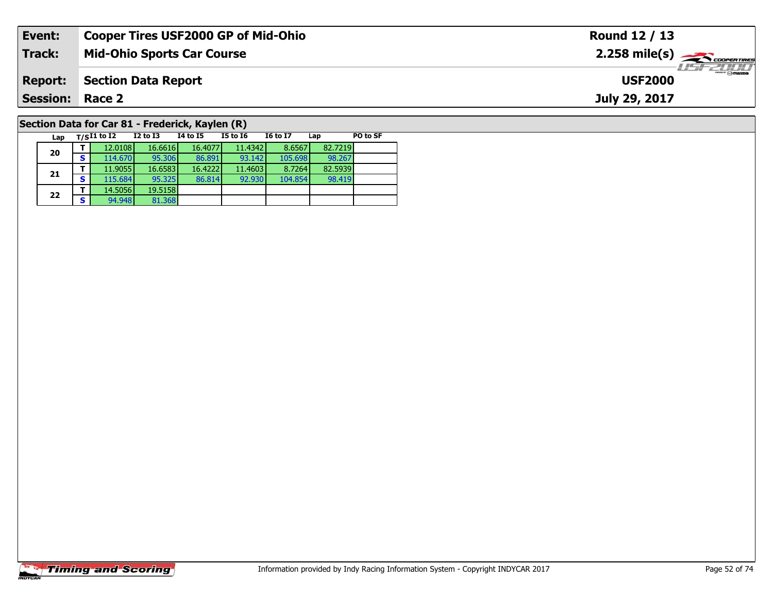| Event:                                          | <b>Cooper Tires USF2000 GP of Mid-Ohio</b> | Round 12 / 13                                           |  |  |  |  |  |
|-------------------------------------------------|--------------------------------------------|---------------------------------------------------------|--|--|--|--|--|
| Track:                                          | <b>Mid-Ohio Sports Car Course</b>          | $2.258$ mile(s) $\overbrace{\hspace{2cm}}$ coorer TIRES |  |  |  |  |  |
| <b>Report:</b>                                  | <b>Section Data Report</b>                 | <b>LISF 2007</b><br><b>USF2000</b>                      |  |  |  |  |  |
| <b>Session: Race 2</b>                          |                                            | July 29, 2017                                           |  |  |  |  |  |
| Section Data for Car 81 - Frederick, Kaylen (R) |                                            |                                                         |  |  |  |  |  |

98.267<br>82.5939

98.419

**Lap T/SI1 to I2 I2 to I3 I4 to I5 I5 to I6 I6 to I7 Lap PO to SF** 

**<sup>T</sup>** 12.0108 16.6616 16.4077 11.4342 8.6567 82.7219 **<sup>S</sup>** 114.670 95.306 86.891 93.142 105.698 98.267

**<sup>T</sup>** 11.9055 16.6583 16.4222 11.4603 8.7264 82.5939 **<sup>S</sup>** 115.684 95.325 86.814 92.930 104.854 98.419

# **Timing and Scoring**

**20**

**21**

**22**

**d T** 14.5056 19.5158<br>**S** 94.948 81.368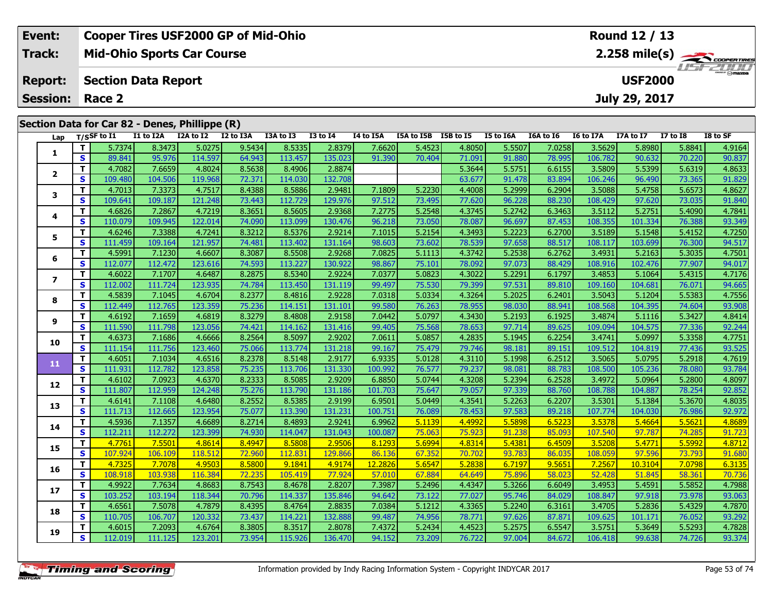| Event:                 | <b>Cooper Tires USF2000 GP of Mid-Ohio</b>     | Round 12 / 13                                          |
|------------------------|------------------------------------------------|--------------------------------------------------------|
| Track:                 | <b>Mid-Ohio Sports Car Course</b>              | $2.258$ mile(s) $\overbrace{\hspace{2cm}}$ coorer Time |
| <b>Report:</b>         | Section Data Report                            | $\frac{1}{\sqrt{2}}$<br><b>USF2000</b>                 |
| <b>Session: Race 2</b> |                                                | July 29, 2017                                          |
|                        | Section Data for Car 82 - Denes, Phillippe (R) |                                                        |

| Lap            |                         | T/SSF to I1 | I1 to I2A | I2A to I2 | I2 to I3A | I3A to I3 | $\overline{13}$ to $\overline{14}$ | I4 to I5A | I5A to I5B I5B to I5 |        | I5 to I6A | I6A to I6 | I6 to I7A | I7A to I7 | <b>I7 to I8</b> | I8 to SF |
|----------------|-------------------------|-------------|-----------|-----------|-----------|-----------|------------------------------------|-----------|----------------------|--------|-----------|-----------|-----------|-----------|-----------------|----------|
|                | T.                      | 5.7374      | 8.3473    | 5.0275    | 9.5434    | 8.5335    | 2.8379                             | 7.6620    | 5.4523               | 4.8050 | 5.5507    | 7.0258    | 3.5629    | 5.8980    | 5.8841          | 4.9164   |
| 1              | S                       | 89.841      | 95.976    | 114.597   | 64.943    | 113.457   | 135.023                            | 91.390    | 70.404               | 71.091 | 91.880    | 78.995    | 106.782   | 90.632    | 70.220          | 90.837   |
|                | T                       | 4.7082      | 7.6659    | 4.8024    | 8.5638    | 8.4906    | 2.8874                             |           |                      | 5.3644 | 5.5751    | 6.6155    | 3.5809    | 5.5399    | 5.6319          | 4.8633   |
| $\overline{2}$ | S                       | 109.480     | 104.506   | 119.968   | 72.371    | 114.030   | 132.708                            |           |                      | 63.677 | 91.478    | 83.894    | 106.246   | 96.490    | 73.365          | 91.829   |
| 3              | T                       | 4.7013      | 7.3373    | 4.7517    | 8.4388    | 8.5886    | 2.9481                             | 7.1809    | 5.2230               | 4.4008 | 5.2999    | 6.2904    | 3.5088    | 5.4758    | 5.6573          | 4.8627   |
|                | $\overline{\mathbf{s}}$ | 109.641     | 109.187   | 121.248   | 73.443    | 112.729   | 129.976                            | 97.512    | 73.495               | 77.620 | 96.228    | 88.230    | 108.429   | 97.620    | 73.035          | 91.840   |
| 4              | T                       | 4.6826      | 7.2867    | 4.7219    | 8.3651    | 8.5605    | 2.9368                             | 7.2775    | 5.2548               | 4.3745 | 5.2742    | 6.3463    | 3.5112    | 5.2751    | 5.4090          | 4.7841   |
|                | S                       | 110.079     | 109.945   | 122.014   | 74.090    | 113.099   | 130.476                            | 96.218    | 73.050               | 78.087 | 96.697    | 87.453    | 108.355   | 101.334   | 76.388          | 93.349   |
| 5              | T                       | 4.6246      | 7.3388    | 4.7241    | 8.3212    | 8.5376    | 2.9214                             | 7.1015    | 5.2154               | 4.3493 | 5.2223    | 6.2700    | 3.5189    | 5.1548    | 5.4152          | 4.7250   |
|                | $\overline{\mathbf{s}}$ | 111.459     | 109.164   | 121.957   | 74.481    | 113.402   | 131.164                            | 98.603    | 73.602               | 78.539 | 97.658    | 88.517    | 108.117   | 103.699   | 76.300          | 94.517   |
| 6              | $\mathbf{T}$            | 4.5991      | 7.1230    | 4.6607    | 8.3087    | 8.5508    | 2.9268                             | 7.0825    | 5.1113               | 4.3742 | 5.2538    | 6.2762    | 3.4931    | 5.2163    | 5.3035          | 4.7501   |
|                | S                       | 112.077     | 112.472   | 123.616   | 74.593    | 113.227   | 130.922                            | 98.867    | 75.101               | 78.092 | 97.073    | 88.429    | 108.916   | 102.476   | 77.907          | 94.017   |
| $\overline{ }$ | T                       | 4.6022      | 7.1707    | 4.6487    | 8.2875    | 8.5340    | 2.9224                             | 7.0377    | 5.0823               | 4.3022 | 5.2291    | 6.1797    | 3.4853    | 5.1064    | 5.4315          | 4.7176   |
|                | S                       | 112.002     | 111.724   | 123.935   | 74.784    | 113.450   | 131.119                            | 99.497    | 75.530               | 79.399 | 97.531    | 89.810    | 109.160   | 104.681   | 76.071          | 94.665   |
| 8              | T.                      | 4.5839      | 7.1045    | 4.6704    | 8.2377    | 8.4816    | 2.9228                             | 7.0318    | 5.0334               | 4.3264 | 5.2025    | 6.2401    | 3.5043    | 5.1204    | 5.5383          | 4.7556   |
|                | $\mathbf{s}$            | 112.449     | 112.765   | 123.359   | 75.236    | 114.151   | 131.101                            | 99.580    | 76.263               | 78.955 | 98.030    | 88.941    | 108.568   | 104.395   | 74.604          | 93.908   |
| 9              | T.                      | 4.6192      | 7.1659    | 4.6819    | 8.3279    | 8.4808    | 2.9158                             | 7.0442    | 5.0797               | 4.3430 | 5.2193    | 6.1925    | 3.4874    | 5.1116    | 5.3427          | 4.8414   |
|                | $\mathbf{s}$            | 111.590     | 111.798   | 123.056   | 74.421    | 114.162   | 131.416                            | 99.405    | 75.568               | 78.653 | 97.714    | 89.625    | 109.094   | 104.575   | 77.336          | 92.244   |
| 10             | T                       | 4.6373      | 7.1686    | 4.6666    | 8.2564    | 8.5097    | 2.9202                             | 7.0611    | 5.0857               | 4.2835 | 5.1945    | 6.2254    | 3.4741    | 5.0997    | 5.3358          | 4.7751   |
|                | $\overline{\mathbf{s}}$ | 111.154     | 111.756   | 123.460   | 75.066    | 113.774   | 131.218                            | 99.167    | 75.479               | 79.746 | 98.181    | 89.151    | 109.512   | 104.819   | 77.436          | 93.525   |
| 11             | $\overline{\mathbf{T}}$ | 4.6051      | 7.1034    | 4.6516    | 8.2378    | 8.5148    | 2.9177                             | 6.9335    | 5.0128               | 4.3110 | 5.1998    | 6.2512    | 3.5065    | 5.0795    | 5.2918          | 4.7619   |
|                | $\mathbf{s}$            | 111.931     | 112.782   | 123.858   | 75.235    | 113.706   | 131.330                            | 100.992   | 76.577               | 79.237 | 98.081    | 88.783    | 108.500   | 105.236   | 78.080          | 93.784   |
| 12             | $\mathbf{T}$            | 4.6102      | 7.0923    | 4.6370    | 8.2333    | 8.5085    | 2.9209                             | 6.8850    | 5.0744               | 4.3208 | 5.2394    | 6.2528    | 3.4972    | 5.0964    | 5.2800          | 4.8097   |
|                | S                       | 111.807     | 112.959   | 124.248   | 75.276    | 113.790   | 131.186                            | 101.703   | 75.647               | 79.057 | 97.339    | 88.760    | 108.788   | 104.887   | 78.254          | 92.852   |
| 13             | T                       | 4.6141      | 7.1108    | 4.6480    | 8.2552    | 8.5385    | 2.9199                             | 6.9501    | 5.0449               | 4.3541 | 5.2263    | 6.2207    | 3.5301    | 5.1384    | 5.3670          | 4.8035   |
|                | $\mathbf{s}$            | 111.713     | 112.665   | 123.954   | 75.077    | 113.390   | 131.231                            | 100.751   | 76.089               | 78.453 | 97.583    | 89.218    | 107.774   | 104.030   | 76.986          | 92.972   |
| 14             | T                       | 4.5936      | 7.1357    | 4.6689    | 8.2714    | 8.4893    | 2.9241                             | 6.9962    | 5.1139               | 4.4992 | 5.5898    | 6.5223    | 3.5378    | 5.4664    | 5.5621          | 4.8689   |
|                | $\overline{\mathbf{s}}$ | 112.211     | 112.272   | 123.399   | 74.930    | 114.047   | 131.043                            | 100.087   | 75.063               | 75.923 | 91.238    | 85.093    | 107.540   | 97.787    | 74.285          | 91.723   |
| 15             | T.                      | 4.7761      | 7.5501    | 4.8614    | 8.4947    | 8.5808    | 2.9506                             | 8.1293    | 5.6994               | 4.8314 | 5.4381    | 6.4509    | 3.5208    | 5.4771    | 5.5992          | 4.8712   |
|                | $\mathbf{s}$            | 107.924     | 106.109   | 118.512   | 72.960    | 112.831   | 129.866                            | 86.136    | 67.352               | 70.702 | 93.783    | 86.035    | 108.059   | 97.596    | 73.793          | 91.680   |
| 16             | $\mathbf{T}$            | 4.7325      | 7.7078    | 4.9503    | 8.5800    | 9.1841    | 4.9174                             | 12.2826   | 5.6547               | 5.2838 | 6.7197    | 9.5651    | 7.2567    | 10.3104   | 7.0798          | 6.3135   |
|                | $\overline{\mathbf{s}}$ | 108.918     | 103.938   | 116.384   | 72.235    | 105.419   | 77.924                             | 57.010    | 67.884               | 64.649 | 75.896    | 58.023    | 52.428    | 51.845    | 58.361          | 70.736   |
| 17             | $\overline{\mathsf{T}}$ | 4.9922      | 7.7634    | 4.8683    | 8.7543    | 8.4678    | 2.8207                             | 7.3987    | 5.2496               | 4.4347 | 5.3266    | 6.6049    | 3.4953    | 5.4591    | 5.5852          | 4.7988   |
|                | $\mathbf{s}$            | 103.252     | 103.194   | 118.344   | 70.796    | 114.337   | 135.846                            | 94.642    | 73.122               | 77.027 | 95.746    | 84.029    | 108.847   | 97.918    | 73.978          | 93.063   |
| 18             | T                       | 4.6561      | 7.5078    | 4.7879    | 8.4395    | 8.4764    | 2.8835                             | 7.0384    | 5.1212               | 4.3365 | 5.2240    | 6.3161    | 3.4705    | 5.2836    | 5.4329          | 4.7870   |
|                | $\mathbf{s}$            | 110.705     | 106.707   | 120.332   | 73.437    | 114.221   | 132.888                            | 99.487    | 74.956               | 78.771 | 97.626    | 87.871    | 109.625   | 101.171   | 76.052          | 93.292   |
| 19             | T                       | 4.6015      | 7.2093    | 4.6764    | 8.3805    | 8.3517    | 2.8078                             | 7.4372    | 5.2434               | 4.4523 | 5.2575    | 6.5547    | 3.5751    | 5.3649    | 5.5293          | 4.7828   |
|                | S                       | 112.019     | 111.125   | 123.201   | 73.954    | 115.926   | 136.470                            | 94.152    | 73.209               | 76.722 | 97.004    | 84.672    | 106.418   | 99.638    | 74.726          | 93.374   |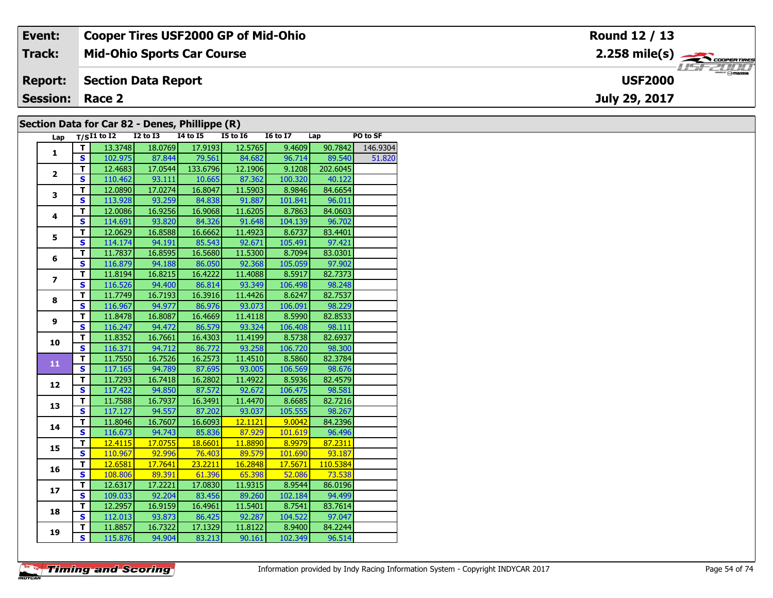| Event:                 | <b>Cooper Tires USF2000 GP of Mid-Ohio</b>     | Round 12 / 13  |
|------------------------|------------------------------------------------|----------------|
| <b>Track:</b>          | <b>Mid-Ohio Sports Car Course</b>              |                |
| <b>Report:</b>         | Section Data Report                            | <b>USF2000</b> |
| <b>Session: Race 2</b> |                                                | July 29, 2017  |
|                        | Section Data for Car 82 - Denes. Phillippe (R) |                |

#### **Section Data for Car 82 - Denes, Phillippe (R)**

| Lap                     |                         | $T/SI1$ to $I2$ $I2$ to $I3$ |                                  | $\mathbf{r}$ , $\mathbf{r}$ , $\mathbf{r}$<br><b>I4 to I5</b> | $\sim$ $\sim$<br>$I5$ to $I6$ | I6 to I7 Lap |                | PO to SF |
|-------------------------|-------------------------|------------------------------|----------------------------------|---------------------------------------------------------------|-------------------------------|--------------|----------------|----------|
|                         | т                       | 13.3748                      | 18.0769                          | 17.9193                                                       | 12.5765                       | 9.4609       | 90.7842        | 146.9304 |
| $\mathbf{1}$            | S.                      |                              | 102.975 87.844 79.561 84.682     |                                                               |                               | 96.714       | 89.540         | 51.820   |
|                         | $\overline{\mathsf{r}}$ |                              | 12.4683 17.0544 133.6796 12.1906 |                                                               |                               | 9.1208       | 202.6045       |          |
| $\overline{2}$          | $\overline{\mathbf{s}}$ | 110.462                      | 93.111                           |                                                               | 10.665 87.362                 | 100.320      | 40.122         |          |
|                         | $\overline{\mathsf{r}}$ | 12.0890                      | 17.0274                          | 16.8047                                                       | 11.5903                       | 8.9846       | 84.6654        |          |
| 3                       | $\overline{\mathbf{s}}$ | 113.928                      | 93.259                           | 84.838                                                        | 91.887                        | 101.841      | 96.011         |          |
|                         | T                       | 12.0086                      | 16.9256                          | 16.9068                                                       | 11.6205                       | 8.7863       | 84.0603        |          |
| 4                       | $\overline{\mathbf{s}}$ | 114.691                      | 93.820                           | 84.326                                                        | 91.648                        | 104.139      | 96.702         |          |
|                         | T                       | 12.0629                      | 16.8588                          | 16.6662                                                       | 11.4923                       | 8.6737       | 83.4401        |          |
| 5                       | $\overline{\mathbf{s}}$ | 114.174                      | 94.191                           | 85.543                                                        | 92.671                        | 105.491      | 97.421         |          |
|                         | $\overline{\mathsf{r}}$ | 11.7837                      | 16.8595                          | 16.5680                                                       | 11.5300                       | 8.7094       | 83.0301        |          |
| 6                       | $\overline{\mathbf{s}}$ |                              | 116.879 94.188 86.050            |                                                               | 92.368                        | 105.059      | 97.902         |          |
|                         | $\overline{\mathsf{r}}$ | 11.8194                      | 16.8215                          | 16.4222                                                       | 11.4088                       | 8.5917       | 82.7373        |          |
| $\overline{\mathbf{z}}$ | $\overline{\mathbf{s}}$ |                              | 116.526 94.400 86.814            |                                                               | 93.349                        | 106.498      | 98.248         |          |
| 8                       | $\overline{\mathsf{r}}$ | 11.7749                      | 16.7193                          | 16.3916                                                       | 11.4426                       | 8.6247       | 82.7537        |          |
|                         | $\mathbf{s}$            | 116.967                      | 94.977                           | 86.976                                                        | 93.073                        | 106.091      | 98.229         |          |
|                         | $\mathbf T$             | 11.8478                      | 16.8087                          | 16.4669                                                       | 11.4118                       | 8.5990       | 82.8533        |          |
| 9                       | $\mathbf{s}$            | 116.247                      | 94.472                           | 86.579                                                        | 93.324                        | 106.408      | 98.111         |          |
|                         | T                       | 11.8352                      | 16.7661                          | 16.4303                                                       | 11.4199                       | 8.5738       | 82.6937        |          |
| 10                      | $\overline{\mathbf{s}}$ | 116.371                      | 94.712                           | 86.772                                                        | 93.258                        | 106.720      | 98.300         |          |
| 11                      | T                       | 11.7550                      | 16.7526                          | 16.2573                                                       | 11.4510                       | 8.5860       | 82.3784        |          |
|                         | $\overline{\mathbf{s}}$ |                              | 117.165 94.789                   |                                                               | 87.695 93.005                 | 106.569      | 98.676         |          |
|                         | $\mathbf T$             | 11.7293                      | 16.7418                          | 16.2802                                                       | 11.4922                       | 8.5936       | 82.4579        |          |
| 12                      | $\overline{\mathbf{s}}$ | 117.422                      | 94.850                           | 87.572                                                        | 92.672                        | 106.475      | 98.581         |          |
| 13                      | T.                      | 11.7588                      | 16.7937                          | 16.3491                                                       | 11.4470                       | 8.6685       | 82.7216        |          |
|                         | $\overline{\mathbf{s}}$ | 117.127                      | 94.557                           | 87.202                                                        | 93.037                        | 105.555      | 98.267         |          |
| 14                      | $\mathbf T$             | 11.8046                      | 16.7607                          | 16.6093                                                       | 12.1121                       | 9.0042       | 84.2396        |          |
|                         | $\mathbf{s}$            | 116.673                      | 94.743                           | 85.836                                                        | 87.929                        | 101.619      | 96.496         |          |
| 15                      | т                       | 12.4115                      | 17.0755                          | 18.6601                                                       | 11.8890                       | 8.9979       | 87.2311        |          |
|                         | $\mathbf{s}$            |                              | 110.967 92.996 76.403            |                                                               | 89.579                        |              | 101.690 93.187 |          |
| 16                      | т                       | 12.6581                      | 17.7641                          | 23.2211                                                       | 16.2848                       | 17.5671      | 110.5384       |          |
|                         | $\mathbf{s}$            |                              | 108.806 89.391 61.396 65.398     |                                                               |                               | 52.086       | 73.538         |          |
| 17                      | T                       | 12.6317                      | 17.2221                          | 17.0830                                                       | 11.9315                       | 8.9544       | 86.0196        |          |
|                         | $\overline{\mathbf{s}}$ | 109.033                      | 92.204                           | 83.456                                                        | 89.260                        | 102.184      | 94.499         |          |
| 18                      | T                       | 12.2957                      | 16.9159                          | 16.4961                                                       | 11.5401                       | 8.7541       | 83.7614        |          |
|                         | $\overline{\mathbf{s}}$ | 112.013                      | 93.873                           | 86.425                                                        | 92.287                        | 104.522      | 97.047         |          |
| 19                      | T                       | 11.8857                      | 16.7322                          | 17.1329                                                       | 11.8122                       | 8.9400       | 84.2244        |          |
|                         | $\overline{\mathbf{s}}$ | 115.876                      |                                  | $94.904$ 83.213                                               | 90.161                        | 102.349      | 96.514         |          |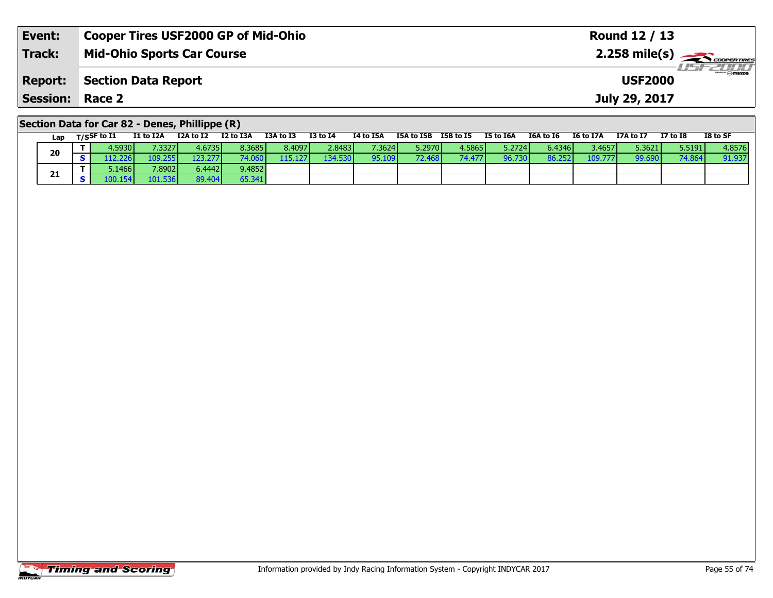| Event:                                         | <b>Cooper Tires USF2000 GP of Mid-Ohio</b> | Round 12 / 13                              |  |  |  |  |  |
|------------------------------------------------|--------------------------------------------|--------------------------------------------|--|--|--|--|--|
| Track:                                         | <b>Mid-Ohio Sports Car Course</b>          | $2.258$ mile(s) $\sum$ <i>coorer TIRES</i> |  |  |  |  |  |
| <b>Report:</b>                                 | Section Data Report                        | <b>USF2000</b>                             |  |  |  |  |  |
| <b>Session: Race 2</b>                         |                                            | July 29, 2017                              |  |  |  |  |  |
| Section Data for Car 82 - Denes, Phillippe (R) |                                            |                                            |  |  |  |  |  |

|    | Lap | T/SSF to I1 | I1 to I2A | I2A to I2 | I2 to I3A | I3A to I3 | <b>I3 to I4</b> | I4 to I5A | I5A to I5B | I5B to I5 | I5 to I6A       | I6A to I6 | I6 to I7A | I7A to I7 | <b>I7 to I8</b> | I8 to SF |
|----|-----|-------------|-----------|-----------|-----------|-----------|-----------------|-----------|------------|-----------|-----------------|-----------|-----------|-----------|-----------------|----------|
|    |     | 4.5930 l    | 7.3327    | 4.6735    | 8.3685    | 8.4097    | 2.8483 l        | 7.3624    | 5.2970 l   | 4.5865 l  | 5.2724 <b>1</b> | 6.4346 L  | 3.4657 l  | 5.3621    | 5.5191          | 4.8576   |
| 20 |     | 12.226      | 109.255   | 123.277   | 74.060 l  | 115.1271  | 134.530         | 95.109    | 72.468 l   | 74.477    | 96.730          | 86.252    | 109.777   | 99.690    | 74.864          | 91.937   |
|    |     | 5.1466      | 7.8902    | 6.4442 l  | 9.4852    |           |                 |           |            |           |                 |           |           |           |                 |          |
| 21 |     | .00.154     | 101.536   | 89.404    | 65.341    |           |                 |           |            |           |                 |           |           |           |                 |          |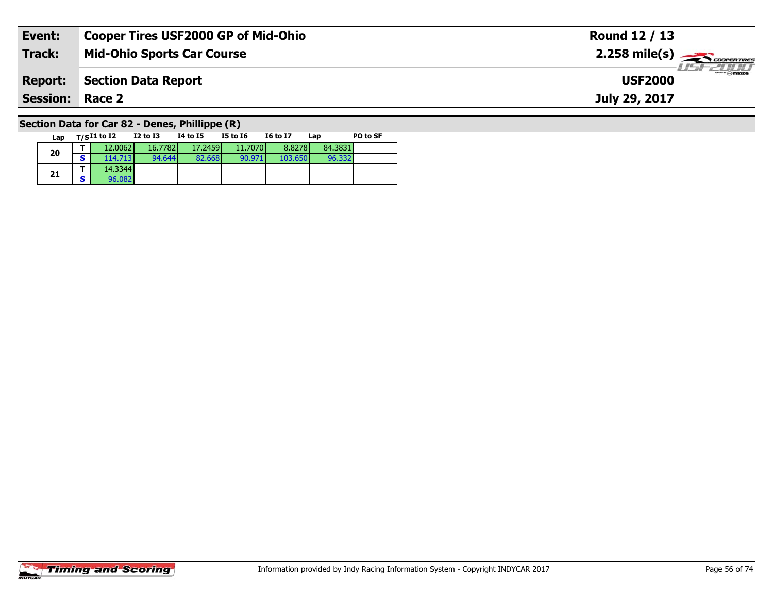| Event:                                             | <b>Cooper Tires USF2000 GP of Mid-Ohio</b> | Round 12 / 13                                           |  |  |  |  |  |
|----------------------------------------------------|--------------------------------------------|---------------------------------------------------------|--|--|--|--|--|
| Track:                                             | <b>Mid-Ohio Sports Car Course</b>          | $2.258$ mile(s) $\overbrace{\hspace{2cm}}$ coorer TIRES |  |  |  |  |  |
| <b>Report:</b>                                     | Section Data Report                        | $\equiv$ $\sim$ $\sim$ mazoa<br><b>USF2000</b>          |  |  |  |  |  |
| <b>Session:</b>                                    | Race 2                                     | July 29, 2017                                           |  |  |  |  |  |
| Section Data for Car $82$ - Denes, Phillinne $(R)$ |                                            |                                                         |  |  |  |  |  |

#### **Section Data for Car 82 - Denes, Phillippe (R)**

| Lap |   | $T/SI1$ to $I2$ | <b>I2 to I3</b> | 14 to 15 | <b>I5 to 16</b> | <b>16 to 17</b> | Lap     | PO to SF |
|-----|---|-----------------|-----------------|----------|-----------------|-----------------|---------|----------|
| 20  |   | 12.0062         | 16.7782         | 17.2459  | 11.7070         | 8.8278          | 84.3831 |          |
|     | c | 114.713         | 94.644          | 82.668   | 90.971          | 103.650         | 96.332  |          |
|     | - | 14.3344         |                 |          |                 |                 |         |          |
| 21  | c | 96.082          |                 |          |                 |                 |         |          |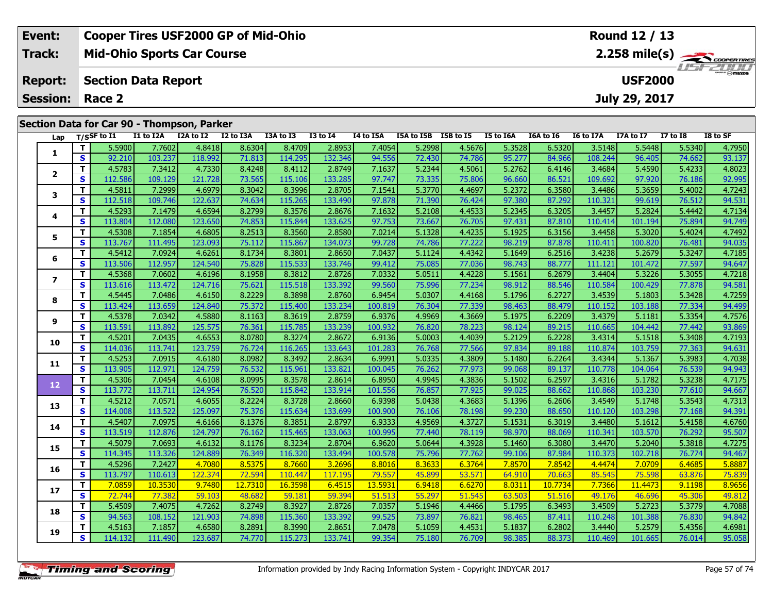| Event:                 | <b>Cooper Tires USF2000 GP of Mid-Ohio</b> | Round 12 / 13                             |
|------------------------|--------------------------------------------|-------------------------------------------|
| Track:                 | <b>Mid-Ohio Sports Car Course</b>          |                                           |
| <b>Report:</b>         | Section Data Report                        | <i><b>LISF 2000</b></i><br><b>USF2000</b> |
| <b>Session: Race 2</b> |                                            | July 29, 2017                             |
|                        | Section Data for Car 90 - Thompson, Parker |                                           |

| Lap                      |              | T/SSF to I1 | I1 to I2A | I2A to I2 | I2 to I3A | I3A to I3 | <b>I3 to I4</b> | I4 to I5A | I5A to I5B | I5B to I5 | I5 to I6A | I6A to I6 | I6 to I7A | I7A to I7 | <b>I7 to I8</b> | I8 to SF |
|--------------------------|--------------|-------------|-----------|-----------|-----------|-----------|-----------------|-----------|------------|-----------|-----------|-----------|-----------|-----------|-----------------|----------|
|                          | T.           | 5.5900      | 7.7602    | 4.8418    | 8.6304    | 8.4709    | 2.8953          | 7.4054    | 5.2998     | 4.5676    | 5.3528    | 6.5320    | 3.5148    | 5.5448    | 5.5340          | 4.7950   |
| 1                        | $\mathbf{s}$ | 92.210      | 103.237   | 118.992   | 71.813    | 114.295   | 132.346         | 94.556    | 72.430     | 74.786    | 95.277    | 84.966    | 108.244   | 96.405    | 74.662          | 93.137   |
|                          | T            | 4.5783      | 7.3412    | 4.7330    | 8.4248    | 8.4112    | 2.8749          | 7.1637    | 5.2344     | 4.5061    | 5.2762    | 6.4146    | 3.4684    | 5.4590    | 5.4233          | 4.8023   |
| $\overline{2}$           | S.           | 112.586     | 109.129   | 121.728   | 73.565    | 115.106   | 133.285         | 97.747    | 73.335     | 75.806    | 96.660    | 86.521    | 109.692   | 97.920    | 76.186          | 92.995   |
| 3                        | T            | 4.5811      | 7.2999    | 4.6979    | 8.3042    | 8.3996    | 2.8705          | 7.1541    | 5.3770     | 4.4697    | 5.2372    | 6.3580    | 3.4486    | 5.3659    | 5.4002          | 4.7243   |
|                          | S            | 112.518     | 109.746   | 122.637   | 74.634    | 115.265   | 133.490         | 97.878    | 71.390     | 76.424    | 97.380    | 87.292    | 110.321   | 99.619    | 76.512          | 94.531   |
|                          | T.           | 4.5293      | 7.1479    | 4.6594    | 8.2799    | 8.3576    | 2.8676          | 7.1632    | 5.2108     | 4.4533    | 5.2345    | 6.3205    | 3.4457    | 5.2824    | 5.4442          | 4.7134   |
| 4                        | $\mathbf{s}$ | 113.804     | 112.080   | 123.650   | 74.853    | 115.844   | 133.625         | 97.753    | 73.667     | 76.705    | 97.431    | 87.810    | 110.414   | 101.194   | 75.894          | 94.749   |
| 5                        | T.           | 4.5308      | 7.1854    | 4.6805    | 8.2513    | 8.3560    | 2.8580          | 7.0214    | 5.1328     | 4.4235    | 5.1925    | 6.3156    | 3.4458    | 5.3020    | 5.4024          | 4.7492   |
|                          | $\mathbf{s}$ | 113.767     | 111.495   | 123.093   | 75.112    | 115.867   | 134.073         | 99.728    | 74.786     | 77.222    | 98.219    | 87.878    | 110.411   | 100.820   | 76.481          | 94.035   |
| 6                        | T            | 4.5412      | 7.0924    | 4.6261    | 8.1734    | 8.3801    | 2.8650          | 7.0437    | 5.1124     | 4.4342    | 5.1649    | 6.2516    | 3.4238    | 5.2679    | 5.3247          | 4.7185   |
|                          | $\mathbf{s}$ | 113.506     | 112.957   | 124.540   | 75.828    | 115.533   | 133.746         | 99.412    | 75.085     | 77.036    | 98.743    | 88.777    | 111.121   | 101.472   | 77.597          | 94.647   |
| $\overline{\phantom{a}}$ | T.           | 4.5368      | 7.0602    | 4.6196    | 8.1958    | 8.3812    | 2.8726          | 7.0332    | 5.0511     | 4.4228    | 5.1561    | 6.2679    | 3.4404    | 5.3226    | 5.3055          | 4.7218   |
|                          | S            | 113.616     | 113.472   | 124.716   | 75.621    | 115.518   | 133.392         | 99.560    | 75.996     | 77.234    | 98.912    | 88.546    | 110.584   | 100.429   | 77.878          | 94.581   |
| 8                        | T            | 4.5445      | 7.0486    | 4.6150    | 8.2229    | 8.3898    | 2.8760          | 6.9454    | 5.0307     | 4.4168    | 5.1796    | 6.2727    | 3.4539    | 5.1803    | 5.3428          | 4.7259   |
|                          | $\mathbf{s}$ | 113.424     | 113.659   | 124.840   | 75.372    | 115.400   | 133.234         | 100.819   | 76.304     | 77.339    | 98.463    | 88.479    | 110.152   | 103.188   | 77.334          | 94.499   |
| 9                        | T.           | 4.5378      | 7.0342    | 4.5880    | 8.1163    | 8.3619    | 2.8759          | 6.9376    | 4.9969     | 4.3669    | 5.1975    | 6.2209    | 3.4379    | 5.1181    | 5.3354          | 4.7576   |
|                          | S            | 113.591     | 113.892   | 125.575   | 76.361    | 115.785   | 133.239         | 100.932   | 76.820     | 78.223    | 98.124    | 89.215    | 110.665   | 104.442   | 77.442          | 93.869   |
| 10                       | T.           | 4.5201      | 7.0435    | 4.6553    | 8.0780    | 8.3274    | 2.8672          | 6.9136    | 5.0003     | 4.4039    | 5.2129    | 6.2228    | 3.4314    | 5.1518    | 5.3408          | 4.7193   |
|                          | $\mathbf{s}$ | 114.036     | 113.741   | 123.759   | 76.724    | 116.265   | 133.643         | 101.283   | 76.768     | 77.566    | 97.834    | 89.188    | 110.874   | 103.759   | 77.363          | 94.631   |
| 11                       | T            | 4.5253      | 7.0915    | 4.6180    | 8.0982    | 8.3492    | 2.8634          | 6.9991    | 5.0335     | 4.3809    | 5.1480    | 6.2264    | 3.4344    | 5.1367    | 5.3983          | 4.7038   |
|                          | $\mathbf{s}$ | 113.905     | 112.971   | 124.759   | 76.532    | 115.961   | 133.821         | 100.045   | 76.262     | 77.973    | 99.068    | 89.137    | 110.778   | 104.064   | 76.539          | 94.943   |
| 12 <sub>2</sub>          | T            | 4.5306      | 7.0454    | 4.6108    | 8.0995    | 8.3578    | 2.8614          | 6.8950    | 4.9945     | 4.3836    | 5.1502    | 6.2597    | 3.4316    | 5.1782    | 5.3238          | 4.7175   |
|                          | S            | 113.772     | 113.711   | 124.954   | 76.520    | 115.842   | 133.914         | 101.556   | 76.857     | 77.925    | 99.025    | 88.662    | 110.868   | 103.230   | 77.610          | 94.667   |
| 13                       | T.           | 4.5212      | 7.0571    | 4.6055    | 8.2224    | 8.3728    | 2.8660          | 6.9398    | 5.0438     | 4.3683    | 5.1396    | 6.2606    | 3.4549    | 5.1748    | 5.3543          | 4.7313   |
|                          | $\mathbf{s}$ | 114.008     | 113.522   | 125.097   | 75.376    | 115.634   | 133.699         | 100.900   | 76.106     | 78.198    | 99.230    | 88.650    | 110.120   | 103.298   | 77.168          | 94.391   |
| 14                       | T.           | 4.5407      | 7.0975    | 4.6166    | 8.1376    | 8.3851    | 2.8797          | 6.9333    | 4.9569     | 4.3727    | 5.1531    | 6.3019    | 3.4480    | 5.1612    | 5.4158          | 4.6760   |
|                          | $\mathbf{s}$ | 113.519     | 112.876   | 124.797   | 76.162    | 115.465   | 133.063         | 100.995   | 77.440     | 78.119    | 98.970    | 88.069    | 110.341   | 103.570   | 76.292          | 95.507   |
| 15                       | T.           | 4.5079      | 7.0693    | 4.6132    | 8.1176    | 8.3234    | 2.8704          | 6.9620    | 5.0644     | 4.3928    | 5.1460    | 6.3080    | 3.4470    | 5.2040    | 5.3818          | 4.7275   |
|                          | $\mathbf{s}$ | 114.345     | 113.326   | 124.889   | 76.349    | 116.320   | 133.494         | 100.578   | 75.796     | 77.762    | 99.106    | 87.984    | 110.373   | 102.718   | 76.774          | 94.467   |
| 16                       | T.           | 4.5296      | 7.2427    | 4.7080    | 8.5375    | 8.7660    | 3.2696          | 8.8016    | 8.3633     | 6.3764    | 7.8570    | 7.8542    | 4.4474    | 7.0709    | 6.4685          | 5.8887   |
|                          | $\mathbf{s}$ | 113.797     | 110.613   | 122.374   | 72.594    | 110.447   | 117.195         | 79.557    | 45.899     | 53.571    | 64.910    | 70.663    | 85.545    | 75.598    | 63.876          | 75.839   |
| 17                       | T.           | 7.0859      | 10.3530   | 9.7480    | 12.7310   | 16.3598   | 6.4515          | 13.5931   | 6.9418     | 6.6270    | 8.0311    | 10.7734   | 7.7366    | 11.4473   | 9.1198          | 8.9656   |
|                          | $\mathbf{s}$ | 72.744      | 77.382    | 59.103    | 48.682    | 59.181    | 59.394          | 51.513    | 55.297     | 51.545    | 63.503    | 51.516    | 49.176    | 46.696    | 45.306          | 49.812   |
| 18                       | T            | 5.4509      | 7.4075    | 4.7262    | 8.2749    | 8.3927    | 2.8726          | 7.0357    | 5.1946     | 4.4466    | 5.1795    | 6.3493    | 3.4509    | 5.2723    | 5.3779          | 4.7088   |
|                          | S            | 94.563      | 108.152   | 121.903   | 74.898    | 115.360   | 133.392         | 99.525    | 73.897     | 76.821    | 98.465    | 87.411    | 110.248   | 101.388   | 76.830          | 94.842   |
| 19                       | T.           | 4.5163      | 7.1857    | 4.6580    | 8.2891    | 8.3990    | 2.8651          | 7.0478    | 5.1059     | 4.4531    | 5.1837    | 6.2802    | 3.4440    | 5.2579    | 5.4356          | 4.6981   |
|                          | $\mathbf{s}$ | 114.132     | 111.490   | 123.687   | 74.770    | 115.273   | 133.741         | 99.354    | 75.180     | 76.709    | 98.385    | 88.373    | 110.469   | 101.665   | 76.014          | 95.058   |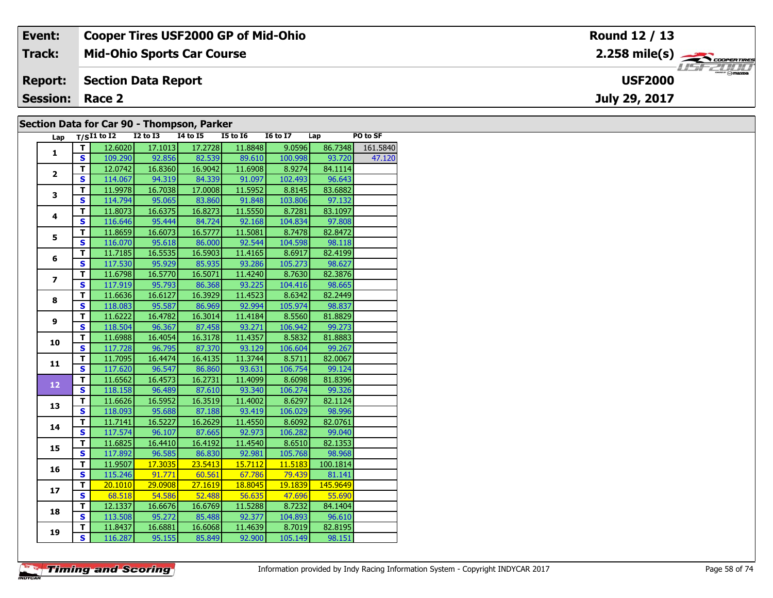| Event:                 | <b>Cooper Tires USF2000 GP of Mid-Ohio</b> | Round 12 / 13                                            |
|------------------------|--------------------------------------------|----------------------------------------------------------|
| Track:                 | <b>Mid-Ohio Sports Car Course</b>          | $2.258$ mile(s) $\overbrace{\hspace{2.5cm}}$ coorenances |
| <b>Report:</b>         | Section Data Report                        | <b>USF2000</b>                                           |
| <b>Session: Race 2</b> |                                            | July 29, 2017                                            |
|                        | Section Data for Car QO - Thompson, Parker |                                                          |

#### **Section Data for Car 90 - Thompson, Parker**

| Lap            |                         | $T/SI1$ to $I2$ | <b>I2 to I3</b> | <b>I4 to I5</b> | <b>I5 to 16</b> | <b>16 to 17</b> | Lap      | PO to SF |
|----------------|-------------------------|-----------------|-----------------|-----------------|-----------------|-----------------|----------|----------|
| 1              | T                       | 12.6020         | 17.1013         | 17.2728         | 11.8848         | 9.0596          | 86.7348  | 161.5840 |
|                | S                       | 109.290         | 92.856          | 82.539          | 89.610          | 100.998         | 93.720   | 47.120   |
| $\overline{2}$ | T                       | 12.0742         | 16.8360         | 16.9042         | 11.6908         | 8.9274          | 84.1114  |          |
|                | S                       | 114.067         | 94.319          | 84.339          | 91.097          | 102.493         | 96.643   |          |
| 3              | T                       | 11.9978         | 16.7038         | 17.0008         | 11.5952         | 8.8145          | 83.6882  |          |
|                | S                       | 114.794         | 95.065          | 83.860          | 91.848          | 103.806         | 97.132   |          |
| 4              | T                       | 11.8073         | 16.6375         | 16.8273         | 11.5550         | 8.7281          | 83.1097  |          |
|                | $\mathbf{s}$            | 116.646         | 95.444          | 84.724          | 92.168          | 104.834         | 97.808   |          |
| 5              | T                       | 11.8659         | 16.6073         | 16.5777         | 11.5081         | 8.7478          | 82.8472  |          |
|                | $\overline{\mathbf{s}}$ | 116.070         | 95.618          | 86.000          | 92.544          | 104.598         | 98.118   |          |
|                | T                       | 11.7185         | 16.5535         | 16.5903         | 11.4165         | 8.6917          | 82.4199  |          |
| 6              | S                       | 117.530         | 95.929          | 85.935          | 93.286          | 105.273         | 98.627   |          |
|                | т                       | 11.6798         | 16.5770         | 16.5071         | 11.4240         | 8.7630          | 82.3876  |          |
| 7              | S                       | 117.919         | 95.793          | 86.368          | 93.225          | 104.416         | 98.665   |          |
|                | T                       | 11.6636         | 16.6127         | 16.3929         | 11.4523         | 8.6342          | 82.2449  |          |
| 8              | S                       | 118.083         | 95.587          | 86.969          | 92.994          | 105.974         | 98.837   |          |
|                | т                       | 11.6222         | 16.4782         | 16.3014         | 11.4184         | 8.5560          | 81.8829  |          |
| 9              | $\mathbf{s}$            | 118.504         | 96.367          | 87.458          | 93.271          | 106.942         | 99.273   |          |
|                | T                       | 11.6988         | 16.4054         | 16.3178         | 11.4357         | 8.5832          | 81.8883  |          |
| 10             | S                       | 117.728         | 96.795          | 87.370          | 93.129          | 106.604         | 99.267   |          |
|                | T                       | 11.7095         | 16.4474         | 16.4135         | 11.3744         | 8.5711          | 82.0067  |          |
| 11             | $\mathbf{s}$            | 117.620         | 96.547          | 86.860          | 93.631          | 106.754         | 99.124   |          |
|                | т                       | 11.6562         | 16.4573         | 16.2731         | 11.4099         | 8.6098          | 81.8396  |          |
| 12             | $\overline{\mathbf{s}}$ | 118.158         | 96.489          | 87.610          | 93.340          | 106.274         | 99.326   |          |
|                | T                       | 11.6626         | 16.5952         | 16.3519         | 11.4002         | 8.6297          | 82.1124  |          |
| 13             | S                       | 118.093         | 95.688          | 87.188          | 93.419          | 106.029         | 98.996   |          |
|                | T                       | 11.7141         | 16.5227         | 16.2629         | 11.4550         | 8.6092          | 82.0761  |          |
| 14             | $\overline{\mathbf{s}}$ | 117.574         | 96.107          | 87.665          | 92.973          | 106.282         | 99.040   |          |
| 15             | T                       | 11.6825         | 16.4410         | 16.4192         | 11.4540         | 8.6510          | 82.1353  |          |
|                | S                       | 117.892         | 96.585          | 86.830          | 92.981          | 105.768         | 98.968   |          |
|                | T                       | 11.9507         | 17.3035         | 23.5413         | 15.7112         | 11.5183         | 100.1814 |          |
| 16             | $\overline{\mathbf{s}}$ | 115.246         | 91.771          | 60.561          | 67.786          | 79.439          | 81.141   |          |
| 17             | т                       | 20.1010         | 29.0908         | 27.1619         | 18.8045         | 19.1839         | 145.9649 |          |
|                | $\overline{\mathbf{s}}$ | 68.518          | 54.586          | 52.488          | 56.635          | 47.696          | 55.690   |          |
| 18             | T                       | 12.1337         | 16.6676         | 16.6769         | 11.5288         | 8.7232          | 84.1404  |          |
|                | S                       | 113.508         | 95.272          | 85.488          | 92.377          | 104.893         | 96.610   |          |
| 19             | т                       | 11.8437         | 16.6881         | 16.6068         | 11.4639         | 8.7019          | 82.8195  |          |
|                | S                       | 116.287         | 95.155          | 85.849          | 92.900          | 105.149         | 98.151   |          |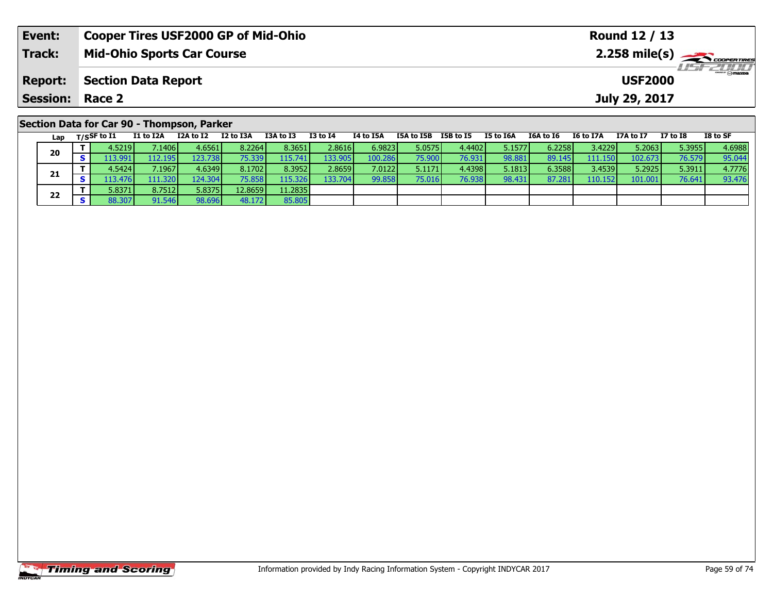| Event:                 | <b>Cooper Tires USF2000 GP of Mid-Ohio</b> |           |           |                                    |          |           |               |           |           | Round 12 / 13 |           |           |          |          |  |  |  |
|------------------------|--------------------------------------------|-----------|-----------|------------------------------------|----------|-----------|---------------|-----------|-----------|---------------|-----------|-----------|----------|----------|--|--|--|
| <b>Track:</b>          | <b>Mid-Ohio Sports Car Course</b>          |           |           |                                    |          |           |               |           |           |               |           |           |          |          |  |  |  |
| <b>Report:</b>         | <b>Section Data Report</b>                 |           |           | <b>LISFELIND</b><br><b>USF2000</b> |          |           |               |           |           |               |           |           |          |          |  |  |  |
| <b>Session: Race 2</b> |                                            |           |           |                                    |          |           | July 29, 2017 |           |           |               |           |           |          |          |  |  |  |
|                        | Section Data for Car 90 - Thompson, Parker |           |           |                                    |          |           |               |           |           |               |           |           |          |          |  |  |  |
| Lap                    | I1 to I2A<br>$_{\rm T/SSF}$ to I1          | I2A to I2 | I2 to I3A | I3A to I3                          | I3 to I4 | I4 to I5A | I5A to I5B    | I5B to I5 | I5 to I6A | I6A to I6     | I6 to I7A | I7A to I7 | I7 to I8 | I8 to SF |  |  |  |

0 | T | 4.5219| 7.1406| 4.6561| 8.2264| 8.3651| 2.8616| 6.9823| 5.0575| 4.4402| 5.1577| 6.2258| 3.4229| 5.2063| 5.3955| 4.6988<br>| S | 113.991| 112.195| 123.738| 75.339| 115.741| 133.905| 100.286| 75.900| 76.931| 98.881| 89.

**<sup>T</sup>** 4.5424 7.1967 4.6349 8.1702 8.3952 2.8659 7.0122 5.1171 4.4398 5.1813 6.3588 3.4539 5.2925 5.3911 4.7776 **<sup>S</sup>** 113.476 111.320 124.304 75.858 115.326 133.704 99.858 75.016 76.938 98.431 87.281 110.152 101.001 76.641 93.476

85.805

**20**

**21**

**22**

**<sup>T</sup>** 5.8371 8.7512 5.8375 12.8659 11.2835 **<sup>S</sup>** 88.307 91.546 98.696 48.172 85.805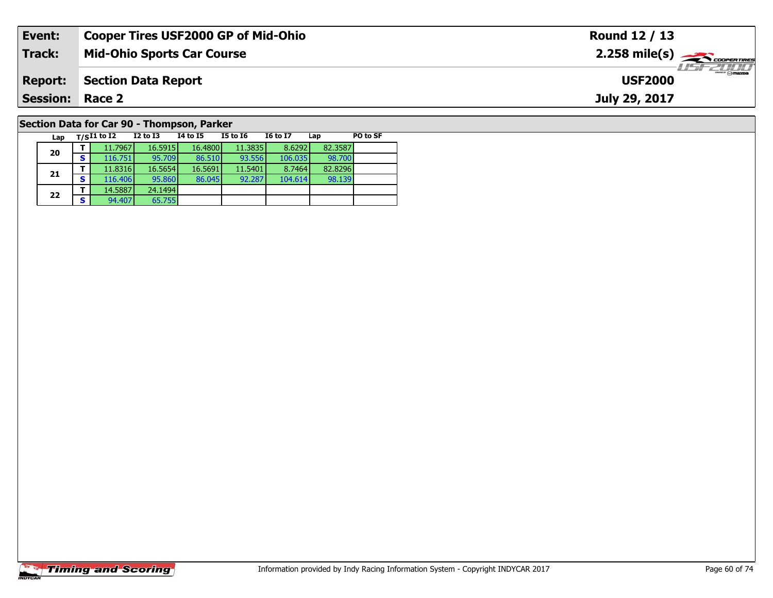| Event:          | <b>Cooper Tires USF2000 GP of Mid-Ohio</b> | Round 12 / 13                            |
|-----------------|--------------------------------------------|------------------------------------------|
| Track:          | <b>Mid-Ohio Sports Car Course</b>          | $2.258$ mile(s) $\leftarrow$ COOPERTIRES |
| <b>Report:</b>  | Section Data Report                        | <b>LISF 2000</b><br><b>USF2000</b>       |
| <b>Session:</b> | Race 2                                     | July 29, 2017                            |
|                 | Section Data for Car 90 - Thompson, Parker |                                          |

**Lap T/SI1 to I2 I2 to I3 I4 to I5 I5 to I6 I6 to I7 Lap PO to SF** 

**d T** 11.7967 16.5915 16.4800 11.3835 8.6292 82.3587<br>S 116.751 95.709 86.510 93.556 106.035 98.700

**<sup>T</sup>** 11.8316 16.5654 16.5691 11.5401 8.7464 82.8296 **<sup>S</sup>** 116.406 95.860 86.045 92.287 104.614 98.139

# **Timing and Scoring**

**20**

**21**

**22**

**<sup>T</sup>** 14.5887 24.1494 **<sup>S</sup>** 94.407 65.755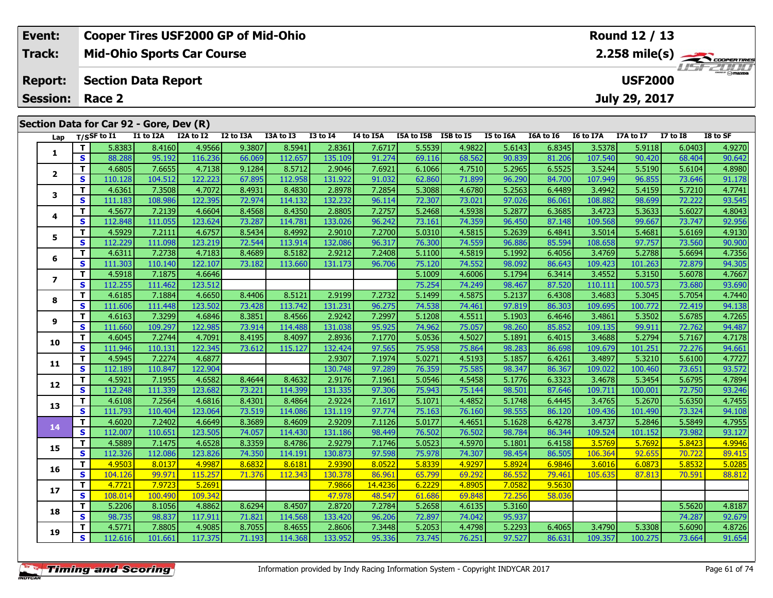| Event:          |            |                | <b>Cooper Tires USF2000 GP of Mid-Ohio</b> |           |                      |           |                 |             |            |           |                |            |           | Round 12 / 13    |              |                         |
|-----------------|------------|----------------|--------------------------------------------|-----------|----------------------|-----------|-----------------|-------------|------------|-----------|----------------|------------|-----------|------------------|--------------|-------------------------|
| Track:          |            |                | <b>Mid-Ohio Sports Car Course</b>          |           |                      |           |                 |             |            |           |                |            |           |                  |              | $2.258 \text{ mile(s)}$ |
| <b>Report:</b>  |            |                | <b>Section Data Report</b>                 |           |                      |           |                 |             |            |           |                |            |           | <b>USF2000</b>   |              | <b>USF 2000</b>         |
| <b>Session:</b> |            | Race 2         |                                            |           |                      |           |                 |             |            |           |                |            |           | July 29, 2017    |              |                         |
|                 |            |                | Section Data for Car 92 - Gore, Dev (R)    |           |                      |           |                 |             |            |           |                |            |           |                  |              |                         |
| Lap             |            | $T/S$ SF to I1 | I1 to I2A                                  | I2A to I2 | I2 to I3A            | I3A to I3 | <b>I3 to I4</b> | I4 to I5A   | I5A to I5B | I5B to I5 | I5 to I6A      | I6A to I6  | I6 to I7A | <b>I7A to I7</b> | $I7$ to $I8$ | I8 to SF                |
|                 |            | 5.8383         | 8.4160                                     | 4.9566    | 9.3807               | 8.5941    | 2.8361          | 7.6717      | 5.5539     | 4.9822    | 5.6143         | 6.8345     | 3.5378    | 5.9118           | 6.0403       | 4.9270                  |
|                 | <b>S</b>   | 88.288         | 95.192                                     | 116.236   | 66.069               | 112.657   | 135.109         | 91.274      | 69.116     | 68.562    | 90.839         | 81.206     | 107.540   | 90.420           | 68.404       | 90.642                  |
|                 |            | 4.6805         | 7.6655                                     | 4.7138    | 9.1284               | 8.5712    | 2.9046          | 7.6921      | 6.1066     | 4.7510    | 5.2965         | 6.5525     | 3.5244    | 5.5190           | 5.6104       | 4.8980                  |
|                 | <b>S</b>   | 110.128        | 104.512                                    | 122.223   | 67.895               | 112.958   | 131.922         | 91.032      | 62.860     | 71.899    | 96.290         | 84.700     | 107.949   | 96.855           | 73.646       | 91.178                  |
| 3               |            | 4.6361         | 7.3508                                     | 4.7072    | 8.4931               | 8.4830    | 2.8978          | 7.2854      | 5.3088     | 4.6780    | 5.2563         | 6.4489     | 3.4942    | 5.4159           | 5.7210       | 4.7741                  |
|                 | $\epsilon$ | 111102         | 100.00 $\epsilon$                          | 122.20E   | רה כד $\blacksquare$ | 114.122   | ורכר רכו        | $OC$ 11 $A$ | ורחכ רד    | 72.031    | <u>na naci</u> | $OC$ $OCA$ | 100001    | no con l         | ורכב כד      | <b>OD EAE</b>           |

| rah                      | '''          |         |         |         |        |         |         |         |        |        |        |        |         |         |        |        |
|--------------------------|--------------|---------|---------|---------|--------|---------|---------|---------|--------|--------|--------|--------|---------|---------|--------|--------|
|                          | T            | 5.8383  | 8.4160  | 4.9566  | 9.3807 | 8.5941  | 2.8361  | 7.6717  | 5.5539 | 4.9822 | 5.6143 | 6.8345 | 3.5378  | 5.9118  | 6.0403 | 4.9270 |
| 1                        | S            | 88.288  | 95.192  | 116.236 | 66.069 | 112.657 | 135.109 | 91.274  | 69.116 | 68.562 | 90.839 | 81.206 | 107.540 | 90.420  | 68.404 | 90.642 |
|                          | T.           | 4.6805  | 7.6655  | 4.7138  | 9.1284 | 8.5712  | 2.9046  | 7.6921  | 6.1066 | 4.7510 | 5.2965 | 6.5525 | 3.5244  | 5.5190  | 5.6104 | 4.8980 |
| $\mathbf{2}$             | S            | 110.128 | 104.512 | 122.223 | 67.895 | 112.958 | 131.922 | 91.032  | 62.860 | 71.899 | 96.290 | 84.700 | 107.949 | 96.855  | 73.646 | 91.178 |
| 3                        | T.           | 4.6361  | 7.3508  | 4.7072  | 8.4931 | 8.4830  | 2.8978  | 7.2854  | 5.3088 | 4.6780 | 5.2563 | 6.4489 | 3.4942  | 5.4159  | 5.7210 | 4.7741 |
|                          | $\mathbf{s}$ | 111.183 | 108.986 | 122.395 | 72.974 | 114.132 | 132.232 | 96.114  | 72.307 | 73.021 | 97.026 | 86.061 | 108.882 | 98.699  | 72.222 | 93.545 |
| 4                        | т            | 4.5677  | 7.2139  | 4.6604  | 8.4568 | 8.4350  | 2.8805  | 7.2757  | 5.2468 | 4.5938 | 5.2877 | 6.3685 | 3.4723  | 5.3633  | 5.6027 | 4.8043 |
|                          | $\mathbf{s}$ | 112.848 | 111.055 | 123.624 | 73.287 | 114.781 | 133.026 | 96.242  | 73.161 | 74.359 | 96.450 | 87.148 | 109.568 | 99.667  | 73.747 | 92.956 |
| 5                        | T            | 4.5929  | 7.2111  | 4.6757  | 8.5434 | 8.4992  | 2.9010  | 7.2700  | 5.0310 | 4.5815 | 5.2639 | 6.4841 | 3.5014  | 5.4681  | 5.6169 | 4.9130 |
|                          | $\mathbf{s}$ | 112.229 | 111.098 | 123.219 | 72.544 | 113.914 | 132.086 | 96.317  | 76.300 | 74.559 | 96.886 | 85.594 | 108.658 | 97.757  | 73.560 | 90.900 |
| 6                        | T.           | 4.6311  | 7.2738  | 4.7183  | 8.4689 | 8.5182  | 2.9212  | 7.2408  | 5.1100 | 4.5819 | 5.1992 | 6.4056 | 3.4769  | 5.2788  | 5.6694 | 4.7356 |
|                          | S            | 111.303 | 110.140 | 122.107 | 73.182 | 113.660 | 131.173 | 96.706  | 75.120 | 74.552 | 98.092 | 86.643 | 109.423 | 101.263 | 72.879 | 94.305 |
| $\overline{\phantom{a}}$ | T            | 4.5918  | 7.1875  | 4.6646  |        |         |         |         | 5.1009 | 4.6006 | 5.1794 | 6.3414 | 3.4552  | 5.3150  | 5.6078 | 4.7667 |
|                          | <b>S</b>     | 112.255 | 111.462 | 123.512 |        |         |         |         | 75.254 | 74.249 | 98.467 | 87.520 | 110.111 | 100.573 | 73.680 | 93.690 |
| 8                        | T.           | 4.6185  | 7.1884  | 4.6650  | 8.4406 | 8.5121  | 2.9199  | 7.2732  | 5.1499 | 4.5875 | 5.2137 | 6.4308 | 3.4683  | 5.3045  | 5.7054 | 4.7440 |
|                          | $\mathbf{s}$ | 111.606 | 111.448 | 123.502 | 73.428 | 113.742 | 131.231 | 96.275  | 74.538 | 74.461 | 97.819 | 86.303 | 109.695 | 100.772 | 72.419 | 94.138 |
| 9                        | T            | 4.6163  | 7.3299  | 4.6846  | 8.3851 | 8.4566  | 2.9242  | 7.2997  | 5.1208 | 4.5511 | 5.1903 | 6.4646 | 3.4861  | 5.3502  | 5.6785 | 4.7265 |
|                          | S            | 111.660 | 109.297 | 122.985 | 73.914 | 114.488 | 131.038 | 95.925  | 74.962 | 75.057 | 98.260 | 85.852 | 109.135 | 99.911  | 72.762 | 94.487 |
| 10                       | T.           | 4.6045  | 7.2744  | 4.7091  | 8.4195 | 8.4097  | 2.8936  | 7.1770  | 5.0536 | 4.5027 | 5.1891 | 6.4015 | 3.4688  | 5.2794  | 5.7167 | 4.7178 |
|                          | S            | 111.946 | 110.131 | 122.345 | 73.612 | 115.127 | 132.424 | 97.565  | 75.958 | 75.864 | 98.283 | 86.698 | 109.679 | 101.251 | 72.276 | 94.661 |
| 11                       | T            | 4.5945  | 7.2274  | 4.6877  |        |         | 2.9307  | 7.1974  | 5.0271 | 4.5193 | 5.1857 | 6.4261 | 3.4897  | 5.3210  | 5.6100 | 4.7727 |
|                          | S            | 112.189 | 110.847 | 122.904 |        |         | 130.748 | 97.289  | 76.359 | 75.585 | 98.347 | 86.367 | 109.022 | 100.460 | 73.651 | 93.572 |
| 12                       | T.           | 4.5921  | 7.1955  | 4.6582  | 8.4644 | 8.4632  | 2.9176  | 7.1961  | 5.0546 | 4.5458 | 5.1776 | 6.3323 | 3.4678  | 5.3454  | 5.6795 | 4.7894 |
|                          | $\mathbf{s}$ | 112.248 | 111.339 | 123.682 | 73.221 | 114.399 | 131.335 | 97.306  | 75.943 | 75.144 | 98.501 | 87.646 | 109.711 | 100.001 | 72.750 | 93.246 |
| 13                       | т            | 4.6108  | 7.2564  | 4.6816  | 8.4301 | 8.4864  | 2.9224  | 7.1617  | 5.1071 | 4.4852 | 5.1748 | 6.4445 | 3.4765  | 5.2670  | 5.6350 | 4.7455 |
|                          | $\mathbf{s}$ | 111.793 | 110.404 | 123.064 | 73.519 | 114.086 | 131.119 | 97.774  | 75.163 | 76.160 | 98.555 | 86.120 | 109.436 | 101.490 | 73.324 | 94.108 |
| 14                       | T            | 4.6020  | 7.2402  | 4.6649  | 8.3689 | 8.4609  | 2.9209  | 7.1126  | 5.0177 | 4.4651 | 5.1628 | 6.4278 | 3.4737  | 5.2846  | 5.5849 | 4.7955 |
|                          | <b>S</b>     | 112.007 | 110.651 | 123.505 | 74.057 | 114.430 | 131.186 | 98.449  | 76.502 | 76.502 | 98.784 | 86.344 | 109.524 | 101.152 | 73.982 | 93.127 |
| 15                       | T.           | 4.5889  | 7.1475  | 4.6528  | 8.3359 | 8.4786  | 2.9279  | 7.1746  | 5.0523 | 4.5970 | 5.1801 | 6.4158 | 3.5769  | 5.7692  | 5.8423 | 4.9946 |
|                          | S            | 112.326 | 112.086 | 123.826 | 74.350 | 114.191 | 130.873 | 97.598  | 75.978 | 74.307 | 98.454 | 86.505 | 106.364 | 92.655  | 70.722 | 89.415 |
| 16                       | T.           | 4.9503  | 8.0137  | 4.9987  | 8.6832 | 8.6181  | 2.9390  | 8.0522  | 5.8339 | 4.9297 | 5.8924 | 6.9846 | 3.6016  | 6.0873  | 5.8532 | 5.0285 |
|                          | $\mathbf{s}$ | 104.126 | 99.971  | 115.257 | 71.376 | 112.343 | 130.378 | 86.961  | 65.799 | 69.292 | 86.552 | 79.461 | 105.635 | 87.813  | 70.591 | 88.812 |
| 17                       | T            | 4.7721  | 7.9723  | 5.2691  |        |         | 7.9866  | 14.4236 | 6.2229 | 4.8905 | 7.0582 | 9.5630 |         |         |        |        |
|                          | $\mathbf{s}$ | 108.014 | 100.490 | 109.342 |        |         | 47.978  | 48.547  | 61.686 | 69.848 | 72.256 | 58.036 |         |         |        |        |
| 18                       | T.           | 5.2206  | 8.1056  | 4.8862  | 8.6294 | 8.4507  | 2.8720  | 7.2784  | 5.2658 | 4.6135 | 5.3160 |        |         |         | 5.5620 | 4.8187 |
|                          | S            | 98.735  | 98.837  | 117.911 | 71.821 | 114.568 | 133.420 | 96.206  | 72.897 | 74.042 | 95.937 |        |         |         | 74.287 | 92.679 |
| 19                       | T.           | 4.5771  | 7.8805  | 4.9085  | 8.7055 | 8.4655  | 2.8606  | 7.3448  | 5.2053 | 4.4798 | 5.2293 | 6.4065 | 3.4790  | 5.3308  | 5.6090 | 4.8726 |
|                          | S            | 112.616 | 101.661 | 117.375 | 71.193 | 114.368 | 133.952 | 95.336  | 73.745 | 76.251 | 97.527 | 86.631 | 109.357 | 100.275 | 73.664 | 91.654 |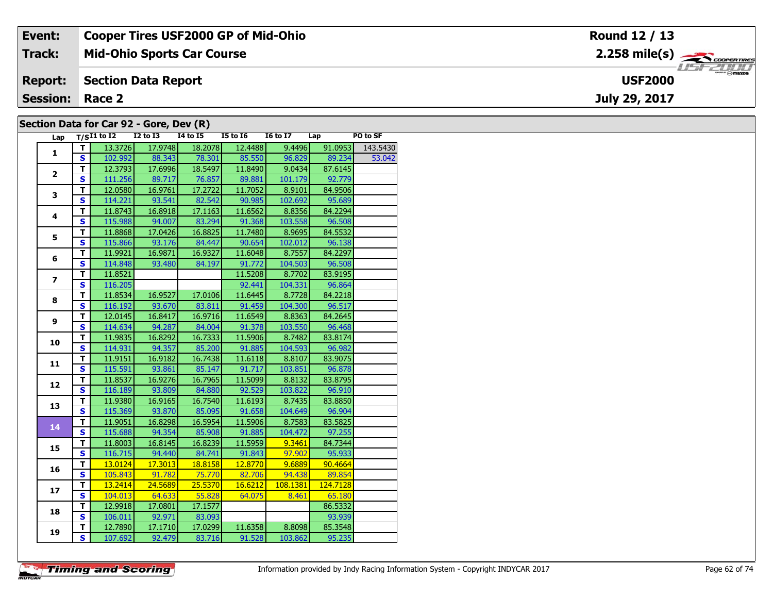| Event:                 | <b>Cooper Tires USF2000 GP of Mid-Ohio</b> | Round 12 / 13                            |
|------------------------|--------------------------------------------|------------------------------------------|
| Track:                 | <b>Mid-Ohio Sports Car Course</b>          | $2.258$ mile(s) $\rightarrow$ coorentmen |
| <b>Report:</b>         | Section Data Report                        | $\sqrt{m}$<br><b>USF2000</b>             |
| <b>Session: Race 2</b> |                                            | July 29, 2017                            |
|                        | Section Data for Car 92 - Gore, Dev (R)    |                                          |

|                          |                         |                 | <b>I2 to I3</b> | .<br><b>14 to 15</b> | <b>I5 to 16</b> | <b>16 to 17</b> | Lap      | PO to SF |
|--------------------------|-------------------------|-----------------|-----------------|----------------------|-----------------|-----------------|----------|----------|
| Lap                      |                         | $T/SI1$ to $I2$ |                 |                      |                 |                 |          |          |
| 1                        | T.                      | 13.3726         | 17.9748         | 18.2078              | 12.4488         | 9.4496          | 91.0953  | 143.5430 |
|                          | S                       | 102.992         | 88.343          | 78.301               | 85.550          | 96.829          | 89.234   | 53.042   |
| $\mathbf{2}$             | $\overline{\mathsf{r}}$ | 12.3793         | 17.6996         | 18.5497              | 11.8490         | 9.0434          | 87.6145  |          |
|                          | S                       | 111.256         | 89.717          | 76.857               | 89.881          | 101.179         | 92.779   |          |
| 3                        | T.                      | 12.0580         | 16.9761         | 17.2722              | 11.7052         | 8.9101          | 84.9506  |          |
|                          | S                       | 114.221         | 93.541          | 82.542               | 90.985          | 102.692         | 95.689   |          |
| $\overline{\mathbf{4}}$  | T                       | 11.8743         | 16.8918         | 17.1163              | 11.6562         | 8.8356          | 84.2294  |          |
|                          | S                       | 115.988         | 94.007          | 83.294               | 91.368          | 103.558         | 96.508   |          |
| 5                        | T                       | 11.8868         | 17.0426         | 16.8825              | 11.7480         | 8.9695          | 84.5532  |          |
|                          | S                       | 115.866         | 93.176          | 84.447               | 90.654          | 102.012         | 96.138   |          |
| 6                        | $\overline{\mathsf{T}}$ | 11.9921         | 16.9871         | 16.9327              | 11.6048         | 8.7557          | 84.2297  |          |
|                          | S                       | 114.848         | 93.480          | 84.197               | 91.772          | 104.503         | 96.508   |          |
| $\overline{\phantom{a}}$ | T                       | 11.8521         |                 |                      | 11.5208         | 8.7702          | 83.9195  |          |
|                          | S                       | 116.205         |                 |                      | 92.441          | 104.331         | 96.864   |          |
| 8                        | $\overline{\mathbf{T}}$ | 11.8534         | 16.9527         | 17.0106              | 11.6445         | 8.7728          | 84.2218  |          |
|                          | S                       | 116.192         | 93.670          | 83.811               | 91.459          | 104.300         | 96.517   |          |
| 9                        | т                       | 12.0145         | 16.8417         | 16.9716              | 11.6549         | 8.8363          | 84.2645  |          |
|                          | $\overline{\mathbf{s}}$ | 114.634         | 94.287          | 84.004               | 91.378          | 103.550         | 96.468   |          |
|                          | T                       | 11.9835         | 16.8292         | 16.7333              | 11.5906         | 8.7482          | 83.8174  |          |
| 10                       | $\overline{\mathbf{s}}$ | 114.931         | 94.357          | 85.200               | 91.885          | 104.593         | 96.982   |          |
|                          | T.                      | 11.9151         | 16.9182         | 16.7438              | 11.6118         | 8.8107          | 83.9075  |          |
| 11                       | $\overline{\mathbf{s}}$ | 115.591         | 93.861          | 85.147               | 91.717          | 103.851         | 96.878   |          |
|                          | T.                      | 11.8537         | 16.9276         | 16.7965              | 11.5099         | 8.8132          | 83.8795  |          |
| 12                       | S                       | 116.189         | 93.809          | 84.880               | 92.529          | 103.822         | 96.910   |          |
|                          | T                       | 11.9380         | 16.9165         | 16.7540              | 11.6193         | 8.7435          | 83.8850  |          |
| 13                       | $\mathbf{s}$            | 115.369         | 93.870          | 85.095               | 91.658          | 104.649         | 96.904   |          |
|                          | T.                      | 11.9051         | 16.8298         | 16.5954              | 11.5906         | 8.7583          | 83.5825  |          |
| 14                       | S                       | 115.688         | 94.354          | 85.908               | 91.885          | 104.472         | 97.255   |          |
|                          | T                       | 11.8003         | 16.8145         | 16.8239              | 11.5959         | 9.3461          | 84.7344  |          |
| 15                       | S                       | 116.715         | 94.440          | 84.741               | 91.843          | 97.902          | 95.933   |          |
|                          | $\overline{\mathsf{T}}$ | 13.0124         | 17.3013         | 18.8158              | 12.8770         | 9.6889          | 90.4664  |          |
| 16                       | $\overline{\mathbf{s}}$ | 105.843         | 91.782          | 75.770               | 82.706          | 94.438          | 89.854   |          |
|                          | T                       | 13.2414         | 24.5689         | 25.5370              | 16.6212         | 108.1381        | 124.7128 |          |
| 17                       | S                       | 104.013         | 64.633          | 55.828               | 64.075          | 8.461           | 65.180   |          |
|                          | $\overline{\mathsf{r}}$ | 12.9918         | 17.0801         | 17.1577              |                 |                 | 86.5332  |          |
| 18                       | $\mathbf{s}$            | 106.011         | 92.971          | 83.093               |                 |                 | 93.939   |          |
|                          | T.                      | 12.7890         | 17.1710         | 17.0299              | 11.6358         | 8.8098          | 85.3548  |          |
| 19                       | $\overline{\mathbf{s}}$ | 107.692         | 92.479          | 83.716               | 91.528          | 103.862         | 95.235   |          |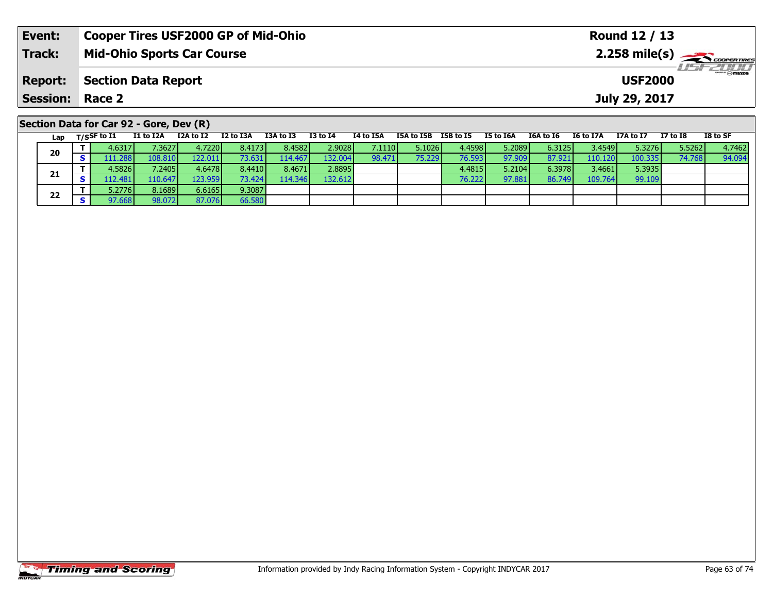| Event:          |                                 |                                         | <b>Cooper Tires USF2000 GP of Mid-Ohio</b> |           |           |              |                  |            |                  |               |                |                  | <b>Round 12 / 13</b> |          |                                          |
|-----------------|---------------------------------|-----------------------------------------|--------------------------------------------|-----------|-----------|--------------|------------------|------------|------------------|---------------|----------------|------------------|----------------------|----------|------------------------------------------|
| <b>Track:</b>   |                                 |                                         | <b>Mid-Ohio Sports Car Course</b>          |           |           |              |                  |            |                  |               |                |                  |                      |          | $2.258$ mile(s) $\rightarrow$ Coorentmen |
| <b>Report:</b>  |                                 | <b>Section Data Report</b>              |                                            |           |           |              |                  |            |                  |               | <b>USF2000</b> |                  |                      |          |                                          |
| <b>Session:</b> | Race 2                          |                                         |                                            |           |           |              |                  |            |                  | July 29, 2017 |                |                  |                      |          |                                          |
|                 |                                 | Section Data for Car 92 - Gore, Dev (R) |                                            |           |           |              |                  |            |                  |               |                |                  |                      |          |                                          |
|                 | Lap $T/S$ SF to $\overline{11}$ | I1 to I2A                               | I2A to I2                                  | I2 to I3A | I3A to I3 | $I3$ to $I4$ | <b>I4 to I5A</b> | I5A to I5B | <b>I5B</b> to I5 | I5 to I6A     | I6A to I6      | <b>I6 to I7A</b> | I7A to I7            | I7 to I8 | I8 to SF                                 |
| 20              | 4.6317                          | 7.3627                                  | 4.7220                                     | 8.4173    | 8.4582    | 2.9028       | 7.1110           | 5.1026     | 4.4598           | 5.2089        | 6.3125         | 3.4549           | 5.3276               | 5.5262   | 4.7462                                   |
|                 | 111.2881                        | 108.810                                 | 122.011                                    | 73.631    | 114.467   | 132.004      | 98.471           | 75.229     | 76.593           | 97.909        | 87.921         | 110.120          | 100.335              | 74.768   | 94.094                                   |

**<sup>T</sup>** 4.5826 7.2405 4.6478 8.4410 8.4671 2.8895 4.4815 5.2104 6.3978 3.4661 5.3935 **<sup>S</sup>** 112.481 110.647 123.959 73.424 114.346 132.612 76.222 97.881 86.749 109.764 99.109

**21**

**22**

**<sup>T</sup>** 5.2776 8.1689 6.6165 9.3087 **<sup>S</sup>** 97.668 98.072 87.076 66.580

66.580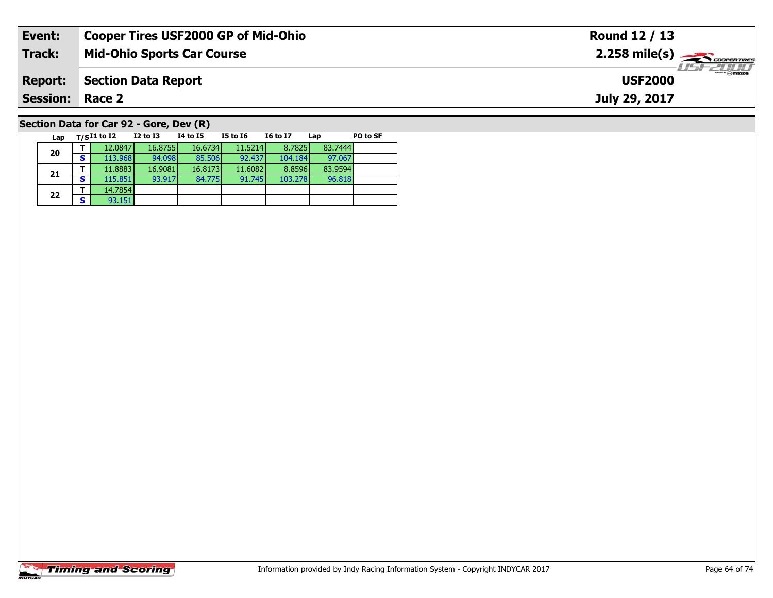| Event:                 | <b>Cooper Tires USF2000 GP of Mid-Ohio</b>                                                      | Round 12 / 13                                           |
|------------------------|-------------------------------------------------------------------------------------------------|---------------------------------------------------------|
| <b>Track:</b>          | <b>Mid-Ohio Sports Car Course</b>                                                               | $2.258$ mile(s) $\overbrace{\hspace{2cm}}$ coorer TIRES |
| <b>Report:</b>         | <b>Section Data Report</b>                                                                      | <i>USF 2000</i><br><b>USF2000</b>                       |
| <b>Session: Race 2</b> |                                                                                                 | July 29, 2017                                           |
|                        | Section Data for Car 92 - Gore, Dev (R)                                                         |                                                         |
| Lap                    | <b>I6 to I7</b><br>PO to SF<br>$_{\rm T/S}$ I1 to I2<br>I2 to I3<br>14 to 15<br>I5 to I6<br>Lap |                                                         |

**20**

**21**

**22**

**2 S** 93.151

**<sup>T</sup>** 12.0847 16.8755 16.6734 11.5214 8.7825 83.7444 **<sup>S</sup>** 113.968 94.098 85.506 92.437 104.184 97.067

**<sup>T</sup>** 11.8883 16.9081 16.8173 11.6082 8.8596 83.9594 **<sup>S</sup>** 115.851 93.917 84.775 91.745 103.278 96.818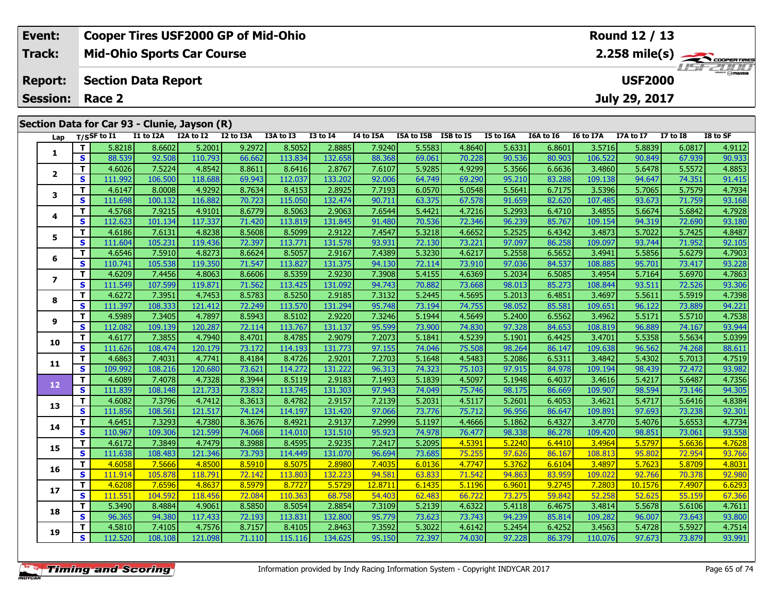| Event:                                       | <b>Cooper Tires USF2000 GP of Mid-Ohio</b> |           |           |           |           |                 |                | Round 12 / 13        |                  |           |           |           |           |          |          |
|----------------------------------------------|--------------------------------------------|-----------|-----------|-----------|-----------|-----------------|----------------|----------------------|------------------|-----------|-----------|-----------|-----------|----------|----------|
| Track:                                       | <b>Mid-Ohio Sports Car Course</b>          |           |           |           |           |                 |                |                      |                  |           |           |           |           |          |          |
| <b>Report:</b>                               | <b>Section Data Report</b>                 |           |           |           |           |                 | <b>USF2000</b> |                      | <b>LIST 2000</b> |           |           |           |           |          |          |
| <b>Session: Race 2</b>                       |                                            |           |           |           |           |                 |                |                      | July 29, 2017    |           |           |           |           |          |          |
|                                              |                                            |           |           |           |           |                 |                |                      |                  |           |           |           |           |          |          |
| Section Data for Car 93 - Clunie, Jayson (R) |                                            |           |           |           |           |                 |                |                      |                  |           |           |           |           |          |          |
|                                              | Lap T/SSF to I1                            | I1 to I2A | I2A to I2 | I2 to I3A | I3A to I3 | <b>I3 to I4</b> | I4 to I5A      | I5A to I5B I5B to I5 |                  | I5 to I6A | I6A to I6 | I6 to I7A | I7A to I7 | I7 to I8 | I8 to SF |

| <u>. ам</u>              |              |         |         |         |        |         |         |         |        |        |        |        |         |         |        |        |
|--------------------------|--------------|---------|---------|---------|--------|---------|---------|---------|--------|--------|--------|--------|---------|---------|--------|--------|
| 1                        | T            | 5.8218  | 8.6602  | 5.2001  | 9.2972 | 8.5052  | 2.8885  | 7.9240  | 5.5583 | 4.8640 | 5.6331 | 6.8601 | 3.5716  | 5.8839  | 6.0817 | 4.9112 |
|                          | S            | 88.539  | 92.508  | 110.793 | 66.662 | 113.834 | 132.658 | 88.368  | 69.061 | 70.228 | 90.536 | 80.903 | 106.522 | 90.849  | 67.939 | 90.933 |
| $\mathbf{2}$             | $\mathbf T$  | 4.6026  | 7.5224  | 4.8542  | 8.8611 | 8.6416  | 2.8767  | 7.6107  | 5.9285 | 4.9299 | 5.3566 | 6.6636 | 3.4860  | 5.6478  | 5.5572 | 4.8853 |
|                          | S            | 111.992 | 106.500 | 118.688 | 69.943 | 112.037 | 133.202 | 92.006  | 64.749 | 69.290 | 95.210 | 83.288 | 109.138 | 94.647  | 74.351 | 91.415 |
| 3                        | $\mathbf T$  | 4.6147  | 8.0008  | 4.9292  | 8.7634 | 8.4153  | 2.8925  | 7.7193  | 6.0570 | 5.0548 | 5.5641 | 6.7175 | 3.5396  | 5.7065  | 5.7579 | 4.7934 |
|                          | $\mathbf{s}$ | 111.698 | 100.132 | 116.882 | 70.723 | 115.050 | 132.474 | 90.711  | 63.375 | 67.578 | 91.659 | 82.620 | 107.485 | 93.673  | 71.759 | 93.168 |
| 4                        | $\mathbf T$  | 4.5768  | 7.9215  | 4.9101  | 8.6779 | 8.5063  | 2.9063  | 7.6544  | 5.4421 | 4.7216 | 5.2993 | 6.4710 | 3.4855  | 5.6674  | 5.6842 | 4.7928 |
|                          | $\mathbf{s}$ | 112.623 | 101.134 | 117.337 | 71.420 | 113.819 | 131.845 | 91.480  | 70.536 | 72.346 | 96.239 | 85.767 | 109.154 | 94.319  | 72.690 | 93.180 |
| 5                        | $\mathbf T$  | 4.6186  | 7.6131  | 4.8238  | 8.5608 | 8.5099  | 2.9122  | 7.4547  | 5.3218 | 4.6652 | 5.2525 | 6.4342 | 3.4873  | 5.7022  | 5.7425 | 4.8487 |
|                          | $\mathbf{s}$ | 111.604 | 105.231 | 119.436 | 72.397 | 113.771 | 131.578 | 93.931  | 72.130 | 73.221 | 97.097 | 86.258 | 109.097 | 93.744  | 71.952 | 92.105 |
| 6                        | Т            | 4.6546  | 7.5910  | 4.8273  | 8.6624 | 8.5057  | 2.9167  | 7.4389  | 5.3230 | 4.6217 | 5.2558 | 6.5652 | 3.4941  | 5.5856  | 5.6279 | 4.7903 |
|                          | S            | 110.741 | 105.538 | 119.350 | 71.547 | 113.827 | 131.375 | 94.130  | 72.114 | 73.910 | 97.036 | 84.537 | 108.885 | 95.701  | 73.417 | 93.228 |
| $\overline{\phantom{a}}$ | $\mathbf T$  | 4.6209  | 7.4456  | 4.8063  | 8.6606 | 8.5359  | 2.9230  | 7.3908  | 5.4155 | 4.6369 | 5.2034 | 6.5085 | 3.4954  | 5.7164  | 5.6970 | 4.7863 |
|                          | $\mathbf{s}$ | 111.549 | 107.599 | 119.871 | 71.562 | 113.425 | 131.092 | 94.743  | 70.882 | 73.668 | 98.013 | 85.273 | 108.844 | 93.511  | 72.526 | 93.306 |
| 8                        | $\mathbf T$  | 4.6272  | 7.3951  | 4.7453  | 8.5783 | 8.5250  | 2.9185  | 7.3132  | 5.2445 | 4.5695 | 5.2013 | 6.4851 | 3.4697  | 5.5611  | 5.5919 | 4.7398 |
|                          | S            | 111.397 | 108.333 | 121.412 | 72.249 | 113.570 | 131.294 | 95.748  | 73.194 | 74.755 | 98.052 | 85.581 | 109.651 | 96.122  | 73.889 | 94.221 |
| 9                        | $\mathbf T$  | 4.5989  | 7.3405  | 4.7897  | 8.5943 | 8.5102  | 2.9220  | 7.3246  | 5.1944 | 4.5649 | 5.2400 | 6.5562 | 3.4962  | 5.5171  | 5.5710 | 4.7538 |
|                          | $\mathbf{s}$ | 112.082 | 109.139 | 120.287 | 72.114 | 113.767 | 131.137 | 95.599  | 73.900 | 74.830 | 97.328 | 84.653 | 108.819 | 96.889  | 74.167 | 93.944 |
| 10                       | T            | 4.6177  | 7.3855  | 4.7940  | 8.4701 | 8.4785  | 2.9079  | 7.2073  | 5.1841 | 4.5239 | 5.1901 | 6.4425 | 3.4701  | 5.5358  | 5.5634 | 5.0399 |
|                          | <b>S</b>     | 111.626 | 108.474 | 120.179 | 73.172 | 114.193 | 131.773 | 97.155  | 74.046 | 75.508 | 98.264 | 86.147 | 109.638 | 96.562  | 74.268 | 88.611 |
| 11                       | $\mathbf T$  | 4.6863  | 7.4031  | 4.7741  | 8.4184 | 8.4726  | 2.9201  | 7.2703  | 5.1648 | 4.5483 | 5.2086 | 6.5311 | 3.4842  | 5.4302  | 5.7013 | 4.7519 |
|                          | S            | 109.992 | 108.216 | 120.680 | 73.621 | 114.272 | 131.222 | 96.313  | 74.323 | 75.103 | 97.915 | 84.978 | 109.194 | 98.439  | 72.472 | 93.982 |
| 12 <sub>2</sub>          | $\mathbf{T}$ | 4.6089  | 7.4078  | 4.7328  | 8.3944 | 8.5119  | 2.9183  | 7.1493  | 5.1839 | 4.5097 | 5.1948 | 6.4037 | 3.4616  | 5.4217  | 5.6487 | 4.7356 |
|                          | $\mathbf{s}$ | 111.839 | 108.148 | 121.733 | 73.832 | 113.745 | 131.303 | 97.943  | 74.049 | 75.746 | 98.175 | 86.669 | 109.907 | 98.594  | 73.146 | 94.305 |
| 13                       | Т            | 4.6082  | 7.3796  | 4.7412  | 8.3613 | 8.4782  | 2.9157  | 7.2139  | 5.2031 | 4.5117 | 5.2601 | 6.4053 | 3.4621  | 5.4717  | 5.6416 | 4.8384 |
|                          | $\mathbf{s}$ | 111.856 | 108.561 | 121.517 | 74.124 | 114.197 | 131.420 | 97.066  | 73.776 | 75.712 | 96.956 | 86.647 | 109.891 | 97.693  | 73.238 | 92.301 |
| 14                       | $\mathbf{T}$ | 4.6451  | 7.3293  | 4.7380  | 8.3676 | 8.4921  | 2.9137  | 7.2999  | 5.1197 | 4.4666 | 5.1862 | 6.4327 | 3.4770  | 5.4076  | 5.6553 | 4.7734 |
|                          | $\mathbf{s}$ | 110.967 | 109.306 | 121.599 | 74.068 | 114.010 | 131.510 | 95.923  | 74.978 | 76.477 | 98.338 | 86.278 | 109.420 | 98.851  | 73.061 | 93.558 |
| 15                       | T            | 4.6172  | 7.3849  | 4.7479  | 8.3988 | 8.4595  | 2.9235  | 7.2417  | 5.2095 | 4.5391 | 5.2240 | 6.4410 | 3.4964  | 5.5797  | 5.6636 | 4.7628 |
|                          | S            | 111.638 | 108.483 | 121.346 | 73.793 | 114.449 | 131.070 | 96.694  | 73.685 | 75.255 | 97.626 | 86.167 | 108.813 | 95.802  | 72.954 | 93.766 |
| 16                       | T            | 4.6058  | 7.5666  | 4.8500  | 8.5910 | 8.5075  | 2.8980  | 7.4035  | 6.0136 | 4.7747 | 5.3762 | 6.6104 | 3.4897  | 5.7623  | 5.8709 | 4.8031 |
|                          | S            | 111.914 | 105.878 | 118.791 | 72.142 | 113.803 | 132.223 | 94.581  | 63.833 | 71.542 | 94.863 | 83.959 | 109.022 | 92.766  | 70.378 | 92.980 |
| 17                       | $\mathbf{T}$ | 4.6208  | 7.6596  | 4.8637  | 8.5979 | 8.7727  | 5.5729  | 12.8711 | 6.1435 | 5.1196 | 6.9601 | 9.2745 | 7.2803  | 10.1576 | 7.4907 | 6.6293 |
|                          | S            | 111.551 | 104.592 | 118.456 | 72.084 | 110.363 | 68.758  | 54.403  | 62.483 | 66.722 | 73.275 | 59.842 | 52.258  | 52.625  | 55.159 | 67.366 |
| 18                       | Т            | 5.3490  | 8.4884  | 4.9061  | 8.5850 | 8.5054  | 2.8854  | 7.3109  | 5.2139 | 4.6322 | 5.4118 | 6.4675 | 3.4814  | 5.5678  | 5.6106 | 4.7611 |
|                          | $\mathbf{s}$ | 96.365  | 94.380  | 117.433 | 72.193 | 113.831 | 132.800 | 95.779  | 73.623 | 73.743 | 94.239 | 85.814 | 109.282 | 96.007  | 73.643 | 93.800 |
| 19                       | $\mathbf{T}$ | 4.5810  | 7.4105  | 4.7576  | 8.7157 | 8.4105  | 2.8463  | 7.3592  | 5.3022 | 4.6142 | 5.2454 | 6.4252 | 3.4563  | 5.4728  | 5.5927 | 4.7514 |
|                          | S            | 112.520 | 108.108 | 121.098 | 71.110 | 115.116 | 134.625 | 95.150  | 72.397 | 74.030 | 97.228 | 86.379 | 110.076 | 97.673  | 73.879 | 93.991 |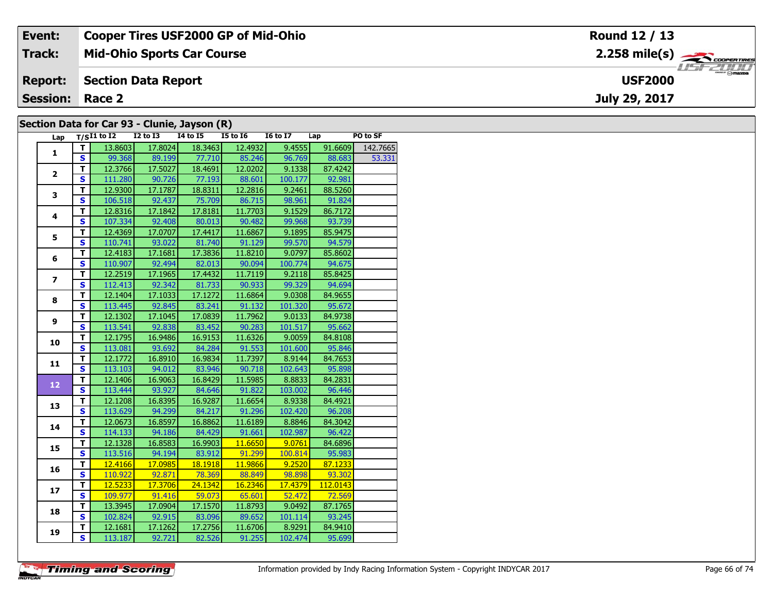| Event:                 | <b>Cooper Tires USF2000 GP of Mid-Ohio</b>   | Round 12 / 13                                          |
|------------------------|----------------------------------------------|--------------------------------------------------------|
| Track:                 | <b>Mid-Ohio Sports Car Course</b>            | $2.258$ mile(s) $\overbrace{\hspace{2cm}}$ coderatings |
| <b>Report:</b>         | Section Data Report                          | <b>HSFZUID</b><br><b>USF2000</b>                       |
| <b>Session: Race 2</b> |                                              | July 29, 2017                                          |
|                        | Section Data for Car 93 - Clunie, Jayson (R) |                                                        |

#### **Section Data for Car 93 - Clunie, Jayson (R)**

| Lap            |                         | $T/SI1$ to $I2$ $I2$ to $I3$ |                   | $I4$ to $I5$                 | $\sim$ $\sim$<br>$I5$ to $I6$                                   | I6 to I7 Lap                                           |                | PO to SF         |
|----------------|-------------------------|------------------------------|-------------------|------------------------------|-----------------------------------------------------------------|--------------------------------------------------------|----------------|------------------|
| $\mathbf{1}$   | T I                     |                              | 13.8603 17.8024   | 18.3463                      | 12.4932                                                         | 9.4555                                                 |                | 91.6609 142.7665 |
|                | $\overline{\mathbf{s}}$ |                              |                   | 99.368 89.199 77.710 85.246  |                                                                 | 96.769                                                 | 88.683         | 53.331           |
|                | $\overline{\mathsf{T}}$ |                              | $12.3766$ 17.5027 |                              | 18.4691  12.0202                                                | 9.1338                                                 | 87.4242        |                  |
| $\overline{2}$ | $\overline{\mathbf{s}}$ |                              | 111.280 90.726    |                              | 77.193 88.601                                                   | 100.177                                                | 92.981         |                  |
|                | $\overline{\mathsf{r}}$ | 12.9300                      | 17.1787           | 18.8311                      | 12.2816                                                         | 9.2461                                                 | 88.5260        |                  |
| 3              | $\overline{\mathbf{s}}$ | 106.518                      | 92.437            | 75.709                       | 86.715                                                          | 98.961                                                 | 91.824         |                  |
|                | T                       | 12.8316                      | 17.1842           | 17.8181                      | 11.7703                                                         | 9.1529                                                 | 86.7172        |                  |
| 4              | $\overline{\mathbf{s}}$ | 107.334                      | 92.408            | 80.013                       | 90.482                                                          | 99.968                                                 | 93.739         |                  |
|                | T                       | 12.4369                      | 17.0707           | 17.4417                      | 11.6867                                                         | 9.1895                                                 | 85.9475        |                  |
| 5              | $\overline{\mathbf{s}}$ | 110.741                      | 93.022            | 81.740                       | 91.129                                                          | 99.570                                                 | 94.579         |                  |
|                | $\overline{\mathsf{r}}$ | 12.4183                      | 17.1681           | 17.3836                      | 11.8210                                                         | 9.0797                                                 | 85.8602        |                  |
| 6              | $\overline{\mathbf{s}}$ |                              | 110.907 92.494    | 82.013                       | 90.094                                                          | 100.774                                                | 94.675         |                  |
| $\overline{z}$ | $\overline{\mathsf{r}}$ | 12.2519                      | 17.1965           | 17.4432                      | 11.7119                                                         | 9.2118                                                 | 85.8425        |                  |
|                | $\overline{\mathbf{s}}$ | 112.413                      | 92.342            | 81.733                       | 90.933                                                          | 99.329                                                 | 94.694         |                  |
| 8              | $\overline{\mathsf{r}}$ | 12.1404                      | 17.1033           | 17.1272                      | 11.6864                                                         | 9.0308                                                 | 84.9655        |                  |
|                | $\overline{\mathbf{s}}$ | 113.445                      | 92.845            | 83.241                       | 91.132                                                          | 101.320                                                | 95.672         |                  |
|                | T                       | 12.1302                      | 17.1045           | 17.0839                      | 11.7962                                                         | 9.0133                                                 | 84.9738        |                  |
| 9              | $\mathbf{s}$            | 113.541                      | 92.838            | 83.452                       | 90.283                                                          | 101.517                                                | 95.662         |                  |
| 10             | T                       | 12.1795                      | 16.9486           | 16.9153                      | 11.6326                                                         | 9.0059                                                 | 84.8108        |                  |
|                | $\overline{\mathbf{s}}$ | 113.081                      | 93.692            | 84.284                       | 91.553                                                          | 101.600                                                | 95.846         |                  |
| 11             | T                       | 12.1772                      | 16.8910           | 16.9834                      | 11.7397                                                         | 8.9144                                                 | 84.7653        |                  |
|                | $\overline{\mathbf{s}}$ |                              |                   | 113.103 94.012 83.946 90.718 |                                                                 |                                                        | 102.643 95.898 |                  |
|                | T                       | 12.1406                      | 16.9063           | 16.8429                      | 11.5985                                                         | 8.8833                                                 | 84.2831        |                  |
| 12             | $\overline{\mathbf{s}}$ | 113.444                      | 93.927            | 84.646                       | 91.822                                                          | 103.002                                                | 96.446         |                  |
| 13             | T.                      | 12.1208                      | 16.8395           | 16.9287                      | 11.6654                                                         | 8.9338                                                 | 84.4921        |                  |
|                | $\overline{\mathbf{s}}$ | 113.629                      | 94.299            | 84.217                       | 91.296                                                          | 102.420                                                | 96.208         |                  |
| 14             | T                       | 12.0673                      | 16.8597           | 16.8862                      | 11.6189                                                         | 8.8846                                                 | 84.3042        |                  |
|                | $\mathbf{s}$            | 114.133                      | 94.186            | 84.429                       | 91.661                                                          | 102.987                                                | 96.422         |                  |
| 15             | T                       | 12.1328                      | 16.8583           | 16.9903                      | 11.6650                                                         | $\overline{9.0761}$                                    | 84.6896        |                  |
|                | $\overline{\mathbf{s}}$ |                              | 113.516 94.194    | 83.912                       | 91.299                                                          | 100.814                                                | 95.983         |                  |
| 16             | т                       | 12.4166                      | 17.0985           | 18.1918                      | 11.9866                                                         | $\begin{array}{ c c c }\n\hline\n&9.2520\n\end{array}$ | 87.1233        |                  |
|                | S                       |                              |                   | 110.922 92.871 78.369        | $\begin{array}{ c c c }\hline \quad & 88.849\hline \end{array}$ | 98.898                                                 | 93.302         |                  |
| 17             | T                       | 12.5233                      | 17.3706           | 24.1342                      | $\overline{16.2346}$                                            | 17.4379                                                | 112.0143       |                  |
|                | $\overline{\mathbf{s}}$ | 109.977                      |                   | 91.416 59.073                | 65.601                                                          | 52.472                                                 | 72.569         |                  |
| 18             | T                       | 13.3945                      | 17.0904           | 17.1570                      | 11.8793                                                         | 9.0492                                                 | 87.1765        |                  |
|                | $\overline{\mathbf{s}}$ | 102.824                      | 92.915            | 83.096                       | 89.652                                                          | 101.114                                                | 93.245         |                  |
| 19             | T                       | 12.1681                      | 17.1262           | 17.2756                      | 11.6706                                                         | 8.9291                                                 | 84.9410        |                  |
|                | $\overline{\mathbf{s}}$ | 113.187                      | 92.721            | 82.526                       | 91.255                                                          | 102.474                                                | 95.699         |                  |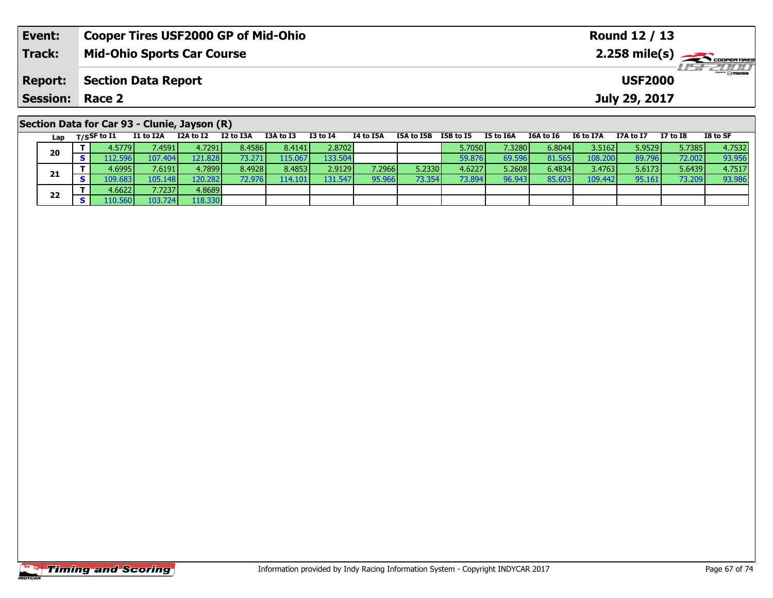| Event:                 | <b>Cooper Tires USF2000 GP of Mid-Ohio</b>                                                                                                                      | Round 12 / 13                                                                                              |
|------------------------|-----------------------------------------------------------------------------------------------------------------------------------------------------------------|------------------------------------------------------------------------------------------------------------|
| Track:                 | <b>Mid-Ohio Sports Car Course</b>                                                                                                                               | $2.258$ mile(s) $\overbrace{\hspace{2cm}}$ coorganges                                                      |
| <b>Report:</b>         | <b>Section Data Report</b>                                                                                                                                      | <b>LISF 2000</b><br><b>USF2000</b>                                                                         |
| <b>Session: Race 2</b> |                                                                                                                                                                 | July 29, 2017                                                                                              |
|                        | Section Data for Car 93 - Clunie, Jayson (R)<br>$-1.054.74$ . True The There is the The<br><b>TOA 44 TO</b><br>TEAL TER TERL TE<br>TA LA TEA<br><b>TO LA TA</b> | TO L. CE<br><b>TEAL TEA</b><br><b>TCA 1- TC</b><br><b>TTAL_TT</b><br><b>TT 1. TO</b><br><b>TO ALL TITA</b> |

| Lap | $T/S$ SF to I1     | I1 to I2A       | I2A to I2 | I2 to I3A       | I3A to I3 | <b>I3 to I4</b> | 14 to 15A | I5A to I5B | I5B to I5 | I5 to I6A | I6A to I6 | I6 to I7A | I7A to I7 | I7 to I8 | I8 to SF |
|-----|--------------------|-----------------|-----------|-----------------|-----------|-----------------|-----------|------------|-----------|-----------|-----------|-----------|-----------|----------|----------|
| 20  | 4.5779             | 7.45911         | 4.72911   | 8.4586 <b>I</b> | 8.4141    | 2.8702          |           |            | 5.7050 l  | 7.3280    | 6.8044    | 3.5162    | 5.9529    | 5.7385   | 4.7532   |
|     | .12.596            | 107.404         | 121.828   | 73.271          | 115.067   | 133.504         |           |            | 59.876    | 69.596    | 81.565    | 108.200   | 89.796    | 72.002   | 93.956   |
|     | 4.6995 l           | 7.6191          | 4.7899    | 8.4928          | 8.4853    | 2.9129          | 7.2966    | 5.2330     | 4.6227    | 5.2608    | 6.4834    | 3.4763    | 5.6173    | 5.6439   | 4.7517   |
| 21  | 109.6831           | 105.148         | 120.2821  | 72.976          | 114.101   | 131.547         | 95.966    | 73.354     | 73.894    | 96.943    | 85,603    | 109.442   | 95.161    | 73.209   | 93.986   |
|     | 4.6622 l           | 7.7237 <b>I</b> | 4.8689    |                 |           |                 |           |            |           |           |           |           |           |          |          |
| 22  | $\triangle$ 10.560 | 103.724         | 118.330   |                 |           |                 |           |            |           |           |           |           |           |          |          |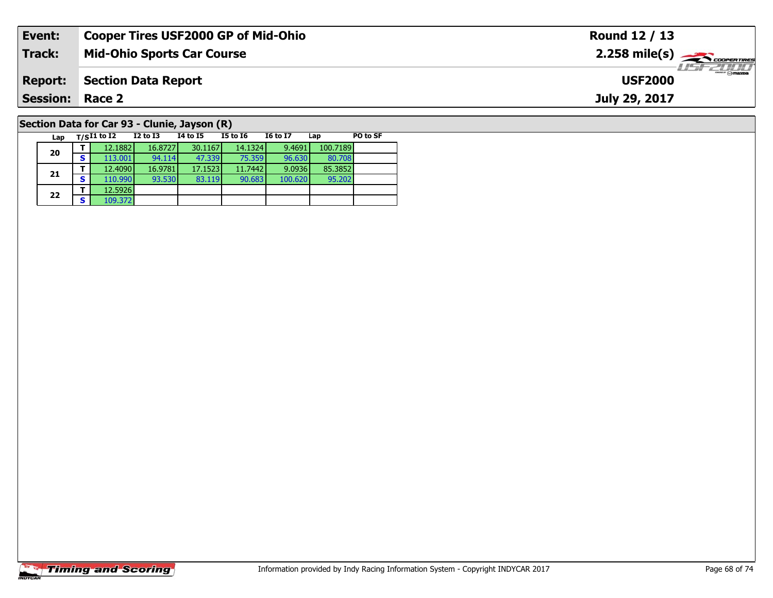| Event:                                       | <b>Cooper Tires USF2000 GP of Mid-Ohio</b> |          |          |          |                 |     |          | Round 12 / 13                                         |
|----------------------------------------------|--------------------------------------------|----------|----------|----------|-----------------|-----|----------|-------------------------------------------------------|
| Track:                                       | <b>Mid-Ohio Sports Car Course</b>          |          |          |          |                 |     |          | $2.258$ mile(s) $\overbrace{\hspace{2cm}}$ coorenties |
| <b>Report:</b>                               | <b>Section Data Report</b>                 |          |          |          |                 |     |          | $-10cm$<br><b>USF2000</b>                             |
| <b>Session: Race 2</b>                       |                                            |          |          |          |                 |     |          | July 29, 2017                                         |
| Section Data for Car 93 - Clunie, Jayson (R) |                                            |          |          |          |                 |     |          |                                                       |
| Lap                                          | $_{\rm T/S}$ I1 to I2                      | I2 to I3 | 14 to 15 | I5 to I6 | <b>I6 to I7</b> | Lap | PO to SF |                                                       |

95.202

# **Timing and Scoring**

**20**

**21**

**22**

**<sup>T</sup>** 12.5926 **<sup>S</sup>** 109.372

**<sup>T</sup>** 12.1882 16.8727 30.1167 14.1324 9.4691 100.7189 **<sup>S</sup>** 113.001 94.114 47.339 75.359 96.630 80.708

**<sup>T</sup>** 12.4090 16.9781 17.1523 11.7442 9.0936 85.3852 **<sup>S</sup>** 110.990 93.530 83.119 90.683 100.620 95.202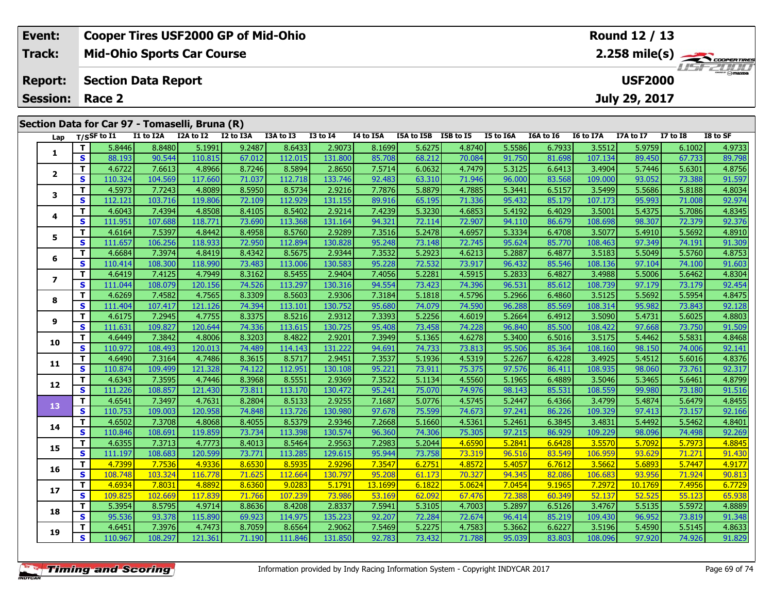|                        | Event:         |          |                            |           | <b>Cooper Tires USF2000 GP of Mid-Ohio</b>     |           |           |                 |           |            |           |           |                  |                  | <b>Round 12 / 13</b> |                 |                                           |
|------------------------|----------------|----------|----------------------------|-----------|------------------------------------------------|-----------|-----------|-----------------|-----------|------------|-----------|-----------|------------------|------------------|----------------------|-----------------|-------------------------------------------|
|                        | Track:         |          |                            |           | <b>Mid-Ohio Sports Car Course</b>              |           |           |                 |           |            |           |           |                  |                  |                      |                 | $2.258$ mile(s) $\rightarrow$ COOPERTIRES |
|                        | <b>Report:</b> |          | <b>Section Data Report</b> |           |                                                |           |           |                 |           |            |           |           |                  |                  | <b>USF2000</b>       |                 | USFZUUD                                   |
| <b>Session: Race 2</b> |                |          |                            |           |                                                |           |           |                 |           |            |           |           | July 29, 2017    |                  |                      |                 |                                           |
|                        |                |          |                            |           | Section Data for Car 97 - Tomaselli, Bruna (R) |           |           |                 |           |            |           |           |                  |                  |                      |                 |                                           |
|                        |                |          | Lap T/SSF to I1            | I1 to I2A | I2A to I2                                      | I2 to I3A | I3A to I3 | <b>I3 to I4</b> | I4 to I5A | I5A to I5B | I5B to I5 | I5 to I6A | <b>I6A to I6</b> | <b>I6 to I7A</b> | I7A to I7            | <b>I7 to I8</b> | I8 to SF                                  |
|                        |                |          | 5.8446                     | 8.8480    | 5.1991                                         | 9.2487    | 8.6433    | 2.9073          | 8.1699    | 5.6275     | 4.8740    | 5.5586    | 6.7933           | 3.5512           | 5.9759               | 6.1002          | 4.9733                                    |
|                        |                | <b>S</b> | 88.193                     | 90.544    | 110.815                                        | 67.012    | 112.015   | 131.800         | 85.708    | 68.212     | 70.084    | 91.750    | 81.698           | 107.134          | 89.450               | 67.733          | 89.798                                    |
|                        |                |          | 4.6722                     | 7.6613    | 4.8966                                         | 8.7246    | 8.5894    | 2.8650          | 7.5714    | 6.0632     | 4.7479    | 5.3125    | 6.6413           | 3.4904           | 5.7446               | 5.6301          | 4.8756                                    |
|                        |                | <b>S</b> | 110.324                    | 104.569   | 117.660                                        | 71.037    | 112.718   | 133.746         | 92.483    | 63.310     | 71.946    | 96.000    | 83.568           | 109.000          | 93.052               | 73.388          | 91.597                                    |

| 1                       | T.           | 5.8446  | 8.8480  | 5.1991  | 9.2487 | 8.6433  | 2.9073  | 8.1699  | 5.6275 | 4.8740 | 5.5586 | 6.7933 | 3.5512  | 5.9759  | 6.1002 | 4.9733 |
|-------------------------|--------------|---------|---------|---------|--------|---------|---------|---------|--------|--------|--------|--------|---------|---------|--------|--------|
|                         | S            | 88.193  | 90.544  | 110.815 | 67.012 | 112.015 | 131.800 | 85.708  | 68.212 | 70.084 | 91.750 | 81.698 | 107.134 | 89.450  | 67.733 | 89.798 |
| $\overline{2}$          | T.           | 4.6722  | 7.6613  | 4.8966  | 8.7246 | 8.5894  | 2.8650  | 7.5714  | 6.0632 | 4.7479 | 5.3125 | 6.6413 | 3.4904  | 5.7446  | 5.6301 | 4.8756 |
|                         | S.           | 110.324 | 104.569 | 117.660 | 71.037 | 112.718 | 133.746 | 92.483  | 63.310 | 71.946 | 96.000 | 83.568 | 109.000 | 93.052  | 73.388 | 91.597 |
| 3                       | T.           | 4.5973  | 7.7243  | 4.8089  | 8.5950 | 8.5734  | 2.9216  | 7.7876  | 5.8879 | 4.7885 | 5.3441 | 6.5157 | 3.5499  | 5.5686  | 5.8188 | 4.8034 |
|                         | S.           | 112.121 | 103.716 | 119.806 | 72.109 | 112.929 | 131.155 | 89.916  | 65.195 | 71.336 | 95.432 | 85.179 | 107.173 | 95.993  | 71.008 | 92.974 |
| 4                       | т            | 4.6043  | 7.4394  | 4.8508  | 8.4105 | 8.5402  | 2.9214  | 7.4239  | 5.3230 | 4.6853 | 5.4192 | 6.4029 | 3.5001  | 5.4375  | 5.7086 | 4.8345 |
|                         | S            | 111.951 | 107.688 | 118.771 | 73.690 | 113.368 | 131.164 | 94.321  | 72.114 | 72.907 | 94.110 | 86.679 | 108.698 | 98.307  | 72.379 | 92.376 |
| 5                       | T.           | 4.6164  | 7.5397  | 4.8442  | 8.4958 | 8.5760  | 2.9289  | 7.3516  | 5.2478 | 4.6957 | 5.3334 | 6.4708 | 3.5077  | 5.4910  | 5.5692 | 4.8910 |
|                         | S            | 111.657 | 106.256 | 118.933 | 72.950 | 112.894 | 130.828 | 95.248  | 73.148 | 72.745 | 95.624 | 85.770 | 108.463 | 97.349  | 74.191 | 91.309 |
| 6                       | T.           | 4.6684  | 7.3974  | 4.8419  | 8.4342 | 8.5675  | 2.9344  | 7.3532  | 5.2923 | 4.6213 | 5.2887 | 6.4877 | 3.5183  | 5.5049  | 5.5760 | 4.8753 |
|                         | s            | 110.414 | 108.300 | 118.990 | 73.483 | 113.006 | 130.583 | 95.228  | 72.532 | 73.917 | 96.432 | 85.546 | 108.136 | 97.104  | 74.100 | 91.603 |
| $\overline{\mathbf{z}}$ | T.           | 4.6419  | 7.4125  | 4.7949  | 8.3162 | 8.5455  | 2.9404  | 7.4056  | 5.2281 | 4.5915 | 5.2833 | 6.4827 | 3.4988  | 5.5006  | 5.6462 | 4.8304 |
|                         | S            | 111.044 | 108.079 | 120.156 | 74.526 | 113.297 | 130.316 | 94.554  | 73.423 | 74.396 | 96.531 | 85.612 | 108.739 | 97.179  | 73.179 | 92.454 |
| 8                       | T.           | 4.6269  | 7.4582  | 4.7565  | 8.3309 | 8.5603  | 2.9306  | 7.3184  | 5.1818 | 4.5796 | 5.2966 | 6.4860 | 3.5125  | 5.5692  | 5.5954 | 4.8475 |
|                         | S            | 111.404 | 107.417 | 121.126 | 74.394 | 113.101 | 130.752 | 95.680  | 74.079 | 74.590 | 96.288 | 85.569 | 108.314 | 95.982  | 73.843 | 92.128 |
| 9                       | T.           | 4.6175  | 7.2945  | 4.7755  | 8.3375 | 8.5216  | 2.9312  | 7.3393  | 5.2256 | 4.6019 | 5.2664 | 6.4912 | 3.5090  | 5.4731  | 5.6025 | 4.8803 |
|                         | S            | 111.631 | 109.827 | 120.644 | 74.336 | 113.615 | 130.725 | 95.408  | 73.458 | 74.228 | 96.840 | 85.500 | 108.422 | 97.668  | 73.750 | 91.509 |
| 10                      | T.           | 4.6449  | 7.3842  | 4.8006  | 8.3203 | 8.4822  | 2.9201  | 7.3949  | 5.1365 | 4.6278 | 5.3400 | 6.5016 | 3.5175  | 5.4462  | 5.5831 | 4.8468 |
|                         | S.           | 110.972 | 108.493 | 120.013 | 74.489 | 114.143 | 131.222 | 94.691  | 74.733 | 73.813 | 95.506 | 85.364 | 108.160 | 98.150  | 74.006 | 92.141 |
| 11                      | T.           | 4.6490  | 7.3164  | 4.7486  | 8.3615 | 8.5717  | 2.9451  | 7.3537  | 5.1936 | 4.5319 | 5.2267 | 6.4228 | 3.4925  | 5.4512  | 5.6016 | 4.8376 |
|                         | S            | 110.874 | 109.499 | 121.328 | 74.122 | 112.951 | 130.108 | 95.221  | 73.911 | 75.375 | 97.576 | 86.411 | 108.935 | 98.060  | 73.761 | 92.317 |
| 12                      | T.           | 4.6343  | 7.3595  | 4.7446  | 8.3968 | 8.5551  | 2.9369  | 7.3522  | 5.1134 | 4.5560 | 5.1965 | 6.4889 | 3.5046  | 5.3465  | 5.6461 | 4.8799 |
|                         | S            | 111.226 | 108.857 | 121.430 | 73.811 | 113.170 | 130.472 | 95.241  | 75.070 | 74.976 | 98.143 | 85.531 | 108.559 | 99.980  | 73.180 | 91.516 |
| 13                      | T.           | 4.6541  | 7.3497  | 4.7631  | 8.2804 | 8.5133  | 2.9255  | 7.1687  | 5.0776 | 4.5745 | 5.2447 | 6.4366 | 3.4799  | 5.4874  | 5.6479 | 4.8455 |
|                         | S            | 110.753 | 109.003 | 120.958 | 74.848 | 113.726 | 130.980 | 97.678  | 75.599 | 74.673 | 97.241 | 86.226 | 109.329 | 97.413  | 73.157 | 92.166 |
| 14                      | T            | 4.6502  | 7.3708  | 4.8068  | 8.4055 | 8.5379  | 2.9346  | 7.2668  | 5.1660 | 4.5361 | 5.2461 | 6.3845 | 3.4831  | 5.4492  | 5.5462 | 4.8401 |
|                         | S            | 110.846 | 108.691 | 119.859 | 73.734 | 113.398 | 130.574 | 96.360  | 74.306 | 75.305 | 97.215 | 86.929 | 109.229 | 98.096  | 74.498 | 92.269 |
| 15                      | T.           | 4.6355  | 7.3713  | 4.7773  | 8.4013 | 8.5464  | 2.9563  | 7.2983  | 5.2044 | 4.6590 | 5.2841 | 6.6428 | 3.5570  | 5.7092  | 5.7973 | 4.8845 |
|                         | S            | 111.197 | 108.683 | 120.599 | 73.771 | 113.285 | 129.615 | 95.944  | 73.758 | 73.319 | 96.516 | 83.549 | 106.959 | 93.629  | 71.271 | 91.430 |
| 16                      | T.           | 4.7399  | 7.7536  | 4.9336  | 8.6530 | 8.5935  | 2.9296  | 7.3547  | 6.2751 | 4.8572 | 5.4057 | 6.7612 | 3.5662  | 5.6893  | 5.7447 | 4.9177 |
|                         | <b>S</b>     | 108.748 | 103.324 | 116.778 | 71.625 | 112.664 | 130.797 | 95.208  | 61.173 | 70.327 | 94.345 | 82.086 | 106.683 | 93.956  | 71.924 | 90.813 |
| 17                      | T            | 4.6934  | 7.8031  | 4.8892  | 8.6360 | 9.0283  | 5.1791  | 13.1699 | 6.1822 | 5.0624 | 7.0454 | 9.1965 | 7.2972  | 10.1769 | 7.4956 | 6.7729 |
|                         | $\mathbf{s}$ | 109.825 | 102.669 | 117.839 | 71.766 | 107.239 | 73.986  | 53.169  | 62.092 | 67.476 | 72.388 | 60.349 | 52.137  | 52.525  | 55.123 | 65.938 |
| 18                      | т            | 5.3954  | 8.5795  | 4.9714  | 8.8636 | 8.4208  | 2.8337  | 7.5941  | 5.3105 | 4.7003 | 5.2897 | 6.5126 | 3.4767  | 5.5135  | 5.5972 | 4.8889 |
|                         | S            | 95.536  | 93.378  | 115.890 | 69.923 | 114.975 | 135.223 | 92.207  | 72.284 | 72.674 | 96.414 | 85.219 | 109.430 | 96.952  | 73.819 | 91.348 |
| 19                      | T.           | 4.6451  | 7.3976  | 4.7473  | 8.7059 | 8.6564  | 2.9062  | 7.5469  | 5.2275 | 4.7583 | 5.3662 | 6.6227 | 3.5196  | 5.4590  | 5.5145 | 4.8633 |
|                         | S.           | 110.967 | 108.297 | 121.361 | 71.190 | 111.846 | 131.850 | 92.783  | 73.432 | 71.788 | 95.039 | 83.803 | 108.096 | 97.920  | 74.926 | 91.829 |
|                         |              |         |         |         |        |         |         |         |        |        |        |        |         |         |        |        |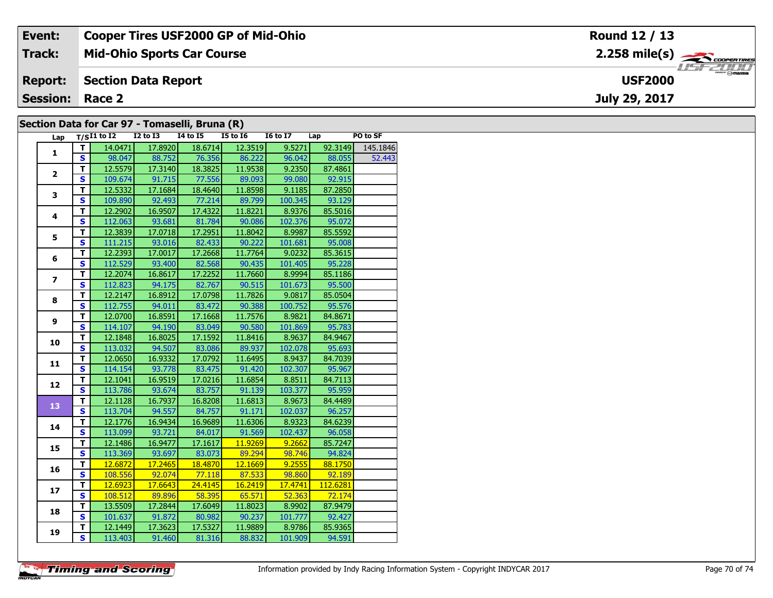| Event:                 | <b>Cooper Tires USF2000 GP of Mid-Ohio</b>     | Round 12 / 13                      |
|------------------------|------------------------------------------------|------------------------------------|
| <b>Track:</b>          | <b>Mid-Ohio Sports Car Course</b>              |                                    |
| <b>Report:</b>         | <b>Section Data Report</b>                     | <b>LISF 2000</b><br><b>USF2000</b> |
| <b>Session: Race 2</b> |                                                | July 29, 2017                      |
|                        | Section Data for Car 97 - Tomaselli, Bruna (R) |                                    |

#### **Section Data for Car 97 - Tomaselli, Bruna (R)**

| Lap            |                         | T/SI1 to I2    12 to I3    14 to I5    15 to I6    16 to I7    Lap |                   |                              | $\sim$ $\sim$   |         |                | PO to SF                |
|----------------|-------------------------|--------------------------------------------------------------------|-------------------|------------------------------|-----------------|---------|----------------|-------------------------|
| $\mathbf{1}$   | T                       | 14.0471                                                            | 17.8920           |                              | 18.6714 12.3519 |         |                | 9.5271 92.3149 145.1846 |
|                | $\overline{\mathbf{s}}$ |                                                                    |                   | 98.047 88.752 76.356 86.222  |                 |         | 96.042 88.055  | 52,443                  |
|                | $\mathbf{T}$            |                                                                    | $12.5579$ 17.3140 |                              | 18.3825 11.9538 | 9.2350  | 87.4861        |                         |
| $\overline{2}$ | $\overline{\mathbf{s}}$ |                                                                    |                   | 109.674 91.715 77.556 89.093 |                 | 99.080  | 92.915         |                         |
|                | $\overline{\mathsf{r}}$ | 12.5332                                                            | 17.1684           | 18.4640                      | 11.8598         | 9.1185  | 87.2850        |                         |
| 3              | $\overline{\mathbf{s}}$ | 109.890                                                            | 92.493            | 77.214                       | 89.799          | 100.345 | 93.129         |                         |
|                | $\mathbf{T}$            | 12.2902                                                            | 16.9507           | 17.4322                      | 11.8221         | 8.9376  | 85.5016        |                         |
| 4              | $\mathbf{s}$            | 112.063                                                            | 93.681            | 81.784                       | 90.086          | 102.376 | 95.072         |                         |
|                | т                       | 12.3839                                                            | 17.0718           | 17.2951                      | 11.8042         | 8.9987  | 85.5592        |                         |
| 5              | $\mathbf{s}$            |                                                                    |                   | 111.215 93.016 82.433        | 90.222          | 101.681 | 95.008         |                         |
|                | T                       | 12.2393                                                            | 17.0017           | 17.2668                      | 11.7764         | 9.0232  | 85.3615        |                         |
| 6              | $\overline{\mathbf{s}}$ |                                                                    |                   | 112.529 93.400 82.568        | 90.435          |         | 101.405 95.228 |                         |
|                | $\mathbf{T}$            | 12.2074                                                            | 16.8617           | 17.2252                      | 11.7660         | 8.9994  | 85.1186        |                         |
| $\overline{ }$ | $\overline{\mathbf{s}}$ | 112.823                                                            |                   | $94.175$ 82.767              | 90.515          | 101.673 | 95.500         |                         |
| 8              | $\overline{\mathsf{r}}$ | 12.2147                                                            | 16.8912           | 17.0798                      | 11.7826         | 9.0817  | 85.0504        |                         |
|                | $\overline{\mathbf{s}}$ | 112.755                                                            | 94.011            | 83.472                       | 90.388          | 100.752 | 95.576         |                         |
|                | $\mathbf{T}$            | 12.0700                                                            | 16.8591           | 17.1668                      | 11.7576         | 8.9821  | 84.8671        |                         |
| 9              | $\mathbf{s}$            | 114.107                                                            | 94.190            | 83.049                       | 90.580          | 101.869 | 95.783         |                         |
|                | $\mathbf T$             | 12.1848                                                            | 16.8025           | 17.1592                      | 11.8416         | 8.9637  | 84.9467        |                         |
| 10             | S                       |                                                                    |                   | 113.032 94.507 83.086 89.937 |                 | 102.078 | 95.693         |                         |
| 11             | $\overline{\mathbf{T}}$ |                                                                    | 12.0650 16.9332   | 17.0792                      | 11.6495         | 8.9437  | 84.7039        |                         |
|                | $\overline{\mathbf{s}}$ |                                                                    |                   | 114.154 93.778 83.475 91.420 |                 |         | 102.307 95.967 |                         |
|                | $\mathbf{T}$            | 12.1041                                                            | 16.9519           | 17.0216                      | 11.6854         | 8.8511  | 84.7113        |                         |
| 12             | $\overline{\mathbf{s}}$ | 113.786                                                            | 93.674            | 83.757                       | 91.139          | 103.377 | 95.959         |                         |
| 13             | Ŧ                       | 12.1128                                                            | 16.7937           | 16.8208                      | 11.6813         | 8.9673  | 84.4489        |                         |
|                | $\overline{\mathbf{s}}$ | 113.704                                                            | 94.557            | 84.757                       | 91.171          | 102.037 | 96.257         |                         |
| 14             | T                       | 12.1776                                                            | 16.9434           | 16.9689                      | 11.6306         | 8.9323  | 84.6239        |                         |
|                | $\overline{\mathbf{s}}$ | 113.099                                                            | 93.721            | 84.017                       | 91.569          | 102.437 | 96.058         |                         |
| 15             | T                       | 12.1486                                                            | 16.9477           | 17.1617                      | 11.9269         | 9.2662  | 85.7247        |                         |
|                | $\overline{\mathbf{s}}$ |                                                                    |                   | 113.369 93.697 83.073        | 89.294          | 98.746  | 94.824         |                         |
| 16             | T                       | 12.6872                                                            | 17.2465           | 18.4870                      | 12.1669         | 9.2555  | 88.1750        |                         |
|                | $\overline{\mathbf{s}}$ |                                                                    |                   | 108.556 92.074 77.118 87.533 |                 | 98.860  | 92.189         |                         |
| 17             | T                       | 12.6923                                                            | 17.6643           | 24.4145                      | 16.2419         | 17.4741 | 112.6281       |                         |
|                | $\mathbf{s}$            | 108.512                                                            |                   | 89.896 58.395                | 65.571          | 52.363  | 72.174         |                         |
| 18             | T                       | 13.5509                                                            | 17.2844           | 17.6049                      | 11.8023         | 8.9902  | 87.9479        |                         |
|                | $\overline{\mathbf{s}}$ | 101.637                                                            | 91.872            | 80.982                       | 90.237          | 101.777 | 92.427         |                         |
| 19             | T                       | 12.1449                                                            | 17.3623           | 17.5327                      | 11.9889         | 8.9786  | 85.9365        |                         |
|                | $\overline{\mathbf{s}}$ | 113.403                                                            |                   | 91.460 81.316 88.832         |                 | 101.909 | 94.591         |                         |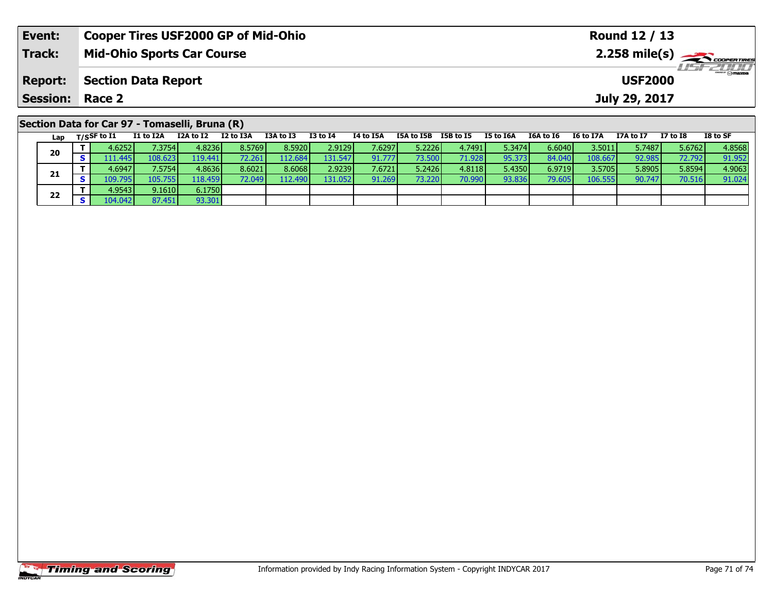| Event:          | <b>Cooper Tires USF2000 GP of Mid-Ohio</b>     |                                              |           |           |          |           |            |               |           |           |           | Round 12 / 13 |          |                                            |  |
|-----------------|------------------------------------------------|----------------------------------------------|-----------|-----------|----------|-----------|------------|---------------|-----------|-----------|-----------|---------------|----------|--------------------------------------------|--|
| <b>Track:</b>   | <b>Mid-Ohio Sports Car Course</b>              |                                              |           |           |          |           |            |               |           |           |           |               |          | $2.258$ mile(s) $\sum$ <i>cooper TIRES</i> |  |
| <b>Report:</b>  |                                                | <b>Section Data Report</b><br><b>USF2000</b> |           |           |          |           |            |               |           |           |           |               |          |                                            |  |
| Session: Race 2 |                                                |                                              |           |           |          |           |            | July 29, 2017 |           |           |           |               |          |                                            |  |
|                 | Section Data for Car 97 - Tomaselli, Bruna (R) |                                              |           |           |          |           |            |               |           |           |           |               |          |                                            |  |
| Lap             | I1 to I2A<br>$_{\rm T/SS}$ F to I1             | I2A to I2                                    | I2 to I3A | I3A to I3 | I3 to I4 | I4 to I5A | I5A to I5B | I5B to I5     | I5 to I6A | I6A to I6 | I6 to I7A | I7A to I7     | I7 to I8 | I8 to SF                                   |  |

| ra p | $100 - 100 - 100$ | ------   |         |                 |         |          |         |                 |        |        |        |         |        |        | ------ |
|------|-------------------|----------|---------|-----------------|---------|----------|---------|-----------------|--------|--------|--------|---------|--------|--------|--------|
| 20   | 4.6252            | 1.3754   | 4.8236  | 8.5769          | 8.5920  | 2.9129   | 7.62971 | 5.2226 <b>1</b> | 4.7491 | 5.3474 | 6.6040 | 3.5011  | 5.7487 | 5.6762 | 4.8568 |
|      | 111.445           | 108.623  | 119.441 |                 | 12.684  | 131.547  | 91.7771 | 73.500          | 71.928 | 95.373 | 84.040 | 108.667 | 92.985 | 72.792 | 91.952 |
|      | 4.6947            | 7.5754   | 4.8636  | 8.6021          | 8.6068  | 2.9239   | 7.6721  | 5.2426          | 4.8118 | 5.4350 | 6.9719 | 3.5705  | 5.8905 | 5.8594 | 4.9063 |
| 21   | 109.795           | 105.7551 | 18.459  | 72.049 <b>I</b> | 112.490 | 131.0521 | 91.269  | 73.220          | 70.990 | 93.836 | 79.60  | 106.555 | 90.747 | 70.516 | 91.024 |
| 22   | 4.9543            | 9.1610   | 6.1750  |                 |         |          |         |                 |        |        |        |         |        |        |        |
|      | 104.042 <b>I</b>  | 87.451   | 93.301  |                 |         |          |         |                 |        |        |        |         |        |        |        |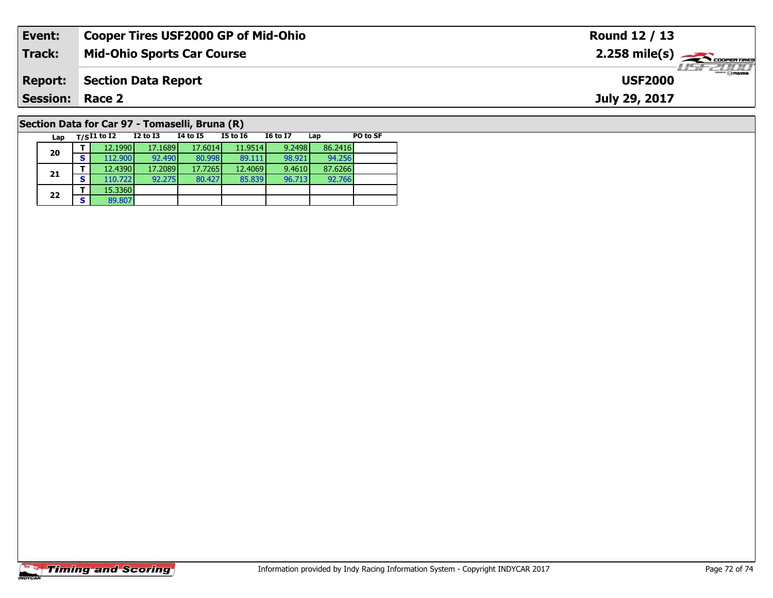| Event:                                         | <b>Cooper Tires USF2000 GP of Mid-Ohio</b> |          |          |          |                 | Round 12 / 13 |          |                                                       |
|------------------------------------------------|--------------------------------------------|----------|----------|----------|-----------------|---------------|----------|-------------------------------------------------------|
| Track:                                         | <b>Mid-Ohio Sports Car Course</b>          |          |          |          |                 |               |          | $2.258$ mile(s) $\overbrace{\hspace{2cm}}$ coorenties |
| <b>Report:</b>                                 | <b>Section Data Report</b>                 |          |          |          |                 |               |          | 2111<br><b>USF2000</b>                                |
| <b>Session: Race 2</b>                         |                                            |          |          |          |                 |               |          | July 29, 2017                                         |
| Section Data for Car 97 - Tomaselli, Bruna (R) |                                            |          |          |          |                 |               |          |                                                       |
| Lap                                            | $_{\rm T/S}$ I1 to I2                      | I2 to I3 | 14 to 15 | I5 to I6 | <b>I6 to I7</b> | Lap           | PO to SF |                                                       |

# **Timing and Scoring**

**20**

**21**

**22**

**2 S**  $\begin{array}{|c|c|c|} \hline \textbf{5} & \textbf{15.3360} \\ \hline \textbf{5} & \textbf{89.807} \end{array}$ 

**<sup>T</sup>** 12.1990 17.1689 17.6014 11.9514 9.2498 86.2416 **<sup>S</sup>** 112.900 92.490 80.998 89.111 98.921 94.256

**<sup>T</sup>** 12.4390 17.2089 17.7265 12.4069 9.4610 87.6266 **<sup>S</sup>** 110.722 92.275 80.427 85.839 96.713 92.766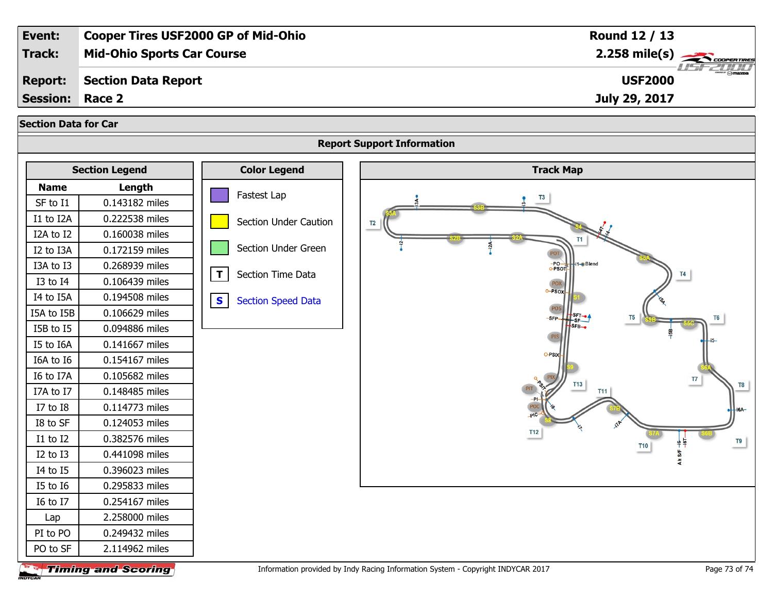